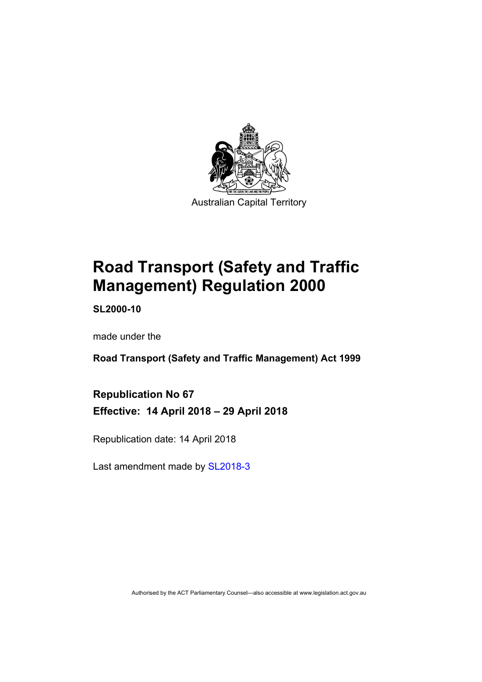

# **Road Transport (Safety and Traffic Management) Regulation 2000**

**SL2000-10** 

made under the

**Road Transport (Safety and Traffic Management) Act 1999** 

**Republication No 67 Effective: 14 April 2018 – 29 April 2018** 

Republication date: 14 April 2018

Last amendment made by [SL2018-3](http://www.legislation.act.gov.au/sl/2018-3/default.asp)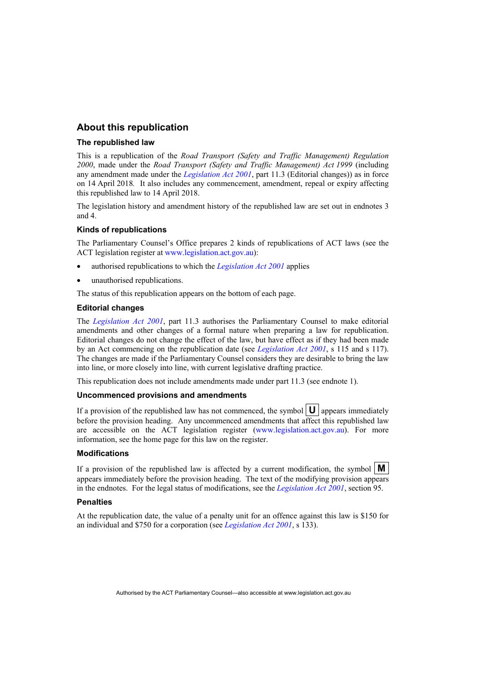#### **About this republication**

#### **The republished law**

This is a republication of the *Road Transport (Safety and Traffic Management) Regulation 2000*, made under the *Road Transport (Safety and Traffic Management) Act 1999* (including any amendment made under the *[Legislation Act 2001](http://www.legislation.act.gov.au/a/2001-14)*, part 11.3 (Editorial changes)) as in force on 14 April 2018*.* It also includes any commencement, amendment, repeal or expiry affecting this republished law to 14 April 2018.

The legislation history and amendment history of the republished law are set out in endnotes 3 and 4.

#### **Kinds of republications**

The Parliamentary Counsel's Office prepares 2 kinds of republications of ACT laws (see the ACT legislation register at [www.legislation.act.gov.au](http://www.legislation.act.gov.au/)):

- authorised republications to which the *[Legislation Act 2001](http://www.legislation.act.gov.au/a/2001-14)* applies
- unauthorised republications.

The status of this republication appears on the bottom of each page.

#### **Editorial changes**

The *[Legislation Act 2001](http://www.legislation.act.gov.au/a/2001-14)*, part 11.3 authorises the Parliamentary Counsel to make editorial amendments and other changes of a formal nature when preparing a law for republication. Editorial changes do not change the effect of the law, but have effect as if they had been made by an Act commencing on the republication date (see *[Legislation Act 2001](http://www.legislation.act.gov.au/a/2001-14)*, s 115 and s 117). The changes are made if the Parliamentary Counsel considers they are desirable to bring the law into line, or more closely into line, with current legislative drafting practice.

This republication does not include amendments made under part 11.3 (see endnote 1).

#### **Uncommenced provisions and amendments**

If a provision of the republished law has not commenced, the symbol  $|\mathbf{U}|$  appears immediately before the provision heading. Any uncommenced amendments that affect this republished law are accessible on the ACT legislation register [\(www.legislation.act.gov.au](http://www.legislation.act.gov.au/)). For more information, see the home page for this law on the register.

#### **Modifications**

If a provision of the republished law is affected by a current modification, the symbol  $\mathbf{M}$ appears immediately before the provision heading. The text of the modifying provision appears in the endnotes. For the legal status of modifications, see the *[Legislation Act 2001](http://www.legislation.act.gov.au/a/2001-14)*, section 95.

#### **Penalties**

At the republication date, the value of a penalty unit for an offence against this law is \$150 for an individual and \$750 for a corporation (see *[Legislation Act 2001](http://www.legislation.act.gov.au/a/2001-14)*, s 133).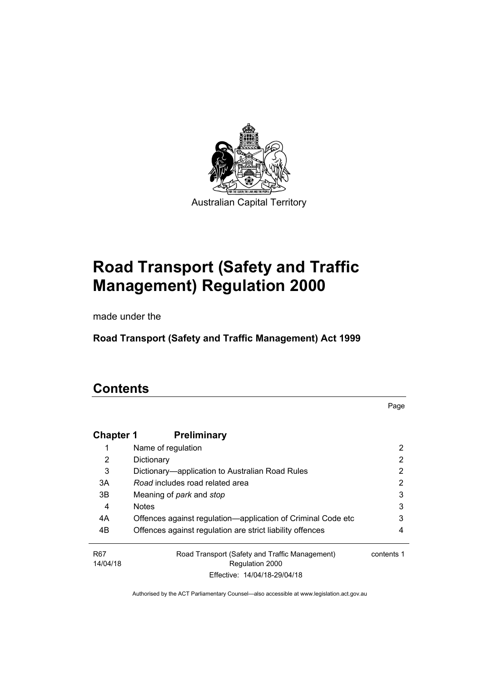

# **Road Transport (Safety and Traffic Management) Regulation 2000**

made under the

**Road Transport (Safety and Traffic Management) Act 1999** 

# **Contents**

Page

| <b>Chapter 1</b> | <b>Preliminary</b>                                           |            |
|------------------|--------------------------------------------------------------|------------|
|                  | Name of regulation                                           | 2          |
| 2                | Dictionary                                                   | 2          |
| 3                | Dictionary-application to Australian Road Rules              | 2          |
| 3A               | Road includes road related area                              | 2          |
| 3B               | Meaning of <i>park</i> and <i>stop</i>                       | 3          |
| 4                | <b>Notes</b>                                                 | 3          |
| 4A               | Offences against regulation—application of Criminal Code etc | 3          |
| 4B               | Offences against regulation are strict liability offences    | 4          |
| R <sub>67</sub>  | Road Transport (Safety and Traffic Management)               | contents 1 |
| 14/04/18         | Regulation 2000                                              |            |
|                  | Effective: 14/04/18-29/04/18                                 |            |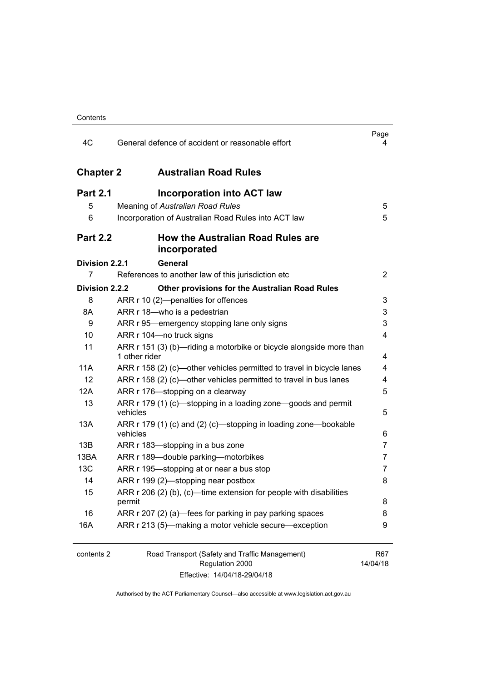| Contents |
|----------|
|----------|

| 4C               | General defence of accident or reasonable effort                                     | Page<br>4       |
|------------------|--------------------------------------------------------------------------------------|-----------------|
| <b>Chapter 2</b> | <b>Australian Road Rules</b>                                                         |                 |
| <b>Part 2.1</b>  | Incorporation into ACT law                                                           |                 |
| 5                | Meaning of Australian Road Rules                                                     | 5               |
| 6                | Incorporation of Australian Road Rules into ACT law                                  | 5               |
| <b>Part 2.2</b>  | <b>How the Australian Road Rules are</b><br>incorporated                             |                 |
| Division 2.2.1   | <b>General</b>                                                                       |                 |
| 7                | References to another law of this jurisdiction etc                                   | $\overline{2}$  |
| Division 2.2.2   | Other provisions for the Australian Road Rules                                       |                 |
| 8                | ARR r 10 (2)-penalties for offences                                                  | 3               |
| 8A               | ARR r 18-who is a pedestrian                                                         | 3               |
| 9                | ARR r 95—emergency stopping lane only signs                                          | 3               |
| 10               | ARR r 104-no truck signs                                                             | 4               |
| 11               | ARR r 151 (3) (b)—riding a motorbike or bicycle alongside more than<br>1 other rider | 4               |
| 11A              | ARR r 158 (2) (c)—other vehicles permitted to travel in bicycle lanes                | 4               |
| 12               | ARR r 158 (2) (c)—other vehicles permitted to travel in bus lanes                    | 4               |
| 12A              | ARR r 176-stopping on a clearway                                                     | 5               |
| 13               | ARR r 179 (1) (c)—stopping in a loading zone—goods and permit<br>vehicles            | 5               |
| 13A              | ARR r 179 (1) (c) and (2) (c)—stopping in loading zone—bookable<br>vehicles          | 6               |
| 13B              | ARR r 183-stopping in a bus zone                                                     | 7               |
| 13BA             | ARR r 189-double parking-motorbikes                                                  | 7               |
| 13C              | ARR r 195—stopping at or near a bus stop                                             | 7               |
| 14               | ARR r 199 (2)—stopping near postbox                                                  | 8               |
| 15               | ARR r 206 (2) (b), (c)—time extension for people with disabilities<br>permit         | 8               |
| 16               | ARR r 207 (2) (a)—fees for parking in pay parking spaces                             | 8               |
| 16A              | ARR r 213 (5)-making a motor vehicle secure-exception                                | 9               |
| contents 2       | Road Transport (Safety and Traffic Management)<br>Regulation 2000                    | R67<br>14/04/18 |

Effective: 14/04/18-29/04/18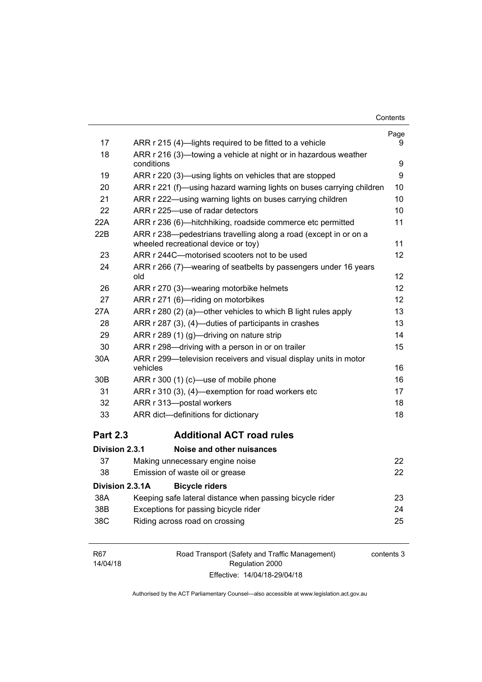| Contents |
|----------|
|----------|

|                 |                                                                                                         | Page              |
|-----------------|---------------------------------------------------------------------------------------------------------|-------------------|
| 17              | ARR r 215 (4)—lights required to be fitted to a vehicle                                                 | 9                 |
| 18              | ARR r 216 (3)—towing a vehicle at night or in hazardous weather                                         |                   |
|                 | conditions                                                                                              | 9                 |
| 19              | ARR r 220 (3)—using lights on vehicles that are stopped                                                 | 9                 |
| 20              | ARR r 221 (f)—using hazard warning lights on buses carrying children                                    | 10                |
| 21              | ARR r 222—using warning lights on buses carrying children                                               | 10                |
| 22              | ARR r 225-use of radar detectors                                                                        | 10                |
| 22A             | ARR r 236 (6)—hitchhiking, roadside commerce etc permitted                                              | 11                |
| 22B             | ARR r 238-pedestrians travelling along a road (except in or on a<br>wheeled recreational device or toy) | 11                |
| 23              | ARR r 244C-motorised scooters not to be used                                                            | $12 \overline{ }$ |
| 24              | ARR r 266 (7)—wearing of seatbelts by passengers under 16 years<br>old                                  | 12                |
| 26              | ARR r 270 (3)—wearing motorbike helmets                                                                 | 12                |
| 27              | ARR r 271 (6)-riding on motorbikes                                                                      | 12                |
| 27A             | ARR r 280 (2) (a)—other vehicles to which B light rules apply                                           | 13                |
| 28              | ARR r 287 (3), (4)—duties of participants in crashes                                                    | 13                |
| 29              | ARR r 289 (1) (g)—driving on nature strip                                                               | 14                |
| 30              | ARR r 298-driving with a person in or on trailer                                                        | 15                |
| 30A             | ARR r 299-television receivers and visual display units in motor<br>vehicles                            | 16                |
| 30B             | ARR r 300 (1) (c)—use of mobile phone                                                                   | 16                |
| 31              | ARR r 310 (3), (4)—exemption for road workers etc                                                       | 17                |
| 32              | ARR r 313-postal workers                                                                                | 18                |
| 33              | ARR dict-definitions for dictionary                                                                     | 18                |
| <b>Part 2.3</b> | <b>Additional ACT road rules</b>                                                                        |                   |
| Division 2.3.1  | Noise and other nuisances                                                                               |                   |
| 37              | Making unnecessary engine noise                                                                         | 22                |
| 38              | Emission of waste oil or grease                                                                         | 22                |
| Division 2.3.1A | <b>Bicycle riders</b>                                                                                   |                   |
| 38A             | Keeping safe lateral distance when passing bicycle rider                                                | 23                |
| 38B             | Exceptions for passing bicycle rider                                                                    | 24                |
| 38C             | Riding across road on crossing                                                                          | 25                |
|                 |                                                                                                         |                   |

| R67      | Road Transport (Safety and Traffic Management) | contents 3 |
|----------|------------------------------------------------|------------|
| 14/04/18 | Regulation 2000                                |            |
|          | Effective: 14/04/18-29/04/18                   |            |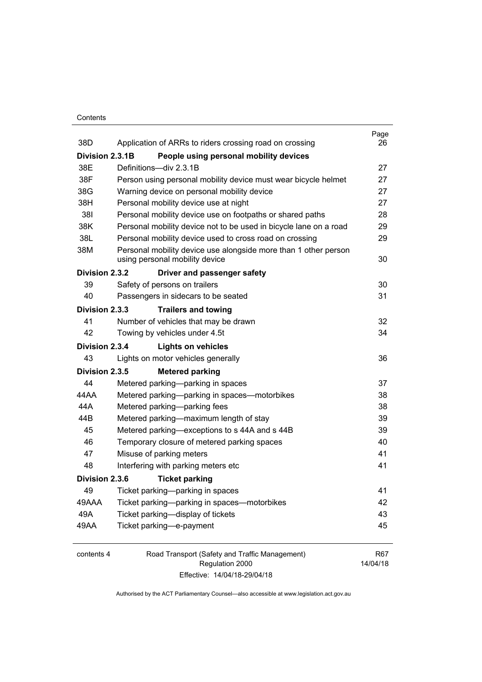#### **Contents**

| 38D             | Application of ARRs to riders crossing road on crossing                                           | Page<br>26           |
|-----------------|---------------------------------------------------------------------------------------------------|----------------------|
| Division 2.3.1B | People using personal mobility devices                                                            |                      |
| 38E             | Definitions-div 2.3.1B                                                                            | 27                   |
| 38F             | Person using personal mobility device must wear bicycle helmet                                    | 27                   |
| 38G             | Warning device on personal mobility device                                                        | 27                   |
| 38H             | Personal mobility device use at night                                                             | 27                   |
| 381             | Personal mobility device use on footpaths or shared paths                                         | 28                   |
| 38K             | Personal mobility device not to be used in bicycle lane on a road                                 | 29                   |
| 38L             | Personal mobility device used to cross road on crossing                                           | 29                   |
| 38M             | Personal mobility device use alongside more than 1 other person<br>using personal mobility device | 30                   |
| Division 2.3.2  | Driver and passenger safety                                                                       |                      |
| 39              | Safety of persons on trailers                                                                     | 30                   |
| 40              | Passengers in sidecars to be seated                                                               | 31                   |
| Division 2.3.3  | <b>Trailers and towing</b>                                                                        |                      |
| 41              | Number of vehicles that may be drawn                                                              | 32                   |
| 42              | Towing by vehicles under 4.5t                                                                     | 34                   |
| Division 2.3.4  | <b>Lights on vehicles</b>                                                                         |                      |
| 43              | Lights on motor vehicles generally                                                                | 36                   |
| Division 2.3.5  | <b>Metered parking</b>                                                                            |                      |
| 44              | Metered parking-parking in spaces                                                                 | 37                   |
| 44 A A          | Metered parking-parking in spaces-motorbikes                                                      | 38                   |
| 44A             | Metered parking-parking fees                                                                      | 38                   |
| 44B             | Metered parking-maximum length of stay                                                            | 39                   |
| 45              | Metered parking-exceptions to s 44A and s 44B                                                     | 39                   |
| 46              | Temporary closure of metered parking spaces                                                       | 40                   |
| 47              | Misuse of parking meters                                                                          | 41                   |
| 48              | Interfering with parking meters etc                                                               | 41                   |
| Division 2.3.6  | <b>Ticket parking</b>                                                                             |                      |
| 49              | Ticket parking-parking in spaces                                                                  | 41                   |
| 49AAA           | Ticket parking-parking in spaces-motorbikes                                                       | 42                   |
| 49A             | Ticket parking-display of tickets                                                                 | 43                   |
| 49AA            | Ticket parking-e-payment                                                                          | 45                   |
|                 | $P = 1T$ . $1/2T$                                                                                 | $\sim$ $\sim$ $\sim$ |

| contents 4 | Road Transport (Safety and Traffic Management) | R <sub>67</sub> |
|------------|------------------------------------------------|-----------------|
|            | Regulation 2000                                | 14/04/18        |
|            | Effective: 14/04/18-29/04/18                   |                 |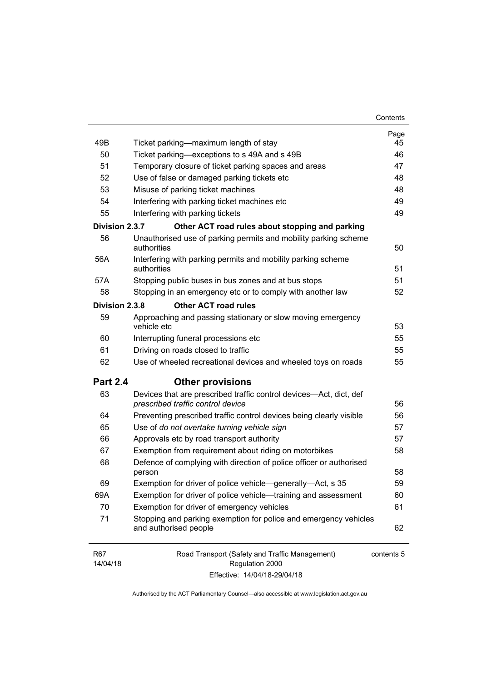| 49B                    | Ticket parking—maximum length of stay                                                                   | Page<br>45 |
|------------------------|---------------------------------------------------------------------------------------------------------|------------|
| 50                     | Ticket parking-exceptions to s 49A and s 49B                                                            | 46         |
| 51                     | Temporary closure of ticket parking spaces and areas                                                    | 47         |
| 52                     | Use of false or damaged parking tickets etc                                                             | 48         |
| 53                     | Misuse of parking ticket machines                                                                       | 48         |
| 54                     | Interfering with parking ticket machines etc                                                            | 49         |
| 55                     | Interfering with parking tickets                                                                        | 49         |
| Division 2.3.7         | Other ACT road rules about stopping and parking                                                         |            |
| 56                     | Unauthorised use of parking permits and mobility parking scheme<br>authorities                          | 50         |
| 56A                    | Interfering with parking permits and mobility parking scheme<br>authorities                             | 51         |
| 57A                    | Stopping public buses in bus zones and at bus stops                                                     | 51         |
| 58                     | Stopping in an emergency etc or to comply with another law                                              | 52         |
| Division 2.3.8         | <b>Other ACT road rules</b>                                                                             |            |
| 59                     | Approaching and passing stationary or slow moving emergency<br>vehicle etc                              | 53         |
| 60                     | Interrupting funeral processions etc                                                                    | 55         |
| 61                     | Driving on roads closed to traffic                                                                      | 55         |
| 62                     | Use of wheeled recreational devices and wheeled toys on roads                                           | 55         |
| <b>Part 2.4</b>        | <b>Other provisions</b>                                                                                 |            |
| 63                     | Devices that are prescribed traffic control devices—Act, dict, def<br>prescribed traffic control device | 56         |
| 64                     | Preventing prescribed traffic control devices being clearly visible                                     | 56         |
| 65                     | Use of do not overtake turning vehicle sign                                                             | 57         |
| 66                     | Approvals etc by road transport authority                                                               | 57         |
| 67                     | Exemption from requirement about riding on motorbikes                                                   | 58         |
| 68                     | Defence of complying with direction of police officer or authorised<br>person                           | 58         |
| 69                     | Exemption for driver of police vehicle—generally—Act, s 35                                              | 59         |
| 69A                    | Exemption for driver of police vehicle—training and assessment                                          | 60         |
| 70                     | Exemption for driver of emergency vehicles                                                              | 61         |
| 71                     | Stopping and parking exemption for police and emergency vehicles<br>and authorised people               | 62         |
| <b>R67</b><br>14/04/18 | Road Transport (Safety and Traffic Management)<br>Regulation 2000                                       | contents 5 |

Effective: 14/04/18-29/04/18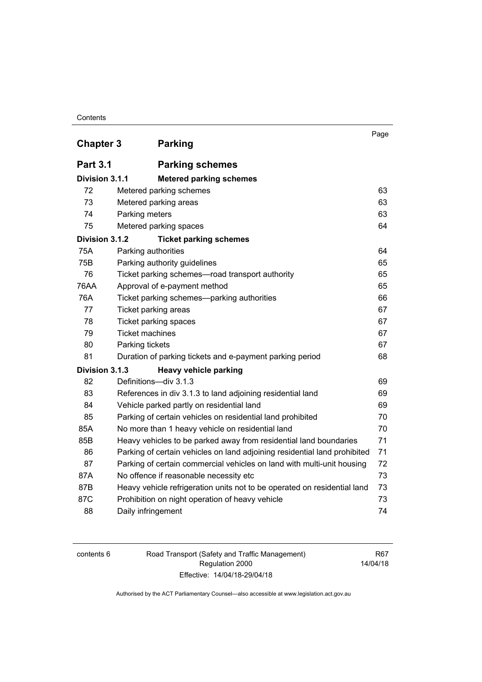#### **Contents**

| <b>Chapter 3</b> | <b>Parking</b>                                                            | Page |
|------------------|---------------------------------------------------------------------------|------|
|                  |                                                                           |      |
| <b>Part 3.1</b>  | <b>Parking schemes</b>                                                    |      |
| Division 3.1.1   | <b>Metered parking schemes</b>                                            |      |
| 72               | Metered parking schemes                                                   | 63   |
| 73               | Metered parking areas                                                     | 63   |
| 74               | Parking meters                                                            | 63   |
| 75               | Metered parking spaces                                                    | 64   |
| Division 3.1.2   | <b>Ticket parking schemes</b>                                             |      |
| 75A              | Parking authorities                                                       | 64   |
| 75B              | Parking authority guidelines                                              | 65   |
| 76               | Ticket parking schemes-road transport authority                           | 65   |
| <b>76AA</b>      | Approval of e-payment method                                              | 65   |
| 76A              | Ticket parking schemes-parking authorities                                | 66   |
| 77               | Ticket parking areas                                                      | 67   |
| 78               | Ticket parking spaces                                                     | 67   |
| 79               | <b>Ticket machines</b>                                                    | 67   |
| 80               | Parking tickets                                                           | 67   |
| 81               | Duration of parking tickets and e-payment parking period                  | 68   |
| Division 3.1.3   | Heavy vehicle parking                                                     |      |
| 82               | Definitions-div 3.1.3                                                     | 69   |
| 83               | References in div 3.1.3 to land adjoining residential land                | 69   |
| 84               | Vehicle parked partly on residential land                                 | 69   |
| 85               | Parking of certain vehicles on residential land prohibited                | 70   |
| 85A              | No more than 1 heavy vehicle on residential land                          | 70   |
| 85B              | Heavy vehicles to be parked away from residential land boundaries         | 71   |
| 86               | Parking of certain vehicles on land adjoining residential land prohibited | 71   |
| 87               | Parking of certain commercial vehicles on land with multi-unit housing    | 72   |
| 87A              | No offence if reasonable necessity etc                                    | 73   |
| 87B              | Heavy vehicle refrigeration units not to be operated on residential land  | 73   |
| 87C              | Prohibition on night operation of heavy vehicle                           | 73   |
| 88               | Daily infringement                                                        | 74   |

| contents 6 |  |
|------------|--|
|------------|--|

Road Transport (Safety and Traffic Management) Regulation 2000 Effective: 14/04/18-29/04/18

R67 14/04/18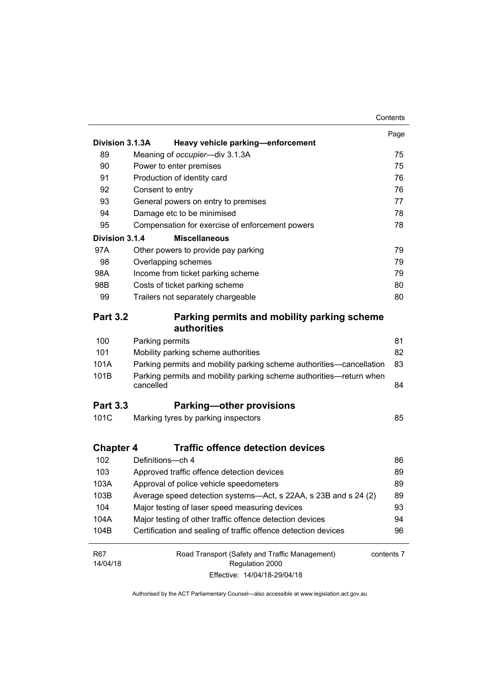|                        |                                                                                  | Contents   |
|------------------------|----------------------------------------------------------------------------------|------------|
|                        |                                                                                  | Page       |
| Division 3.1.3A        | Heavy vehicle parking-enforcement                                                |            |
| 89                     | Meaning of occupier-div 3.1.3A                                                   | 75         |
| 90                     | Power to enter premises                                                          | 75         |
| 91                     | Production of identity card                                                      | 76         |
| 92                     | Consent to entry                                                                 | 76         |
| 93                     | General powers on entry to premises                                              | 77         |
| 94                     | Damage etc to be minimised                                                       | 78         |
| 95                     | Compensation for exercise of enforcement powers                                  | 78         |
| Division 3.1.4         | <b>Miscellaneous</b>                                                             |            |
| 97A                    | Other powers to provide pay parking                                              | 79         |
| 98                     | Overlapping schemes                                                              | 79         |
| 98A                    | Income from ticket parking scheme                                                | 79         |
| 98B                    | Costs of ticket parking scheme                                                   | 80         |
| 99                     | Trailers not separately chargeable                                               | 80         |
| <b>Part 3.2</b>        | Parking permits and mobility parking scheme<br>authorities                       |            |
| 100                    | Parking permits                                                                  | 81         |
| 101                    | Mobility parking scheme authorities                                              | 82         |
| 101A                   | Parking permits and mobility parking scheme authorities—cancellation             | 83         |
| 101B                   | Parking permits and mobility parking scheme authorities-return when<br>cancelled | 84         |
| <b>Part 3.3</b>        | <b>Parking-other provisions</b>                                                  |            |
| 101C                   | Marking tyres by parking inspectors                                              | 85         |
| <b>Chapter 4</b>       | <b>Traffic offence detection devices</b>                                         |            |
| 102                    | Definitions-ch 4                                                                 | 86         |
| 103                    | Approved traffic offence detection devices                                       | 89         |
| 103A                   | Approval of police vehicle speedometers                                          | 89         |
| 103B                   | Average speed detection systems-Act, s 22AA, s 23B and s 24 (2)                  | 89         |
| 104                    | Major testing of laser speed measuring devices                                   | 93         |
| 104A                   | Major testing of other traffic offence detection devices                         | 94         |
| 104B                   | Certification and sealing of traffic offence detection devices                   | 96         |
| <b>R67</b><br>14/04/18 | Road Transport (Safety and Traffic Management)<br>Regulation 2000                | contents 7 |
|                        | Effective: 14/04/18-29/04/18                                                     |            |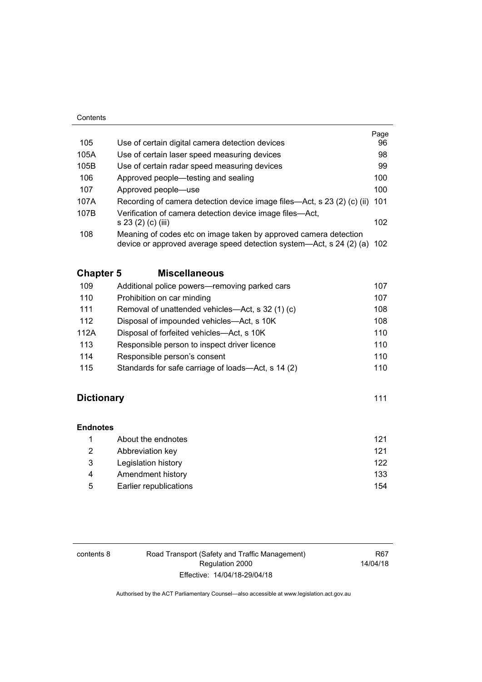#### **Contents**

|                                                                                                                                             | Page |
|---------------------------------------------------------------------------------------------------------------------------------------------|------|
| Use of certain digital camera detection devices                                                                                             | 96   |
| Use of certain laser speed measuring devices                                                                                                | 98   |
| Use of certain radar speed measuring devices                                                                                                | 99   |
| Approved people—testing and sealing                                                                                                         | 100  |
| Approved people-use                                                                                                                         | 100  |
| Recording of camera detection device image files—Act, s 23 (2) (c) (ii)                                                                     | 101  |
| Verification of camera detection device image files—Act,<br>s 23 (2) (c) (iii)                                                              | 102  |
| Meaning of codes etc on image taken by approved camera detection<br>device or approved average speed detection system—Act, s 24 (2) (a) 102 |      |
|                                                                                                                                             |      |

# **Chapter 5 [Miscellaneous](#page-123-0)**

| 109  | Additional police powers—removing parked cars      | 107 |
|------|----------------------------------------------------|-----|
| 110  | Prohibition on car minding                         | 107 |
| 111  | Removal of unattended vehicles—Act, s 32 (1) (c)   | 108 |
| 112  | Disposal of impounded vehicles—Act, s 10K          | 108 |
| 112A | Disposal of forfeited vehicles—Act, s 10K          | 110 |
| 113  | Responsible person to inspect driver licence       | 110 |
| 114  | Responsible person's consent                       | 110 |
| 115  | Standards for safe carriage of loads—Act, s 14 (2) | 110 |

# **Dictionary** [111](#page-127-0)

**[Endnotes](#page-138-0)**

|   | About the endnotes     | 121 |
|---|------------------------|-----|
| 2 | Abbreviation key       | 121 |
| 3 | Legislation history    | 122 |
| 4 | Amendment history      | 133 |
| 5 | Earlier republications | 154 |

| contents 8 | Road Transport (Safety and Traffic Management) | R67      |
|------------|------------------------------------------------|----------|
|            | Regulation 2000                                | 14/04/18 |
|            | Effective: 14/04/18-29/04/18                   |          |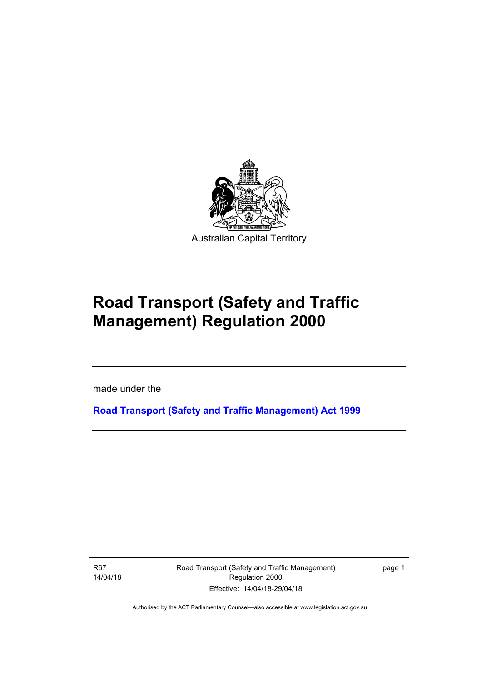

# **Road Transport (Safety and Traffic Management) Regulation 2000**

made under the

**[Road Transport \(Safety and Traffic Management\) Act 1999](http://www.legislation.act.gov.au/a/1999-80)**

R67 14/04/18

Ī

Road Transport (Safety and Traffic Management) Regulation 2000 Effective: 14/04/18-29/04/18

page 1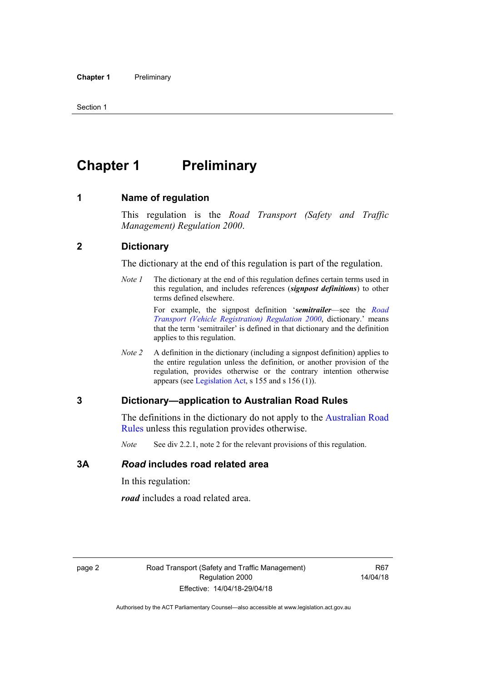# <span id="page-11-0"></span>**Chapter 1 Preliminary**

#### <span id="page-11-1"></span>**1 Name of regulation**

This regulation is the *Road Transport (Safety and Traffic Management) Regulation 2000*.

#### <span id="page-11-2"></span>**2 Dictionary**

The dictionary at the end of this regulation is part of the regulation.

*Note 1* The dictionary at the end of this regulation defines certain terms used in this regulation, and includes references (*signpost definitions*) to other terms defined elsewhere.

> For example, the signpost definition '*semitrailer*—see the *[Road](http://www.legislation.act.gov.au/sl/2000-12)  [Transport \(Vehicle Registration\) Regulation 2000](http://www.legislation.act.gov.au/sl/2000-12)*, dictionary.' means that the term 'semitrailer' is defined in that dictionary and the definition applies to this regulation.

*Note 2* A definition in the dictionary (including a signpost definition) applies to the entire regulation unless the definition, or another provision of the regulation, provides otherwise or the contrary intention otherwise appears (see [Legislation Act,](http://www.legislation.act.gov.au/a/2001-14) s 155 and s 156 (1)).

#### <span id="page-11-3"></span>**3 Dictionary—application to Australian Road Rules**

The definitions in the dictionary do not apply to the [Australian Road](http://www.legislation.act.gov.au//ni/db_37271/default.asp)  [Rules](http://www.legislation.act.gov.au//ni/db_37271/default.asp) unless this regulation provides otherwise.

*Note* See div 2.2.1, note 2 for the relevant provisions of this regulation.

#### <span id="page-11-4"></span>**3A** *Road* **includes road related area**

In this regulation:

*road* includes a road related area.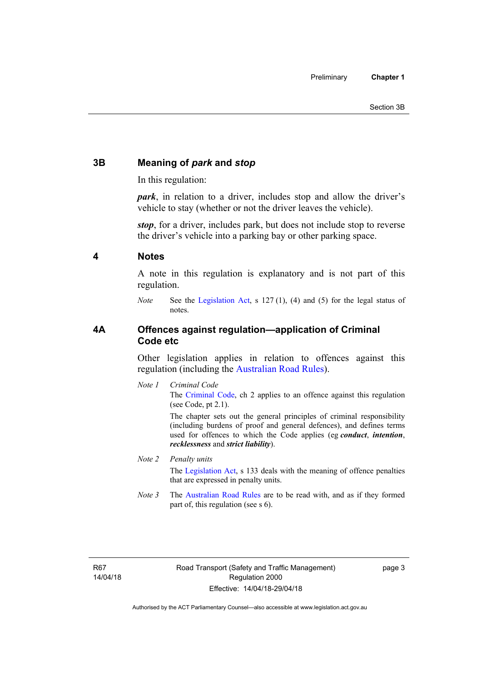# <span id="page-12-0"></span>**3B Meaning of** *park* **and** *stop*

In this regulation:

*park*, in relation to a driver, includes stop and allow the driver's vehicle to stay (whether or not the driver leaves the vehicle).

*stop*, for a driver, includes park, but does not include stop to reverse the driver's vehicle into a parking bay or other parking space.

#### <span id="page-12-1"></span>**4 Notes**

A note in this regulation is explanatory and is not part of this regulation.

*Note* See the [Legislation Act,](http://www.legislation.act.gov.au/a/2001-14) s 127 (1), (4) and (5) for the legal status of notes.

#### <span id="page-12-2"></span>**4A Offences against regulation—application of Criminal Code etc**

Other legislation applies in relation to offences against this regulation (including the [Australian Road Rules](http://www.legislation.act.gov.au//ni/db_37271/default.asp)).

*Note 1 Criminal Code* The [Criminal Code,](http://www.legislation.act.gov.au/a/2002-51) ch 2 applies to an offence against this regulation (see Code, pt 2.1).

> The chapter sets out the general principles of criminal responsibility (including burdens of proof and general defences), and defines terms used for offences to which the Code applies (eg *conduct*, *intention*, *recklessness* and *strict liability*).

#### *Note 2 Penalty units*

The [Legislation Act](http://www.legislation.act.gov.au/a/2001-14), s 133 deals with the meaning of offence penalties that are expressed in penalty units.

*Note 3* The [Australian Road Rules](http://www.legislation.act.gov.au//ni/db_37271/default.asp) are to be read with, and as if they formed part of, this regulation (see s 6).

R67 14/04/18 page 3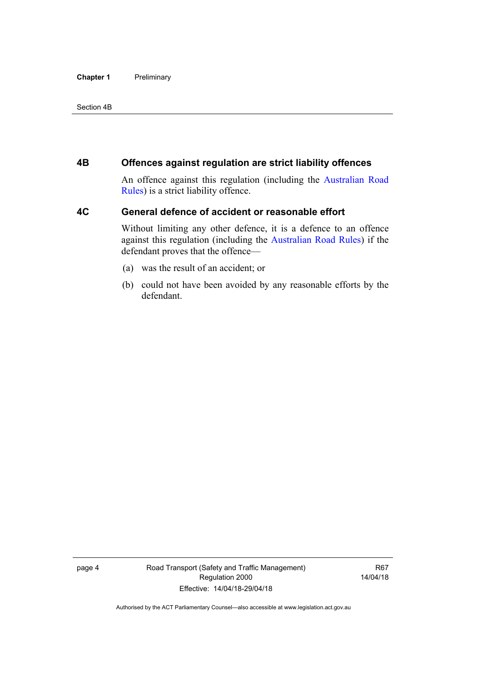#### **Chapter 1** Preliminary

#### Section 4B

#### <span id="page-13-0"></span>**4B Offences against regulation are strict liability offences**

An offence against this regulation (including the [Australian Road](http://www.legislation.act.gov.au//ni/db_37271/default.asp)  [Rules](http://www.legislation.act.gov.au//ni/db_37271/default.asp)) is a strict liability offence.

#### <span id="page-13-1"></span>**4C General defence of accident or reasonable effort**

Without limiting any other defence, it is a defence to an offence against this regulation (including the [Australian Road Rules\)](http://www.legislation.act.gov.au//ni/db_37271/default.asp) if the defendant proves that the offence—

- (a) was the result of an accident; or
- (b) could not have been avoided by any reasonable efforts by the defendant.

page 4 Road Transport (Safety and Traffic Management) Regulation 2000 Effective: 14/04/18-29/04/18

R67 14/04/18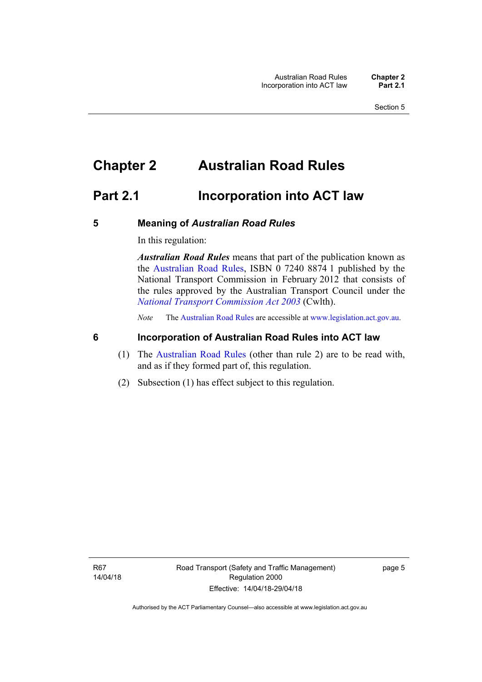# <span id="page-14-0"></span>**Chapter 2 Australian Road Rules**

# <span id="page-14-1"></span>**Part 2.1 Incorporation into ACT law**

#### <span id="page-14-2"></span>**5 Meaning of** *Australian Road Rules*

In this regulation:

*Australian Road Rules* means that part of the publication known as the [Australian Road Rules](http://www.legislation.act.gov.au//ni/db_37271/default.asp), ISBN 0 7240 8874 1 published by the National Transport Commission in February 2012 that consists of the rules approved by the Australian Transport Council under the *[National Transport Commission Act 2003](http://www.comlaw.gov.au/Series/C2004A01166)* (Cwlth).

*Note* The [Australian Road Rules](http://www.legislation.act.gov.au//ni/db_37271/default.asp) are accessible at [www.legislation.act.gov.au](http://www.legislation.act.gov.au/).

### <span id="page-14-3"></span>**6 Incorporation of Australian Road Rules into ACT law**

- (1) The [Australian Road Rules](http://www.legislation.act.gov.au//ni/db_37271/default.asp) (other than rule 2) are to be read with, and as if they formed part of, this regulation.
- (2) Subsection (1) has effect subject to this regulation.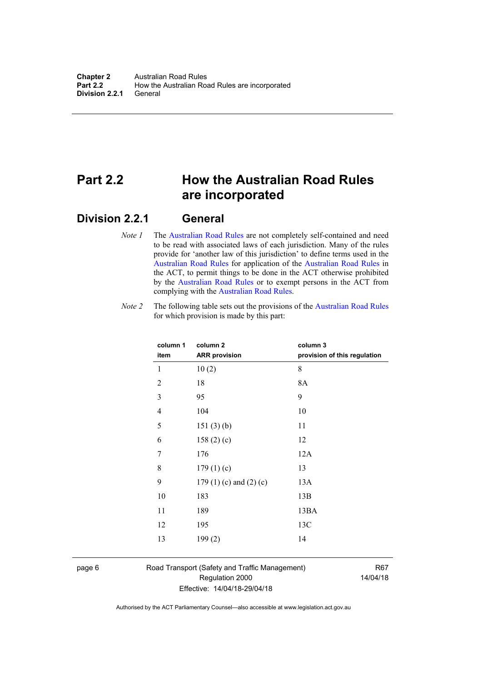# <span id="page-15-0"></span>**Part 2.2 How the Australian Road Rules are incorporated**

## <span id="page-15-1"></span>**Division 2.2.1 General**

*Note 1* The [Australian Road Rules](http://www.legislation.act.gov.au//ni/db_37271/default.asp) are not completely self-contained and need to be read with associated laws of each jurisdiction. Many of the rules provide for 'another law of this jurisdiction' to define terms used in the [Australian Road Rules](http://www.legislation.act.gov.au//ni/db_37271/default.asp) for application of the [Australian Road Rules](http://www.legislation.act.gov.au//ni/db_37271/default.asp) in the ACT, to permit things to be done in the ACT otherwise prohibited by the [Australian Road Rules](http://www.legislation.act.gov.au//ni/db_37271/default.asp) or to exempt persons in the ACT from complying with the [Australian Road Rules.](http://www.legislation.act.gov.au//ni/db_37271/default.asp)

*Note 2* The following table sets out the provisions of the [Australian Road Rules](http://www.legislation.act.gov.au//ni/db_37271/default.asp) for which provision is made by this part:

| column 1<br>item | column <sub>2</sub><br><b>ARR provision</b> | column 3<br>provision of this regulation |
|------------------|---------------------------------------------|------------------------------------------|
| 1                | 10(2)                                       | 8                                        |
| $\overline{2}$   | 18                                          | 8A                                       |
| 3                | 95                                          | 9                                        |
| $\overline{4}$   | 104                                         | 10                                       |
| 5                | 151(3)(b)                                   | 11                                       |
| 6                | 158 $(2)(c)$                                | 12                                       |
| 7                | 176                                         | 12A                                      |
| 8                | 179(1)(c)                                   | 13                                       |
| 9                | 179 $(1)(c)$ and $(2)(c)$                   | 13A                                      |
| 10               | 183                                         | 13B                                      |
| 11               | 189                                         | 13BA                                     |
| 12               | 195                                         | 13C                                      |
| 13               | 199(2)                                      | 14                                       |
|                  |                                             |                                          |

page 6 Road Transport (Safety and Traffic Management) Regulation 2000 Effective: 14/04/18-29/04/18

R67 14/04/18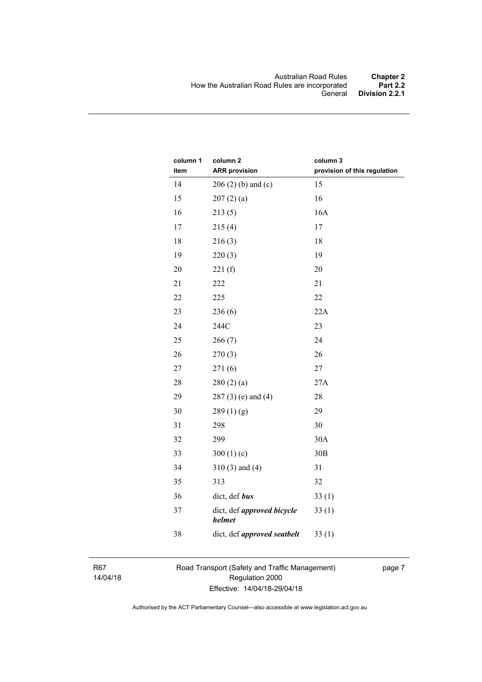| column 1<br>item | column <sub>2</sub><br><b>ARR provision</b> | column 3<br>provision of this regulation |
|------------------|---------------------------------------------|------------------------------------------|
| 14               | $206(2)$ (b) and (c)                        | 15                                       |
| 15               | 207(2)(a)                                   | 16                                       |
| 16               | 213(5)                                      | 16A                                      |
| 17               | 215(4)                                      | 17                                       |
| 18               | 216(3)                                      | 18                                       |
| 19               | 220(3)                                      | 19                                       |
| 20               | 221(f)                                      | 20                                       |
| 21               | 222                                         | 21                                       |
| 22               | 225                                         | 22                                       |
| 23               | 236(6)                                      | 22A                                      |
| 24               | 244C                                        | 23                                       |
| 25               | 266(7)                                      | 24                                       |
| 26               | 270(3)                                      | 26                                       |
| 27               | 271(6)                                      | 27                                       |
| 28               | 280(2)(a)                                   | 27A                                      |
| 29               | $287(3)$ (e) and (4)                        | 28                                       |
| 30               | 289(1)(g)                                   | 29                                       |
| 31               | 298                                         | 30                                       |
| 32               | 299                                         | 30A                                      |
| 33               | 300 $(1)(c)$                                | 30B                                      |
| 34               | $310(3)$ and $(4)$                          | 31                                       |
| 35               | 313                                         | 32                                       |
| 36               | dict, def bus                               | 33(1)                                    |
| 37               | dict, def approved bicycle<br><i>helmet</i> | 33(1)                                    |
| 38               | dict, def approved seatbelt                 | 33(1)                                    |

R67 14/04/18 Road Transport (Safety and Traffic Management) Regulation 2000 Effective: 14/04/18-29/04/18

page 7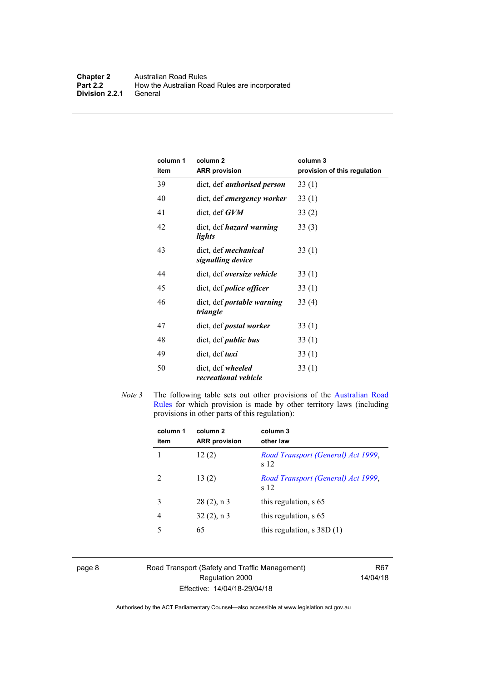| column 1<br>item | column <sub>2</sub><br><b>ARR provision</b>      | column 3<br>provision of this regulation |
|------------------|--------------------------------------------------|------------------------------------------|
| 39               | dict, def <i>authorised person</i>               | 33(1)                                    |
| 40               | dict, def emergency worker                       | 33(1)                                    |
| 41               | $dict, def$ $GVM$                                | 33(2)                                    |
| 42               | dict, def <i>hazard</i> warning<br>lights        | 33(3)                                    |
| 43               | dict, def <i>mechanical</i><br>signalling device | 33(1)                                    |
| 44               | dict, def oversize vehicle                       | 33(1)                                    |
| 45               | dict, def <i>police</i> officer                  | 33(1)                                    |
| 46               | dict, def <i>portable warning</i><br>triangle    | 33(4)                                    |
| 47               | dict, def <i>postal</i> worker                   | 33(1)                                    |
| 48               | dict, def <i>public</i> bus                      | 33(1)                                    |
| 49               | dict, def <i>taxi</i>                            | 33(1)                                    |
| 50               | dict, def wheeled<br>recreational vehicle        | 33(1)                                    |

*Note 3* The following table sets out other provisions of the Australian Road [Rules](http://www.legislation.act.gov.au//ni/db_37271/default.asp) for which provision is made by other territory laws (including provisions in other parts of this regulation):

| column 1<br>item | column <sub>2</sub><br><b>ARR</b> provision | column 3<br>other law                      |
|------------------|---------------------------------------------|--------------------------------------------|
|                  | 12(2)                                       | Road Transport (General) Act 1999,<br>s 12 |
| 2                | 13(2)                                       | Road Transport (General) Act 1999,<br>s 12 |
| 3                | $28(2)$ , n 3                               | this regulation, s 65                      |
| 4                | $32(2)$ , n 3                               | this regulation, s 65                      |
| 5                | 65                                          | this regulation, $s$ 38D $(1)$             |
|                  |                                             |                                            |

page 8 Road Transport (Safety and Traffic Management) Regulation 2000 Effective: 14/04/18-29/04/18

R67 14/04/18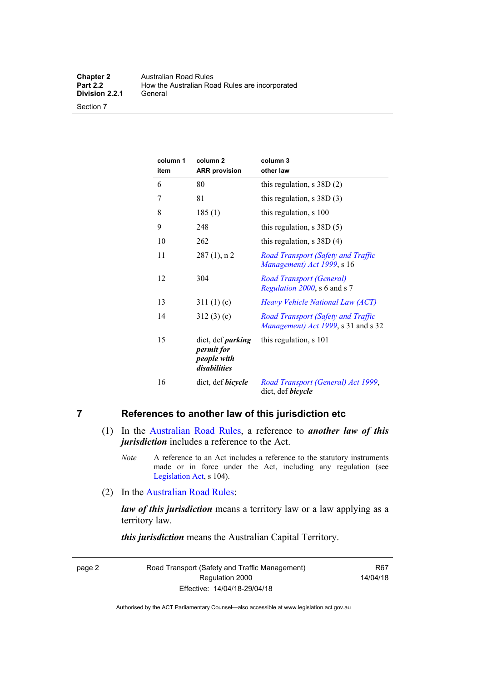Section 7

| column 1<br>item | column <sub>2</sub><br><b>ARR</b> provision                           | column 3<br>other law                                                     |
|------------------|-----------------------------------------------------------------------|---------------------------------------------------------------------------|
| 6                | 80                                                                    | this regulation, $s$ 38D $(2)$                                            |
| 7                | 81                                                                    | this regulation, $s$ 38D (3)                                              |
| 8                | 185(1)                                                                | this regulation, s 100                                                    |
| 9                | 248                                                                   | this regulation, $s$ 38D $(5)$                                            |
| 10               | 262                                                                   | this regulation, $s$ 38D (4)                                              |
| 11               | $287(1)$ , n 2                                                        | Road Transport (Safety and Traffic<br>Management) Act 1999, s 16          |
| 12               | 304                                                                   | <b>Road Transport (General)</b><br>Regulation 2000, s 6 and s 7           |
| 13               | 311(1)(c)                                                             | Heavy Vehicle National Law (ACT)                                          |
| 14               | 312(3)(c)                                                             | Road Transport (Safety and Traffic<br>Management) Act 1999, s 31 and s 32 |
| 15               | dict, def <i>parking</i><br>permit for<br>people with<br>disabilities | this regulation, s 101                                                    |
| 16               | dict, def <i>bicycle</i>                                              | Road Transport (General) Act 1999,<br>dict, def bicycle                   |

# <span id="page-18-0"></span>**7 References to another law of this jurisdiction etc**

- (1) In the [Australian Road Rules,](http://www.legislation.act.gov.au//ni/db_37271/default.asp) a reference to *another law of this jurisdiction* includes a reference to the Act.
	- *Note* A reference to an Act includes a reference to the statutory instruments made or in force under the Act, including any regulation (see [Legislation Act,](http://www.legislation.act.gov.au/a/2001-14) s 104).
- (2) In the [Australian Road Rules](http://www.legislation.act.gov.au//ni/db_37271/default.asp):

*law of this jurisdiction* means a territory law or a law applying as a territory law.

*this jurisdiction* means the Australian Capital Territory.

page 2 Road Transport (Safety and Traffic Management) Regulation 2000 Effective: 14/04/18-29/04/18

R67 14/04/18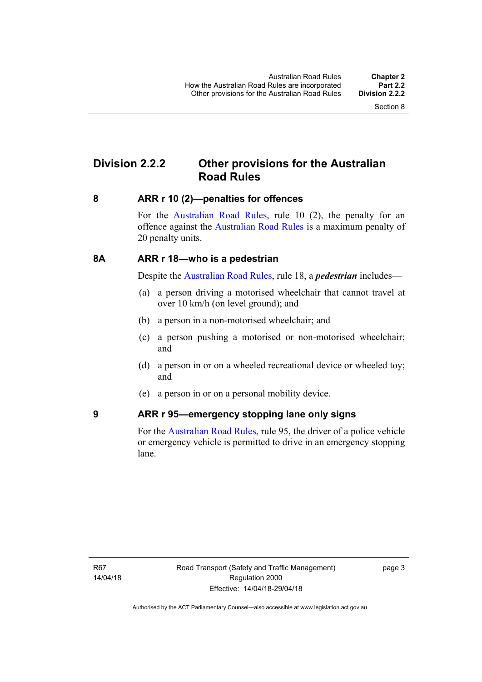# <span id="page-19-0"></span>**Division 2.2.2 Other provisions for the Australian Road Rules**

#### <span id="page-19-1"></span>**8 ARR r 10 (2)—penalties for offences**

For the [Australian Road Rules,](http://www.legislation.act.gov.au//ni/db_37271/default.asp) rule 10 (2), the penalty for an offence against the [Australian Road Rules](http://www.legislation.act.gov.au//ni/db_37271/default.asp) is a maximum penalty of 20 penalty units.

#### <span id="page-19-2"></span>**8A ARR r 18—who is a pedestrian**

Despite the [Australian Road Rules](http://www.legislation.act.gov.au//ni/db_37271/default.asp), rule 18, a *pedestrian* includes—

- (a) a person driving a motorised wheelchair that cannot travel at over 10 km/h (on level ground); and
- (b) a person in a non-motorised wheelchair; and
- (c) a person pushing a motorised or non-motorised wheelchair; and
- (d) a person in or on a wheeled recreational device or wheeled toy; and
- (e) a person in or on a personal mobility device.

#### <span id="page-19-3"></span>**9 ARR r 95—emergency stopping lane only signs**

For the [Australian Road Rules,](http://www.legislation.act.gov.au//ni/db_37271/default.asp) rule 95, the driver of a police vehicle or emergency vehicle is permitted to drive in an emergency stopping lane.

page 3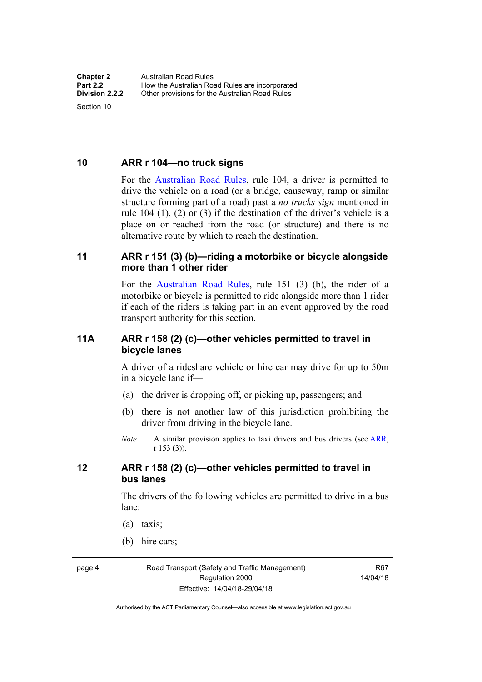<span id="page-20-0"></span>**10 ARR r 104—no truck signs**

Section 10

For the [Australian Road Rules](http://www.legislation.act.gov.au//ni/db_37271/default.asp), rule 104, a driver is permitted to drive the vehicle on a road (or a bridge, causeway, ramp or similar structure forming part of a road) past a *no trucks sign* mentioned in rule 104 (1), (2) or (3) if the destination of the driver's vehicle is a place on or reached from the road (or structure) and there is no alternative route by which to reach the destination.

#### <span id="page-20-1"></span>**11 ARR r 151 (3) (b)—riding a motorbike or bicycle alongside more than 1 other rider**

For the [Australian Road Rules](http://www.legislation.act.gov.au//ni/db_37271/default.asp), rule 151 (3) (b), the rider of a motorbike or bicycle is permitted to ride alongside more than 1 rider if each of the riders is taking part in an event approved by the road transport authority for this section.

#### <span id="page-20-2"></span>**11A ARR r 158 (2) (c)—other vehicles permitted to travel in bicycle lanes**

A driver of a rideshare vehicle or hire car may drive for up to 50m in a bicycle lane if—

- (a) the driver is dropping off, or picking up, passengers; and
- (b) there is not another law of this jurisdiction prohibiting the driver from driving in the bicycle lane.
- *Note* A similar provision applies to taxi drivers and bus drivers (see [ARR,](http://www.legislation.act.gov.au//ni/db_37271/default.asp) r 153 (3)).

## <span id="page-20-3"></span>**12 ARR r 158 (2) (c)—other vehicles permitted to travel in bus lanes**

The drivers of the following vehicles are permitted to drive in a bus lane:

- (a) taxis;
- (b) hire cars;

page 4 Road Transport (Safety and Traffic Management) Regulation 2000 Effective: 14/04/18-29/04/18

R67 14/04/18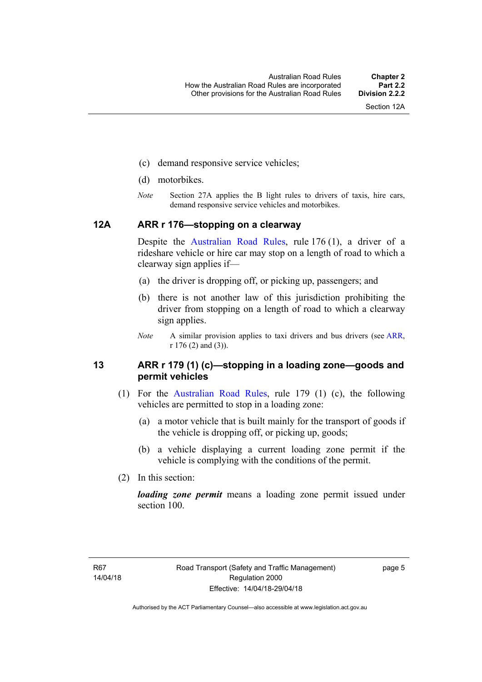- (c) demand responsive service vehicles;
- (d) motorbikes.
- *Note* Section 27A applies the B light rules to drivers of taxis, hire cars, demand responsive service vehicles and motorbikes.

#### <span id="page-21-0"></span>**12A ARR r 176—stopping on a clearway**

Despite the [Australian Road Rules,](http://www.legislation.act.gov.au//ni/db_37271/default.asp) rule 176 (1), a driver of a rideshare vehicle or hire car may stop on a length of road to which a clearway sign applies if—

- (a) the driver is dropping off, or picking up, passengers; and
- (b) there is not another law of this jurisdiction prohibiting the driver from stopping on a length of road to which a clearway sign applies.
- *Note* A similar provision applies to taxi drivers and bus drivers (see [ARR,](http://www.legislation.act.gov.au//ni/db_37271/default.asp) r 176 (2) and (3)).

#### <span id="page-21-1"></span>**13 ARR r 179 (1) (c)—stopping in a loading zone—goods and permit vehicles**

- (1) For the [Australian Road Rules](http://www.legislation.act.gov.au//ni/db_37271/default.asp), rule 179 (1) (c), the following vehicles are permitted to stop in a loading zone:
	- (a) a motor vehicle that is built mainly for the transport of goods if the vehicle is dropping off, or picking up, goods;
	- (b) a vehicle displaying a current loading zone permit if the vehicle is complying with the conditions of the permit.
- (2) In this section:

*loading zone permit* means a loading zone permit issued under section 100.

page 5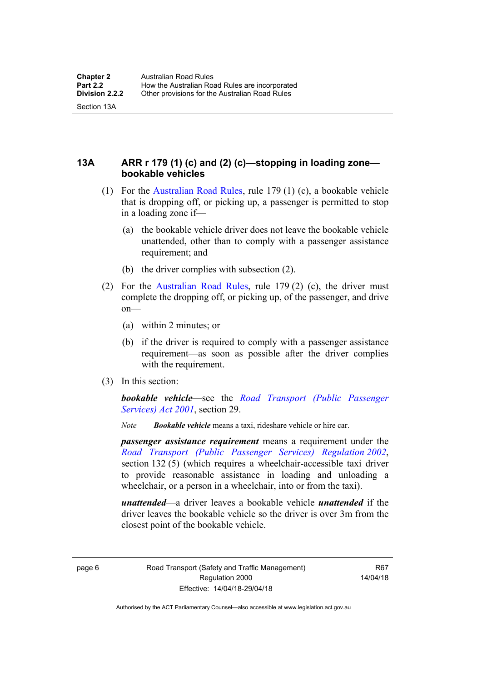Section 13A

<span id="page-22-0"></span>**13A ARR r 179 (1) (c) and (2) (c)—stopping in loading zone bookable vehicles** 

- (1) For the [Australian Road Rules,](http://www.legislation.act.gov.au//ni/db_37271/default.asp) rule 179 (1) (c), a bookable vehicle that is dropping off, or picking up, a passenger is permitted to stop in a loading zone if—
	- (a) the bookable vehicle driver does not leave the bookable vehicle unattended, other than to comply with a passenger assistance requirement; and
	- (b) the driver complies with subsection (2).
- (2) For the [Australian Road Rules,](http://www.legislation.act.gov.au//ni/db_37271/default.asp) rule 179 (2) (c), the driver must complete the dropping off, or picking up, of the passenger, and drive on—
	- (a) within 2 minutes; or
	- (b) if the driver is required to comply with a passenger assistance requirement—as soon as possible after the driver complies with the requirement.
- (3) In this section:

*bookable vehicle*—see the *[Road Transport \(Public Passenger](http://www.legislation.act.gov.au/a/2001-62)  [Services\) Act 2001](http://www.legislation.act.gov.au/a/2001-62)*, section 29.

*Note Bookable vehicle* means a taxi, rideshare vehicle or hire car.

*passenger assistance requirement* means a requirement under the *[Road Transport \(Public Passenger Services\) Regulation 2002](http://www.legislation.act.gov.au/sl/2002-3)*, section 132 (5) (which requires a wheelchair-accessible taxi driver to provide reasonable assistance in loading and unloading a wheelchair, or a person in a wheelchair, into or from the taxi).

*unattended*—a driver leaves a bookable vehicle *unattended* if the driver leaves the bookable vehicle so the driver is over 3m from the closest point of the bookable vehicle.

page 6 Road Transport (Safety and Traffic Management) Regulation 2000 Effective: 14/04/18-29/04/18

R67 14/04/18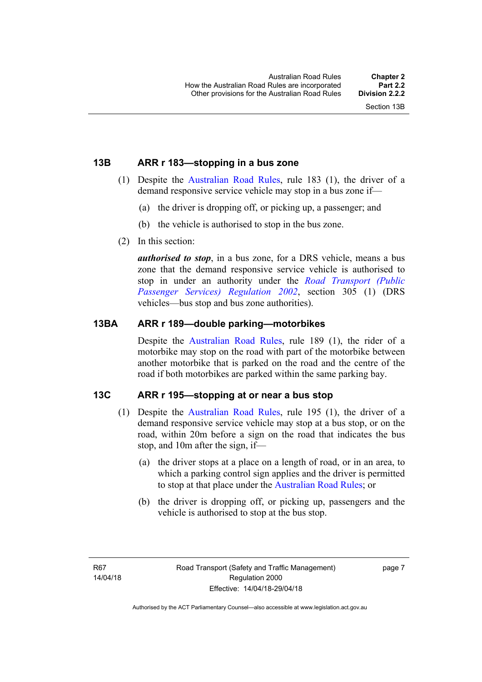### <span id="page-23-0"></span>**13B ARR r 183—stopping in a bus zone**

- (1) Despite the [Australian Road Rules](http://www.legislation.act.gov.au//ni/db_37271/default.asp), rule 183 (1), the driver of a demand responsive service vehicle may stop in a bus zone if—
	- (a) the driver is dropping off, or picking up, a passenger; and
	- (b) the vehicle is authorised to stop in the bus zone.
- (2) In this section:

*authorised to stop*, in a bus zone, for a DRS vehicle, means a bus zone that the demand responsive service vehicle is authorised to stop in under an authority under the *[Road Transport \(Public](http://www.legislation.act.gov.au/sl/2002-3)  [Passenger Services\) Regulation 2002](http://www.legislation.act.gov.au/sl/2002-3)*, section 305 (1) (DRS vehicles—bus stop and bus zone authorities).

#### <span id="page-23-1"></span>**13BA ARR r 189—double parking—motorbikes**

Despite the [Australian Road Rules,](http://www.legislation.act.gov.au//ni/db_37271/default.asp) rule 189 (1), the rider of a motorbike may stop on the road with part of the motorbike between another motorbike that is parked on the road and the centre of the road if both motorbikes are parked within the same parking bay.

## <span id="page-23-2"></span>**13C ARR r 195—stopping at or near a bus stop**

- (1) Despite the [Australian Road Rules](http://www.legislation.act.gov.au//ni/db_37271/default.asp), rule 195 (1), the driver of a demand responsive service vehicle may stop at a bus stop, or on the road, within 20m before a sign on the road that indicates the bus stop, and 10m after the sign, if—
	- (a) the driver stops at a place on a length of road, or in an area, to which a parking control sign applies and the driver is permitted to stop at that place under the [Australian Road Rules](http://www.legislation.act.gov.au//ni/db_37271/default.asp); or
	- (b) the driver is dropping off, or picking up, passengers and the vehicle is authorised to stop at the bus stop.

page 7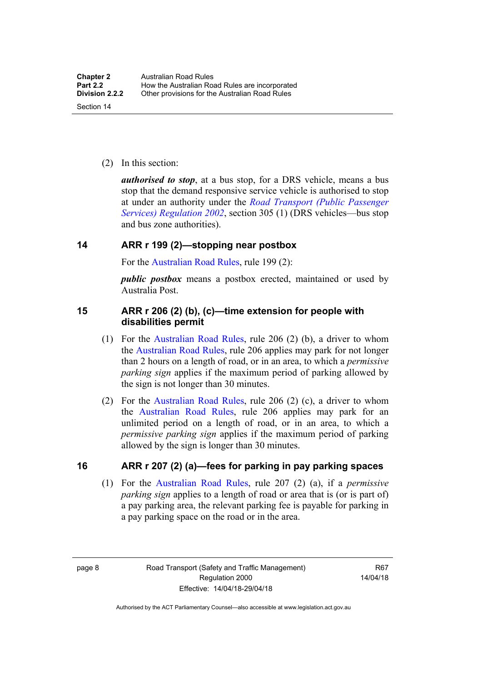(2) In this section:

*authorised to stop*, at a bus stop, for a DRS vehicle, means a bus stop that the demand responsive service vehicle is authorised to stop at under an authority under the *[Road Transport \(Public Passenger](http://www.legislation.act.gov.au/sl/2002-3)  [Services\) Regulation 2002](http://www.legislation.act.gov.au/sl/2002-3)*, section 305 (1) (DRS vehicles—bus stop and bus zone authorities).

### <span id="page-24-0"></span>**14 ARR r 199 (2)—stopping near postbox**

For the [Australian Road Rules,](http://www.legislation.act.gov.au//ni/db_37271/default.asp) rule 199 (2):

*public postbox* means a postbox erected, maintained or used by Australia Post.

#### <span id="page-24-1"></span>**15 ARR r 206 (2) (b), (c)—time extension for people with disabilities permit**

- (1) For the [Australian Road Rules](http://www.legislation.act.gov.au//ni/db_37271/default.asp), rule 206 (2) (b), a driver to whom the [Australian Road Rules](http://www.legislation.act.gov.au//ni/db_37271/default.asp), rule 206 applies may park for not longer than 2 hours on a length of road, or in an area, to which a *permissive parking sign* applies if the maximum period of parking allowed by the sign is not longer than 30 minutes.
- (2) For the [Australian Road Rules,](http://www.legislation.act.gov.au//ni/db_37271/default.asp) rule 206 (2) (c), a driver to whom the [Australian Road Rules,](http://www.legislation.act.gov.au//ni/db_37271/default.asp) rule 206 applies may park for an unlimited period on a length of road, or in an area, to which a *permissive parking sign* applies if the maximum period of parking allowed by the sign is longer than 30 minutes.

#### <span id="page-24-2"></span>**16 ARR r 207 (2) (a)—fees for parking in pay parking spaces**

 (1) For the [Australian Road Rules,](http://www.legislation.act.gov.au//ni/db_37271/default.asp) rule 207 (2) (a), if a *permissive parking sign* applies to a length of road or area that is (or is part of) a pay parking area, the relevant parking fee is payable for parking in a pay parking space on the road or in the area.

page 8 Road Transport (Safety and Traffic Management) Regulation 2000 Effective: 14/04/18-29/04/18

R67 14/04/18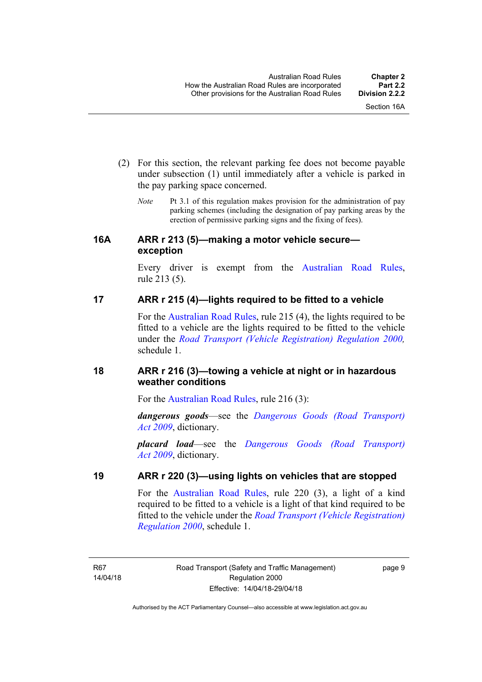- (2) For this section, the relevant parking fee does not become payable under subsection (1) until immediately after a vehicle is parked in the pay parking space concerned.
	- *Note* Pt 3.1 of this regulation makes provision for the administration of pay parking schemes (including the designation of pay parking areas by the erection of permissive parking signs and the fixing of fees).

#### <span id="page-25-0"></span>**16A ARR r 213 (5)—making a motor vehicle secure exception**

Every driver is exempt from the [Australian Road Rules](http://www.legislation.act.gov.au//ni/db_37271/default.asp), rule 213 (5).

## <span id="page-25-1"></span>**17 ARR r 215 (4)—lights required to be fitted to a vehicle**

For the [Australian Road Rules,](http://www.legislation.act.gov.au//ni/db_37271/default.asp) rule 215 (4), the lights required to be fitted to a vehicle are the lights required to be fitted to the vehicle under the *[Road Transport \(Vehicle Registration\) Regulation 2000](http://www.legislation.act.gov.au/sl/2000-12),*  schedule 1.

# <span id="page-25-2"></span>**18 ARR r 216 (3)—towing a vehicle at night or in hazardous weather conditions**

For the [Australian Road Rules](http://www.legislation.act.gov.au//ni/db_37271/default.asp), rule 216 (3):

*dangerous goods*—see the *[Dangerous Goods \(Road Transport\)](http://www.legislation.act.gov.au/a/2009-34)  [Act 2009](http://www.legislation.act.gov.au/a/2009-34)*, dictionary.

*placard load*—see the *[Dangerous Goods \(Road Transport\)](http://www.legislation.act.gov.au/a/2009-34)  [Act 2009](http://www.legislation.act.gov.au/a/2009-34)*, dictionary.

## <span id="page-25-3"></span>**19 ARR r 220 (3)—using lights on vehicles that are stopped**

For the [Australian Road Rules](http://www.legislation.act.gov.au//ni/db_37271/default.asp), rule 220 (3), a light of a kind required to be fitted to a vehicle is a light of that kind required to be fitted to the vehicle under the *[Road Transport \(Vehicle Registration\)](http://www.legislation.act.gov.au/sl/2000-12)  [Regulation 2000](http://www.legislation.act.gov.au/sl/2000-12)*, schedule 1.

R67 14/04/18 page 9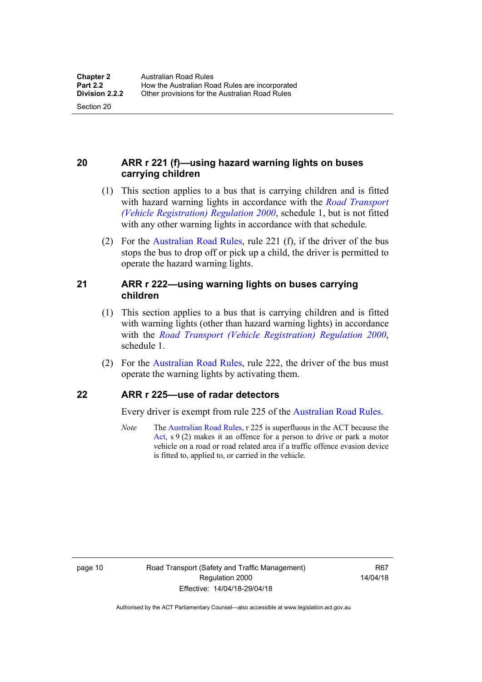Section 20

# <span id="page-26-0"></span>**20 ARR r 221 (f)—using hazard warning lights on buses carrying children**

- (1) This section applies to a bus that is carrying children and is fitted with hazard warning lights in accordance with the *[Road Transport](http://www.legislation.act.gov.au/sl/2000-12)  [\(Vehicle Registration\) Regulation 2000](http://www.legislation.act.gov.au/sl/2000-12)*, schedule 1, but is not fitted with any other warning lights in accordance with that schedule.
- (2) For the [Australian Road Rules](http://www.legislation.act.gov.au//ni/db_37271/default.asp), rule 221 (f), if the driver of the bus stops the bus to drop off or pick up a child, the driver is permitted to operate the hazard warning lights.

#### <span id="page-26-1"></span>**21 ARR r 222—using warning lights on buses carrying children**

- (1) This section applies to a bus that is carrying children and is fitted with warning lights (other than hazard warning lights) in accordance with the *[Road Transport \(Vehicle Registration\) Regulation 2000](http://www.legislation.act.gov.au/sl/2000-12)*, schedule 1.
- (2) For the [Australian Road Rules](http://www.legislation.act.gov.au//ni/db_37271/default.asp), rule 222, the driver of the bus must operate the warning lights by activating them.

## <span id="page-26-2"></span>**22 ARR r 225—use of radar detectors**

Every driver is exempt from rule 225 of the [Australian Road Rules.](http://www.legislation.act.gov.au//ni/db_37271/default.asp)

*Note* The [Australian Road Rules,](http://www.legislation.act.gov.au//ni/db_37271/default.asp) r 225 is superfluous in the ACT because the [Act](http://www.legislation.act.gov.au/a/1999-80/default.asp), s 9 (2) makes it an offence for a person to drive or park a motor vehicle on a road or road related area if a traffic offence evasion device is fitted to, applied to, or carried in the vehicle.

R67 14/04/18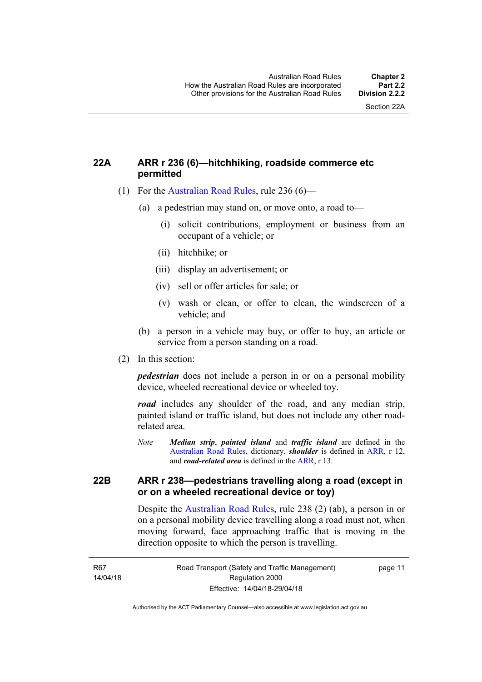## <span id="page-27-0"></span>**22A ARR r 236 (6)—hitchhiking, roadside commerce etc permitted**

- (1) For the [Australian Road Rules](http://www.legislation.act.gov.au//ni/db_37271/default.asp), rule 236 (6)—
	- (a) a pedestrian may stand on, or move onto, a road to—
		- (i) solicit contributions, employment or business from an occupant of a vehicle; or
		- (ii) hitchhike; or
		- (iii) display an advertisement; or
		- (iv) sell or offer articles for sale; or
		- (v) wash or clean, or offer to clean, the windscreen of a vehicle; and
	- (b) a person in a vehicle may buy, or offer to buy, an article or service from a person standing on a road.
- (2) In this section:

*pedestrian* does not include a person in or on a personal mobility device, wheeled recreational device or wheeled toy.

*road* includes any shoulder of the road, and any median strip, painted island or traffic island, but does not include any other roadrelated area.

*Note Median strip*, *painted island* and *traffic island* are defined in the [Australian Road Rules,](http://www.legislation.act.gov.au//ni/db_37271/default.asp) dictionary, *shoulder* is defined in [ARR](http://www.legislation.act.gov.au//ni/db_37271/default.asp), r 12, and *road-related area* is defined in the [ARR](http://www.legislation.act.gov.au//ni/db_37271/default.asp), r 13.

## <span id="page-27-1"></span>**22B ARR r 238—pedestrians travelling along a road (except in or on a wheeled recreational device or toy)**

Despite the [Australian Road Rules,](http://www.legislation.act.gov.au//ni/db_37271/default.asp) rule 238 (2) (ab), a person in or on a personal mobility device travelling along a road must not, when moving forward, face approaching traffic that is moving in the direction opposite to which the person is travelling.

page 11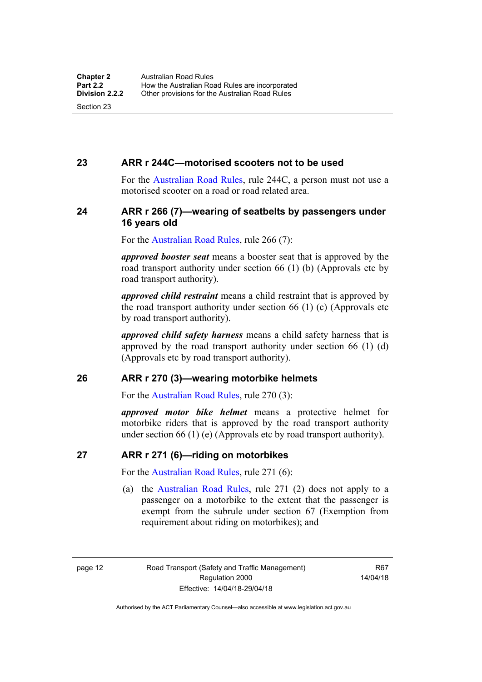#### <span id="page-28-0"></span>**23 ARR r 244C—motorised scooters not to be used**

For the [Australian Road Rules](http://www.legislation.act.gov.au//ni/db_37271/default.asp), rule 244C, a person must not use a motorised scooter on a road or road related area.

#### <span id="page-28-1"></span>**24 ARR r 266 (7)—wearing of seatbelts by passengers under 16 years old**

For the [Australian Road Rules,](http://www.legislation.act.gov.au//ni/db_37271/default.asp) rule 266 (7):

*approved booster seat* means a booster seat that is approved by the road transport authority under section 66 (1) (b) (Approvals etc by road transport authority).

*approved child restraint* means a child restraint that is approved by the road transport authority under section 66 (1) (c) (Approvals etc by road transport authority).

*approved child safety harness* means a child safety harness that is approved by the road transport authority under section 66 (1) (d) (Approvals etc by road transport authority).

#### <span id="page-28-2"></span>**26 ARR r 270 (3)—wearing motorbike helmets**

For the [Australian Road Rules,](http://www.legislation.act.gov.au//ni/db_37271/default.asp) rule 270 (3):

*approved motor bike helmet* means a protective helmet for motorbike riders that is approved by the road transport authority under section 66 (1) (e) (Approvals etc by road transport authority).

#### <span id="page-28-3"></span>**27 ARR r 271 (6)—riding on motorbikes**

For the [Australian Road Rules,](http://www.legislation.act.gov.au//ni/db_37271/default.asp) rule 271 (6):

 (a) the [Australian Road Rules](http://www.legislation.act.gov.au//ni/db_37271/default.asp), rule 271 (2) does not apply to a passenger on a motorbike to the extent that the passenger is exempt from the subrule under section 67 (Exemption from requirement about riding on motorbikes); and

page 12 Road Transport (Safety and Traffic Management) Regulation 2000 Effective: 14/04/18-29/04/18

R67 14/04/18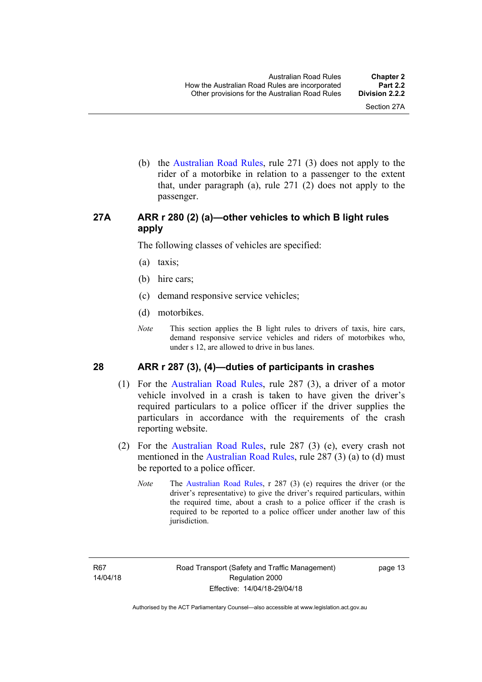(b) the [Australian Road Rules](http://www.legislation.act.gov.au//ni/db_37271/default.asp), rule 271 (3) does not apply to the rider of a motorbike in relation to a passenger to the extent that, under paragraph (a), rule 271 (2) does not apply to the passenger.

# <span id="page-29-0"></span>**27A ARR r 280 (2) (a)—other vehicles to which B light rules apply**

The following classes of vehicles are specified:

- (a) taxis;
- (b) hire cars;
- (c) demand responsive service vehicles;
- (d) motorbikes.
- *Note* This section applies the B light rules to drivers of taxis, hire cars, demand responsive service vehicles and riders of motorbikes who, under s 12, are allowed to drive in bus lanes.

#### <span id="page-29-1"></span>**28 ARR r 287 (3), (4)—duties of participants in crashes**

- (1) For the [Australian Road Rules,](http://www.legislation.act.gov.au//ni/db_37271/default.asp) rule 287 (3), a driver of a motor vehicle involved in a crash is taken to have given the driver's required particulars to a police officer if the driver supplies the particulars in accordance with the requirements of the crash reporting website.
- (2) For the [Australian Road Rules,](http://www.legislation.act.gov.au//ni/db_37271/default.asp) rule 287 (3) (e), every crash not mentioned in the [Australian Road Rules,](http://www.legislation.act.gov.au//ni/db_37271/default.asp) rule 287 (3) (a) to (d) must be reported to a police officer.
	- *Note* The [Australian Road Rules,](http://www.legislation.act.gov.au//ni/db_37271/default.asp) r 287 (3) (e) requires the driver (or the driver's representative) to give the driver's required particulars, within the required time, about a crash to a police officer if the crash is required to be reported to a police officer under another law of this jurisdiction.

page 13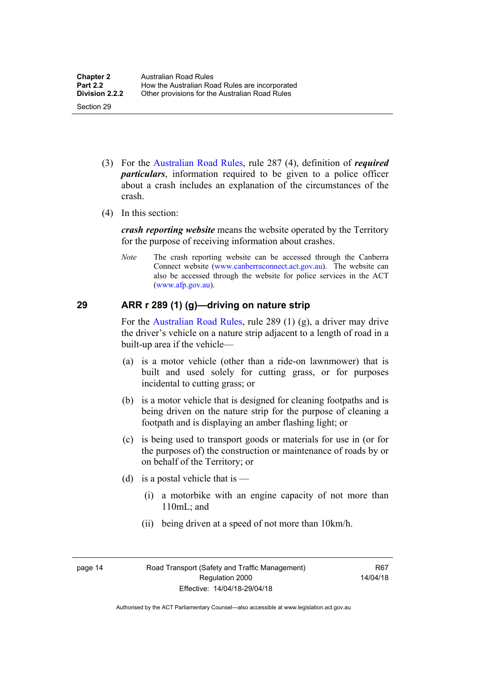- (3) For the [Australian Road Rules](http://www.legislation.act.gov.au//ni/db_37271/default.asp), rule 287 (4), definition of *required particulars*, information required to be given to a police officer about a crash includes an explanation of the circumstances of the crash.
- (4) In this section:

*crash reporting website* means the website operated by the Territory for the purpose of receiving information about crashes.

*Note* The crash reporting website can be accessed through the Canberra Connect website [\(www.canberraconnect.act.gov.au](http://www.canberraconnect.act.gov.au/)). The website can also be accessed through the website for police services in the ACT [\(www.afp.gov.au\)](http://www.afp.gov.au/).

# <span id="page-30-0"></span>**29 ARR r 289 (1) (g)—driving on nature strip**

For the [Australian Road Rules](http://www.legislation.act.gov.au//ni/db_37271/default.asp), rule 289 (1) (g), a driver may drive the driver's vehicle on a nature strip adjacent to a length of road in a built-up area if the vehicle—

- (a) is a motor vehicle (other than a ride-on lawnmower) that is built and used solely for cutting grass, or for purposes incidental to cutting grass; or
- (b) is a motor vehicle that is designed for cleaning footpaths and is being driven on the nature strip for the purpose of cleaning a footpath and is displaying an amber flashing light; or
- (c) is being used to transport goods or materials for use in (or for the purposes of) the construction or maintenance of roads by or on behalf of the Territory; or
- (d) is a postal vehicle that is  $-$ 
	- (i) a motorbike with an engine capacity of not more than 110mL; and
	- (ii) being driven at a speed of not more than 10km/h.

page 14 Road Transport (Safety and Traffic Management) Regulation 2000 Effective: 14/04/18-29/04/18

R67 14/04/18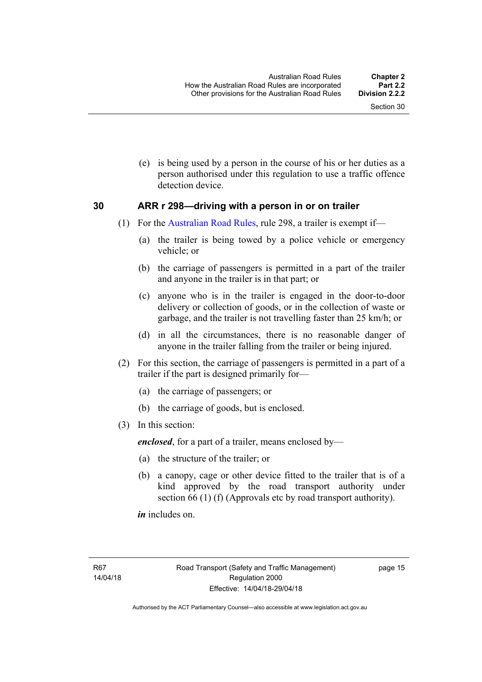(e) is being used by a person in the course of his or her duties as a person authorised under this regulation to use a traffic offence detection device.

#### <span id="page-31-0"></span>**30 ARR r 298—driving with a person in or on trailer**

- (1) For the [Australian Road Rules](http://www.legislation.act.gov.au//ni/db_37271/default.asp), rule 298, a trailer is exempt if—
	- (a) the trailer is being towed by a police vehicle or emergency vehicle; or
	- (b) the carriage of passengers is permitted in a part of the trailer and anyone in the trailer is in that part; or
	- (c) anyone who is in the trailer is engaged in the door-to-door delivery or collection of goods, or in the collection of waste or garbage, and the trailer is not travelling faster than 25 km/h; or
	- (d) in all the circumstances, there is no reasonable danger of anyone in the trailer falling from the trailer or being injured.
- (2) For this section, the carriage of passengers is permitted in a part of a trailer if the part is designed primarily for—
	- (a) the carriage of passengers; or
	- (b) the carriage of goods, but is enclosed.
- (3) In this section:

*enclosed*, for a part of a trailer, means enclosed by—

- (a) the structure of the trailer; or
- (b) a canopy, cage or other device fitted to the trailer that is of a kind approved by the road transport authority under section 66 (1) (f) (Approvals etc by road transport authority).

*in* includes on.

page 15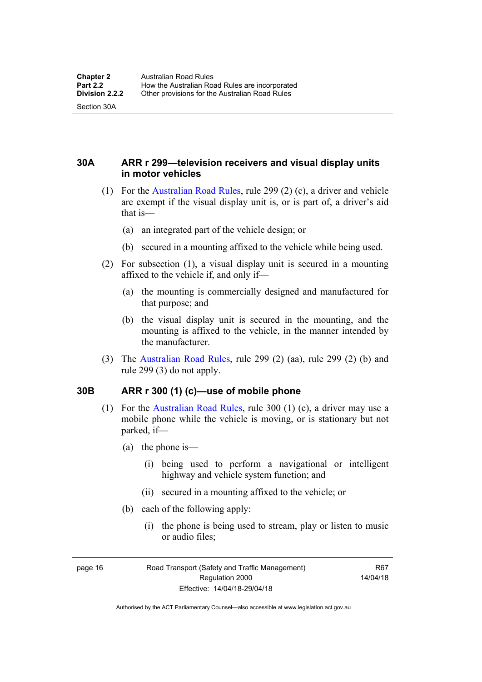Section 30A

<span id="page-32-0"></span>**30A ARR r 299—television receivers and visual display units in motor vehicles** 

- (1) For the [Australian Road Rules](http://www.legislation.act.gov.au//ni/db_37271/default.asp), rule 299 (2) (c), a driver and vehicle are exempt if the visual display unit is, or is part of, a driver's aid that is—
	- (a) an integrated part of the vehicle design; or
	- (b) secured in a mounting affixed to the vehicle while being used.
- (2) For subsection (1), a visual display unit is secured in a mounting affixed to the vehicle if, and only if—
	- (a) the mounting is commercially designed and manufactured for that purpose; and
	- (b) the visual display unit is secured in the mounting, and the mounting is affixed to the vehicle, in the manner intended by the manufacturer.
- (3) The [Australian Road Rules](http://www.legislation.act.gov.au//ni/db_37271/default.asp), rule 299 (2) (aa), rule 299 (2) (b) and rule 299 (3) do not apply.

## <span id="page-32-1"></span>**30B ARR r 300 (1) (c)—use of mobile phone**

- (1) For the [Australian Road Rules,](http://www.legislation.act.gov.au//ni/db_37271/default.asp) rule 300 (1) (c), a driver may use a mobile phone while the vehicle is moving, or is stationary but not parked, if—
	- (a) the phone is—
		- (i) being used to perform a navigational or intelligent highway and vehicle system function; and
		- (ii) secured in a mounting affixed to the vehicle; or
	- (b) each of the following apply:
		- (i) the phone is being used to stream, play or listen to music or audio files;

page 16 Road Transport (Safety and Traffic Management) Regulation 2000 Effective: 14/04/18-29/04/18

R67 14/04/18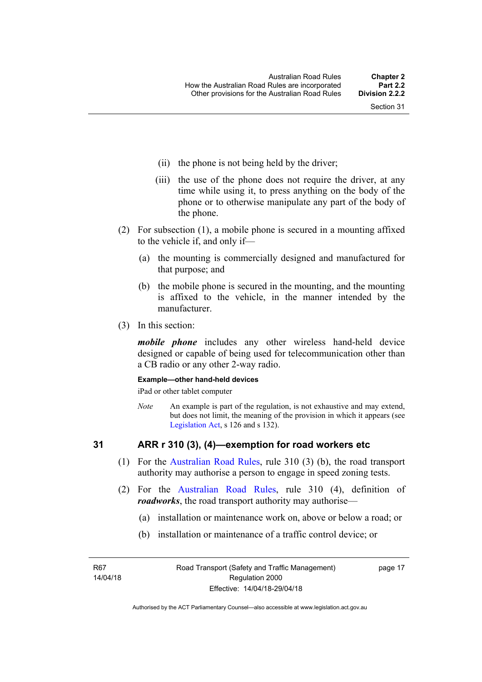- (ii) the phone is not being held by the driver;
- (iii) the use of the phone does not require the driver, at any time while using it, to press anything on the body of the phone or to otherwise manipulate any part of the body of the phone.
- (2) For subsection (1), a mobile phone is secured in a mounting affixed to the vehicle if, and only if—
	- (a) the mounting is commercially designed and manufactured for that purpose; and
	- (b) the mobile phone is secured in the mounting, and the mounting is affixed to the vehicle, in the manner intended by the manufacturer.
- (3) In this section:

*mobile phone* includes any other wireless hand-held device designed or capable of being used for telecommunication other than a CB radio or any other 2-way radio.

#### **Example—other hand-held devices**

iPad or other tablet computer

*Note* An example is part of the regulation, is not exhaustive and may extend, but does not limit, the meaning of the provision in which it appears (see [Legislation Act,](http://www.legislation.act.gov.au/a/2001-14) s 126 and s 132).

## <span id="page-33-0"></span>**31 ARR r 310 (3), (4)—exemption for road workers etc**

- (1) For the [Australian Road Rules](http://www.legislation.act.gov.au//ni/db_37271/default.asp), rule 310 (3) (b), the road transport authority may authorise a person to engage in speed zoning tests.
- (2) For the [Australian Road Rules](http://www.legislation.act.gov.au//ni/db_37271/default.asp), rule 310 (4), definition of *roadworks*, the road transport authority may authorise—
	- (a) installation or maintenance work on, above or below a road; or
	- (b) installation or maintenance of a traffic control device; or

R67 14/04/18 page 17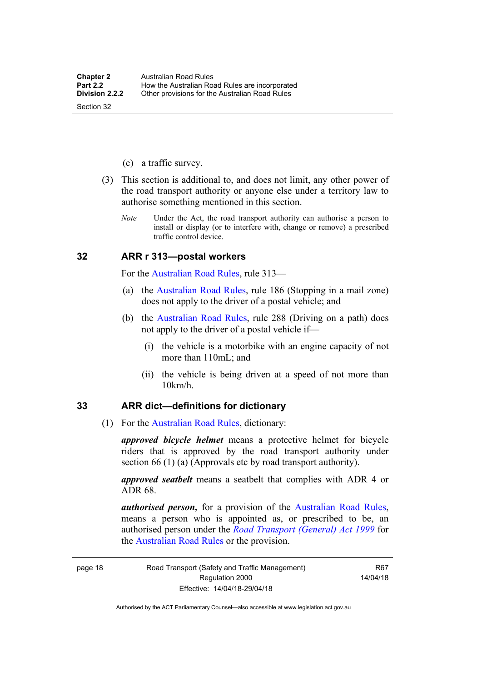- (c) a traffic survey.
- (3) This section is additional to, and does not limit, any other power of the road transport authority or anyone else under a territory law to authorise something mentioned in this section.
	- *Note* Under the Act, the road transport authority can authorise a person to install or display (or to interfere with, change or remove) a prescribed traffic control device.

#### <span id="page-34-0"></span>**32 ARR r 313—postal workers**

For the [Australian Road Rules,](http://www.legislation.act.gov.au//ni/db_37271/default.asp) rule 313—

- (a) the [Australian Road Rules,](http://www.legislation.act.gov.au//ni/db_37271/default.asp) rule 186 (Stopping in a mail zone) does not apply to the driver of a postal vehicle; and
- (b) the [Australian Road Rules](http://www.legislation.act.gov.au//ni/db_37271/default.asp), rule 288 (Driving on a path) does not apply to the driver of a postal vehicle if—
	- (i) the vehicle is a motorbike with an engine capacity of not more than 110mL; and
	- (ii) the vehicle is being driven at a speed of not more than 10km/h.

#### <span id="page-34-1"></span>**33 ARR dict—definitions for dictionary**

(1) For the [Australian Road Rules,](http://www.legislation.act.gov.au//ni/db_37271/default.asp) dictionary:

*approved bicycle helmet* means a protective helmet for bicycle riders that is approved by the road transport authority under section 66 (1) (a) (Approvals etc by road transport authority).

*approved seatbelt* means a seatbelt that complies with ADR 4 or ADR 68.

*authorised person,* for a provision of the [Australian Road Rules](http://www.legislation.act.gov.au//ni/db_37271/default.asp), means a person who is appointed as, or prescribed to be, an authorised person under the *[Road Transport \(General\) Act 1999](http://www.legislation.act.gov.au/a/1999-77)* for the [Australian Road Rules](http://www.legislation.act.gov.au//ni/db_37271/default.asp) or the provision.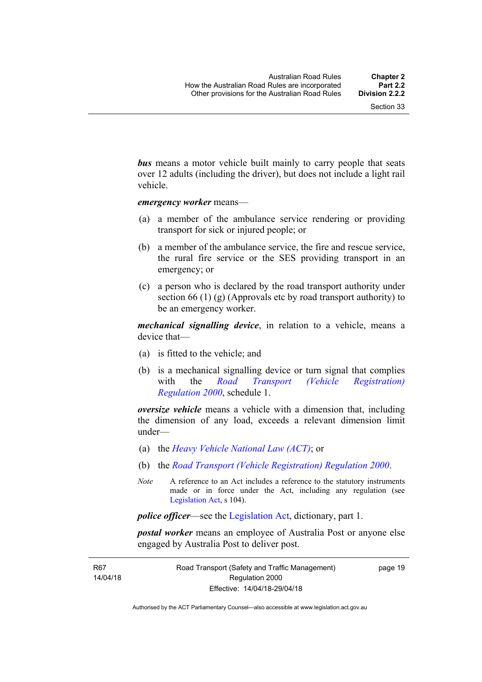*bus* means a motor vehicle built mainly to carry people that seats over 12 adults (including the driver), but does not include a light rail vehicle.

*emergency worker* means—

- (a) a member of the ambulance service rendering or providing transport for sick or injured people; or
- (b) a member of the ambulance service, the fire and rescue service, the rural fire service or the SES providing transport in an emergency; or
- (c) a person who is declared by the road transport authority under section 66 (1) (g) (Approvals etc by road transport authority) to be an emergency worker.

*mechanical signalling device*, in relation to a vehicle, means a device that—

- (a) is fitted to the vehicle; and
- (b) is a mechanical signalling device or turn signal that complies with the *[Road Transport \(Vehicle Registration\)](http://www.legislation.act.gov.au/sl/2000-12)  [Regulation 2000](http://www.legislation.act.gov.au/sl/2000-12)*, schedule 1.

*oversize vehicle* means a vehicle with a dimension that, including the dimension of any load, exceeds a relevant dimension limit under—

- (a) the *[Heavy Vehicle National Law \(ACT\)](http://www.legislation.act.gov.au/a/db_49155/default.asp)*; or
- (b) the *[Road Transport \(Vehicle Registration\) Regulation 2000](http://www.legislation.act.gov.au/sl/2000-12)*.
- *Note* A reference to an Act includes a reference to the statutory instruments made or in force under the Act, including any regulation (see [Legislation Act,](http://www.legislation.act.gov.au/a/2001-14) s 104).

*police officer*—see the [Legislation Act](http://www.legislation.act.gov.au/a/2001-14), dictionary, part 1.

*postal worker* means an employee of Australia Post or anyone else engaged by Australia Post to deliver post.

R67 14/04/18 page 19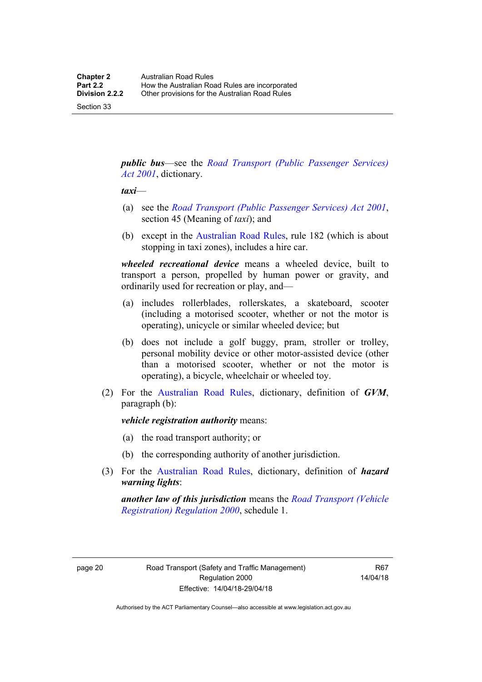Section 33

*public bus*—see the *[Road Transport \(Public Passenger Services\)](http://www.legislation.act.gov.au/a/2001-62)  [Act 2001](http://www.legislation.act.gov.au/a/2001-62)*, dictionary.

#### *taxi*—

- (a) see the *[Road Transport \(Public Passenger Services\) Act 2001](http://www.legislation.act.gov.au/a/2001-62)*, section 45 (Meaning of *taxi*); and
- (b) except in the [Australian Road Rules,](http://www.legislation.act.gov.au//ni/db_37271/default.asp) rule 182 (which is about stopping in taxi zones), includes a hire car.

*wheeled recreational device* means a wheeled device, built to transport a person, propelled by human power or gravity, and ordinarily used for recreation or play, and—

- (a) includes rollerblades, rollerskates, a skateboard, scooter (including a motorised scooter, whether or not the motor is operating), unicycle or similar wheeled device; but
- (b) does not include a golf buggy, pram, stroller or trolley, personal mobility device or other motor-assisted device (other than a motorised scooter, whether or not the motor is operating), a bicycle, wheelchair or wheeled toy.
- (2) For the [Australian Road Rules](http://www.legislation.act.gov.au//ni/db_37271/default.asp), dictionary, definition of *GVM*, paragraph (b):

*vehicle registration authority* means:

- (a) the road transport authority; or
- (b) the corresponding authority of another jurisdiction.
- (3) For the [Australian Road Rules](http://www.legislation.act.gov.au//ni/db_37271/default.asp), dictionary, definition of *hazard warning lights*:

*another law of this jurisdiction* means the *[Road Transport \(Vehicle](http://www.legislation.act.gov.au/sl/2000-12)  [Registration\) Regulation 2000](http://www.legislation.act.gov.au/sl/2000-12)*, schedule 1.

page 20 Road Transport (Safety and Traffic Management) Regulation 2000 Effective: 14/04/18-29/04/18

R67 14/04/18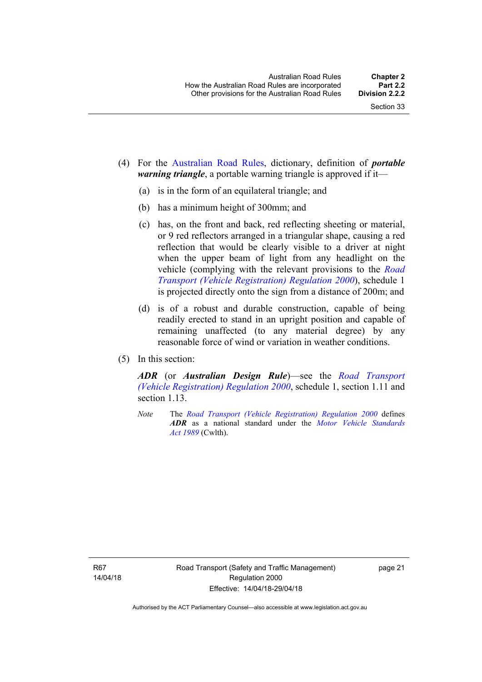- (4) For the [Australian Road Rules](http://www.legislation.act.gov.au//ni/db_37271/default.asp), dictionary, definition of *portable warning triangle*, a portable warning triangle is approved if it—
	- (a) is in the form of an equilateral triangle; and
	- (b) has a minimum height of 300mm; and
	- (c) has, on the front and back, red reflecting sheeting or material, or 9 red reflectors arranged in a triangular shape, causing a red reflection that would be clearly visible to a driver at night when the upper beam of light from any headlight on the vehicle (complying with the relevant provisions to the *[Road](http://www.legislation.act.gov.au/sl/2000-12)  [Transport \(Vehicle Registration\) Regulation 2000](http://www.legislation.act.gov.au/sl/2000-12)*), schedule 1 is projected directly onto the sign from a distance of 200m; and
	- (d) is of a robust and durable construction, capable of being readily erected to stand in an upright position and capable of remaining unaffected (to any material degree) by any reasonable force of wind or variation in weather conditions.
- (5) In this section:

*ADR* (or *Australian Design Rule*)—see the *[Road Transport](http://www.legislation.act.gov.au/sl/2000-12)  [\(Vehicle Registration\) Regulation 2000](http://www.legislation.act.gov.au/sl/2000-12)*, schedule 1, section 1.11 and section 1.13

*Note* The *[Road Transport \(Vehicle Registration\) Regulation 2000](http://www.legislation.act.gov.au/sl/2000-12)* defines *ADR* as a national standard under the *[Motor Vehicle Standards](http://www.comlaw.gov.au/Series/C2004A03813)  [Act 1989](http://www.comlaw.gov.au/Series/C2004A03813)* (Cwlth).

R67 14/04/18 page 21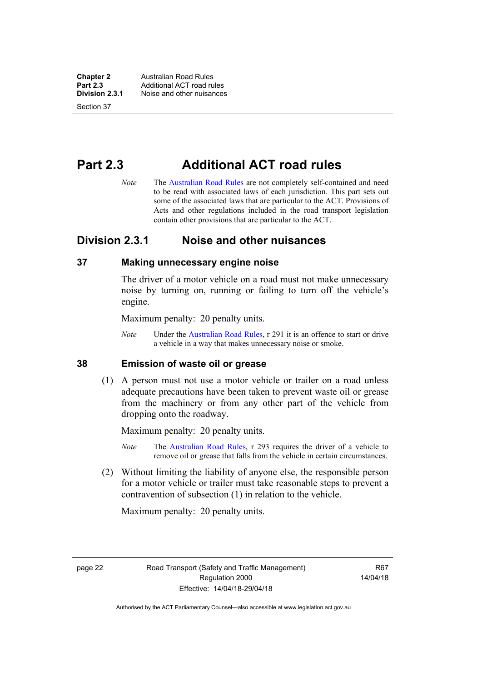**Chapter 2 Australian Road Rules**<br>**Part 2.3 Additional ACT road rules Part 2.3 Additional ACT road rules**<br>**Division 2.3.1** Noise and other nuisances **Division 2.3.1** Noise and other nuisances

Section 37

# **Part 2.3 Additional ACT road rules**

*Note* The [Australian Road Rules](http://www.legislation.act.gov.au//ni/db_37271/default.asp) are not completely self-contained and need to be read with associated laws of each jurisdiction. This part sets out some of the associated laws that are particular to the ACT. Provisions of Acts and other regulations included in the road transport legislation contain other provisions that are particular to the ACT.

## **Division 2.3.1 Noise and other nuisances**

### **37 Making unnecessary engine noise**

The driver of a motor vehicle on a road must not make unnecessary noise by turning on, running or failing to turn off the vehicle's engine.

Maximum penalty: 20 penalty units.

*Note* Under the [Australian Road Rules,](http://www.legislation.act.gov.au//ni/db_37271/default.asp) r 291 it is an offence to start or drive a vehicle in a way that makes unnecessary noise or smoke.

### **38 Emission of waste oil or grease**

 (1) A person must not use a motor vehicle or trailer on a road unless adequate precautions have been taken to prevent waste oil or grease from the machinery or from any other part of the vehicle from dropping onto the roadway.

Maximum penalty: 20 penalty units.

- *Note* The [Australian Road Rules,](http://www.legislation.act.gov.au//ni/db_37271/default.asp) r 293 requires the driver of a vehicle to remove oil or grease that falls from the vehicle in certain circumstances.
- (2) Without limiting the liability of anyone else, the responsible person for a motor vehicle or trailer must take reasonable steps to prevent a contravention of subsection (1) in relation to the vehicle.

Maximum penalty: 20 penalty units.

page 22 Road Transport (Safety and Traffic Management) Regulation 2000 Effective: 14/04/18-29/04/18

R67 14/04/18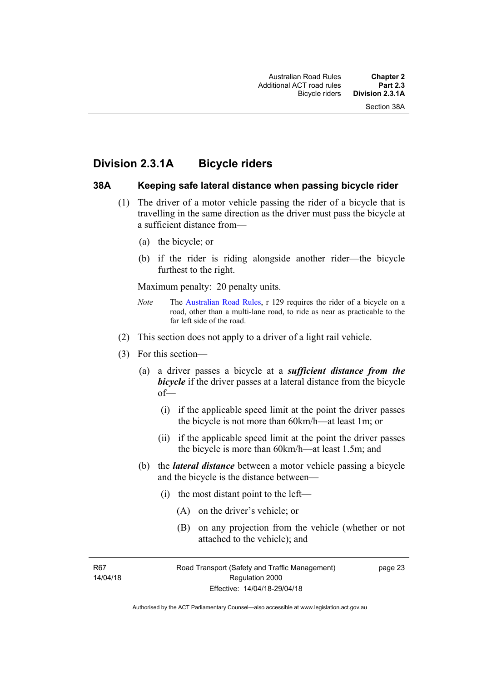## **Division 2.3.1A Bicycle riders**

### **38A Keeping safe lateral distance when passing bicycle rider**

- (1) The driver of a motor vehicle passing the rider of a bicycle that is travelling in the same direction as the driver must pass the bicycle at a sufficient distance from—
	- (a) the bicycle; or
	- (b) if the rider is riding alongside another rider—the bicycle furthest to the right.

Maximum penalty: 20 penalty units.

- *Note* The [Australian Road Rules](http://www.legislation.act.gov.au//ni/db_37271/default.asp), r 129 requires the rider of a bicycle on a road, other than a multi-lane road, to ride as near as practicable to the far left side of the road.
- (2) This section does not apply to a driver of a light rail vehicle.
- (3) For this section—
	- (a) a driver passes a bicycle at a *sufficient distance from the*  **bicycle** if the driver passes at a lateral distance from the bicycle of—
		- (i) if the applicable speed limit at the point the driver passes the bicycle is not more than 60km/h—at least 1m; or
		- (ii) if the applicable speed limit at the point the driver passes the bicycle is more than 60km/h—at least 1.5m; and
	- (b) the *lateral distance* between a motor vehicle passing a bicycle and the bicycle is the distance between—
		- (i) the most distant point to the left—
			- (A) on the driver's vehicle; or
			- (B) on any projection from the vehicle (whether or not attached to the vehicle); and

R67 14/04/18 page 23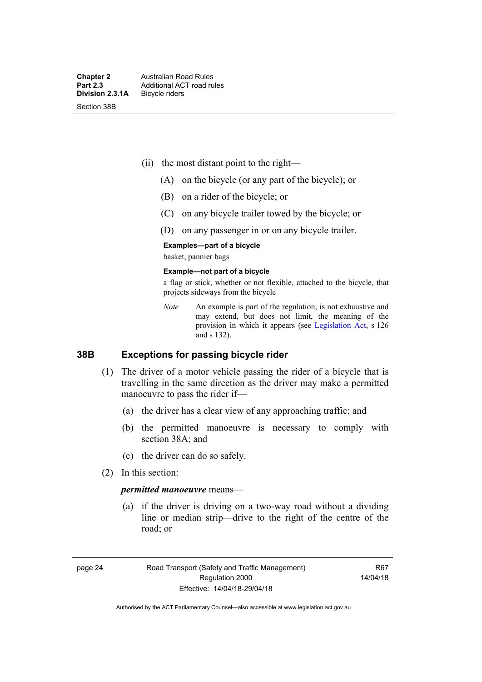- (ii) the most distant point to the right—
	- (A) on the bicycle (or any part of the bicycle); or
	- (B) on a rider of the bicycle; or
	- (C) on any bicycle trailer towed by the bicycle; or
	- (D) on any passenger in or on any bicycle trailer.

#### **Examples—part of a bicycle**

basket, pannier bags

#### **Example—not part of a bicycle**

a flag or stick, whether or not flexible, attached to the bicycle, that projects sideways from the bicycle

*Note* An example is part of the regulation, is not exhaustive and may extend, but does not limit, the meaning of the provision in which it appears (see [Legislation Act](http://www.legislation.act.gov.au/a/2001-14), s 126 and s 132).

### **38B Exceptions for passing bicycle rider**

- (1) The driver of a motor vehicle passing the rider of a bicycle that is travelling in the same direction as the driver may make a permitted manoeuvre to pass the rider if—
	- (a) the driver has a clear view of any approaching traffic; and
	- (b) the permitted manoeuvre is necessary to comply with section 38A; and
	- (c) the driver can do so safely.
- (2) In this section:

#### *permitted manoeuvre* means—

 (a) if the driver is driving on a two-way road without a dividing line or median strip—drive to the right of the centre of the road; or

page 24 Road Transport (Safety and Traffic Management) Regulation 2000 Effective: 14/04/18-29/04/18

R67 14/04/18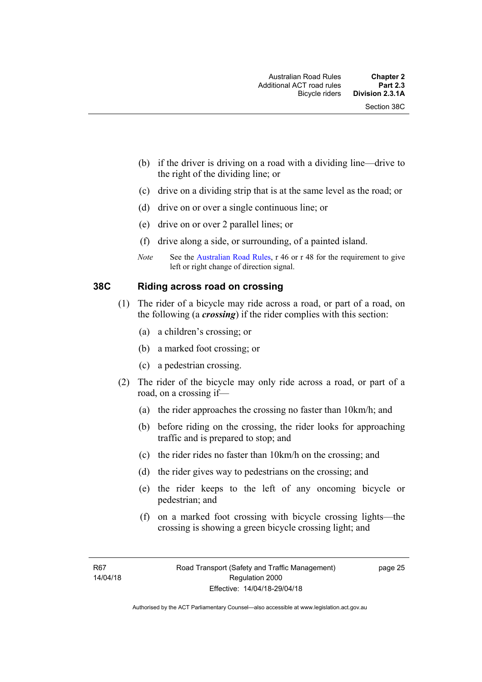- (b) if the driver is driving on a road with a dividing line—drive to the right of the dividing line; or
- (c) drive on a dividing strip that is at the same level as the road; or
- (d) drive on or over a single continuous line; or
- (e) drive on or over 2 parallel lines; or
- (f) drive along a side, or surrounding, of a painted island.
- *Note* See the [Australian Road Rules,](http://www.legislation.act.gov.au//ni/db_37271/default.asp) r 46 or r 48 for the requirement to give left or right change of direction signal.

### **38C Riding across road on crossing**

- (1) The rider of a bicycle may ride across a road, or part of a road, on the following (a *crossing*) if the rider complies with this section:
	- (a) a children's crossing; or
	- (b) a marked foot crossing; or
	- (c) a pedestrian crossing.
- (2) The rider of the bicycle may only ride across a road, or part of a road, on a crossing if—
	- (a) the rider approaches the crossing no faster than 10km/h; and
	- (b) before riding on the crossing, the rider looks for approaching traffic and is prepared to stop; and
	- (c) the rider rides no faster than 10km/h on the crossing; and
	- (d) the rider gives way to pedestrians on the crossing; and
	- (e) the rider keeps to the left of any oncoming bicycle or pedestrian; and
	- (f) on a marked foot crossing with bicycle crossing lights—the crossing is showing a green bicycle crossing light; and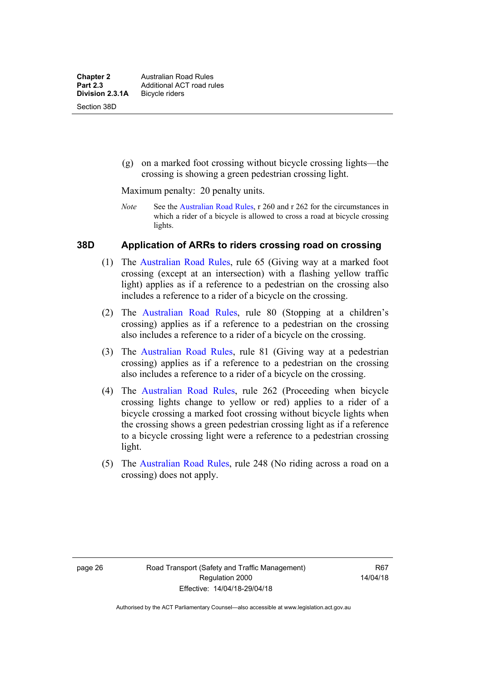(g) on a marked foot crossing without bicycle crossing lights—the crossing is showing a green pedestrian crossing light.

Maximum penalty: 20 penalty units.

*Note* See the [Australian Road Rules](http://www.legislation.act.gov.au//ni/db_37271/default.asp), r 260 and r 262 for the circumstances in which a rider of a bicycle is allowed to cross a road at bicycle crossing lights.

### **38D Application of ARRs to riders crossing road on crossing**

- (1) The [Australian Road Rules,](http://www.legislation.act.gov.au//ni/db_37271/default.asp) rule 65 (Giving way at a marked foot crossing (except at an intersection) with a flashing yellow traffic light) applies as if a reference to a pedestrian on the crossing also includes a reference to a rider of a bicycle on the crossing.
- (2) The [Australian Road Rules](http://www.legislation.act.gov.au//ni/db_37271/default.asp), rule 80 (Stopping at a children's crossing) applies as if a reference to a pedestrian on the crossing also includes a reference to a rider of a bicycle on the crossing.
- (3) The [Australian Road Rules,](http://www.legislation.act.gov.au//ni/db_37271/default.asp) rule 81 (Giving way at a pedestrian crossing) applies as if a reference to a pedestrian on the crossing also includes a reference to a rider of a bicycle on the crossing.
- (4) The [Australian Road Rules](http://www.legislation.act.gov.au//ni/db_37271/default.asp), rule 262 (Proceeding when bicycle crossing lights change to yellow or red) applies to a rider of a bicycle crossing a marked foot crossing without bicycle lights when the crossing shows a green pedestrian crossing light as if a reference to a bicycle crossing light were a reference to a pedestrian crossing light.
- (5) The [Australian Road Rules](http://www.legislation.act.gov.au//ni/db_37271/default.asp), rule 248 (No riding across a road on a crossing) does not apply.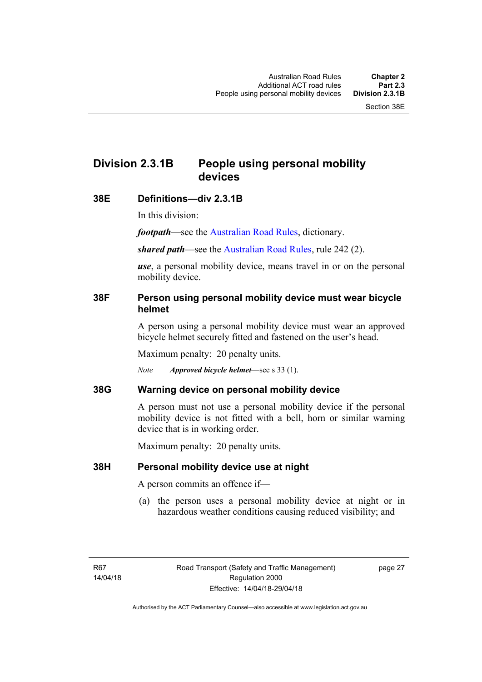# **Division 2.3.1B People using personal mobility devices**

### **38E Definitions—div 2.3.1B**

In this division:

*footpath*—see the [Australian Road Rules](http://www.legislation.act.gov.au//ni/db_37271/default.asp), dictionary.

*shared path*—see the [Australian Road Rules](http://www.legislation.act.gov.au//ni/db_37271/default.asp), rule 242 (2).

*use*, a personal mobility device, means travel in or on the personal mobility device.

### **38F Person using personal mobility device must wear bicycle helmet**

A person using a personal mobility device must wear an approved bicycle helmet securely fitted and fastened on the user's head.

Maximum penalty: 20 penalty units.

*Note Approved bicycle helmet*—see s 33 (1).

### **38G Warning device on personal mobility device**

A person must not use a personal mobility device if the personal mobility device is not fitted with a bell, horn or similar warning device that is in working order.

Maximum penalty: 20 penalty units.

### **38H Personal mobility device use at night**

A person commits an offence if—

(a) the person uses a personal mobility device at night or in hazardous weather conditions causing reduced visibility; and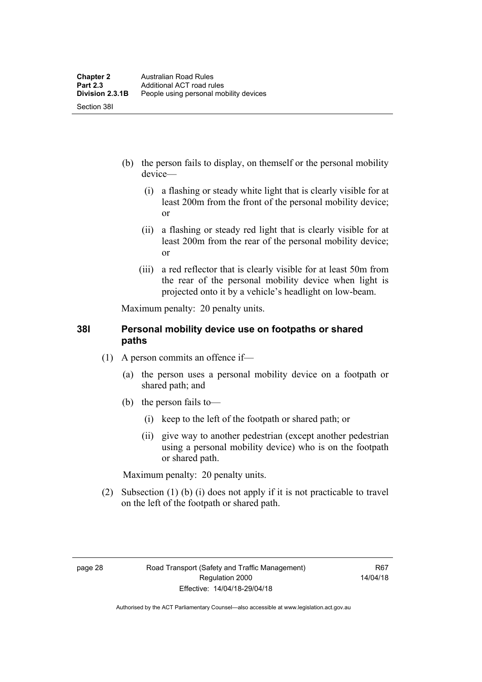- (b) the person fails to display, on themself or the personal mobility device—
	- (i) a flashing or steady white light that is clearly visible for at least 200m from the front of the personal mobility device; or
	- (ii) a flashing or steady red light that is clearly visible for at least 200m from the rear of the personal mobility device; or
	- (iii) a red reflector that is clearly visible for at least 50m from the rear of the personal mobility device when light is projected onto it by a vehicle's headlight on low-beam.

Maximum penalty: 20 penalty units.

### **38I Personal mobility device use on footpaths or shared paths**

- (1) A person commits an offence if—
	- (a) the person uses a personal mobility device on a footpath or shared path; and
	- (b) the person fails to—
		- (i) keep to the left of the footpath or shared path; or
		- (ii) give way to another pedestrian (except another pedestrian using a personal mobility device) who is on the footpath or shared path.

Maximum penalty: 20 penalty units.

 (2) Subsection (1) (b) (i) does not apply if it is not practicable to travel on the left of the footpath or shared path.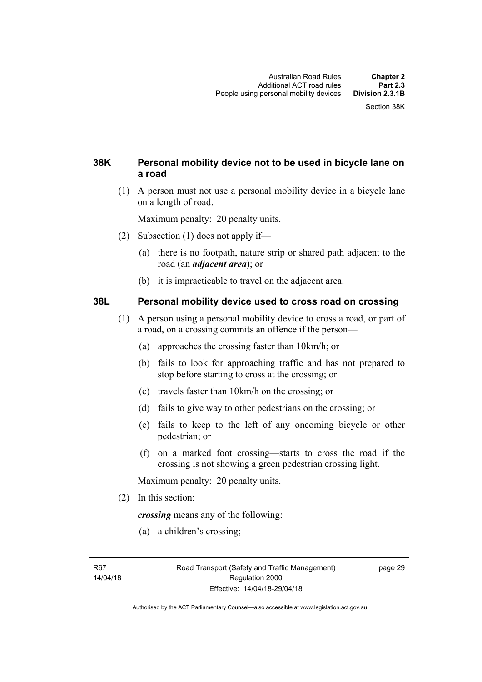## **38K Personal mobility device not to be used in bicycle lane on a road**

 (1) A person must not use a personal mobility device in a bicycle lane on a length of road.

Maximum penalty: 20 penalty units.

- (2) Subsection (1) does not apply if—
	- (a) there is no footpath, nature strip or shared path adjacent to the road (an *adjacent area*); or
	- (b) it is impracticable to travel on the adjacent area.

### **38L Personal mobility device used to cross road on crossing**

- (1) A person using a personal mobility device to cross a road, or part of a road, on a crossing commits an offence if the person—
	- (a) approaches the crossing faster than 10km/h; or
	- (b) fails to look for approaching traffic and has not prepared to stop before starting to cross at the crossing; or
	- (c) travels faster than 10km/h on the crossing; or
	- (d) fails to give way to other pedestrians on the crossing; or
	- (e) fails to keep to the left of any oncoming bicycle or other pedestrian; or
	- (f) on a marked foot crossing—starts to cross the road if the crossing is not showing a green pedestrian crossing light.

Maximum penalty: 20 penalty units.

(2) In this section:

*crossing* means any of the following:

(a) a children's crossing;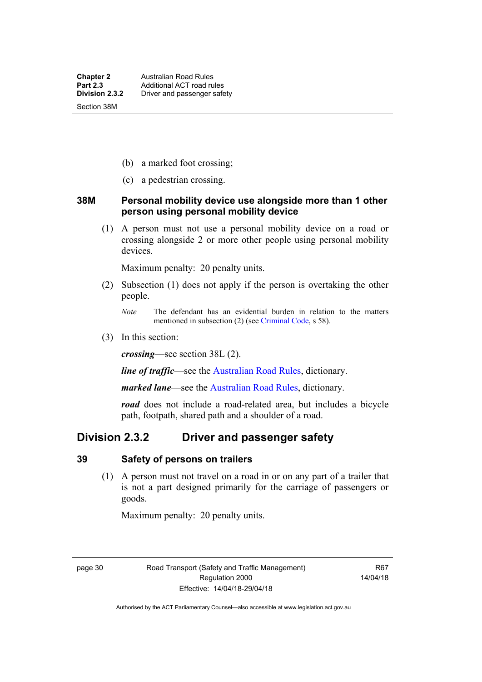- (b) a marked foot crossing;
- (c) a pedestrian crossing.

### **38M Personal mobility device use alongside more than 1 other person using personal mobility device**

 (1) A person must not use a personal mobility device on a road or crossing alongside 2 or more other people using personal mobility devices.

Maximum penalty: 20 penalty units.

- (2) Subsection (1) does not apply if the person is overtaking the other people.
	- *Note* The defendant has an evidential burden in relation to the matters mentioned in subsection (2) (see [Criminal Code,](http://www.legislation.act.gov.au/a/2002-51) s 58).
- (3) In this section:

*crossing*—see section 38L (2).

*line of traffic*—see the [Australian Road Rules,](http://www.legislation.act.gov.au//ni/db_37271/default.asp) dictionary.

*marked lane*—see the [Australian Road Rules](http://www.legislation.act.gov.au//ni/db_37271/default.asp), dictionary.

*road* does not include a road-related area, but includes a bicycle path, footpath, shared path and a shoulder of a road.

## **Division 2.3.2 Driver and passenger safety**

#### **39 Safety of persons on trailers**

 (1) A person must not travel on a road in or on any part of a trailer that is not a part designed primarily for the carriage of passengers or goods.

Maximum penalty: 20 penalty units.

page 30 Road Transport (Safety and Traffic Management) Regulation 2000 Effective: 14/04/18-29/04/18

R67 14/04/18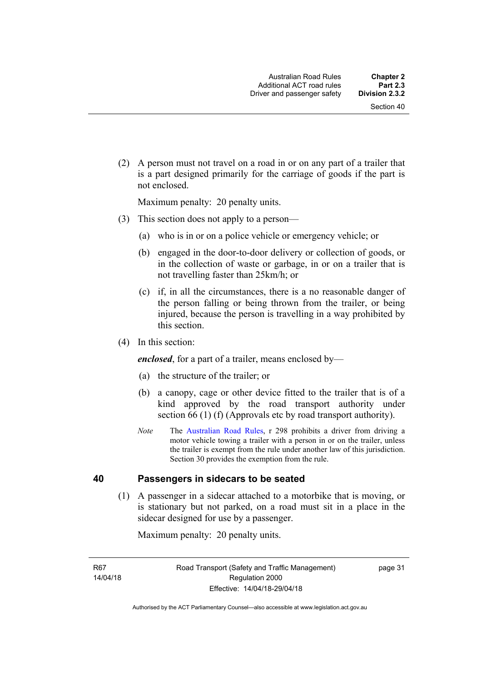(2) A person must not travel on a road in or on any part of a trailer that is a part designed primarily for the carriage of goods if the part is not enclosed.

Maximum penalty: 20 penalty units.

- (3) This section does not apply to a person—
	- (a) who is in or on a police vehicle or emergency vehicle; or
	- (b) engaged in the door-to-door delivery or collection of goods, or in the collection of waste or garbage, in or on a trailer that is not travelling faster than 25km/h; or
	- (c) if, in all the circumstances, there is a no reasonable danger of the person falling or being thrown from the trailer, or being injured, because the person is travelling in a way prohibited by this section.
- (4) In this section:

*enclosed*, for a part of a trailer, means enclosed by—

- (a) the structure of the trailer; or
- (b) a canopy, cage or other device fitted to the trailer that is of a kind approved by the road transport authority under section 66 (1) (f) (Approvals etc by road transport authority).
- *Note* The [Australian Road Rules](http://www.legislation.act.gov.au//ni/db_37271/default.asp), r 298 prohibits a driver from driving a motor vehicle towing a trailer with a person in or on the trailer, unless the trailer is exempt from the rule under another law of this jurisdiction. Section 30 provides the exemption from the rule.

### **40 Passengers in sidecars to be seated**

 (1) A passenger in a sidecar attached to a motorbike that is moving, or is stationary but not parked, on a road must sit in a place in the sidecar designed for use by a passenger.

Maximum penalty: 20 penalty units.

R67 14/04/18 page 31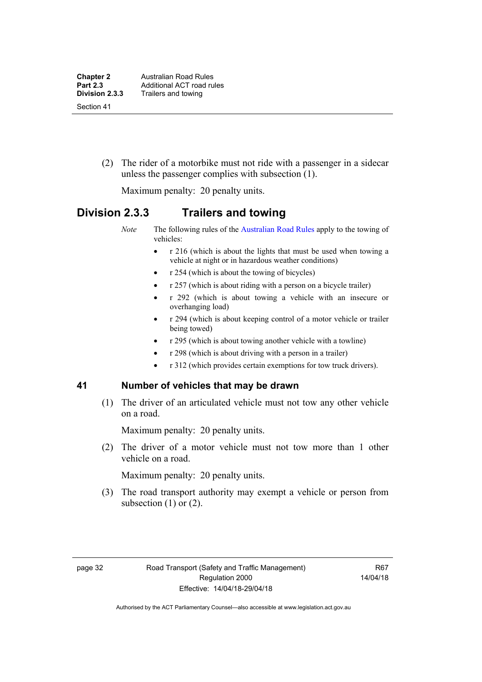(2) The rider of a motorbike must not ride with a passenger in a sidecar unless the passenger complies with subsection (1).

Maximum penalty: 20 penalty units.

## **Division 2.3.3 Trailers and towing**

*Note* The following rules of the [Australian Road Rules](http://www.legislation.act.gov.au//ni/db_37271/default.asp) apply to the towing of vehicles:

- r 216 (which is about the lights that must be used when towing a vehicle at night or in hazardous weather conditions)
- r 254 (which is about the towing of bicycles)
- $r 257$  (which is about riding with a person on a bicycle trailer)
- r 292 (which is about towing a vehicle with an insecure or overhanging load)
- r 294 (which is about keeping control of a motor vehicle or trailer being towed)
- r 295 (which is about towing another vehicle with a towline)
- r 298 (which is about driving with a person in a trailer)
- r 312 (which provides certain exemptions for tow truck drivers).

### **41 Number of vehicles that may be drawn**

 (1) The driver of an articulated vehicle must not tow any other vehicle on a road.

Maximum penalty: 20 penalty units.

 (2) The driver of a motor vehicle must not tow more than 1 other vehicle on a road.

Maximum penalty: 20 penalty units.

 (3) The road transport authority may exempt a vehicle or person from subsection  $(1)$  or  $(2)$ .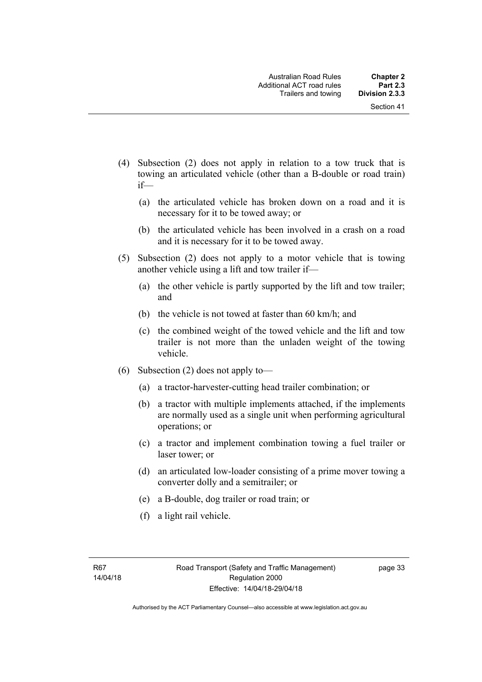- (4) Subsection (2) does not apply in relation to a tow truck that is towing an articulated vehicle (other than a B-double or road train) if—
	- (a) the articulated vehicle has broken down on a road and it is necessary for it to be towed away; or
	- (b) the articulated vehicle has been involved in a crash on a road and it is necessary for it to be towed away.
- (5) Subsection (2) does not apply to a motor vehicle that is towing another vehicle using a lift and tow trailer if—
	- (a) the other vehicle is partly supported by the lift and tow trailer; and
	- (b) the vehicle is not towed at faster than 60 km/h; and
	- (c) the combined weight of the towed vehicle and the lift and tow trailer is not more than the unladen weight of the towing vehicle.
- (6) Subsection (2) does not apply to—
	- (a) a tractor-harvester-cutting head trailer combination; or
	- (b) a tractor with multiple implements attached, if the implements are normally used as a single unit when performing agricultural operations; or
	- (c) a tractor and implement combination towing a fuel trailer or laser tower; or
	- (d) an articulated low-loader consisting of a prime mover towing a converter dolly and a semitrailer; or
	- (e) a B-double, dog trailer or road train; or
	- (f) a light rail vehicle.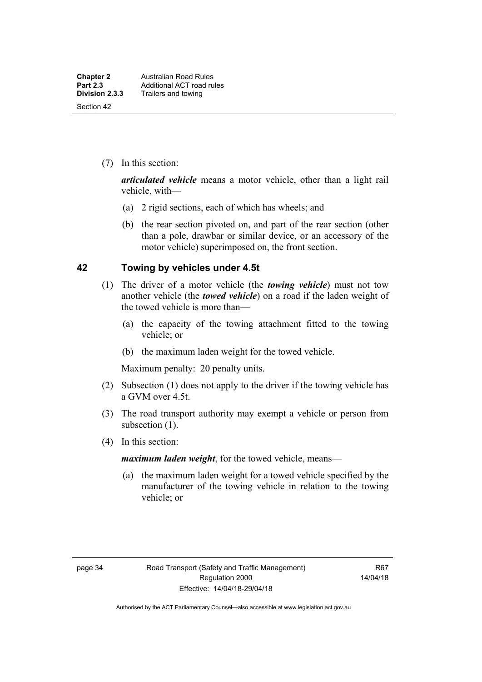(7) In this section:

*articulated vehicle* means a motor vehicle, other than a light rail vehicle, with—

- (a) 2 rigid sections, each of which has wheels; and
- (b) the rear section pivoted on, and part of the rear section (other than a pole, drawbar or similar device, or an accessory of the motor vehicle) superimposed on, the front section.

### **42 Towing by vehicles under 4.5t**

- (1) The driver of a motor vehicle (the *towing vehicle*) must not tow another vehicle (the *towed vehicle*) on a road if the laden weight of the towed vehicle is more than—
	- (a) the capacity of the towing attachment fitted to the towing vehicle; or
	- (b) the maximum laden weight for the towed vehicle.

Maximum penalty: 20 penalty units.

- (2) Subsection (1) does not apply to the driver if the towing vehicle has a GVM over 4.5t.
- (3) The road transport authority may exempt a vehicle or person from subsection (1).
- (4) In this section:

*maximum laden weight*, for the towed vehicle, means—

 (a) the maximum laden weight for a towed vehicle specified by the manufacturer of the towing vehicle in relation to the towing vehicle; or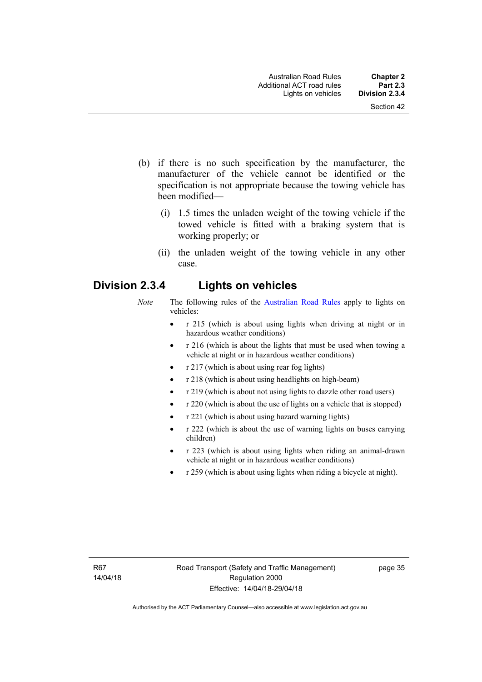- (b) if there is no such specification by the manufacturer, the manufacturer of the vehicle cannot be identified or the specification is not appropriate because the towing vehicle has been modified—
	- (i) 1.5 times the unladen weight of the towing vehicle if the towed vehicle is fitted with a braking system that is working properly; or
	- (ii) the unladen weight of the towing vehicle in any other case.

## **Division 2.3.4 Lights on vehicles**

- *Note* The following rules of the [Australian Road Rules](http://www.legislation.act.gov.au//ni/db_37271/default.asp) apply to lights on vehicles:
	- r 215 (which is about using lights when driving at night or in hazardous weather conditions)
	- r 216 (which is about the lights that must be used when towing a vehicle at night or in hazardous weather conditions)
	- r 217 (which is about using rear fog lights)
	- r 218 (which is about using headlights on high-beam)
	- r 219 (which is about not using lights to dazzle other road users)
	- r 220 (which is about the use of lights on a vehicle that is stopped)
	- r 221 (which is about using hazard warning lights)
	- r 222 (which is about the use of warning lights on buses carrying children)
	- r 223 (which is about using lights when riding an animal-drawn vehicle at night or in hazardous weather conditions)
	- r 259 (which is about using lights when riding a bicycle at night).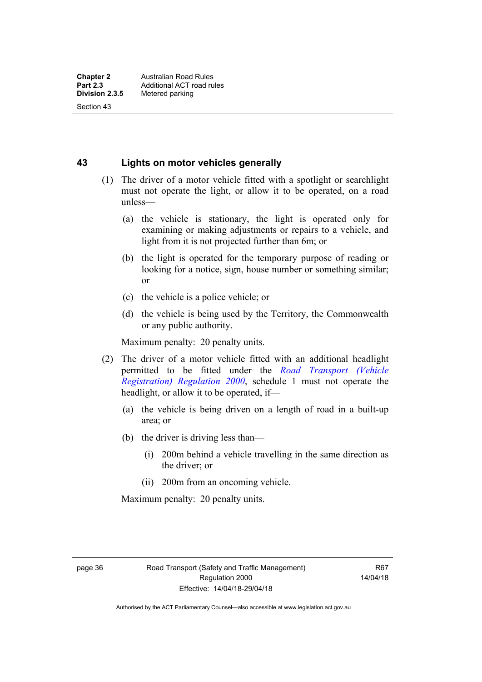Section 43

**43 Lights on motor vehicles generally**

- (1) The driver of a motor vehicle fitted with a spotlight or searchlight must not operate the light, or allow it to be operated, on a road unless—
	- (a) the vehicle is stationary, the light is operated only for examining or making adjustments or repairs to a vehicle, and light from it is not projected further than 6m; or
	- (b) the light is operated for the temporary purpose of reading or looking for a notice, sign, house number or something similar; or
	- (c) the vehicle is a police vehicle; or
	- (d) the vehicle is being used by the Territory, the Commonwealth or any public authority.

Maximum penalty: 20 penalty units.

- (2) The driver of a motor vehicle fitted with an additional headlight permitted to be fitted under the *[Road Transport \(Vehicle](http://www.legislation.act.gov.au/sl/2000-12)  [Registration\) Regulation 2000](http://www.legislation.act.gov.au/sl/2000-12)*, schedule 1 must not operate the headlight, or allow it to be operated, if—
	- (a) the vehicle is being driven on a length of road in a built-up area; or
	- (b) the driver is driving less than—
		- (i) 200m behind a vehicle travelling in the same direction as the driver; or
		- (ii) 200m from an oncoming vehicle.

Maximum penalty: 20 penalty units.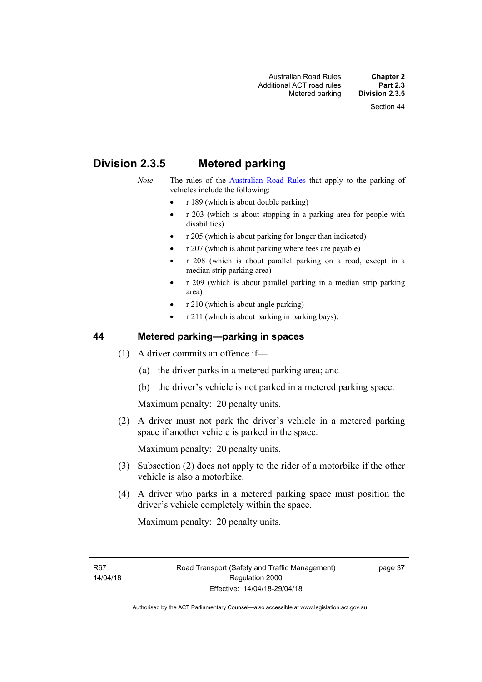# **Division 2.3.5 Metered parking**

- *Note* The rules of the [Australian Road Rules](http://www.legislation.act.gov.au//ni/db_37271/default.asp) that apply to the parking of vehicles include the following:
	- $r 189$  (which is about double parking)
	- r 203 (which is about stopping in a parking area for people with disabilities)
	- r 205 (which is about parking for longer than indicated)
	- r 207 (which is about parking where fees are payable)
	- r 208 (which is about parallel parking on a road, except in a median strip parking area)
	- r 209 (which is about parallel parking in a median strip parking area)
	- r 210 (which is about angle parking)
	- r 211 (which is about parking in parking bays).

### **44 Metered parking—parking in spaces**

- (1) A driver commits an offence if—
	- (a) the driver parks in a metered parking area; and
	- (b) the driver's vehicle is not parked in a metered parking space.

Maximum penalty: 20 penalty units.

 (2) A driver must not park the driver's vehicle in a metered parking space if another vehicle is parked in the space.

Maximum penalty: 20 penalty units.

- (3) Subsection (2) does not apply to the rider of a motorbike if the other vehicle is also a motorbike.
- (4) A driver who parks in a metered parking space must position the driver's vehicle completely within the space.

Maximum penalty: 20 penalty units.

R67 14/04/18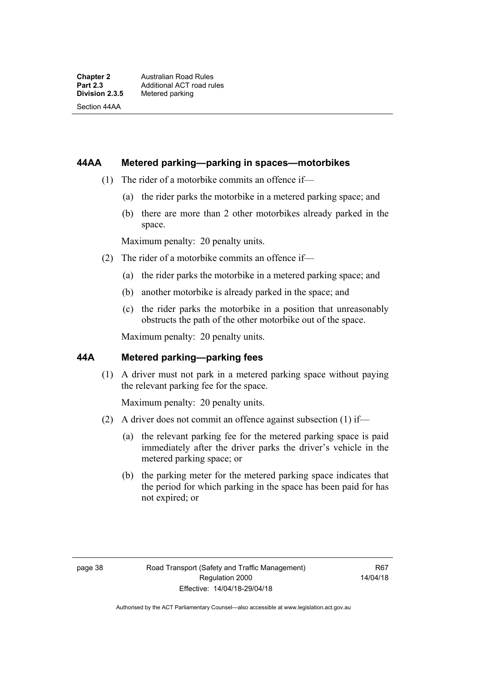Section 44AA

### **44AA Metered parking—parking in spaces—motorbikes**

- (1) The rider of a motorbike commits an offence if—
	- (a) the rider parks the motorbike in a metered parking space; and
	- (b) there are more than 2 other motorbikes already parked in the space.

Maximum penalty: 20 penalty units.

- (2) The rider of a motorbike commits an offence if—
	- (a) the rider parks the motorbike in a metered parking space; and
	- (b) another motorbike is already parked in the space; and
	- (c) the rider parks the motorbike in a position that unreasonably obstructs the path of the other motorbike out of the space.

Maximum penalty: 20 penalty units.

### **44A Metered parking—parking fees**

(1) A driver must not park in a metered parking space without paying the relevant parking fee for the space.

Maximum penalty: 20 penalty units.

- (2) A driver does not commit an offence against subsection (1) if—
	- (a) the relevant parking fee for the metered parking space is paid immediately after the driver parks the driver's vehicle in the metered parking space; or
	- (b) the parking meter for the metered parking space indicates that the period for which parking in the space has been paid for has not expired; or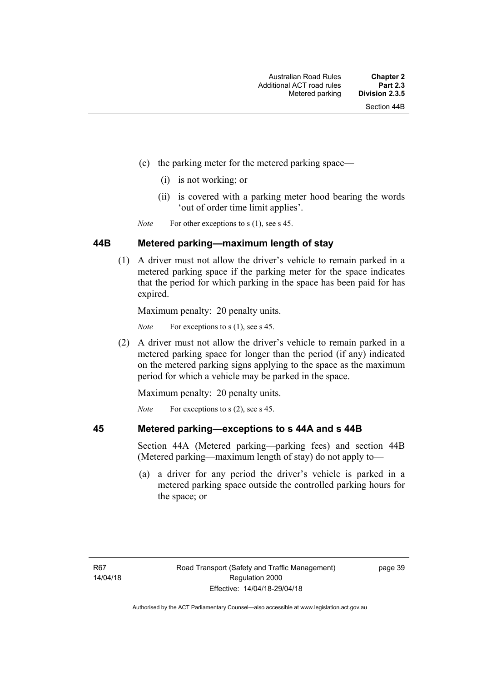- (c) the parking meter for the metered parking space—
	- (i) is not working; or
	- (ii) is covered with a parking meter hood bearing the words 'out of order time limit applies'.

*Note* For other exceptions to s (1), see s 45.

### **44B Metered parking—maximum length of stay**

 (1) A driver must not allow the driver's vehicle to remain parked in a metered parking space if the parking meter for the space indicates that the period for which parking in the space has been paid for has expired.

Maximum penalty: 20 penalty units.

*Note* For exceptions to s (1), see s 45.

 (2) A driver must not allow the driver's vehicle to remain parked in a metered parking space for longer than the period (if any) indicated on the metered parking signs applying to the space as the maximum period for which a vehicle may be parked in the space.

Maximum penalty: 20 penalty units.

*Note* For exceptions to s (2), see s 45.

## **45 Metered parking—exceptions to s 44A and s 44B**

Section 44A (Metered parking—parking fees) and section 44B (Metered parking—maximum length of stay) do not apply to—

 (a) a driver for any period the driver's vehicle is parked in a metered parking space outside the controlled parking hours for the space; or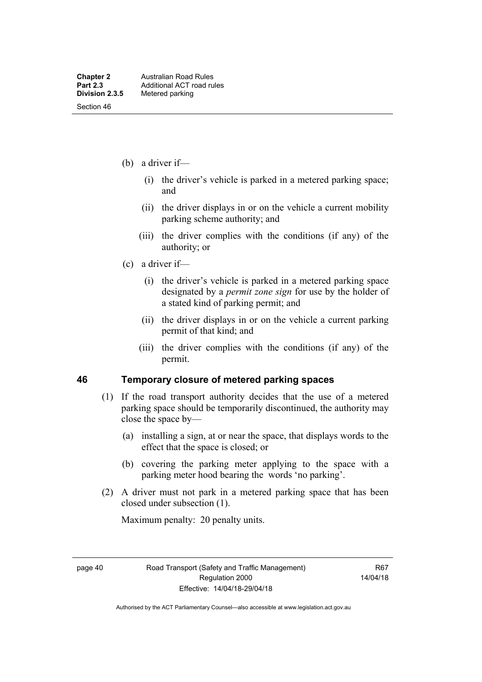- (b) a driver if—
	- (i) the driver's vehicle is parked in a metered parking space; and
	- (ii) the driver displays in or on the vehicle a current mobility parking scheme authority; and
	- (iii) the driver complies with the conditions (if any) of the authority; or
- (c) a driver if—
	- (i) the driver's vehicle is parked in a metered parking space designated by a *permit zone sign* for use by the holder of a stated kind of parking permit; and
	- (ii) the driver displays in or on the vehicle a current parking permit of that kind; and
	- (iii) the driver complies with the conditions (if any) of the permit.

### **46 Temporary closure of metered parking spaces**

- (1) If the road transport authority decides that the use of a metered parking space should be temporarily discontinued, the authority may close the space by—
	- (a) installing a sign, at or near the space, that displays words to the effect that the space is closed; or
	- (b) covering the parking meter applying to the space with a parking meter hood bearing the words 'no parking'.
- (2) A driver must not park in a metered parking space that has been closed under subsection (1).

Maximum penalty: 20 penalty units.

page 40 Road Transport (Safety and Traffic Management) Regulation 2000 Effective: 14/04/18-29/04/18

R67 14/04/18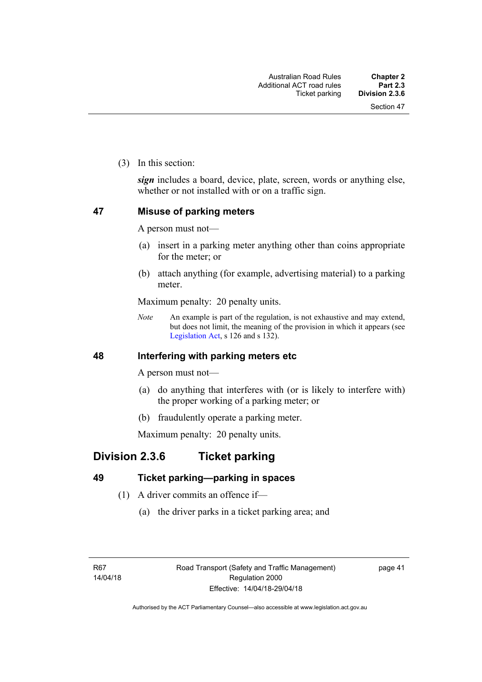(3) In this section:

*sign* includes a board, device, plate, screen, words or anything else, whether or not installed with or on a traffic sign.

### **47 Misuse of parking meters**

A person must not—

- (a) insert in a parking meter anything other than coins appropriate for the meter; or
- (b) attach anything (for example, advertising material) to a parking meter.

Maximum penalty: 20 penalty units.

*Note* An example is part of the regulation, is not exhaustive and may extend, but does not limit, the meaning of the provision in which it appears (see [Legislation Act,](http://www.legislation.act.gov.au/a/2001-14) s 126 and s 132).

### **48 Interfering with parking meters etc**

A person must not—

- (a) do anything that interferes with (or is likely to interfere with) the proper working of a parking meter; or
- (b) fraudulently operate a parking meter.

Maximum penalty: 20 penalty units.

## **Division 2.3.6 Ticket parking**

### **49 Ticket parking—parking in spaces**

- (1) A driver commits an offence if—
	- (a) the driver parks in a ticket parking area; and

page 41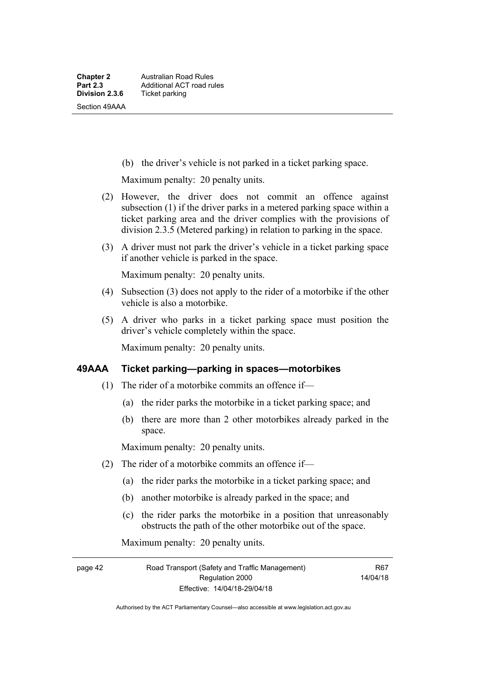(b) the driver's vehicle is not parked in a ticket parking space.

Maximum penalty: 20 penalty units.

- (2) However, the driver does not commit an offence against subsection (1) if the driver parks in a metered parking space within a ticket parking area and the driver complies with the provisions of division 2.3.5 (Metered parking) in relation to parking in the space.
- (3) A driver must not park the driver's vehicle in a ticket parking space if another vehicle is parked in the space.

Maximum penalty: 20 penalty units.

- (4) Subsection (3) does not apply to the rider of a motorbike if the other vehicle is also a motorbike.
- (5) A driver who parks in a ticket parking space must position the driver's vehicle completely within the space.

Maximum penalty: 20 penalty units.

### **49AAA Ticket parking—parking in spaces—motorbikes**

- (1) The rider of a motorbike commits an offence if—
	- (a) the rider parks the motorbike in a ticket parking space; and
	- (b) there are more than 2 other motorbikes already parked in the space.

Maximum penalty: 20 penalty units.

- (2) The rider of a motorbike commits an offence if—
	- (a) the rider parks the motorbike in a ticket parking space; and
	- (b) another motorbike is already parked in the space; and
	- (c) the rider parks the motorbike in a position that unreasonably obstructs the path of the other motorbike out of the space.

Maximum penalty: 20 penalty units.

page 42 Road Transport (Safety and Traffic Management) Regulation 2000 Effective: 14/04/18-29/04/18

R67 14/04/18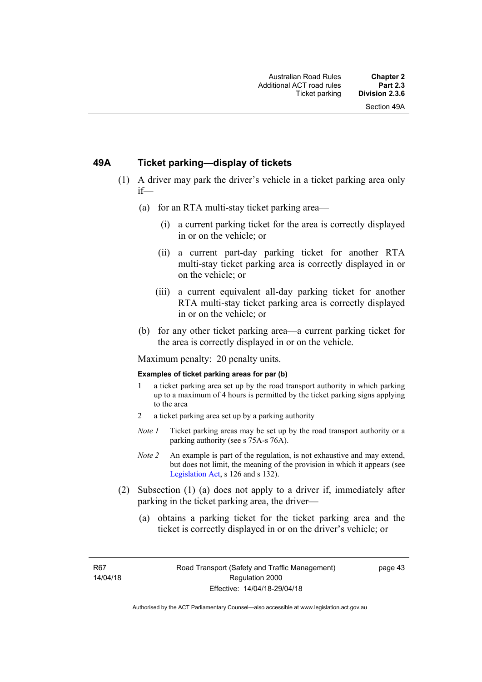### **49A Ticket parking—display of tickets**

- (1) A driver may park the driver's vehicle in a ticket parking area only if—
	- (a) for an RTA multi-stay ticket parking area—
		- (i) a current parking ticket for the area is correctly displayed in or on the vehicle; or
		- (ii) a current part-day parking ticket for another RTA multi-stay ticket parking area is correctly displayed in or on the vehicle; or
		- (iii) a current equivalent all-day parking ticket for another RTA multi-stay ticket parking area is correctly displayed in or on the vehicle; or
	- (b) for any other ticket parking area—a current parking ticket for the area is correctly displayed in or on the vehicle.

Maximum penalty: 20 penalty units.

#### **Examples of ticket parking areas for par (b)**

- 1 a ticket parking area set up by the road transport authority in which parking up to a maximum of 4 hours is permitted by the ticket parking signs applying to the area
- 2 a ticket parking area set up by a parking authority
- *Note 1* Ticket parking areas may be set up by the road transport authority or a parking authority (see s 75A-s 76A).
- *Note 2* An example is part of the regulation, is not exhaustive and may extend, but does not limit, the meaning of the provision in which it appears (see [Legislation Act,](http://www.legislation.act.gov.au/a/2001-14) s 126 and s 132).
- (2) Subsection (1) (a) does not apply to a driver if, immediately after parking in the ticket parking area, the driver—
	- (a) obtains a parking ticket for the ticket parking area and the ticket is correctly displayed in or on the driver's vehicle; or

R67 14/04/18 page 43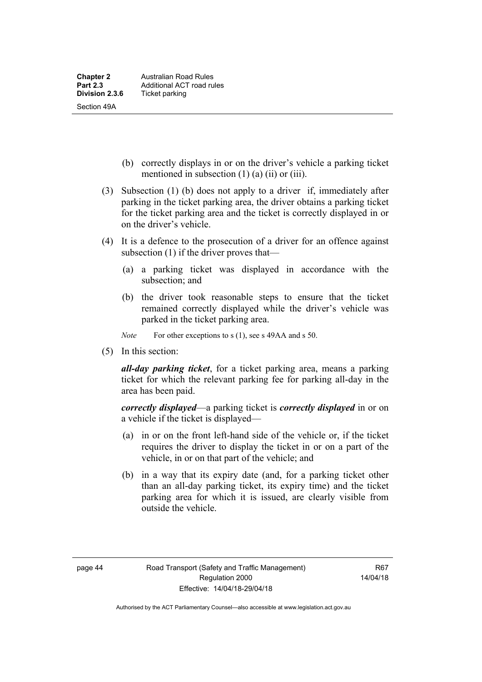- (b) correctly displays in or on the driver's vehicle a parking ticket mentioned in subsection (1) (a) (ii) or (iii).
- (3) Subsection (1) (b) does not apply to a driver if, immediately after parking in the ticket parking area, the driver obtains a parking ticket for the ticket parking area and the ticket is correctly displayed in or on the driver's vehicle.
- (4) It is a defence to the prosecution of a driver for an offence against subsection (1) if the driver proves that—
	- (a) a parking ticket was displayed in accordance with the subsection; and
	- (b) the driver took reasonable steps to ensure that the ticket remained correctly displayed while the driver's vehicle was parked in the ticket parking area.
	- *Note* For other exceptions to s (1), see s 49AA and s 50.
- (5) In this section:

*all-day parking ticket*, for a ticket parking area, means a parking ticket for which the relevant parking fee for parking all-day in the area has been paid.

*correctly displayed*—a parking ticket is *correctly displayed* in or on a vehicle if the ticket is displayed—

- (a) in or on the front left-hand side of the vehicle or, if the ticket requires the driver to display the ticket in or on a part of the vehicle, in or on that part of the vehicle; and
- (b) in a way that its expiry date (and, for a parking ticket other than an all-day parking ticket, its expiry time) and the ticket parking area for which it is issued, are clearly visible from outside the vehicle.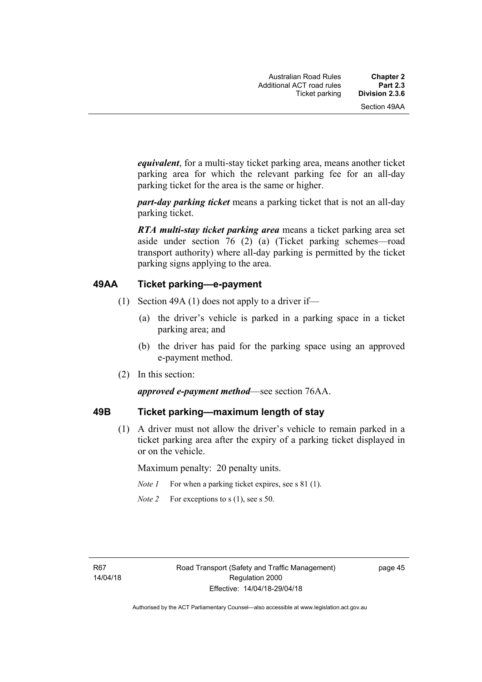*equivalent*, for a multi-stay ticket parking area, means another ticket parking area for which the relevant parking fee for an all-day parking ticket for the area is the same or higher.

*part-day parking ticket* means a parking ticket that is not an all-day parking ticket.

*RTA multi-stay ticket parking area* means a ticket parking area set aside under section 76 (2) (a) (Ticket parking schemes—road transport authority) where all-day parking is permitted by the ticket parking signs applying to the area.

### **49AA Ticket parking—e-payment**

- (1) Section 49A (1) does not apply to a driver if—
	- (a) the driver's vehicle is parked in a parking space in a ticket parking area; and
	- (b) the driver has paid for the parking space using an approved e-payment method.
- (2) In this section:

#### *approved e-payment method*—see section 76AA.

#### **49B Ticket parking—maximum length of stay**

(1) A driver must not allow the driver's vehicle to remain parked in a ticket parking area after the expiry of a parking ticket displayed in or on the vehicle.

Maximum penalty: 20 penalty units.

- *Note 1* For when a parking ticket expires, see s 81 (1).
- *Note 2* For exceptions to s (1), see s 50.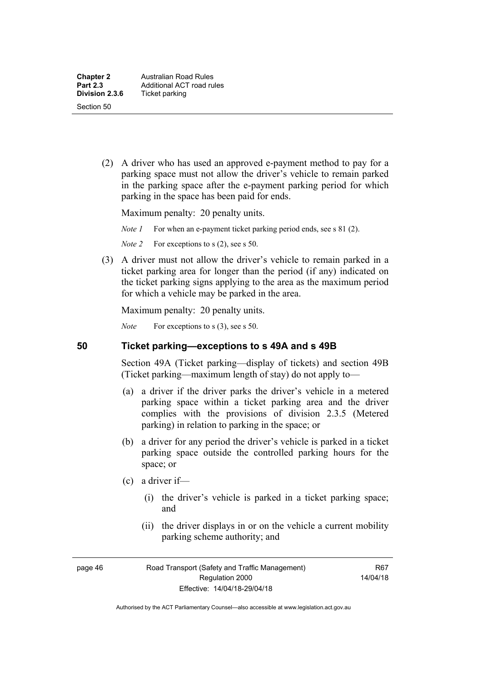(2) A driver who has used an approved e-payment method to pay for a parking space must not allow the driver's vehicle to remain parked in the parking space after the e-payment parking period for which parking in the space has been paid for ends.

Maximum penalty: 20 penalty units.

*Note 1* For when an e-payment ticket parking period ends, see s 81 (2).

*Note 2* For exceptions to s (2), see s 50.

 (3) A driver must not allow the driver's vehicle to remain parked in a ticket parking area for longer than the period (if any) indicated on the ticket parking signs applying to the area as the maximum period for which a vehicle may be parked in the area.

Maximum penalty: 20 penalty units.

*Note* For exceptions to s (3), see s 50.

### **50 Ticket parking—exceptions to s 49A and s 49B**

Section 49A (Ticket parking—display of tickets) and section 49B (Ticket parking—maximum length of stay) do not apply to—

- (a) a driver if the driver parks the driver's vehicle in a metered parking space within a ticket parking area and the driver complies with the provisions of division 2.3.5 (Metered parking) in relation to parking in the space; or
- (b) a driver for any period the driver's vehicle is parked in a ticket parking space outside the controlled parking hours for the space; or
- (c) a driver if—
	- (i) the driver's vehicle is parked in a ticket parking space; and
	- (ii) the driver displays in or on the vehicle a current mobility parking scheme authority; and

page 46 Road Transport (Safety and Traffic Management) Regulation 2000 Effective: 14/04/18-29/04/18

R67 14/04/18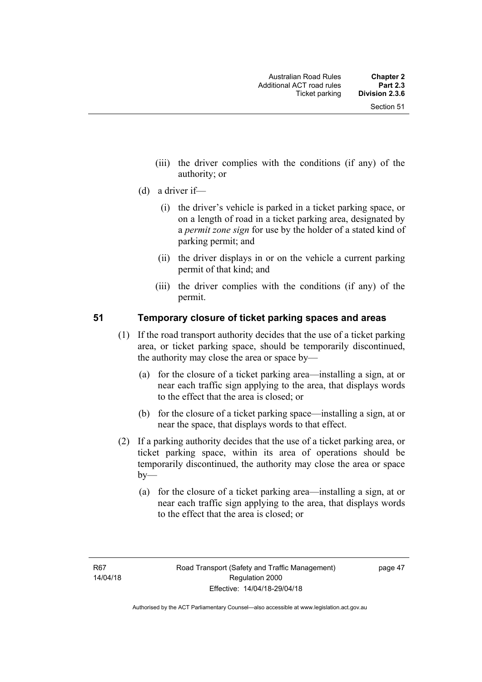- (iii) the driver complies with the conditions (if any) of the authority; or
- (d) a driver if—
	- (i) the driver's vehicle is parked in a ticket parking space, or on a length of road in a ticket parking area, designated by a *permit zone sign* for use by the holder of a stated kind of parking permit; and
	- (ii) the driver displays in or on the vehicle a current parking permit of that kind; and
	- (iii) the driver complies with the conditions (if any) of the permit.

### **51 Temporary closure of ticket parking spaces and areas**

- (1) If the road transport authority decides that the use of a ticket parking area, or ticket parking space, should be temporarily discontinued, the authority may close the area or space by—
	- (a) for the closure of a ticket parking area—installing a sign, at or near each traffic sign applying to the area, that displays words to the effect that the area is closed; or
	- (b) for the closure of a ticket parking space—installing a sign, at or near the space, that displays words to that effect.
- (2) If a parking authority decides that the use of a ticket parking area, or ticket parking space, within its area of operations should be temporarily discontinued, the authority may close the area or space  $b$ v—
	- (a) for the closure of a ticket parking area—installing a sign, at or near each traffic sign applying to the area, that displays words to the effect that the area is closed; or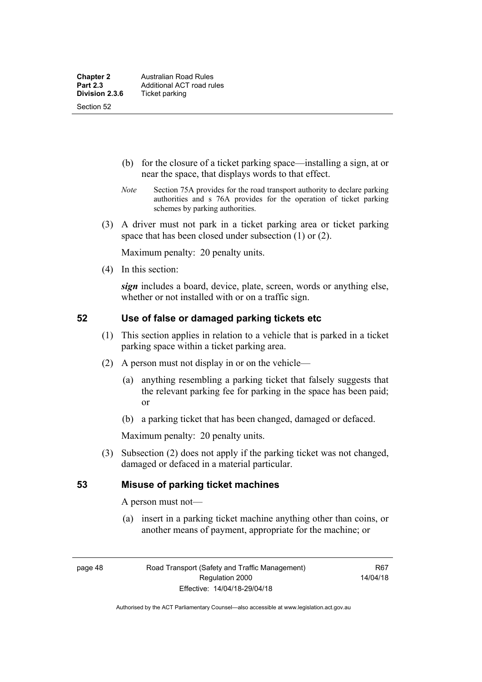- (b) for the closure of a ticket parking space—installing a sign, at or near the space, that displays words to that effect.
- *Note* Section 75A provides for the road transport authority to declare parking authorities and s 76A provides for the operation of ticket parking schemes by parking authorities.
- (3) A driver must not park in a ticket parking area or ticket parking space that has been closed under subsection (1) or (2).

Maximum penalty: 20 penalty units.

(4) In this section:

*sign* includes a board, device, plate, screen, words or anything else, whether or not installed with or on a traffic sign.

### **52 Use of false or damaged parking tickets etc**

- (1) This section applies in relation to a vehicle that is parked in a ticket parking space within a ticket parking area.
- (2) A person must not display in or on the vehicle—
	- (a) anything resembling a parking ticket that falsely suggests that the relevant parking fee for parking in the space has been paid; or
	- (b) a parking ticket that has been changed, damaged or defaced.

Maximum penalty: 20 penalty units.

 (3) Subsection (2) does not apply if the parking ticket was not changed, damaged or defaced in a material particular.

### **53 Misuse of parking ticket machines**

A person must not—

(a) insert in a parking ticket machine anything other than coins, or another means of payment, appropriate for the machine; or

page 48 Road Transport (Safety and Traffic Management) Regulation 2000 Effective: 14/04/18-29/04/18

R67 14/04/18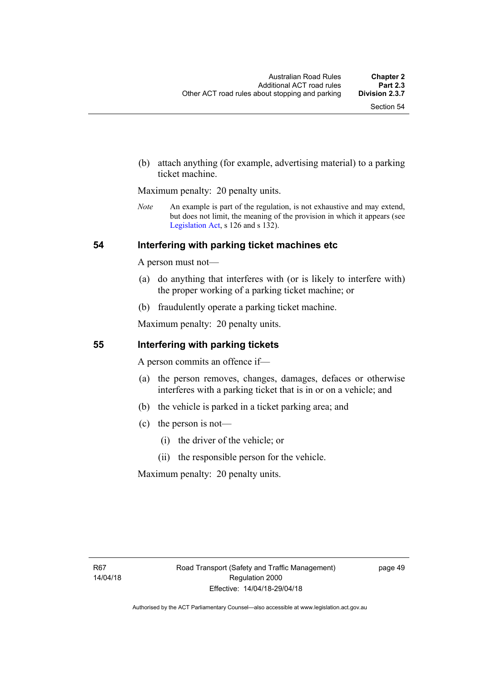(b) attach anything (for example, advertising material) to a parking ticket machine.

Maximum penalty: 20 penalty units.

*Note* An example is part of the regulation, is not exhaustive and may extend, but does not limit, the meaning of the provision in which it appears (see [Legislation Act,](http://www.legislation.act.gov.au/a/2001-14) s 126 and s 132).

### **54 Interfering with parking ticket machines etc**

A person must not—

- (a) do anything that interferes with (or is likely to interfere with) the proper working of a parking ticket machine; or
- (b) fraudulently operate a parking ticket machine.

Maximum penalty: 20 penalty units.

### **55 Interfering with parking tickets**

A person commits an offence if—

- (a) the person removes, changes, damages, defaces or otherwise interferes with a parking ticket that is in or on a vehicle; and
- (b) the vehicle is parked in a ticket parking area; and
- (c) the person is not—
	- (i) the driver of the vehicle; or
	- (ii) the responsible person for the vehicle.

Maximum penalty: 20 penalty units.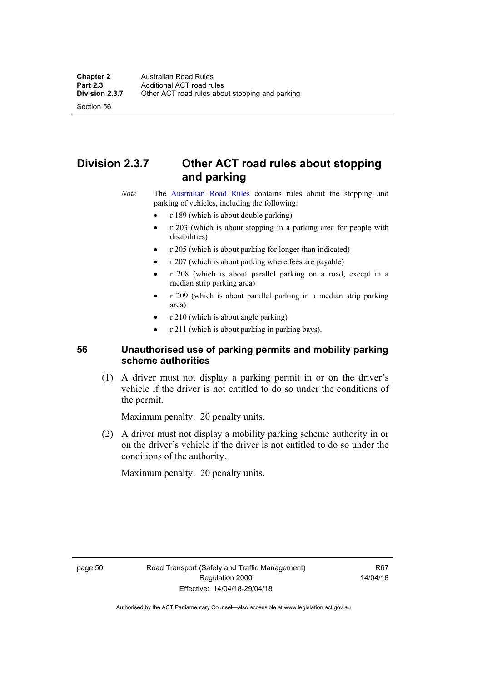Section 56

# **Division 2.3.7 Other ACT road rules about stopping and parking**

*Note* The [Australian Road Rules](http://www.legislation.act.gov.au//ni/db_37271/default.asp) contains rules about the stopping and parking of vehicles, including the following:

- r 189 (which is about double parking)
- r 203 (which is about stopping in a parking area for people with disabilities)
- r 205 (which is about parking for longer than indicated)
- r 207 (which is about parking where fees are payable)
- r 208 (which is about parallel parking on a road, except in a median strip parking area)
- r 209 (which is about parallel parking in a median strip parking area)
- r 210 (which is about angle parking)
- r 211 (which is about parking in parking bays).

### **56 Unauthorised use of parking permits and mobility parking scheme authorities**

 (1) A driver must not display a parking permit in or on the driver's vehicle if the driver is not entitled to do so under the conditions of the permit.

Maximum penalty: 20 penalty units.

 (2) A driver must not display a mobility parking scheme authority in or on the driver's vehicle if the driver is not entitled to do so under the conditions of the authority.

Maximum penalty: 20 penalty units.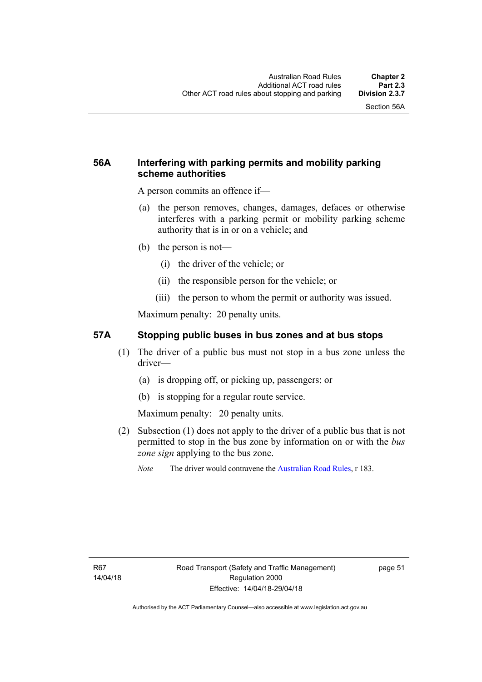## **56A Interfering with parking permits and mobility parking scheme authorities**

A person commits an offence if—

- (a) the person removes, changes, damages, defaces or otherwise interferes with a parking permit or mobility parking scheme authority that is in or on a vehicle; and
- (b) the person is not—
	- (i) the driver of the vehicle; or
	- (ii) the responsible person for the vehicle; or
	- (iii) the person to whom the permit or authority was issued.

Maximum penalty: 20 penalty units.

### **57A Stopping public buses in bus zones and at bus stops**

- (1) The driver of a public bus must not stop in a bus zone unless the driver—
	- (a) is dropping off, or picking up, passengers; or
	- (b) is stopping for a regular route service.

Maximum penalty: 20 penalty units.

- (2) Subsection (1) does not apply to the driver of a public bus that is not permitted to stop in the bus zone by information on or with the *bus zone sign* applying to the bus zone.
	- *Note* The driver would contravene the [Australian Road Rules,](http://www.legislation.act.gov.au//ni/db_37271/default.asp) r 183.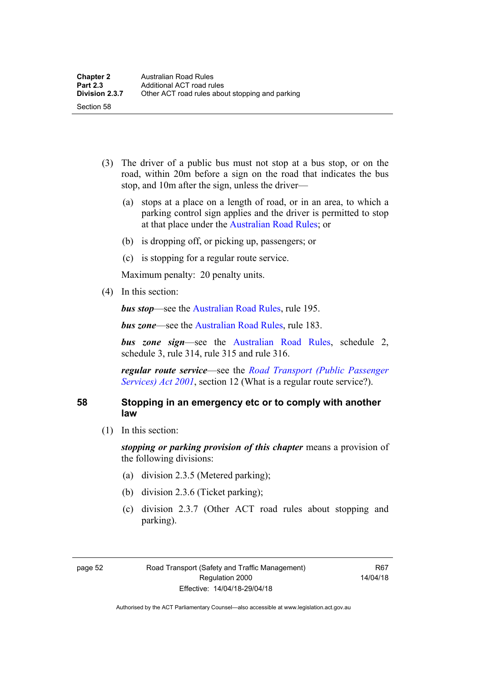- (3) The driver of a public bus must not stop at a bus stop, or on the road, within 20m before a sign on the road that indicates the bus stop, and 10m after the sign, unless the driver—
	- (a) stops at a place on a length of road, or in an area, to which a parking control sign applies and the driver is permitted to stop at that place under the [Australian Road Rules;](http://www.legislation.act.gov.au//ni/db_37271/default.asp) or
	- (b) is dropping off, or picking up, passengers; or
	- (c) is stopping for a regular route service.

Maximum penalty: 20 penalty units.

(4) In this section:

*bus stop***—see the Australian Road Rules**, rule 195.

*bus zone***—see the Australian Road Rules**, rule 183.

*bus zone sign*—see the [Australian Road Rules,](http://www.legislation.act.gov.au//ni/db_37271/default.asp) schedule 2, schedule 3, rule 314, rule 315 and rule 316.

*regular route service*—see the *[Road Transport \(Public Passenger](http://www.legislation.act.gov.au/a/2001-62)  [Services\) Act 2001](http://www.legislation.act.gov.au/a/2001-62)*, section 12 (What is a regular route service?).

### **58 Stopping in an emergency etc or to comply with another law**

(1) In this section:

*stopping or parking provision of this chapter* means a provision of the following divisions:

- (a) division 2.3.5 (Metered parking);
- (b) division 2.3.6 (Ticket parking);
- (c) division 2.3.7 (Other ACT road rules about stopping and parking).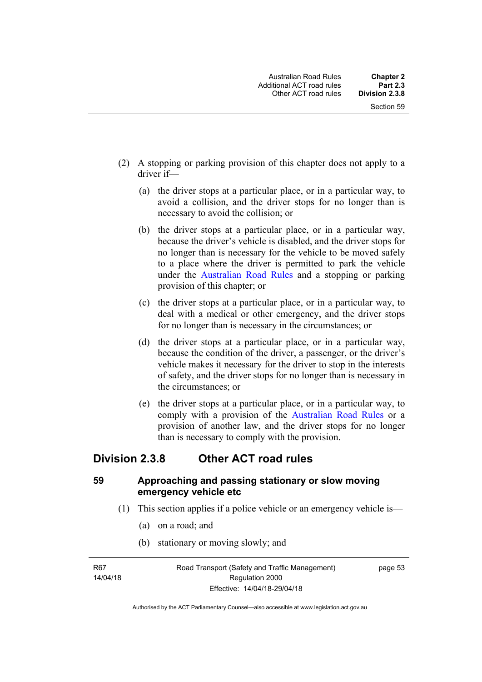- (2) A stopping or parking provision of this chapter does not apply to a driver if—
	- (a) the driver stops at a particular place, or in a particular way, to avoid a collision, and the driver stops for no longer than is necessary to avoid the collision; or
	- (b) the driver stops at a particular place, or in a particular way, because the driver's vehicle is disabled, and the driver stops for no longer than is necessary for the vehicle to be moved safely to a place where the driver is permitted to park the vehicle under the [Australian Road Rules](http://www.legislation.act.gov.au//ni/db_37271/default.asp) and a stopping or parking provision of this chapter; or
	- (c) the driver stops at a particular place, or in a particular way, to deal with a medical or other emergency, and the driver stops for no longer than is necessary in the circumstances; or
	- (d) the driver stops at a particular place, or in a particular way, because the condition of the driver, a passenger, or the driver's vehicle makes it necessary for the driver to stop in the interests of safety, and the driver stops for no longer than is necessary in the circumstances; or
	- (e) the driver stops at a particular place, or in a particular way, to comply with a provision of the [Australian Road Rules](http://www.legislation.act.gov.au//ni/db_37271/default.asp) or a provision of another law, and the driver stops for no longer than is necessary to comply with the provision.

## **Division 2.3.8 Other ACT road rules**

### **59 Approaching and passing stationary or slow moving emergency vehicle etc**

- (1) This section applies if a police vehicle or an emergency vehicle is—
	- (a) on a road; and
	- (b) stationary or moving slowly; and

R67 14/04/18 Road Transport (Safety and Traffic Management) Regulation 2000 Effective: 14/04/18-29/04/18

page 53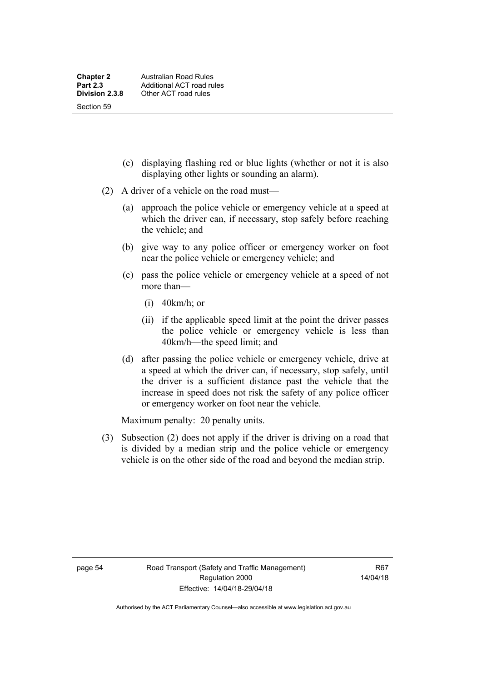- (c) displaying flashing red or blue lights (whether or not it is also displaying other lights or sounding an alarm).
- (2) A driver of a vehicle on the road must—
	- (a) approach the police vehicle or emergency vehicle at a speed at which the driver can, if necessary, stop safely before reaching the vehicle; and
	- (b) give way to any police officer or emergency worker on foot near the police vehicle or emergency vehicle; and
	- (c) pass the police vehicle or emergency vehicle at a speed of not more than—
		- (i) 40km/h; or
		- (ii) if the applicable speed limit at the point the driver passes the police vehicle or emergency vehicle is less than 40km/h—the speed limit; and
	- (d) after passing the police vehicle or emergency vehicle, drive at a speed at which the driver can, if necessary, stop safely, until the driver is a sufficient distance past the vehicle that the increase in speed does not risk the safety of any police officer or emergency worker on foot near the vehicle.

Maximum penalty: 20 penalty units.

 (3) Subsection (2) does not apply if the driver is driving on a road that is divided by a median strip and the police vehicle or emergency vehicle is on the other side of the road and beyond the median strip.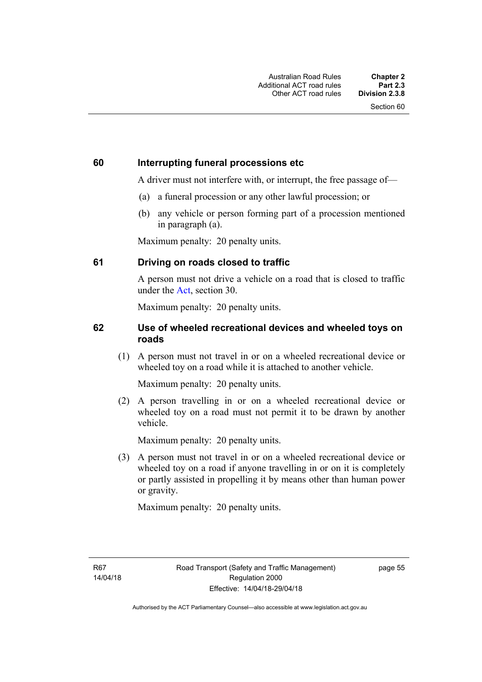### **60 Interrupting funeral processions etc**

A driver must not interfere with, or interrupt, the free passage of—

- (a) a funeral procession or any other lawful procession; or
- (b) any vehicle or person forming part of a procession mentioned in paragraph (a).

Maximum penalty: 20 penalty units.

### **61 Driving on roads closed to traffic**

A person must not drive a vehicle on a road that is closed to traffic under the [Act](http://www.legislation.act.gov.au/a/1999-80/default.asp), section 30.

Maximum penalty: 20 penalty units.

### **62 Use of wheeled recreational devices and wheeled toys on roads**

 (1) A person must not travel in or on a wheeled recreational device or wheeled toy on a road while it is attached to another vehicle.

Maximum penalty: 20 penalty units.

 (2) A person travelling in or on a wheeled recreational device or wheeled toy on a road must not permit it to be drawn by another vehicle.

Maximum penalty: 20 penalty units.

 (3) A person must not travel in or on a wheeled recreational device or wheeled toy on a road if anyone travelling in or on it is completely or partly assisted in propelling it by means other than human power or gravity.

Maximum penalty: 20 penalty units.

R67 14/04/18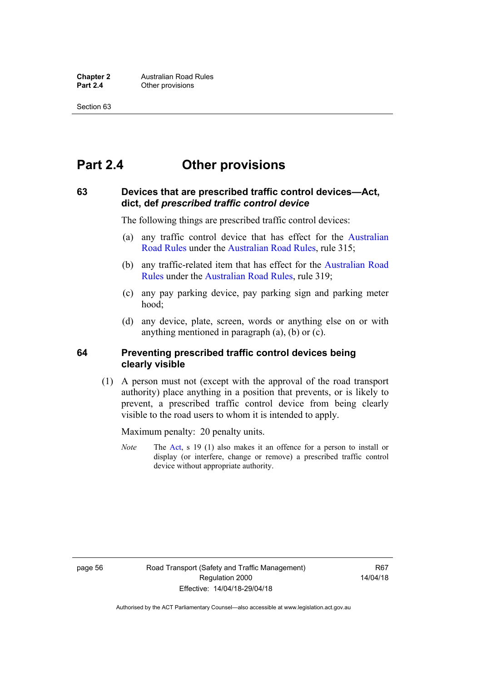# **Part 2.4 Other provisions**

#### **63 Devices that are prescribed traffic control devices—Act, dict, def** *prescribed traffic control device*

The following things are prescribed traffic control devices:

- (a) any traffic control device that has effect for the [Australian](http://www.legislation.act.gov.au//ni/db_37271/default.asp)  [Road Rules](http://www.legislation.act.gov.au//ni/db_37271/default.asp) under the [Australian Road Rules](http://www.legislation.act.gov.au//ni/db_37271/default.asp), rule 315;
- (b) any traffic-related item that has effect for the [Australian Road](http://www.legislation.act.gov.au//ni/db_37271/default.asp)  [Rules](http://www.legislation.act.gov.au//ni/db_37271/default.asp) under the [Australian Road Rules,](http://www.legislation.act.gov.au//ni/db_37271/default.asp) rule 319;
- (c) any pay parking device, pay parking sign and parking meter hood;
- (d) any device, plate, screen, words or anything else on or with anything mentioned in paragraph (a), (b) or (c).

#### **64 Preventing prescribed traffic control devices being clearly visible**

 (1) A person must not (except with the approval of the road transport authority) place anything in a position that prevents, or is likely to prevent, a prescribed traffic control device from being clearly visible to the road users to whom it is intended to apply.

Maximum penalty: 20 penalty units.

*Note* The [Act](http://www.legislation.act.gov.au/a/1999-80/default.asp), s 19 (1) also makes it an offence for a person to install or display (or interfere, change or remove) a prescribed traffic control device without appropriate authority.

page 56 Road Transport (Safety and Traffic Management) Regulation 2000 Effective: 14/04/18-29/04/18

R<sub>67</sub> 14/04/18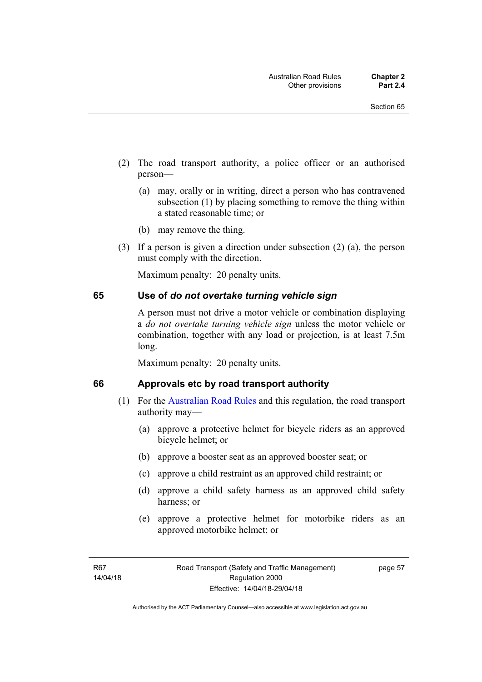- (2) The road transport authority, a police officer or an authorised person—
	- (a) may, orally or in writing, direct a person who has contravened subsection (1) by placing something to remove the thing within a stated reasonable time; or
	- (b) may remove the thing.
- (3) If a person is given a direction under subsection (2) (a), the person must comply with the direction.

Maximum penalty: 20 penalty units.

#### **65 Use of** *do not overtake turning vehicle sign*

A person must not drive a motor vehicle or combination displaying a *do not overtake turning vehicle sign* unless the motor vehicle or combination, together with any load or projection, is at least 7.5m long.

Maximum penalty: 20 penalty units.

#### **66 Approvals etc by road transport authority**

- (1) For the [Australian Road Rules](http://www.legislation.act.gov.au//ni/db_37271/default.asp) and this regulation, the road transport authority may—
	- (a) approve a protective helmet for bicycle riders as an approved bicycle helmet; or
	- (b) approve a booster seat as an approved booster seat; or
	- (c) approve a child restraint as an approved child restraint; or
	- (d) approve a child safety harness as an approved child safety harness; or
	- (e) approve a protective helmet for motorbike riders as an approved motorbike helmet; or

page 57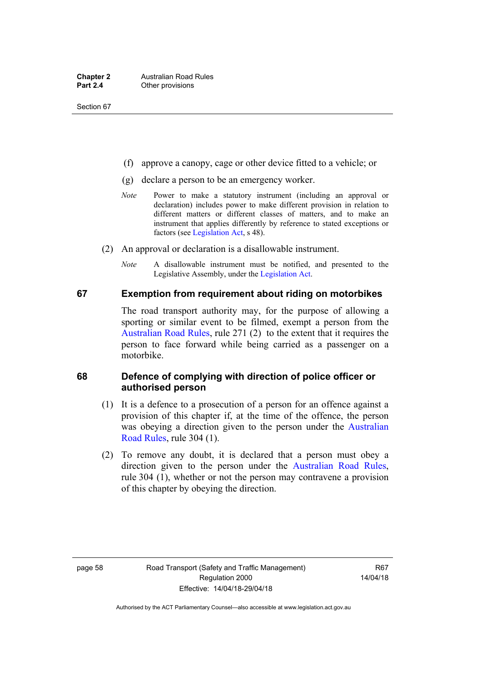- (f) approve a canopy, cage or other device fitted to a vehicle; or
- (g) declare a person to be an emergency worker.
- *Note* Power to make a statutory instrument (including an approval or declaration) includes power to make different provision in relation to different matters or different classes of matters, and to make an instrument that applies differently by reference to stated exceptions or factors (see [Legislation Act](http://www.legislation.act.gov.au/a/2001-14), s 48).
- (2) An approval or declaration is a disallowable instrument.
	- *Note* A disallowable instrument must be notified, and presented to the Legislative Assembly, under the [Legislation Act.](http://www.legislation.act.gov.au/a/2001-14)

#### **67 Exemption from requirement about riding on motorbikes**

The road transport authority may, for the purpose of allowing a sporting or similar event to be filmed, exempt a person from the [Australian Road Rules](http://www.legislation.act.gov.au//ni/db_37271/default.asp), rule 271 (2) to the extent that it requires the person to face forward while being carried as a passenger on a motorbike.

#### **68 Defence of complying with direction of police officer or authorised person**

- (1) It is a defence to a prosecution of a person for an offence against a provision of this chapter if, at the time of the offence, the person was obeying a direction given to the person under the [Australian](http://www.legislation.act.gov.au//ni/db_37271/default.asp)  [Road Rules,](http://www.legislation.act.gov.au//ni/db_37271/default.asp) rule 304 (1).
- (2) To remove any doubt, it is declared that a person must obey a direction given to the person under the [Australian Road Rules](http://www.legislation.act.gov.au//ni/db_37271/default.asp), rule 304 (1), whether or not the person may contravene a provision of this chapter by obeying the direction.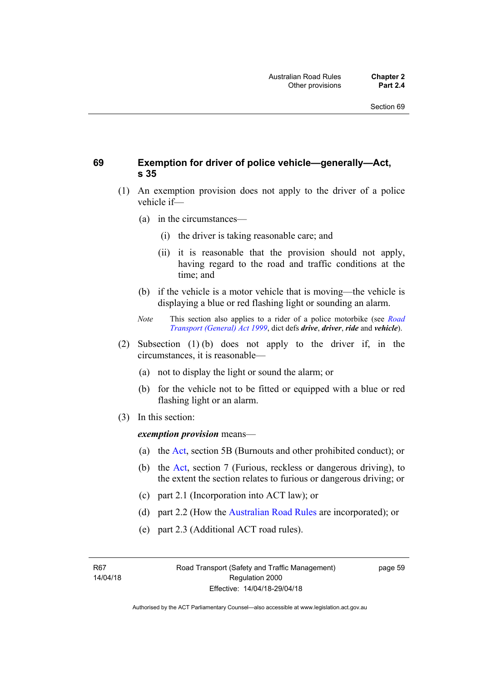#### **69 Exemption for driver of police vehicle—generally—Act, s 35**

- (1) An exemption provision does not apply to the driver of a police vehicle if—
	- (a) in the circumstances—
		- (i) the driver is taking reasonable care; and
		- (ii) it is reasonable that the provision should not apply, having regard to the road and traffic conditions at the time; and
	- (b) if the vehicle is a motor vehicle that is moving—the vehicle is displaying a blue or red flashing light or sounding an alarm.
	- *Note* This section also applies to a rider of a police motorbike (see *[Road](http://www.legislation.act.gov.au/a/1999-77)  [Transport \(General\) Act 1999](http://www.legislation.act.gov.au/a/1999-77)*, dict defs *drive*, *driver*, *ride* and *vehicle*).
- (2) Subsection (1) (b) does not apply to the driver if, in the circumstances, it is reasonable—
	- (a) not to display the light or sound the alarm; or
	- (b) for the vehicle not to be fitted or equipped with a blue or red flashing light or an alarm.
- (3) In this section:

*exemption provision* means—

- (a) the [Act](http://www.legislation.act.gov.au/a/1999-80/default.asp), section 5B (Burnouts and other prohibited conduct); or
- (b) the [Act](http://www.legislation.act.gov.au/a/1999-80/default.asp), section 7 (Furious, reckless or dangerous driving), to the extent the section relates to furious or dangerous driving; or
- (c) part 2.1 (Incorporation into ACT law); or
- (d) part 2.2 (How the [Australian Road Rules](http://www.legislation.act.gov.au//ni/db_37271/default.asp) are incorporated); or
- (e) part 2.3 (Additional ACT road rules).

R67 14/04/18 page 59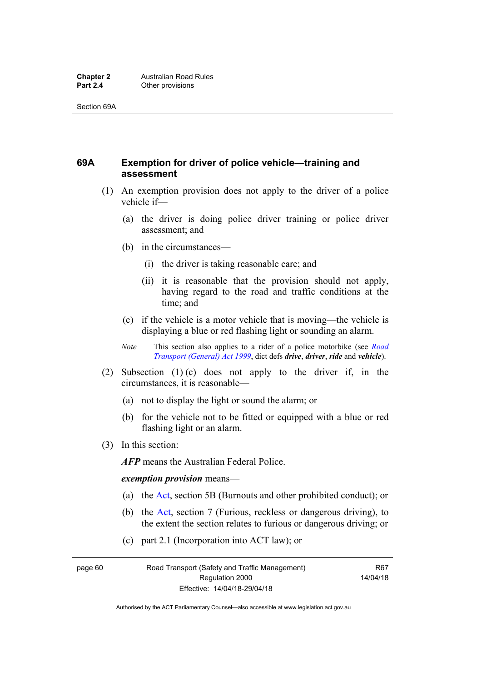## **69A Exemption for driver of police vehicle—training and assessment**

- (1) An exemption provision does not apply to the driver of a police vehicle if—
	- (a) the driver is doing police driver training or police driver assessment; and
	- (b) in the circumstances—
		- (i) the driver is taking reasonable care; and
		- (ii) it is reasonable that the provision should not apply, having regard to the road and traffic conditions at the time; and
	- (c) if the vehicle is a motor vehicle that is moving—the vehicle is displaying a blue or red flashing light or sounding an alarm.
	- *Note* This section also applies to a rider of a police motorbike (see *[Road](http://www.legislation.act.gov.au/a/1999-77)  [Transport \(General\) Act 1999](http://www.legislation.act.gov.au/a/1999-77)*, dict defs *drive*, *driver*, *ride* and *vehicle*).
- (2) Subsection (1) (c) does not apply to the driver if, in the circumstances, it is reasonable—
	- (a) not to display the light or sound the alarm; or
	- (b) for the vehicle not to be fitted or equipped with a blue or red flashing light or an alarm.
- (3) In this section:

*AFP* means the Australian Federal Police.

#### *exemption provision* means—

- (a) the [Act,](http://www.legislation.act.gov.au/a/1999-80/default.asp) section 5B (Burnouts and other prohibited conduct); or
- (b) the [Act](http://www.legislation.act.gov.au/a/1999-80/default.asp), section 7 (Furious, reckless or dangerous driving), to the extent the section relates to furious or dangerous driving; or
- (c) part 2.1 (Incorporation into ACT law); or

page 60 Road Transport (Safety and Traffic Management) Regulation 2000 Effective: 14/04/18-29/04/18

R67 14/04/18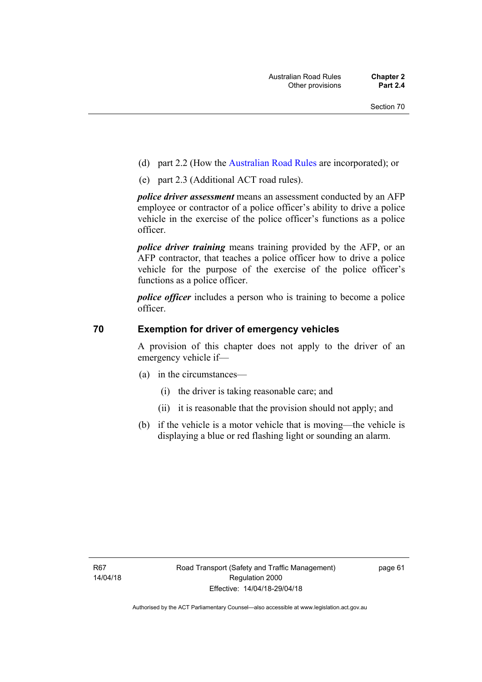- (d) part 2.2 (How the [Australian Road Rules](http://www.legislation.act.gov.au//ni/db_37271/default.asp) are incorporated); or
- (e) part 2.3 (Additional ACT road rules).

*police driver assessment* means an assessment conducted by an AFP employee or contractor of a police officer's ability to drive a police vehicle in the exercise of the police officer's functions as a police officer.

*police driver training* means training provided by the AFP, or an AFP contractor, that teaches a police officer how to drive a police vehicle for the purpose of the exercise of the police officer's functions as a police officer.

*police officer* includes a person who is training to become a police officer.

#### **70 Exemption for driver of emergency vehicles**

A provision of this chapter does not apply to the driver of an emergency vehicle if—

- (a) in the circumstances—
	- (i) the driver is taking reasonable care; and
	- (ii) it is reasonable that the provision should not apply; and
- (b) if the vehicle is a motor vehicle that is moving—the vehicle is displaying a blue or red flashing light or sounding an alarm.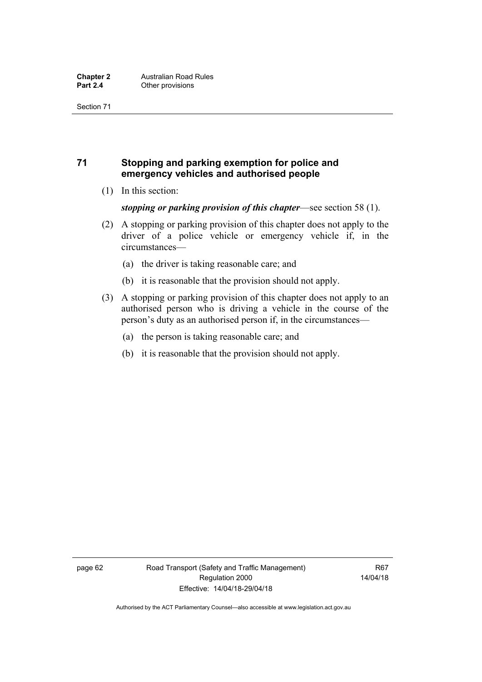## **71 Stopping and parking exemption for police and emergency vehicles and authorised people**

(1) In this section:

#### *stopping or parking provision of this chapter*—see section 58 (1).

- (2) A stopping or parking provision of this chapter does not apply to the driver of a police vehicle or emergency vehicle if, in the circumstances—
	- (a) the driver is taking reasonable care; and
	- (b) it is reasonable that the provision should not apply.
- (3) A stopping or parking provision of this chapter does not apply to an authorised person who is driving a vehicle in the course of the person's duty as an authorised person if, in the circumstances—
	- (a) the person is taking reasonable care; and
	- (b) it is reasonable that the provision should not apply.

page 62 Road Transport (Safety and Traffic Management) Regulation 2000 Effective: 14/04/18-29/04/18

R67 14/04/18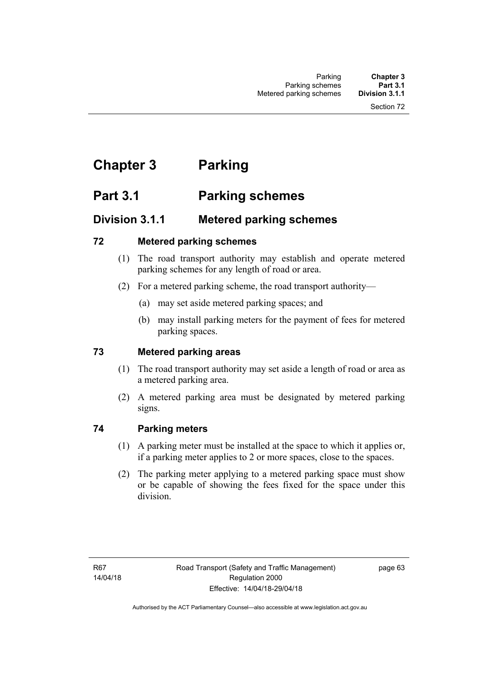# **Chapter 3 Parking**

# **Part 3.1 Parking schemes**

# **Division 3.1.1 Metered parking schemes**

## **72 Metered parking schemes**

- (1) The road transport authority may establish and operate metered parking schemes for any length of road or area.
- (2) For a metered parking scheme, the road transport authority—
	- (a) may set aside metered parking spaces; and
	- (b) may install parking meters for the payment of fees for metered parking spaces.

## **73 Metered parking areas**

- (1) The road transport authority may set aside a length of road or area as a metered parking area.
- (2) A metered parking area must be designated by metered parking signs.

## **74 Parking meters**

- (1) A parking meter must be installed at the space to which it applies or, if a parking meter applies to 2 or more spaces, close to the spaces.
- (2) The parking meter applying to a metered parking space must show or be capable of showing the fees fixed for the space under this division.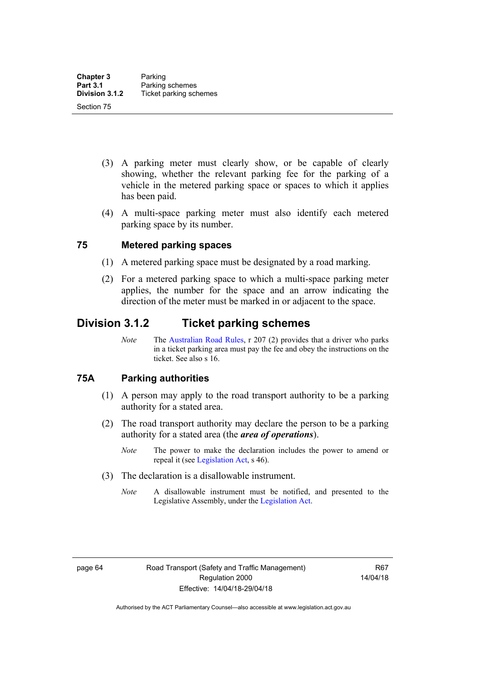- (3) A parking meter must clearly show, or be capable of clearly showing, whether the relevant parking fee for the parking of a vehicle in the metered parking space or spaces to which it applies has been paid.
- (4) A multi-space parking meter must also identify each metered parking space by its number.

#### **75 Metered parking spaces**

- (1) A metered parking space must be designated by a road marking.
- (2) For a metered parking space to which a multi-space parking meter applies, the number for the space and an arrow indicating the direction of the meter must be marked in or adjacent to the space.

## **Division 3.1.2 Ticket parking schemes**

*Note* The [Australian Road Rules](http://www.legislation.act.gov.au//ni/db_37271/default.asp), r 207 (2) provides that a driver who parks in a ticket parking area must pay the fee and obey the instructions on the ticket. See also s 16.

#### **75A Parking authorities**

- (1) A person may apply to the road transport authority to be a parking authority for a stated area.
- (2) The road transport authority may declare the person to be a parking authority for a stated area (the *area of operations*).
	- *Note* The power to make the declaration includes the power to amend or repeal it (see [Legislation Act,](http://www.legislation.act.gov.au/a/2001-14) s 46).
- (3) The declaration is a disallowable instrument.
	- *Note* A disallowable instrument must be notified, and presented to the Legislative Assembly, under the [Legislation Act.](http://www.legislation.act.gov.au/a/2001-14)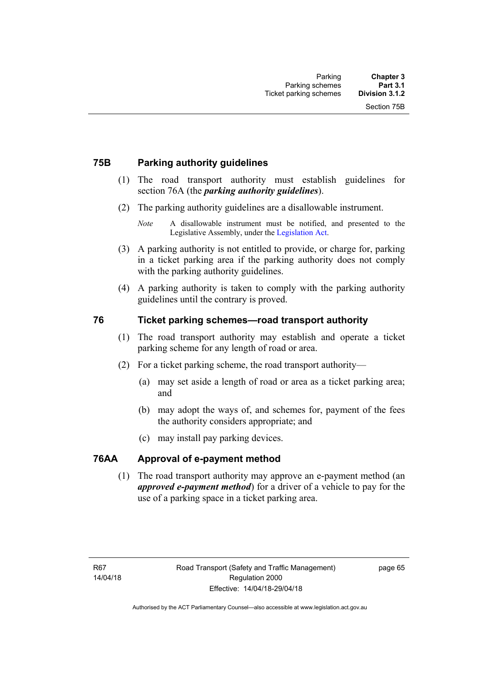#### **75B Parking authority guidelines**

- (1) The road transport authority must establish guidelines for section 76A (the *parking authority guidelines*).
- (2) The parking authority guidelines are a disallowable instrument.

- (3) A parking authority is not entitled to provide, or charge for, parking in a ticket parking area if the parking authority does not comply with the parking authority guidelines.
- (4) A parking authority is taken to comply with the parking authority guidelines until the contrary is proved.

#### **76 Ticket parking schemes—road transport authority**

- (1) The road transport authority may establish and operate a ticket parking scheme for any length of road or area.
- (2) For a ticket parking scheme, the road transport authority—
	- (a) may set aside a length of road or area as a ticket parking area; and
	- (b) may adopt the ways of, and schemes for, payment of the fees the authority considers appropriate; and
	- (c) may install pay parking devices.

#### **76AA Approval of e-payment method**

(1) The road transport authority may approve an e-payment method (an *approved e-payment method*) for a driver of a vehicle to pay for the use of a parking space in a ticket parking area.

*Note* A disallowable instrument must be notified, and presented to the Legislative Assembly, under the [Legislation Act.](http://www.legislation.act.gov.au/a/2001-14)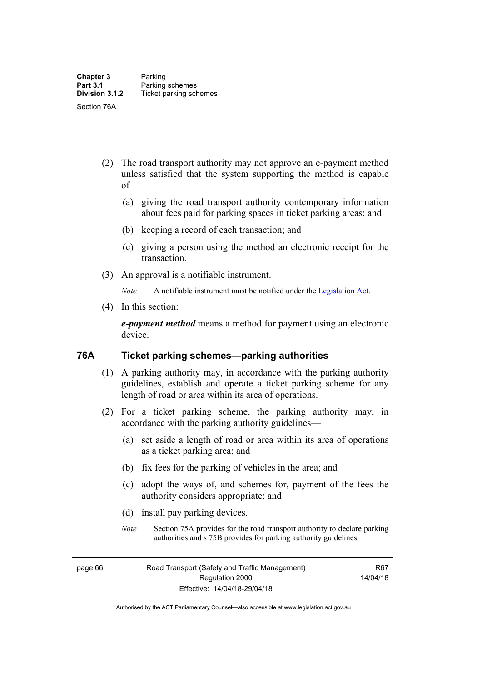- (2) The road transport authority may not approve an e-payment method unless satisfied that the system supporting the method is capable of—
	- (a) giving the road transport authority contemporary information about fees paid for parking spaces in ticket parking areas; and
	- (b) keeping a record of each transaction; and
	- (c) giving a person using the method an electronic receipt for the transaction.
- (3) An approval is a notifiable instrument.

*Note* A notifiable instrument must be notified under the [Legislation Act](http://www.legislation.act.gov.au/a/2001-14).

(4) In this section:

*e-payment method* means a method for payment using an electronic device.

#### **76A Ticket parking schemes—parking authorities**

- (1) A parking authority may, in accordance with the parking authority guidelines, establish and operate a ticket parking scheme for any length of road or area within its area of operations.
- (2) For a ticket parking scheme, the parking authority may, in accordance with the parking authority guidelines—
	- (a) set aside a length of road or area within its area of operations as a ticket parking area; and
	- (b) fix fees for the parking of vehicles in the area; and
	- (c) adopt the ways of, and schemes for, payment of the fees the authority considers appropriate; and
	- (d) install pay parking devices.
	- *Note* Section 75A provides for the road transport authority to declare parking authorities and s 75B provides for parking authority guidelines.

page 66 Road Transport (Safety and Traffic Management) Regulation 2000 Effective: 14/04/18-29/04/18

R67 14/04/18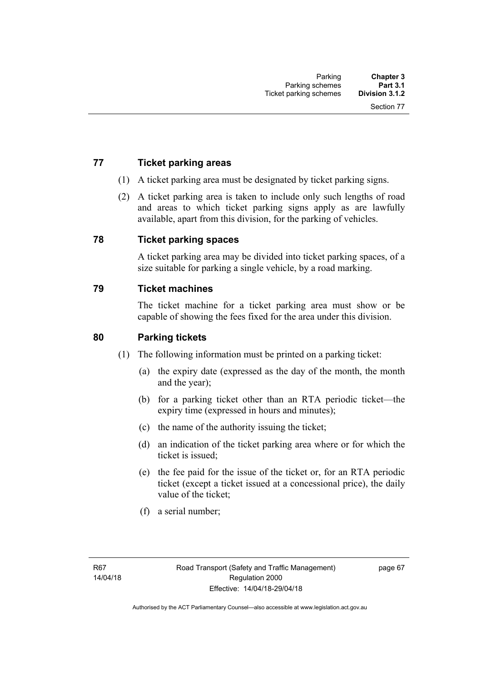## **77 Ticket parking areas**

- (1) A ticket parking area must be designated by ticket parking signs.
- (2) A ticket parking area is taken to include only such lengths of road and areas to which ticket parking signs apply as are lawfully available, apart from this division, for the parking of vehicles.

#### **78 Ticket parking spaces**

A ticket parking area may be divided into ticket parking spaces, of a size suitable for parking a single vehicle, by a road marking.

#### **79 Ticket machines**

The ticket machine for a ticket parking area must show or be capable of showing the fees fixed for the area under this division.

#### **80 Parking tickets**

- (1) The following information must be printed on a parking ticket:
	- (a) the expiry date (expressed as the day of the month, the month and the year);
	- (b) for a parking ticket other than an RTA periodic ticket—the expiry time (expressed in hours and minutes);
	- (c) the name of the authority issuing the ticket;
	- (d) an indication of the ticket parking area where or for which the ticket is issued;
	- (e) the fee paid for the issue of the ticket or, for an RTA periodic ticket (except a ticket issued at a concessional price), the daily value of the ticket;
	- (f) a serial number;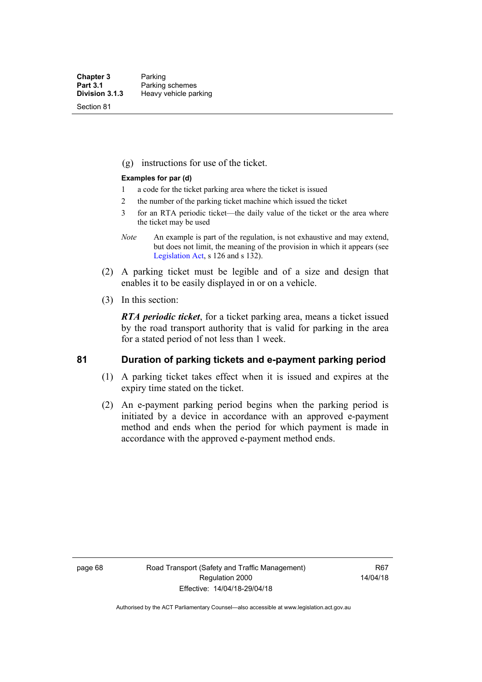Section 81

(g) instructions for use of the ticket.

#### **Examples for par (d)**

- 1 a code for the ticket parking area where the ticket is issued
- 2 the number of the parking ticket machine which issued the ticket
- 3 for an RTA periodic ticket—the daily value of the ticket or the area where the ticket may be used
- *Note* An example is part of the regulation, is not exhaustive and may extend, but does not limit, the meaning of the provision in which it appears (see [Legislation Act,](http://www.legislation.act.gov.au/a/2001-14) s 126 and s 132).
- (2) A parking ticket must be legible and of a size and design that enables it to be easily displayed in or on a vehicle.
- (3) In this section:

*RTA periodic ticket*, for a ticket parking area, means a ticket issued by the road transport authority that is valid for parking in the area for a stated period of not less than 1 week.

#### **81 Duration of parking tickets and e-payment parking period**

- (1) A parking ticket takes effect when it is issued and expires at the expiry time stated on the ticket.
- (2) An e-payment parking period begins when the parking period is initiated by a device in accordance with an approved e-payment method and ends when the period for which payment is made in accordance with the approved e-payment method ends.

page 68 Road Transport (Safety and Traffic Management) Regulation 2000 Effective: 14/04/18-29/04/18

R67 14/04/18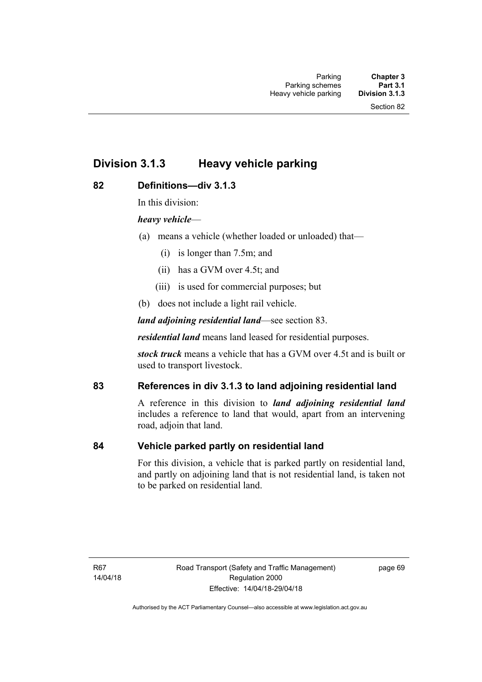# **Division 3.1.3 Heavy vehicle parking**

#### **82 Definitions—div 3.1.3**

In this division:

#### *heavy vehicle*—

- (a) means a vehicle (whether loaded or unloaded) that—
	- (i) is longer than 7.5m; and
	- (ii) has a GVM over 4.5t; and
	- (iii) is used for commercial purposes; but
- (b) does not include a light rail vehicle.

*land adjoining residential land*—see section 83.

*residential land* means land leased for residential purposes.

*stock truck* means a vehicle that has a GVM over 4.5t and is built or used to transport livestock.

## **83 References in div 3.1.3 to land adjoining residential land**

A reference in this division to *land adjoining residential land* includes a reference to land that would, apart from an intervening road, adjoin that land.

#### **84 Vehicle parked partly on residential land**

For this division, a vehicle that is parked partly on residential land, and partly on adjoining land that is not residential land, is taken not to be parked on residential land.

R67 14/04/18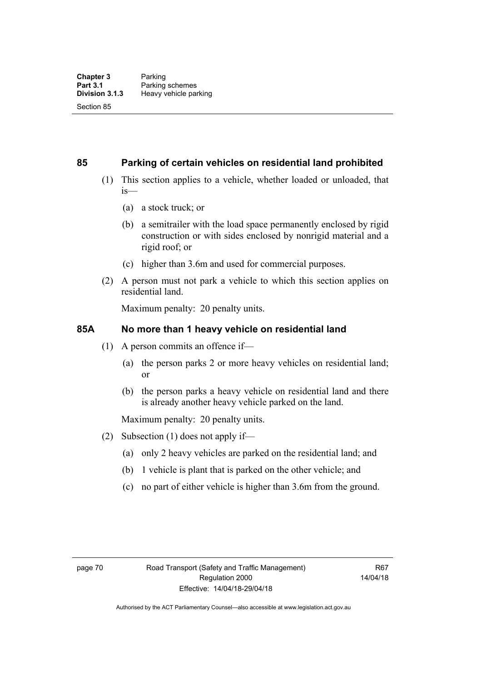#### **85 Parking of certain vehicles on residential land prohibited**

- (1) This section applies to a vehicle, whether loaded or unloaded, that is—
	- (a) a stock truck; or
	- (b) a semitrailer with the load space permanently enclosed by rigid construction or with sides enclosed by nonrigid material and a rigid roof; or
	- (c) higher than 3.6m and used for commercial purposes.
- (2) A person must not park a vehicle to which this section applies on residential land.

Maximum penalty: 20 penalty units.

#### **85A No more than 1 heavy vehicle on residential land**

- (1) A person commits an offence if—
	- (a) the person parks 2 or more heavy vehicles on residential land; or
	- (b) the person parks a heavy vehicle on residential land and there is already another heavy vehicle parked on the land.

Maximum penalty: 20 penalty units.

- (2) Subsection (1) does not apply if—
	- (a) only 2 heavy vehicles are parked on the residential land; and
	- (b) 1 vehicle is plant that is parked on the other vehicle; and
	- (c) no part of either vehicle is higher than 3.6m from the ground.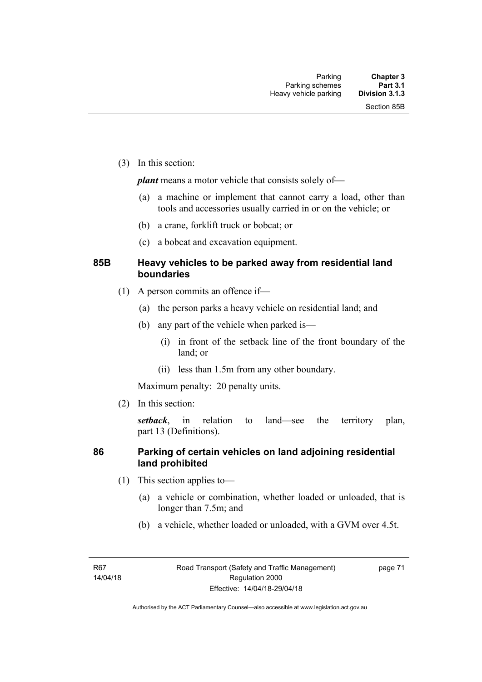(3) In this section:

*plant* means a motor vehicle that consists solely of-

- (a) a machine or implement that cannot carry a load, other than tools and accessories usually carried in or on the vehicle; or
- (b) a crane, forklift truck or bobcat; or
- (c) a bobcat and excavation equipment.

#### **85B Heavy vehicles to be parked away from residential land boundaries**

- (1) A person commits an offence if—
	- (a) the person parks a heavy vehicle on residential land; and
	- (b) any part of the vehicle when parked is—
		- (i) in front of the setback line of the front boundary of the land; or
		- (ii) less than 1.5m from any other boundary.

Maximum penalty: 20 penalty units.

(2) In this section:

*setback*, in relation to land—see the territory plan, part 13 (Definitions).

#### **86 Parking of certain vehicles on land adjoining residential land prohibited**

- (1) This section applies to—
	- (a) a vehicle or combination, whether loaded or unloaded, that is longer than 7.5m; and
	- (b) a vehicle, whether loaded or unloaded, with a GVM over 4.5t.

page 71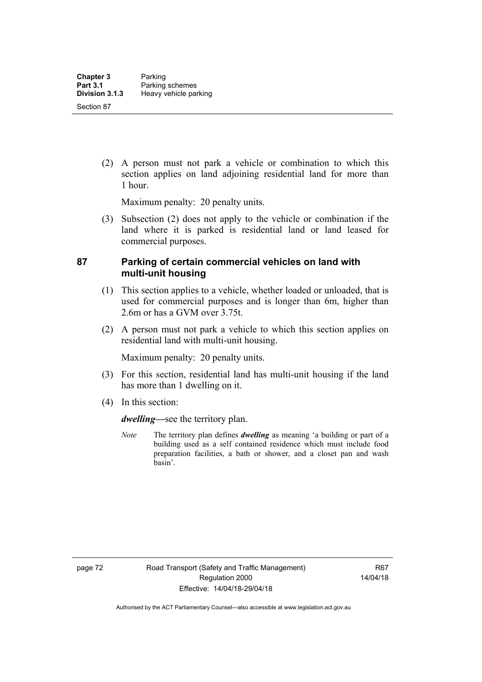(2) A person must not park a vehicle or combination to which this section applies on land adjoining residential land for more than 1 hour.

Maximum penalty: 20 penalty units.

 (3) Subsection (2) does not apply to the vehicle or combination if the land where it is parked is residential land or land leased for commercial purposes.

#### **87 Parking of certain commercial vehicles on land with multi-unit housing**

- (1) This section applies to a vehicle, whether loaded or unloaded, that is used for commercial purposes and is longer than 6m, higher than 2.6m or has a GVM over 3.75t.
- (2) A person must not park a vehicle to which this section applies on residential land with multi-unit housing.

Maximum penalty: 20 penalty units.

- (3) For this section, residential land has multi-unit housing if the land has more than 1 dwelling on it.
- (4) In this section:

*dwelling—*see the territory plan.

*Note* The territory plan defines *dwelling* as meaning 'a building or part of a building used as a self contained residence which must include food preparation facilities, a bath or shower, and a closet pan and wash basin'.

page 72 Road Transport (Safety and Traffic Management) Regulation 2000 Effective: 14/04/18-29/04/18

R67 14/04/18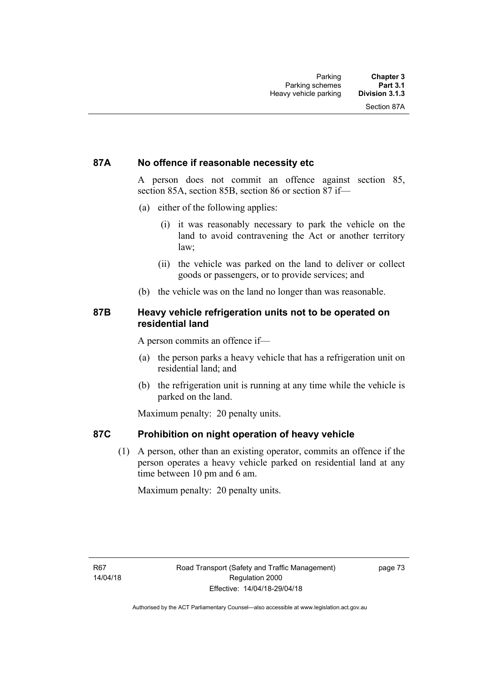#### **87A No offence if reasonable necessity etc**

A person does not commit an offence against section 85, section 85A, section 85B, section 86 or section 87 if—

- (a) either of the following applies:
	- (i) it was reasonably necessary to park the vehicle on the land to avoid contravening the Act or another territory law;
	- (ii) the vehicle was parked on the land to deliver or collect goods or passengers, or to provide services; and
- (b) the vehicle was on the land no longer than was reasonable.

#### **87B Heavy vehicle refrigeration units not to be operated on residential land**

A person commits an offence if—

- (a) the person parks a heavy vehicle that has a refrigeration unit on residential land; and
- (b) the refrigeration unit is running at any time while the vehicle is parked on the land.

Maximum penalty: 20 penalty units.

#### **87C Prohibition on night operation of heavy vehicle**

 (1) A person, other than an existing operator, commits an offence if the person operates a heavy vehicle parked on residential land at any time between 10 pm and 6 am.

Maximum penalty: 20 penalty units.

R67 14/04/18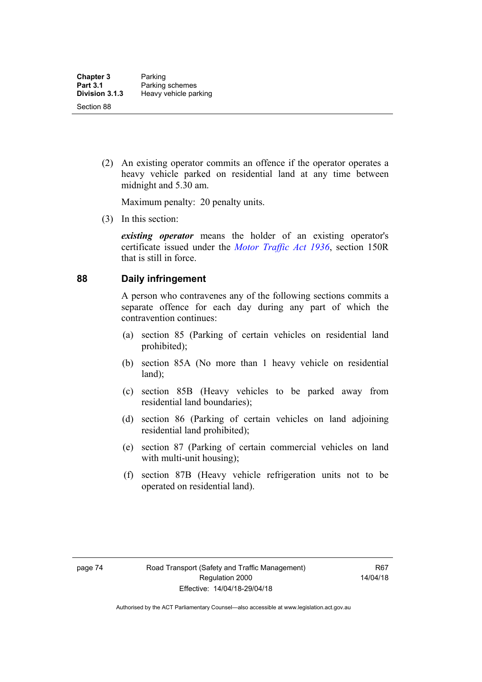(2) An existing operator commits an offence if the operator operates a heavy vehicle parked on residential land at any time between midnight and 5.30 am.

Maximum penalty: 20 penalty units.

(3) In this section:

*existing operator* means the holder of an existing operator's certificate issued under the *[Motor Traffic Act 1936](http://www.legislation.act.gov.au/a/1936-45)*, section 150R that is still in force.

#### **88 Daily infringement**

A person who contravenes any of the following sections commits a separate offence for each day during any part of which the contravention continues:

- (a) section 85 (Parking of certain vehicles on residential land prohibited);
- (b) section 85A (No more than 1 heavy vehicle on residential land);
- (c) section 85B (Heavy vehicles to be parked away from residential land boundaries);
- (d) section 86 (Parking of certain vehicles on land adjoining residential land prohibited);
- (e) section 87 (Parking of certain commercial vehicles on land with multi-unit housing);
- (f) section 87B (Heavy vehicle refrigeration units not to be operated on residential land).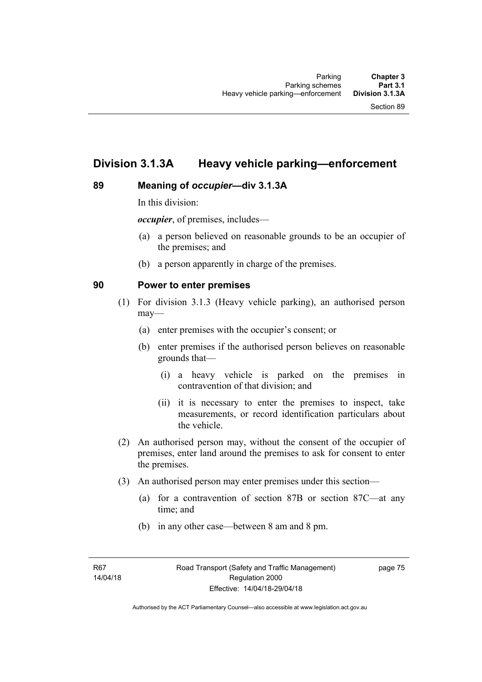# **Division 3.1.3A Heavy vehicle parking—enforcement**

#### **89 Meaning of** *occupier***—div 3.1.3A**

In this division:

*occupier*, of premises, includes—

- (a) a person believed on reasonable grounds to be an occupier of the premises; and
- (b) a person apparently in charge of the premises.

#### **90 Power to enter premises**

- (1) For division 3.1.3 (Heavy vehicle parking), an authorised person may—
	- (a) enter premises with the occupier's consent; or
	- (b) enter premises if the authorised person believes on reasonable grounds that—
		- (i) a heavy vehicle is parked on the premises in contravention of that division; and
		- (ii) it is necessary to enter the premises to inspect, take measurements, or record identification particulars about the vehicle.
- (2) An authorised person may, without the consent of the occupier of premises, enter land around the premises to ask for consent to enter the premises.
- (3) An authorised person may enter premises under this section––
	- (a) for a contravention of section 87B or section 87C––at any time; and
	- (b) in any other case––between 8 am and 8 pm.

page 75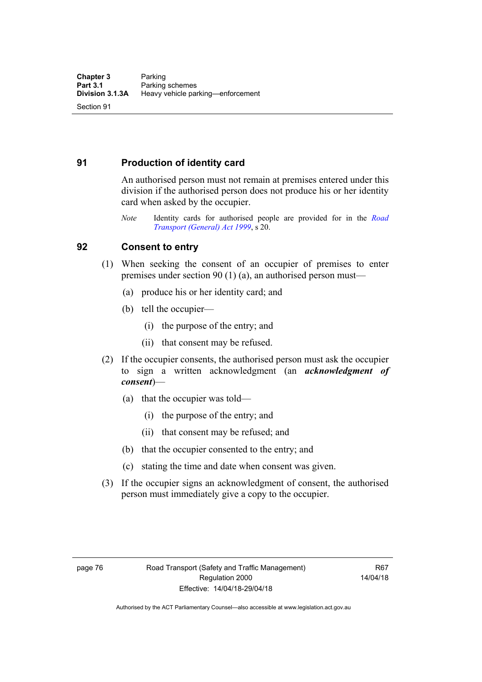## **91 Production of identity card**

An authorised person must not remain at premises entered under this division if the authorised person does not produce his or her identity card when asked by the occupier.

*Note* Identity cards for authorised people are provided for in the *[Road](http://www.legislation.act.gov.au/a/1999-77)  [Transport \(General\) Act 1999](http://www.legislation.act.gov.au/a/1999-77)*, s 20.

#### **92 Consent to entry**

- (1) When seeking the consent of an occupier of premises to enter premises under section 90 (1) (a), an authorised person must—
	- (a) produce his or her identity card; and
	- (b) tell the occupier—
		- (i) the purpose of the entry; and
		- (ii) that consent may be refused.
- (2) If the occupier consents, the authorised person must ask the occupier to sign a written acknowledgment (an *acknowledgment of consent*)—
	- (a) that the occupier was told—
		- (i) the purpose of the entry; and
		- (ii) that consent may be refused; and
	- (b) that the occupier consented to the entry; and
	- (c) stating the time and date when consent was given.
- (3) If the occupier signs an acknowledgment of consent, the authorised person must immediately give a copy to the occupier.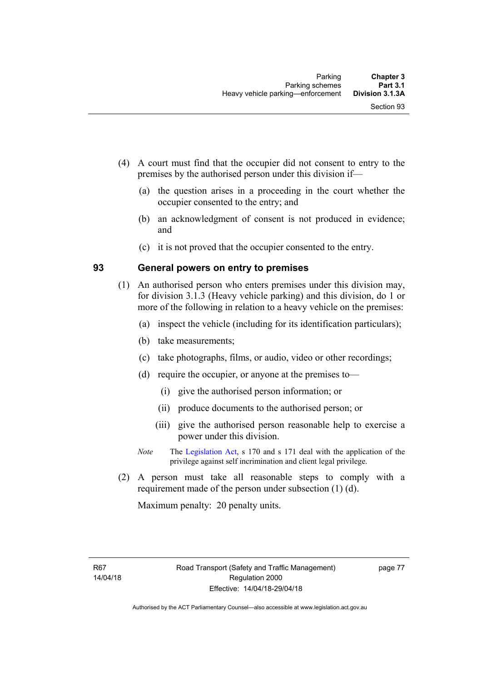- (4) A court must find that the occupier did not consent to entry to the premises by the authorised person under this division if—
	- (a) the question arises in a proceeding in the court whether the occupier consented to the entry; and
	- (b) an acknowledgment of consent is not produced in evidence; and
	- (c) it is not proved that the occupier consented to the entry.

#### **93 General powers on entry to premises**

- (1) An authorised person who enters premises under this division may, for division 3.1.3 (Heavy vehicle parking) and this division, do 1 or more of the following in relation to a heavy vehicle on the premises:
	- (a) inspect the vehicle (including for its identification particulars);
	- (b) take measurements;
	- (c) take photographs, films, or audio, video or other recordings;
	- (d) require the occupier, or anyone at the premises to—
		- (i) give the authorised person information; or
		- (ii) produce documents to the authorised person; or
		- (iii) give the authorised person reasonable help to exercise a power under this division.
	- *Note* The [Legislation Act,](http://www.legislation.act.gov.au/a/2001-14) s 170 and s 171 deal with the application of the privilege against self incrimination and client legal privilege.
- (2) A person must take all reasonable steps to comply with a requirement made of the person under subsection (1) (d).

Maximum penalty: 20 penalty units.

R67 14/04/18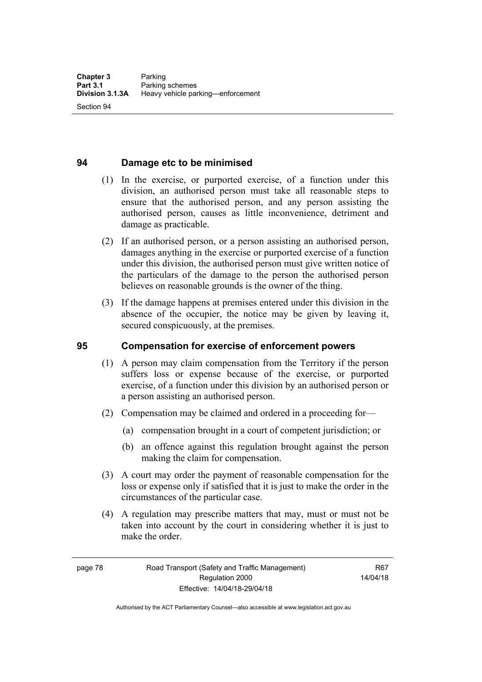Section 94

#### **94 Damage etc to be minimised**

- (1) In the exercise, or purported exercise, of a function under this division, an authorised person must take all reasonable steps to ensure that the authorised person, and any person assisting the authorised person, causes as little inconvenience, detriment and damage as practicable.
- (2) If an authorised person, or a person assisting an authorised person, damages anything in the exercise or purported exercise of a function under this division, the authorised person must give written notice of the particulars of the damage to the person the authorised person believes on reasonable grounds is the owner of the thing.
- (3) If the damage happens at premises entered under this division in the absence of the occupier, the notice may be given by leaving it, secured conspicuously, at the premises.

#### **95 Compensation for exercise of enforcement powers**

- (1) A person may claim compensation from the Territory if the person suffers loss or expense because of the exercise, or purported exercise, of a function under this division by an authorised person or a person assisting an authorised person.
- (2) Compensation may be claimed and ordered in a proceeding for—
	- (a) compensation brought in a court of competent jurisdiction; or
	- (b) an offence against this regulation brought against the person making the claim for compensation.
- (3) A court may order the payment of reasonable compensation for the loss or expense only if satisfied that it is just to make the order in the circumstances of the particular case.
- (4) A regulation may prescribe matters that may, must or must not be taken into account by the court in considering whether it is just to make the order.

page 78 Road Transport (Safety and Traffic Management) Regulation 2000 Effective: 14/04/18-29/04/18

R67 14/04/18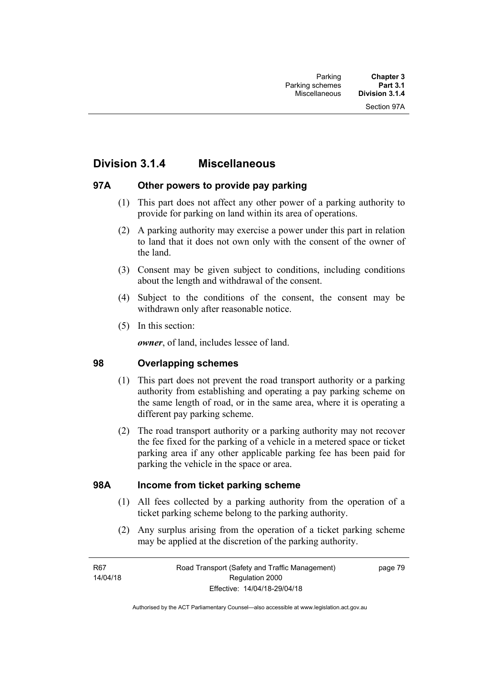# **Division 3.1.4 Miscellaneous**

#### **97A Other powers to provide pay parking**

- (1) This part does not affect any other power of a parking authority to provide for parking on land within its area of operations.
- (2) A parking authority may exercise a power under this part in relation to land that it does not own only with the consent of the owner of the land.
- (3) Consent may be given subject to conditions, including conditions about the length and withdrawal of the consent.
- (4) Subject to the conditions of the consent, the consent may be withdrawn only after reasonable notice.
- (5) In this section:

*owner*, of land, includes lessee of land.

#### **98 Overlapping schemes**

- (1) This part does not prevent the road transport authority or a parking authority from establishing and operating a pay parking scheme on the same length of road, or in the same area, where it is operating a different pay parking scheme.
- (2) The road transport authority or a parking authority may not recover the fee fixed for the parking of a vehicle in a metered space or ticket parking area if any other applicable parking fee has been paid for parking the vehicle in the space or area.

#### **98A Income from ticket parking scheme**

- (1) All fees collected by a parking authority from the operation of a ticket parking scheme belong to the parking authority.
- (2) Any surplus arising from the operation of a ticket parking scheme may be applied at the discretion of the parking authority.

page 79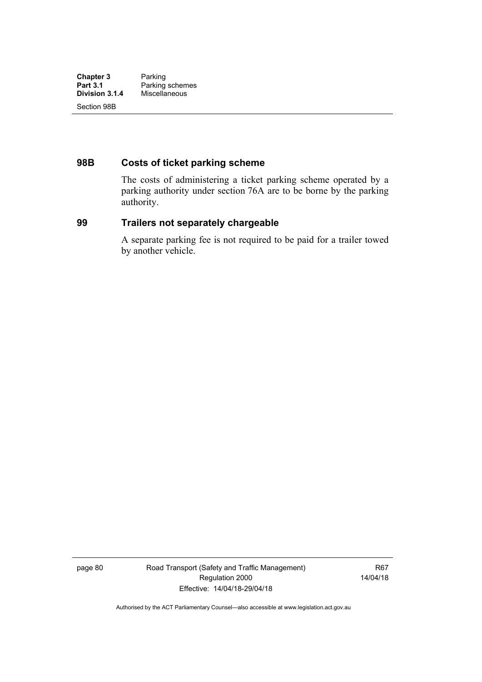## **98B Costs of ticket parking scheme**

The costs of administering a ticket parking scheme operated by a parking authority under section 76A are to be borne by the parking authority.

#### **99 Trailers not separately chargeable**

A separate parking fee is not required to be paid for a trailer towed by another vehicle.

page 80 Road Transport (Safety and Traffic Management) Regulation 2000 Effective: 14/04/18-29/04/18

R67 14/04/18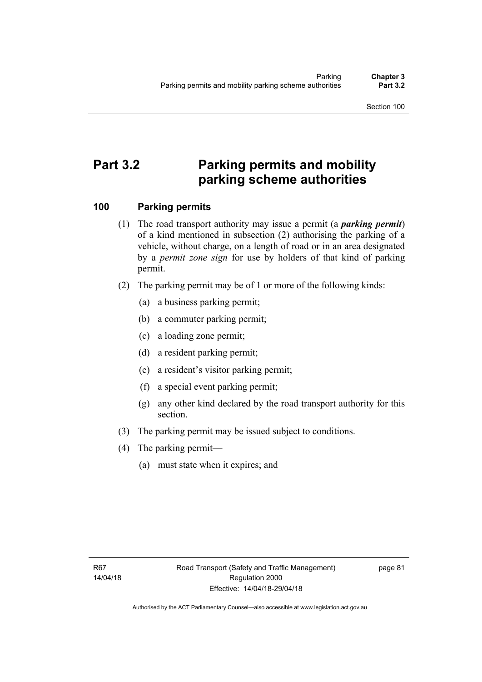# **Part 3.2 Parking permits and mobility parking scheme authorities**

#### **100 Parking permits**

- (1) The road transport authority may issue a permit (a *parking permit*) of a kind mentioned in subsection (2) authorising the parking of a vehicle, without charge, on a length of road or in an area designated by a *permit zone sign* for use by holders of that kind of parking permit.
- (2) The parking permit may be of 1 or more of the following kinds:
	- (a) a business parking permit;
	- (b) a commuter parking permit;
	- (c) a loading zone permit;
	- (d) a resident parking permit;
	- (e) a resident's visitor parking permit;
	- (f) a special event parking permit;
	- (g) any other kind declared by the road transport authority for this section.
- (3) The parking permit may be issued subject to conditions.
- (4) The parking permit—
	- (a) must state when it expires; and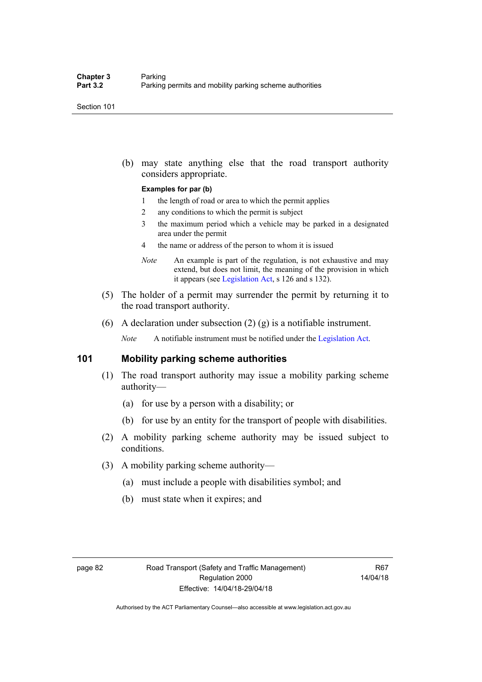(b) may state anything else that the road transport authority considers appropriate.

#### **Examples for par (b)**

- 1 the length of road or area to which the permit applies
- 2 any conditions to which the permit is subject
- 3 the maximum period which a vehicle may be parked in a designated area under the permit
- 4 the name or address of the person to whom it is issued
- *Note* An example is part of the regulation, is not exhaustive and may extend, but does not limit, the meaning of the provision in which it appears (see [Legislation Act,](http://www.legislation.act.gov.au/a/2001-14) s 126 and s 132).
- (5) The holder of a permit may surrender the permit by returning it to the road transport authority.
- (6) A declaration under subsection  $(2)$   $(g)$  is a notifiable instrument.

*Note* A notifiable instrument must be notified under the [Legislation Act](http://www.legislation.act.gov.au/a/2001-14).

#### **101 Mobility parking scheme authorities**

- (1) The road transport authority may issue a mobility parking scheme authority—
	- (a) for use by a person with a disability; or
	- (b) for use by an entity for the transport of people with disabilities.
- (2) A mobility parking scheme authority may be issued subject to conditions.
- (3) A mobility parking scheme authority—
	- (a) must include a people with disabilities symbol; and
	- (b) must state when it expires; and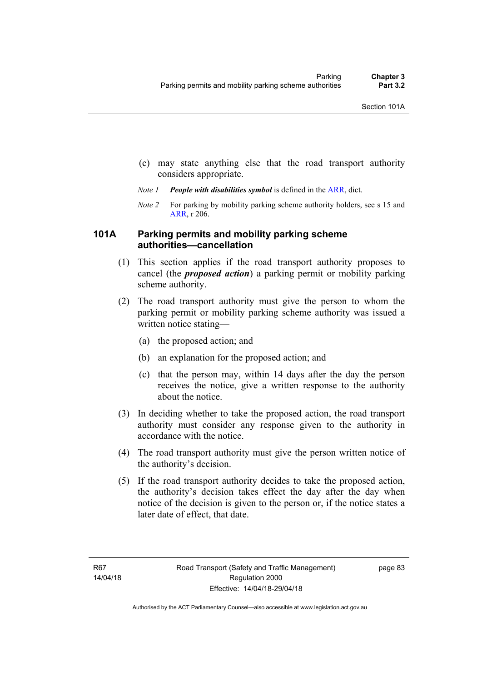- (c) may state anything else that the road transport authority considers appropriate.
- *Note 1 People with disabilities symbol* is defined in the [ARR,](http://www.legislation.act.gov.au//ni/db_37271/default.asp) dict.
- *Note 2* For parking by mobility parking scheme authority holders, see s 15 and [ARR,](http://www.legislation.act.gov.au//ni/db_37271/default.asp) r 206.

#### **101A Parking permits and mobility parking scheme authorities—cancellation**

- (1) This section applies if the road transport authority proposes to cancel (the *proposed action*) a parking permit or mobility parking scheme authority.
- (2) The road transport authority must give the person to whom the parking permit or mobility parking scheme authority was issued a written notice stating—
	- (a) the proposed action; and
	- (b) an explanation for the proposed action; and
	- (c) that the person may, within 14 days after the day the person receives the notice, give a written response to the authority about the notice.
- (3) In deciding whether to take the proposed action, the road transport authority must consider any response given to the authority in accordance with the notice.
- (4) The road transport authority must give the person written notice of the authority's decision.
- (5) If the road transport authority decides to take the proposed action, the authority's decision takes effect the day after the day when notice of the decision is given to the person or, if the notice states a later date of effect, that date.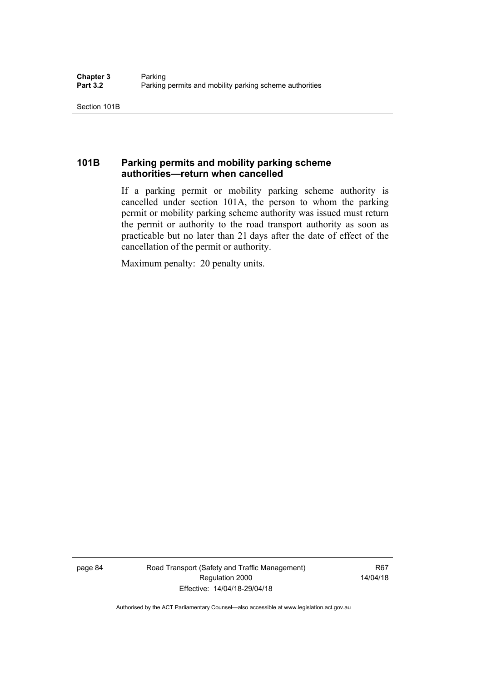## **101B Parking permits and mobility parking scheme authorities—return when cancelled**

If a parking permit or mobility parking scheme authority is cancelled under section 101A, the person to whom the parking permit or mobility parking scheme authority was issued must return the permit or authority to the road transport authority as soon as practicable but no later than 21 days after the date of effect of the cancellation of the permit or authority.

Maximum penalty: 20 penalty units.

page 84 Road Transport (Safety and Traffic Management) Regulation 2000 Effective: 14/04/18-29/04/18

R67 14/04/18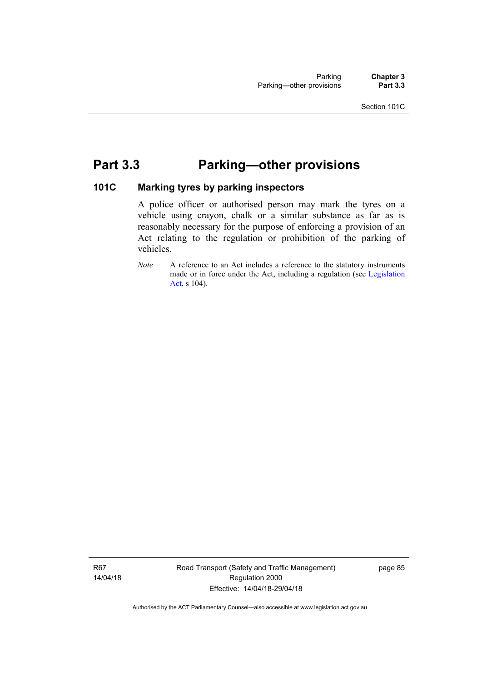# **Part 3.3 Parking—other provisions**

#### **101C Marking tyres by parking inspectors**

A police officer or authorised person may mark the tyres on a vehicle using crayon, chalk or a similar substance as far as is reasonably necessary for the purpose of enforcing a provision of an Act relating to the regulation or prohibition of the parking of vehicles.

*Note* A reference to an Act includes a reference to the statutory instruments made or in force under the Act, including a regulation (see [Legislation](http://www.legislation.act.gov.au/a/2001-14)  [Act,](http://www.legislation.act.gov.au/a/2001-14) s 104).

R67 14/04/18 Road Transport (Safety and Traffic Management) Regulation 2000 Effective: 14/04/18-29/04/18

page 85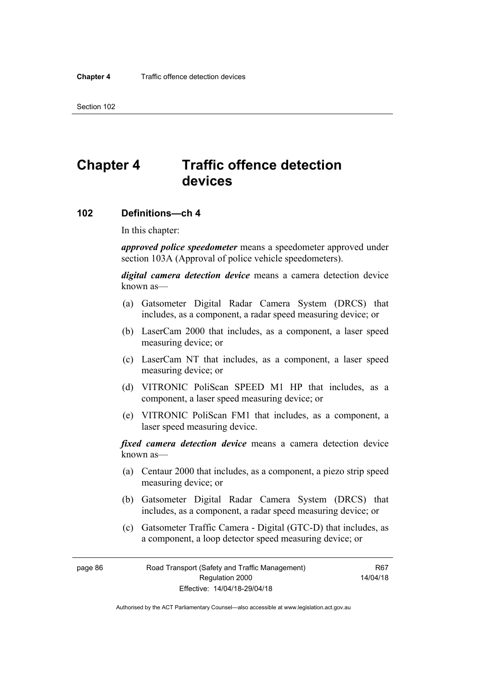# **Chapter 4 Traffic offence detection devices**

#### **102 Definitions—ch 4**

In this chapter:

*approved police speedometer* means a speedometer approved under section 103A (Approval of police vehicle speedometers).

*digital camera detection device* means a camera detection device known as—

- (a) Gatsometer Digital Radar Camera System (DRCS) that includes, as a component, a radar speed measuring device; or
- (b) LaserCam 2000 that includes, as a component, a laser speed measuring device; or
- (c) LaserCam NT that includes, as a component, a laser speed measuring device; or
- (d) VITRONIC PoliScan SPEED M1 HP that includes, as a component, a laser speed measuring device; or
- (e) VITRONIC PoliScan FM1 that includes, as a component, a laser speed measuring device.

*fixed camera detection device* means a camera detection device known as—

- (a) Centaur 2000 that includes, as a component, a piezo strip speed measuring device; or
- (b) Gatsometer Digital Radar Camera System (DRCS) that includes, as a component, a radar speed measuring device; or
- (c) Gatsometer Traffic Camera Digital (GTC-D) that includes, as a component, a loop detector speed measuring device; or

page 86 Road Transport (Safety and Traffic Management) Regulation 2000 Effective: 14/04/18-29/04/18

R67 14/04/18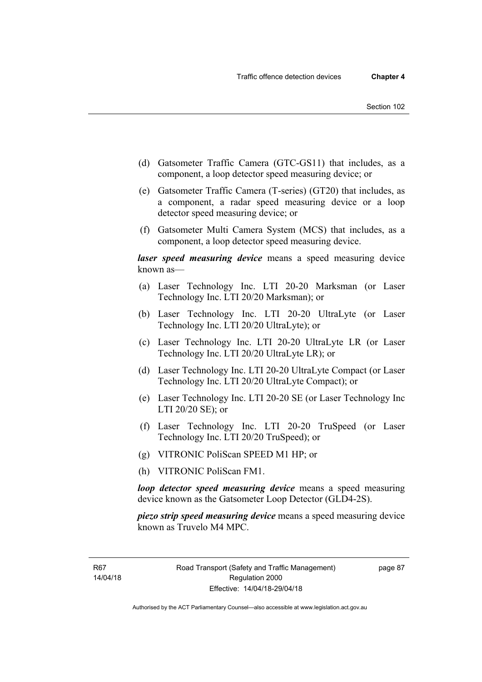- (d) Gatsometer Traffic Camera (GTC-GS11) that includes, as a component, a loop detector speed measuring device; or
- (e) Gatsometer Traffic Camera (T-series) (GT20) that includes, as a component, a radar speed measuring device or a loop detector speed measuring device; or
- (f) Gatsometer Multi Camera System (MCS) that includes, as a component, a loop detector speed measuring device.

*laser speed measuring device* means a speed measuring device known as—

- (a) Laser Technology Inc. LTI 20-20 Marksman (or Laser Technology Inc. LTI 20/20 Marksman); or
- (b) Laser Technology Inc. LTI 20-20 UltraLyte (or Laser Technology Inc. LTI 20/20 UltraLyte); or
- (c) Laser Technology Inc. LTI 20-20 UltraLyte LR (or Laser Technology Inc. LTI 20/20 UltraLyte LR); or
- (d) Laser Technology Inc. LTI 20-20 UltraLyte Compact (or Laser Technology Inc. LTI 20/20 UltraLyte Compact); or
- (e) Laser Technology Inc. LTI 20-20 SE (or Laser Technology Inc LTI 20/20 SE); or
- (f) Laser Technology Inc. LTI 20-20 TruSpeed (or Laser Technology Inc. LTI 20/20 TruSpeed); or
- (g) VITRONIC PoliScan SPEED M1 HP; or
- (h) VITRONIC PoliScan FM1.

*loop detector speed measuring device* means a speed measuring device known as the Gatsometer Loop Detector (GLD4-2S).

*piezo strip speed measuring device* means a speed measuring device known as Truvelo M4 MPC.

R67 14/04/18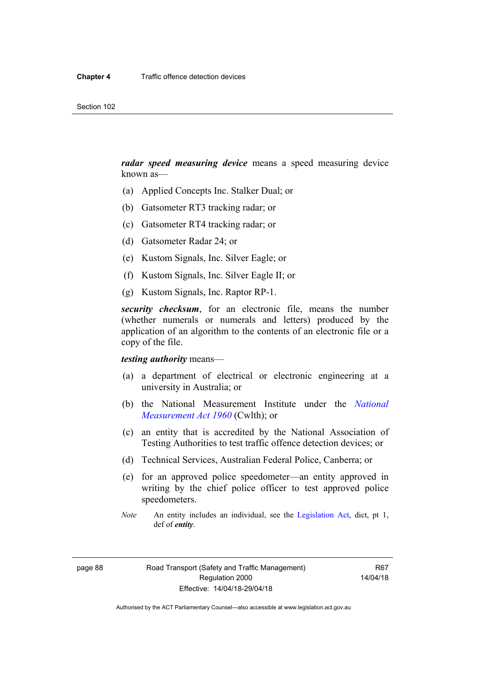*radar speed measuring device* means a speed measuring device known as—

- (a) Applied Concepts Inc. Stalker Dual; or
- (b) Gatsometer RT3 tracking radar; or
- (c) Gatsometer RT4 tracking radar; or
- (d) Gatsometer Radar 24; or
- (e) Kustom Signals, Inc. Silver Eagle; or
- (f) Kustom Signals, Inc. Silver Eagle II; or
- (g) Kustom Signals, Inc. Raptor RP-1.

*security checksum*, for an electronic file, means the number (whether numerals or numerals and letters) produced by the application of an algorithm to the contents of an electronic file or a copy of the file.

*testing authority* means—

- (a) a department of electrical or electronic engineering at a university in Australia; or
- (b) the National Measurement Institute under the *[National](http://www.comlaw.gov.au/Series/C2004A07405)  [Measurement Act 1960](http://www.comlaw.gov.au/Series/C2004A07405)* (Cwlth); or
- (c) an entity that is accredited by the National Association of Testing Authorities to test traffic offence detection devices; or
- (d) Technical Services, Australian Federal Police, Canberra; or
- (e) for an approved police speedometer—an entity approved in writing by the chief police officer to test approved police speedometers.
- *Note* An entity includes an individual, see the [Legislation Act](http://www.legislation.act.gov.au/a/2001-14), dict, pt 1, def of *entity*.

page 88 Road Transport (Safety and Traffic Management) Regulation 2000 Effective: 14/04/18-29/04/18

R67 14/04/18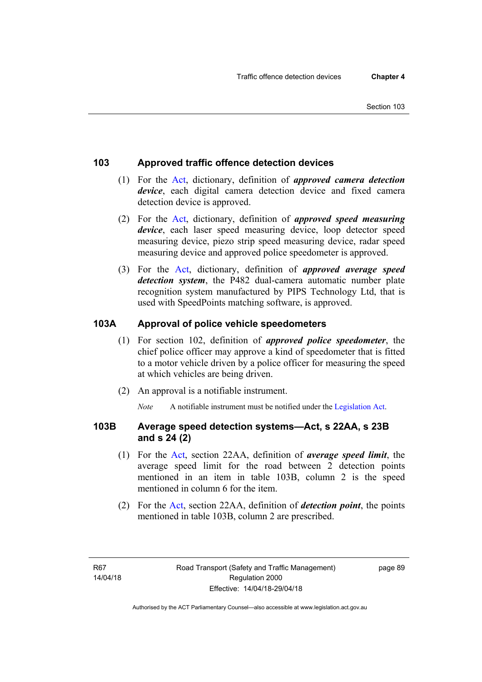#### **103 Approved traffic offence detection devices**

- (1) For the [Act,](http://www.legislation.act.gov.au/a/1999-80/default.asp) dictionary, definition of *approved camera detection device*, each digital camera detection device and fixed camera detection device is approved.
- (2) For the [Act,](http://www.legislation.act.gov.au/a/1999-80/default.asp) dictionary, definition of *approved speed measuring device*, each laser speed measuring device, loop detector speed measuring device, piezo strip speed measuring device, radar speed measuring device and approved police speedometer is approved.
- (3) For the [Act](http://www.legislation.act.gov.au/a/1999-80/default.asp), dictionary, definition of *approved average speed detection system*, the P482 dual-camera automatic number plate recognition system manufactured by PIPS Technology Ltd, that is used with SpeedPoints matching software, is approved.

#### **103A Approval of police vehicle speedometers**

- (1) For section 102, definition of *approved police speedometer*, the chief police officer may approve a kind of speedometer that is fitted to a motor vehicle driven by a police officer for measuring the speed at which vehicles are being driven.
- (2) An approval is a notifiable instrument.

*Note* A notifiable instrument must be notified under the [Legislation Act](http://www.legislation.act.gov.au/a/2001-14).

#### **103B Average speed detection systems—Act, s 22AA, s 23B and s 24 (2)**

- (1) For the [Act,](http://www.legislation.act.gov.au/a/1999-80/default.asp) section 22AA, definition of *average speed limit*, the average speed limit for the road between 2 detection points mentioned in an item in table 103B, column 2 is the speed mentioned in column 6 for the item.
- (2) For the [Act](http://www.legislation.act.gov.au/a/1999-80/default.asp), section 22AA, definition of *detection point*, the points mentioned in table 103B, column 2 are prescribed.

R67 14/04/18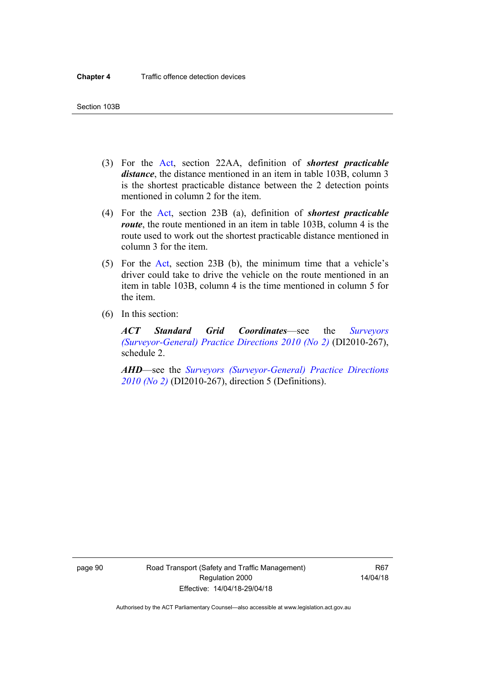- (3) For the [Act](http://www.legislation.act.gov.au/a/1999-80/default.asp), section 22AA, definition of *shortest practicable distance*, the distance mentioned in an item in table 103B, column 3 is the shortest practicable distance between the 2 detection points mentioned in column 2 for the item.
- (4) For the [Act,](http://www.legislation.act.gov.au/a/1999-80/default.asp) section 23B (a), definition of *shortest practicable route*, the route mentioned in an item in table 103B, column 4 is the route used to work out the shortest practicable distance mentioned in column 3 for the item.
- (5) For the [Act](http://www.legislation.act.gov.au/a/1999-80/default.asp), section 23B (b), the minimum time that a vehicle's driver could take to drive the vehicle on the route mentioned in an item in table 103B, column 4 is the time mentioned in column 5 for the item.
- (6) In this section:

*ACT Standard Grid Coordinates*—see the *[Surveyors](http://www.legislation.act.gov.au/di/2010-267/default.asp)  [\(Surveyor-General\) Practice Directions 2010 \(No 2\)](http://www.legislation.act.gov.au/di/2010-267/default.asp)* (DI2010-267), schedule 2.

*AHD*—see the *[Surveyors \(Surveyor-General\) Practice Directions](http://www.legislation.act.gov.au/di/2010-267/default.asp)  [2010 \(No 2\)](http://www.legislation.act.gov.au/di/2010-267/default.asp)* (DI2010-267), direction 5 (Definitions).

page 90 Road Transport (Safety and Traffic Management) Regulation 2000 Effective: 14/04/18-29/04/18

R67 14/04/18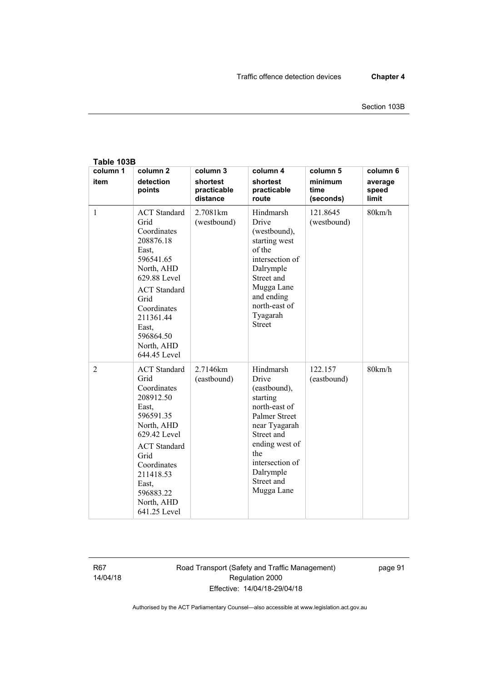| Table 103B       |                                                                                                                                                                                                                            |                                                 |                                                                                                                                                                                                             |                                          |                                       |
|------------------|----------------------------------------------------------------------------------------------------------------------------------------------------------------------------------------------------------------------------|-------------------------------------------------|-------------------------------------------------------------------------------------------------------------------------------------------------------------------------------------------------------------|------------------------------------------|---------------------------------------|
| column 1<br>item | column <sub>2</sub><br>detection<br>points                                                                                                                                                                                 | column 3<br>shortest<br>practicable<br>distance | column 4<br>shortest<br>practicable<br>route                                                                                                                                                                | column 5<br>minimum<br>time<br>(seconds) | column 6<br>average<br>speed<br>limit |
| $\mathbf{1}$     | <b>ACT</b> Standard<br>Grid<br>Coordinates<br>208876.18<br>East,<br>596541.65<br>North, AHD<br>629.88 Level<br><b>ACT</b> Standard<br>Grid<br>Coordinates<br>211361.44<br>East.<br>596864.50<br>North, AHD<br>644.45 Level | 2.7081km<br>(westbound)                         | Hindmarsh<br>Drive<br>(westbound),<br>starting west<br>of the<br>intersection of<br>Dalrymple<br>Street and<br>Mugga Lane<br>and ending<br>north-east of<br>Tyagarah<br><b>Street</b>                       | 121.8645<br>(westbound)                  | 80km/h                                |
| $\overline{2}$   | <b>ACT</b> Standard<br>Grid<br>Coordinates<br>208912.50<br>East,<br>596591.35<br>North, AHD<br>629 42 Level<br><b>ACT</b> Standard<br>Grid<br>Coordinates<br>211418.53<br>East.<br>596883.22<br>North, AHD<br>641.25 Level | 2.7146km<br>(eastbound)                         | Hindmarsh<br>Drive<br>(eastbound),<br>starting<br>north-east of<br><b>Palmer Street</b><br>near Tyagarah<br>Street and<br>ending west of<br>the<br>intersection of<br>Dalrymple<br>Street and<br>Mugga Lane | 122.157<br>(eastbound)                   | 80km/h                                |

R67 14/04/18 Road Transport (Safety and Traffic Management) Regulation 2000 Effective: 14/04/18-29/04/18

page 91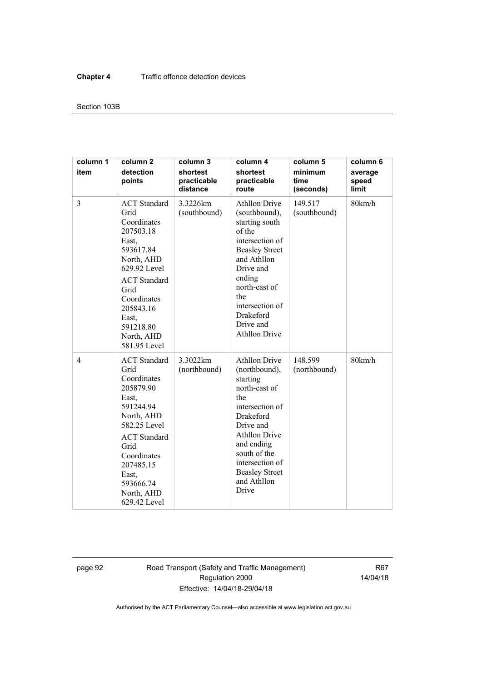## Section 103B

| column 1<br>item | column <sub>2</sub><br>detection<br>points                                                                                                                                                                                 | column 3<br>shortest<br>practicable<br>distance | column 4<br>shortest<br>practicable<br>route                                                                                                                                                                                                            | column 5<br>minimum<br>time<br>(seconds) | column 6<br>average<br>speed<br>limit |
|------------------|----------------------------------------------------------------------------------------------------------------------------------------------------------------------------------------------------------------------------|-------------------------------------------------|---------------------------------------------------------------------------------------------------------------------------------------------------------------------------------------------------------------------------------------------------------|------------------------------------------|---------------------------------------|
| 3                | <b>ACT</b> Standard<br>Grid<br>Coordinates<br>207503.18<br>East.<br>593617.84<br>North, AHD<br>629.92 Level<br><b>ACT</b> Standard<br>Grid<br>Coordinates<br>205843.16<br>East.<br>591218.80<br>North, AHD<br>581.95 Level | 3.3226km<br>(southbound)                        | <b>Athllon Drive</b><br>(southbound),<br>starting south<br>of the<br>intersection of<br><b>Beasley Street</b><br>and Athllon<br>Drive and<br>ending<br>north-east of<br>the<br>intersection of<br><b>Drakeford</b><br>Drive and<br><b>Athllon Drive</b> | 149.517<br>(southbound)                  | 80km/h                                |
| $\overline{4}$   | <b>ACT</b> Standard<br>Grid<br>Coordinates<br>205879.90<br>East,<br>591244.94<br>North, AHD<br>582.25 Level<br><b>ACT</b> Standard<br>Grid<br>Coordinates<br>207485.15<br>East,<br>593666.74<br>North, AHD<br>629.42 Level | 3.3022km<br>(northbound)                        | <b>Athllon Drive</b><br>(northbound),<br>starting<br>north-east of<br>the<br>intersection of<br>Drakeford<br>Drive and<br><b>Athllon Drive</b><br>and ending<br>south of the<br>intersection of<br><b>Beasley Street</b><br>and Athllon<br>Drive        | 148.599<br>(northbound)                  | 80km/h                                |

page 92 Road Transport (Safety and Traffic Management) Regulation 2000 Effective: 14/04/18-29/04/18

R67 14/04/18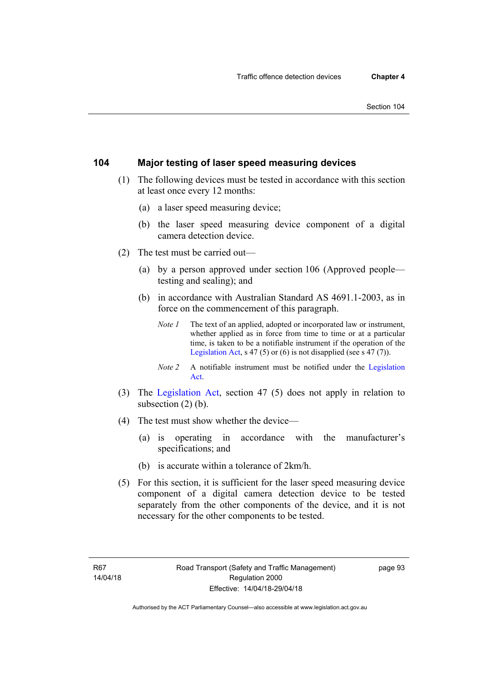## **104 Major testing of laser speed measuring devices**

- (1) The following devices must be tested in accordance with this section at least once every 12 months:
	- (a) a laser speed measuring device;
	- (b) the laser speed measuring device component of a digital camera detection device.
- (2) The test must be carried out—
	- (a) by a person approved under section 106 (Approved people testing and sealing); and
	- (b) in accordance with Australian Standard AS 4691.1-2003, as in force on the commencement of this paragraph.
		- *Note 1* The text of an applied, adopted or incorporated law or instrument, whether applied as in force from time to time or at a particular time, is taken to be a notifiable instrument if the operation of the [Legislation Act,](http://www.legislation.act.gov.au/a/2001-14) s 47 (5) or (6) is not disapplied (see s 47 (7)).
		- *Note 2* A notifiable instrument must be notified under the [Legislation](http://www.legislation.act.gov.au/a/2001-14)  [Act.](http://www.legislation.act.gov.au/a/2001-14)
- (3) The [Legislation Act,](http://www.legislation.act.gov.au/a/2001-14) section 47 (5) does not apply in relation to subsection (2) (b).
- (4) The test must show whether the device—
	- (a) is operating in accordance with the manufacturer's specifications; and
	- (b) is accurate within a tolerance of 2km/h.
- (5) For this section, it is sufficient for the laser speed measuring device component of a digital camera detection device to be tested separately from the other components of the device, and it is not necessary for the other components to be tested.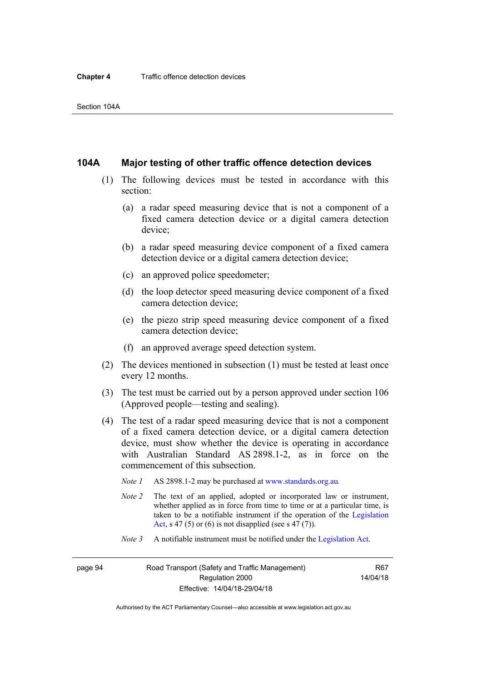## **104A Major testing of other traffic offence detection devices**

- (1) The following devices must be tested in accordance with this section:
	- (a) a radar speed measuring device that is not a component of a fixed camera detection device or a digital camera detection device;
	- (b) a radar speed measuring device component of a fixed camera detection device or a digital camera detection device;
	- (c) an approved police speedometer;
	- (d) the loop detector speed measuring device component of a fixed camera detection device;
	- (e) the piezo strip speed measuring device component of a fixed camera detection device;
	- (f) an approved average speed detection system.
- (2) The devices mentioned in subsection (1) must be tested at least once every 12 months.
- (3) The test must be carried out by a person approved under section 106 (Approved people—testing and sealing).
- (4) The test of a radar speed measuring device that is not a component of a fixed camera detection device, or a digital camera detection device, must show whether the device is operating in accordance with Australian Standard AS 2898.1-2, as in force on the commencement of this subsection.
	- *Note 1* AS 2898.1-2 may be purchased at [www.standards.org.au](http://www.standards.org.au/Pages/default.aspx)*.*
	- *Note 2* The text of an applied, adopted or incorporated law or instrument, whether applied as in force from time to time or at a particular time, is taken to be a notifiable instrument if the operation of the [Legislation](http://www.legislation.act.gov.au/a/2001-14)  [Act](http://www.legislation.act.gov.au/a/2001-14), s 47 (5) or (6) is not disapplied (see s 47 (7)).
	- *Note 3* A notifiable instrument must be notified under the [Legislation Act](http://www.legislation.act.gov.au/a/2001-14).

page 94 Road Transport (Safety and Traffic Management) Regulation 2000 Effective: 14/04/18-29/04/18

R67 14/04/18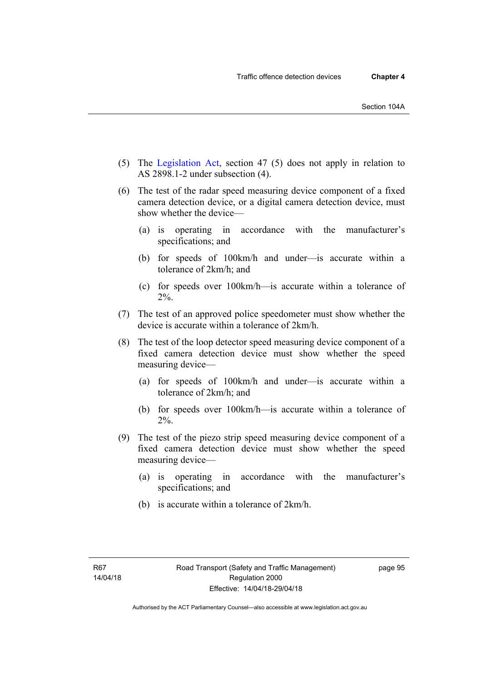- 
- (5) The [Legislation Act,](http://www.legislation.act.gov.au/a/2001-14) section 47 (5) does not apply in relation to AS 2898.1-2 under subsection (4).
- (6) The test of the radar speed measuring device component of a fixed camera detection device, or a digital camera detection device, must show whether the device—
	- (a) is operating in accordance with the manufacturer's specifications; and
	- (b) for speeds of 100km/h and under—is accurate within a tolerance of 2km/h; and
	- (c) for speeds over 100km/h—is accurate within a tolerance of 2%.
- (7) The test of an approved police speedometer must show whether the device is accurate within a tolerance of 2km/h.
- (8) The test of the loop detector speed measuring device component of a fixed camera detection device must show whether the speed measuring device—
	- (a) for speeds of 100km/h and under—is accurate within a tolerance of 2km/h; and
	- (b) for speeds over 100km/h—is accurate within a tolerance of 2%.
- (9) The test of the piezo strip speed measuring device component of a fixed camera detection device must show whether the speed measuring device—
	- (a) is operating in accordance with the manufacturer's specifications; and
	- (b) is accurate within a tolerance of 2km/h.

page 95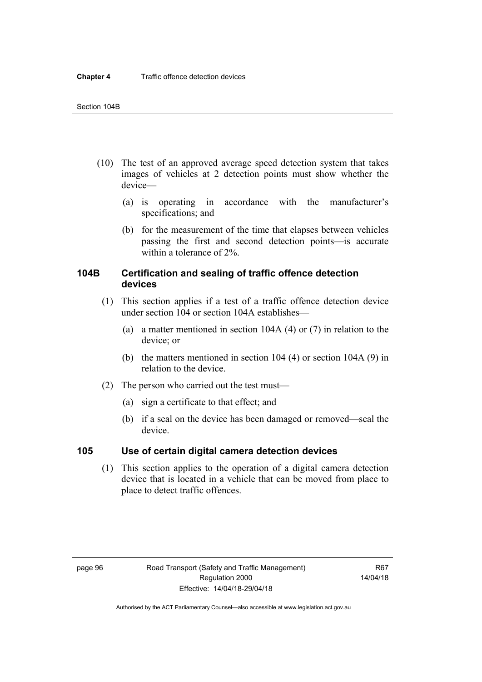- (10) The test of an approved average speed detection system that takes images of vehicles at 2 detection points must show whether the device—
	- (a) is operating in accordance with the manufacturer's specifications; and
	- (b) for the measurement of the time that elapses between vehicles passing the first and second detection points—is accurate within a tolerance of 2%.

## **104B Certification and sealing of traffic offence detection devices**

- (1) This section applies if a test of a traffic offence detection device under section 104 or section 104A establishes—
	- (a) a matter mentioned in section 104A (4) or (7) in relation to the device; or
	- (b) the matters mentioned in section 104 (4) or section 104A (9) in relation to the device.
- (2) The person who carried out the test must—
	- (a) sign a certificate to that effect; and
	- (b) if a seal on the device has been damaged or removed—seal the device.

## **105 Use of certain digital camera detection devices**

(1) This section applies to the operation of a digital camera detection device that is located in a vehicle that can be moved from place to place to detect traffic offences.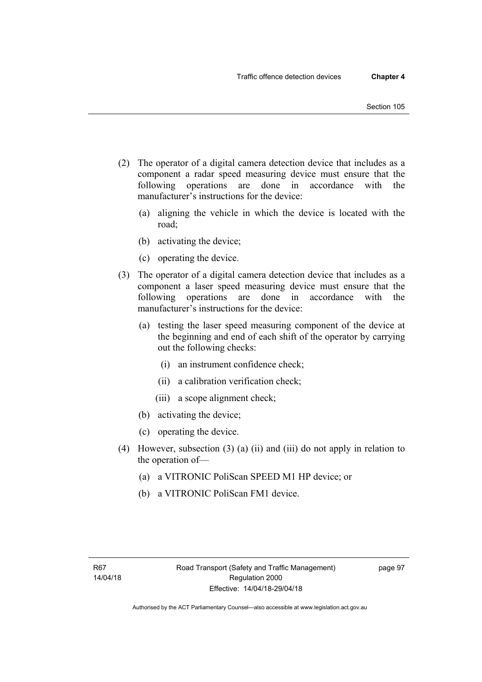- (2) The operator of a digital camera detection device that includes as a component a radar speed measuring device must ensure that the following operations are done in accordance with the manufacturer's instructions for the device:
	- (a) aligning the vehicle in which the device is located with the road;
	- (b) activating the device;
	- (c) operating the device.
- (3) The operator of a digital camera detection device that includes as a component a laser speed measuring device must ensure that the following operations are done in accordance with the manufacturer's instructions for the device:
	- (a) testing the laser speed measuring component of the device at the beginning and end of each shift of the operator by carrying out the following checks:
		- (i) an instrument confidence check;
		- (ii) a calibration verification check;
		- (iii) a scope alignment check;
	- (b) activating the device;
	- (c) operating the device.
- (4) However, subsection (3) (a) (ii) and (iii) do not apply in relation to the operation of—
	- (a) a VITRONIC PoliScan SPEED M1 HP device; or
	- (b) a VITRONIC PoliScan FM1 device.

page 97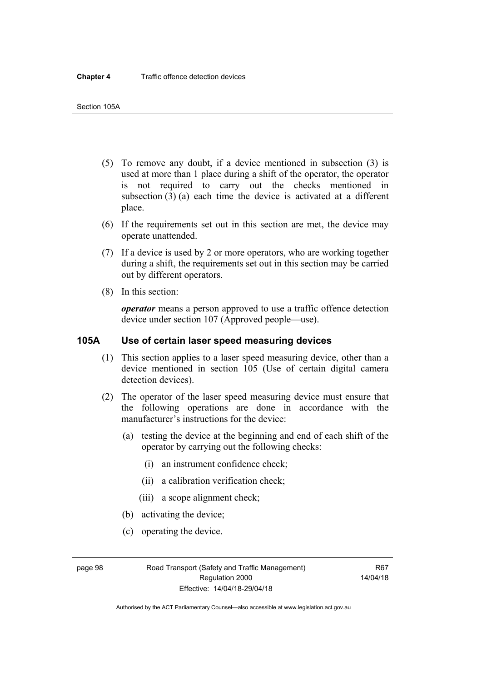- (5) To remove any doubt, if a device mentioned in subsection (3) is used at more than 1 place during a shift of the operator, the operator is not required to carry out the checks mentioned in subsection (3) (a) each time the device is activated at a different place.
- (6) If the requirements set out in this section are met, the device may operate unattended.
- (7) If a device is used by 2 or more operators, who are working together during a shift, the requirements set out in this section may be carried out by different operators.
- (8) In this section:

*operator* means a person approved to use a traffic offence detection device under section 107 (Approved people—use).

## **105A Use of certain laser speed measuring devices**

- (1) This section applies to a laser speed measuring device, other than a device mentioned in section 105 (Use of certain digital camera detection devices).
- (2) The operator of the laser speed measuring device must ensure that the following operations are done in accordance with the manufacturer's instructions for the device:
	- (a) testing the device at the beginning and end of each shift of the operator by carrying out the following checks:
		- (i) an instrument confidence check;
		- (ii) a calibration verification check;
		- (iii) a scope alignment check;
	- (b) activating the device;
	- (c) operating the device.

page 98 Road Transport (Safety and Traffic Management) Regulation 2000 Effective: 14/04/18-29/04/18

R67 14/04/18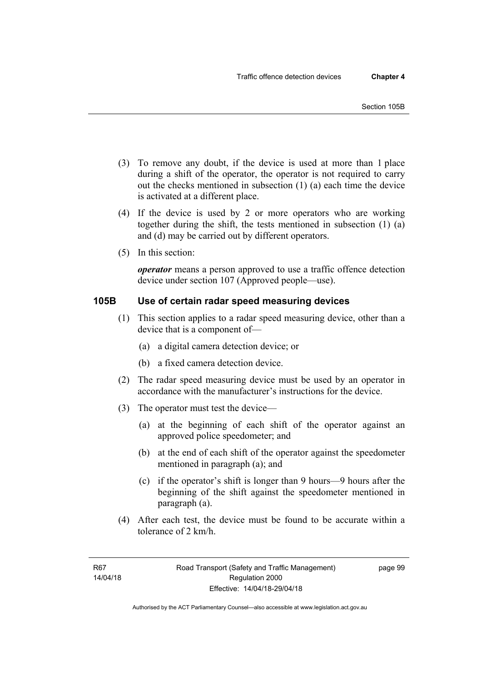- (3) To remove any doubt, if the device is used at more than 1 place during a shift of the operator, the operator is not required to carry out the checks mentioned in subsection (1) (a) each time the device is activated at a different place.
- (4) If the device is used by 2 or more operators who are working together during the shift, the tests mentioned in subsection (1) (a) and (d) may be carried out by different operators.
- (5) In this section:

*operator* means a person approved to use a traffic offence detection device under section 107 (Approved people—use).

## **105B Use of certain radar speed measuring devices**

- (1) This section applies to a radar speed measuring device, other than a device that is a component of—
	- (a) a digital camera detection device; or
	- (b) a fixed camera detection device.
- (2) The radar speed measuring device must be used by an operator in accordance with the manufacturer's instructions for the device.
- (3) The operator must test the device—
	- (a) at the beginning of each shift of the operator against an approved police speedometer; and
	- (b) at the end of each shift of the operator against the speedometer mentioned in paragraph (a); and
	- (c) if the operator's shift is longer than 9 hours—9 hours after the beginning of the shift against the speedometer mentioned in paragraph (a).
- (4) After each test, the device must be found to be accurate within a tolerance of 2 km/h.

page 99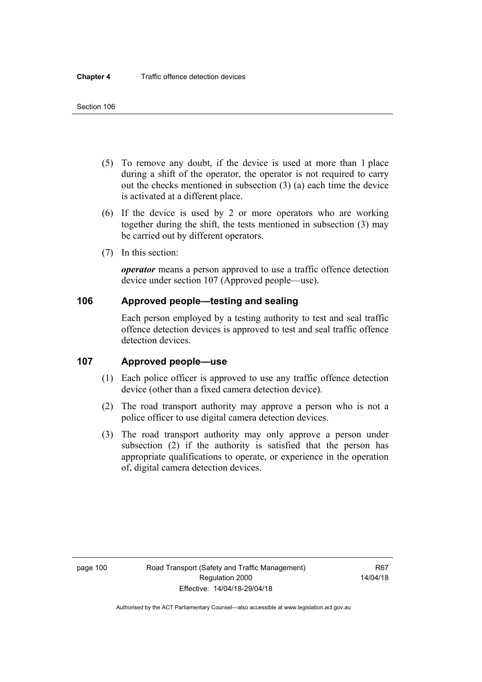- (5) To remove any doubt, if the device is used at more than 1 place during a shift of the operator, the operator is not required to carry out the checks mentioned in subsection (3) (a) each time the device is activated at a different place.
- (6) If the device is used by 2 or more operators who are working together during the shift, the tests mentioned in subsection (3) may be carried out by different operators.
- (7) In this section:

*operator* means a person approved to use a traffic offence detection device under section 107 (Approved people—use).

## **106 Approved people—testing and sealing**

Each person employed by a testing authority to test and seal traffic offence detection devices is approved to test and seal traffic offence detection devices.

## **107 Approved people—use**

- (1) Each police officer is approved to use any traffic offence detection device (other than a fixed camera detection device).
- (2) The road transport authority may approve a person who is not a police officer to use digital camera detection devices.
- (3) The road transport authority may only approve a person under subsection (2) if the authority is satisfied that the person has appropriate qualifications to operate, or experience in the operation of, digital camera detection devices.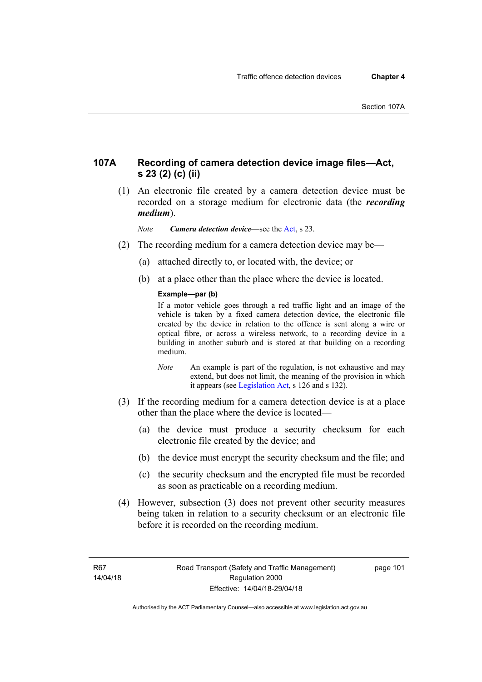## **107A Recording of camera detection device image files—Act, s 23 (2) (c) (ii)**

 (1) An electronic file created by a camera detection device must be recorded on a storage medium for electronic data (the *recording medium*).

*Note Camera detection device*—see the [Act](http://www.legislation.act.gov.au/a/1999-80/default.asp), s 23.

- (2) The recording medium for a camera detection device may be—
	- (a) attached directly to, or located with, the device; or
	- (b) at a place other than the place where the device is located.

## **Example—par (b)**

If a motor vehicle goes through a red traffic light and an image of the vehicle is taken by a fixed camera detection device, the electronic file created by the device in relation to the offence is sent along a wire or optical fibre, or across a wireless network, to a recording device in a building in another suburb and is stored at that building on a recording medium.

- *Note* An example is part of the regulation, is not exhaustive and may extend, but does not limit, the meaning of the provision in which it appears (see [Legislation Act,](http://www.legislation.act.gov.au/a/2001-14) s 126 and s 132).
- (3) If the recording medium for a camera detection device is at a place other than the place where the device is located—
	- (a) the device must produce a security checksum for each electronic file created by the device; and
	- (b) the device must encrypt the security checksum and the file; and
	- (c) the security checksum and the encrypted file must be recorded as soon as practicable on a recording medium.
- (4) However, subsection (3) does not prevent other security measures being taken in relation to a security checksum or an electronic file before it is recorded on the recording medium.

page 101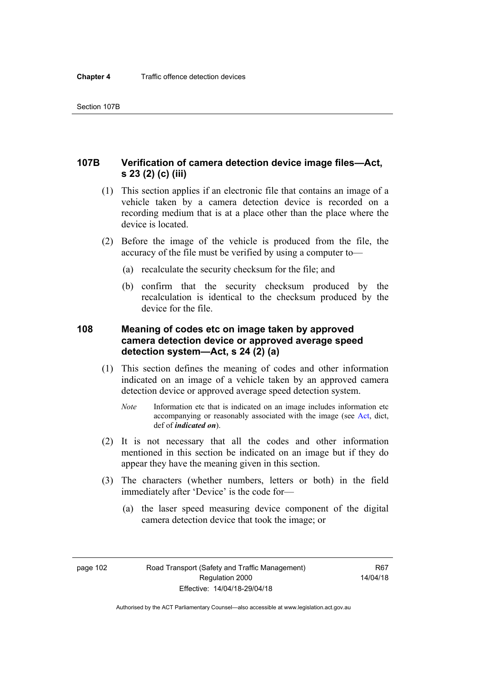## **107B Verification of camera detection device image files—Act, s 23 (2) (c) (iii)**

- (1) This section applies if an electronic file that contains an image of a vehicle taken by a camera detection device is recorded on a recording medium that is at a place other than the place where the device is located.
- (2) Before the image of the vehicle is produced from the file, the accuracy of the file must be verified by using a computer to—
	- (a) recalculate the security checksum for the file; and
	- (b) confirm that the security checksum produced by the recalculation is identical to the checksum produced by the device for the file.

## **108 Meaning of codes etc on image taken by approved camera detection device or approved average speed detection system—Act, s 24 (2) (a)**

- (1) This section defines the meaning of codes and other information indicated on an image of a vehicle taken by an approved camera detection device or approved average speed detection system.
	- *Note* Information etc that is indicated on an image includes information etc accompanying or reasonably associated with the image (see [Act](http://www.legislation.act.gov.au/a/1999-80/default.asp), dict, def of *indicated on*).
- (2) It is not necessary that all the codes and other information mentioned in this section be indicated on an image but if they do appear they have the meaning given in this section.
- (3) The characters (whether numbers, letters or both) in the field immediately after 'Device' is the code for—
	- (a) the laser speed measuring device component of the digital camera detection device that took the image; or

page 102 Road Transport (Safety and Traffic Management) Regulation 2000 Effective: 14/04/18-29/04/18

R67 14/04/18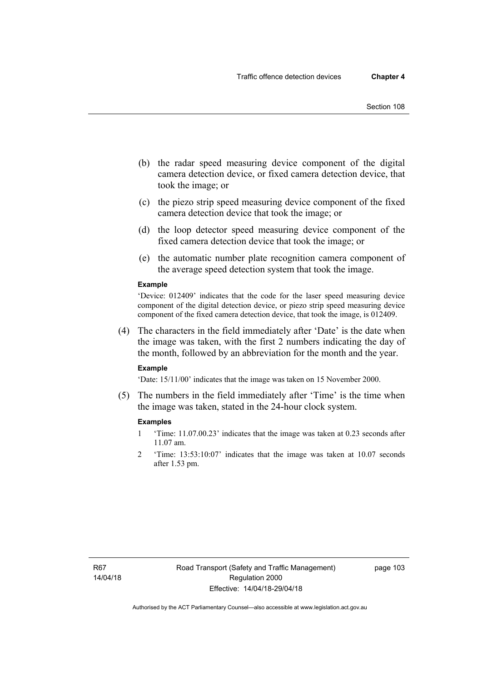- (b) the radar speed measuring device component of the digital camera detection device, or fixed camera detection device, that took the image; or
- (c) the piezo strip speed measuring device component of the fixed camera detection device that took the image; or
- (d) the loop detector speed measuring device component of the fixed camera detection device that took the image; or
- (e) the automatic number plate recognition camera component of the average speed detection system that took the image.

#### **Example**

'Device: 012409' indicates that the code for the laser speed measuring device component of the digital detection device, or piezo strip speed measuring device component of the fixed camera detection device, that took the image, is 012409.

 (4) The characters in the field immediately after 'Date' is the date when the image was taken, with the first 2 numbers indicating the day of the month, followed by an abbreviation for the month and the year.

#### **Example**

'Date: 15/11/00' indicates that the image was taken on 15 November 2000.

 (5) The numbers in the field immediately after 'Time' is the time when the image was taken, stated in the 24-hour clock system.

#### **Examples**

- 1 'Time: 11.07.00.23' indicates that the image was taken at 0.23 seconds after 11.07 am.
- 2 'Time: 13:53:10:07' indicates that the image was taken at 10.07 seconds after 1.53 pm.

page 103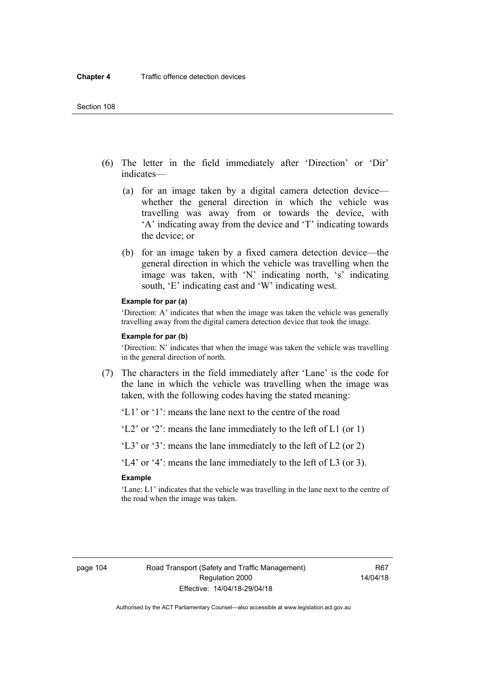- (6) The letter in the field immediately after 'Direction' or 'Dir' indicates—
	- (a) for an image taken by a digital camera detection device whether the general direction in which the vehicle was travelling was away from or towards the device, with 'A' indicating away from the device and 'T' indicating towards the device; or
	- (b) for an image taken by a fixed camera detection device—the general direction in which the vehicle was travelling when the image was taken, with 'N' indicating north, 's' indicating south, 'E' indicating east and 'W' indicating west.

#### **Example for par (a)**

'Direction: A' indicates that when the image was taken the vehicle was generally travelling away from the digital camera detection device that took the image.

#### **Example for par (b)**

'Direction: N' indicates that when the image was taken the vehicle was travelling in the general direction of north.

 (7) The characters in the field immediately after 'Lane' is the code for the lane in which the vehicle was travelling when the image was taken, with the following codes having the stated meaning:

'L1' or '1': means the lane next to the centre of the road

'L2' or '2': means the lane immediately to the left of L1 (or 1)

'L3' or '3': means the lane immediately to the left of L2 (or 2)

'L4' or '4': means the lane immediately to the left of L3 (or 3).

### **Example**

'Lane: L1' indicates that the vehicle was travelling in the lane next to the centre of the road when the image was taken.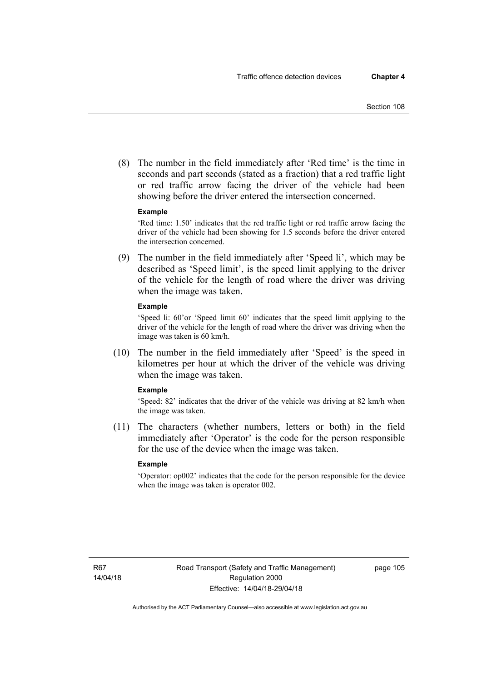(8) The number in the field immediately after 'Red time' is the time in seconds and part seconds (stated as a fraction) that a red traffic light or red traffic arrow facing the driver of the vehicle had been showing before the driver entered the intersection concerned.

### **Example**

'Red time: 1.50' indicates that the red traffic light or red traffic arrow facing the driver of the vehicle had been showing for 1.5 seconds before the driver entered the intersection concerned.

 (9) The number in the field immediately after 'Speed li', which may be described as 'Speed limit', is the speed limit applying to the driver of the vehicle for the length of road where the driver was driving when the image was taken.

### **Example**

'Speed li: 60'or 'Speed limit 60' indicates that the speed limit applying to the driver of the vehicle for the length of road where the driver was driving when the image was taken is 60 km/h.

 (10) The number in the field immediately after 'Speed' is the speed in kilometres per hour at which the driver of the vehicle was driving when the image was taken.

### **Example**

'Speed: 82' indicates that the driver of the vehicle was driving at 82 km/h when the image was taken.

 (11) The characters (whether numbers, letters or both) in the field immediately after 'Operator' is the code for the person responsible for the use of the device when the image was taken.

### **Example**

'Operator: op002' indicates that the code for the person responsible for the device when the image was taken is operator 002.

page 105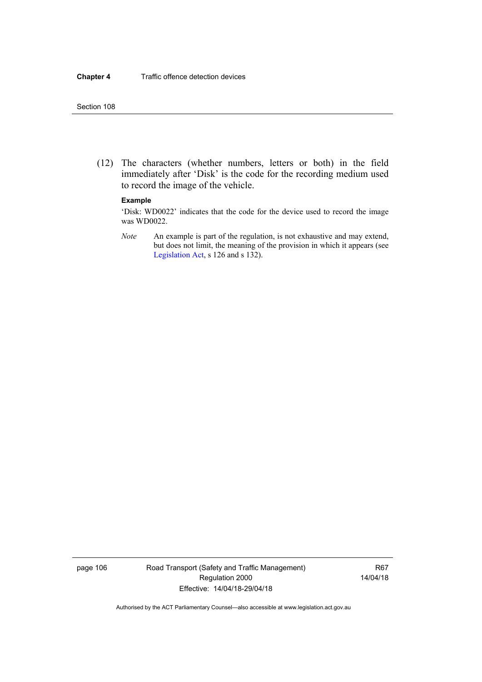(12) The characters (whether numbers, letters or both) in the field immediately after 'Disk' is the code for the recording medium used to record the image of the vehicle.

### **Example**

'Disk: WD0022' indicates that the code for the device used to record the image was WD0022.

*Note* An example is part of the regulation, is not exhaustive and may extend, but does not limit, the meaning of the provision in which it appears (see [Legislation Act,](http://www.legislation.act.gov.au/a/2001-14) s 126 and s 132).

page 106 Road Transport (Safety and Traffic Management) Regulation 2000 Effective: 14/04/18-29/04/18

R67 14/04/18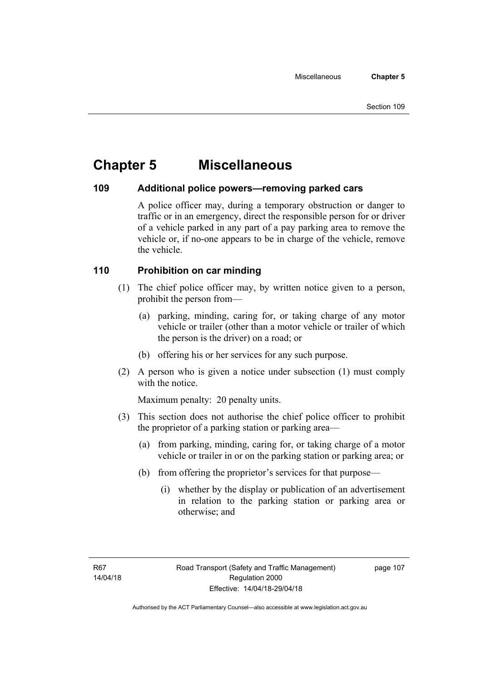# **Chapter 5 Miscellaneous**

## **109 Additional police powers—removing parked cars**

A police officer may, during a temporary obstruction or danger to traffic or in an emergency, direct the responsible person for or driver of a vehicle parked in any part of a pay parking area to remove the vehicle or, if no-one appears to be in charge of the vehicle, remove the vehicle.

## **110 Prohibition on car minding**

- (1) The chief police officer may, by written notice given to a person, prohibit the person from—
	- (a) parking, minding, caring for, or taking charge of any motor vehicle or trailer (other than a motor vehicle or trailer of which the person is the driver) on a road; or
	- (b) offering his or her services for any such purpose.
- (2) A person who is given a notice under subsection (1) must comply with the notice.

Maximum penalty: 20 penalty units.

- (3) This section does not authorise the chief police officer to prohibit the proprietor of a parking station or parking area—
	- (a) from parking, minding, caring for, or taking charge of a motor vehicle or trailer in or on the parking station or parking area; or
	- (b) from offering the proprietor's services for that purpose—
		- (i) whether by the display or publication of an advertisement in relation to the parking station or parking area or otherwise; and

page 107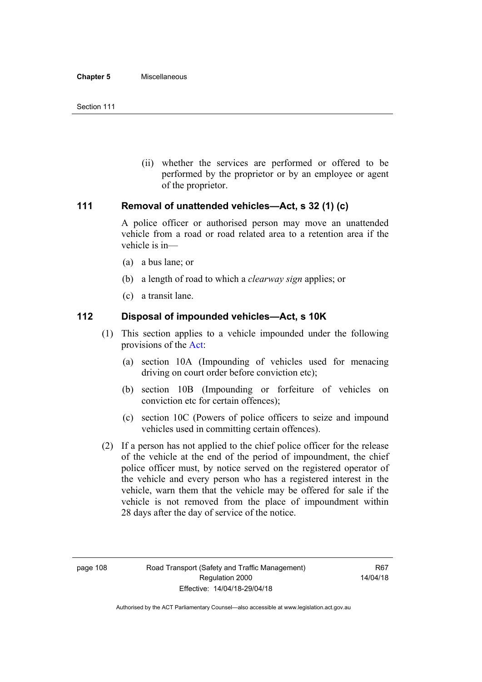(ii) whether the services are performed or offered to be performed by the proprietor or by an employee or agent of the proprietor.

## **111 Removal of unattended vehicles—Act, s 32 (1) (c)**

A police officer or authorised person may move an unattended vehicle from a road or road related area to a retention area if the vehicle is in—

- (a) a bus lane; or
- (b) a length of road to which a *clearway sign* applies; or
- (c) a transit lane.

## **112 Disposal of impounded vehicles—Act, s 10K**

- (1) This section applies to a vehicle impounded under the following provisions of the [Act:](http://www.legislation.act.gov.au/a/1999-80/default.asp)
	- (a) section 10A (Impounding of vehicles used for menacing driving on court order before conviction etc);
	- (b) section 10B (Impounding or forfeiture of vehicles on conviction etc for certain offences);
	- (c) section 10C (Powers of police officers to seize and impound vehicles used in committing certain offences).
- (2) If a person has not applied to the chief police officer for the release of the vehicle at the end of the period of impoundment, the chief police officer must, by notice served on the registered operator of the vehicle and every person who has a registered interest in the vehicle, warn them that the vehicle may be offered for sale if the vehicle is not removed from the place of impoundment within 28 days after the day of service of the notice.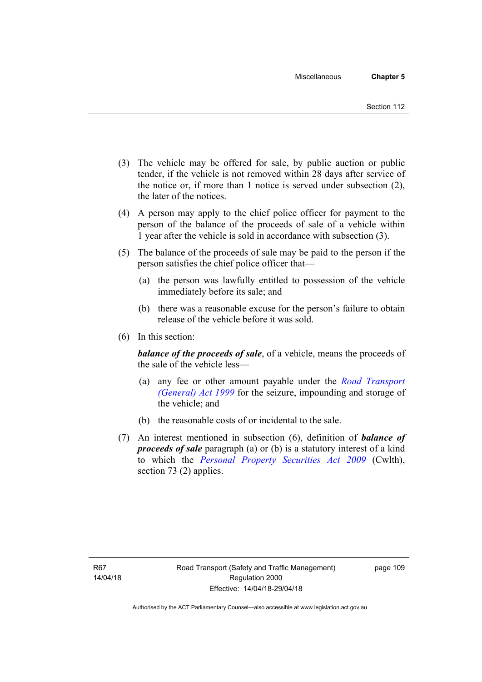- (3) The vehicle may be offered for sale, by public auction or public tender, if the vehicle is not removed within 28 days after service of the notice or, if more than 1 notice is served under subsection (2), the later of the notices.
- (4) A person may apply to the chief police officer for payment to the person of the balance of the proceeds of sale of a vehicle within 1 year after the vehicle is sold in accordance with subsection (3).
- (5) The balance of the proceeds of sale may be paid to the person if the person satisfies the chief police officer that—
	- (a) the person was lawfully entitled to possession of the vehicle immediately before its sale; and
	- (b) there was a reasonable excuse for the person's failure to obtain release of the vehicle before it was sold.
- (6) In this section:

*balance of the proceeds of sale*, of a vehicle, means the proceeds of the sale of the vehicle less—

- (a) any fee or other amount payable under the *[Road Transport](http://www.legislation.act.gov.au/a/1999-77)  [\(General\) Act 1999](http://www.legislation.act.gov.au/a/1999-77)* for the seizure, impounding and storage of the vehicle; and
- (b) the reasonable costs of or incidental to the sale.
- (7) An interest mentioned in subsection (6), definition of *balance of proceeds of sale* paragraph (a) or (b) is a statutory interest of a kind to which the *[Personal Property Securities Act 2009](http://www.comlaw.gov.au/Series/C2009A00130)* (Cwlth), section 73 (2) applies.

page 109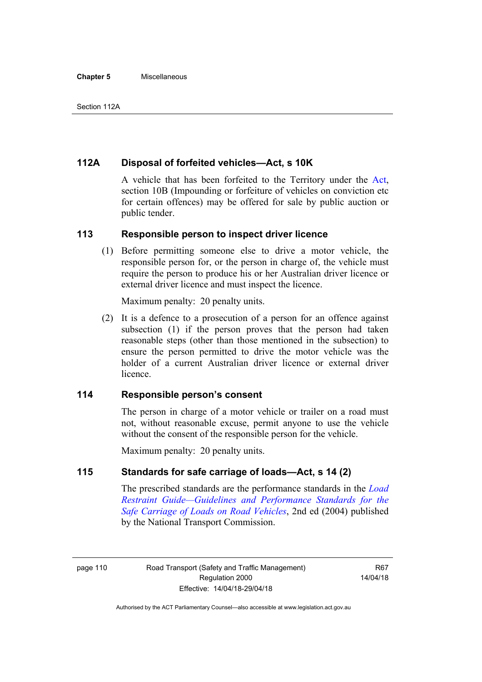## **112A Disposal of forfeited vehicles—Act, s 10K**

A vehicle that has been forfeited to the Territory under the [Act](http://www.legislation.act.gov.au/a/1999-80/default.asp), section 10B (Impounding or forfeiture of vehicles on conviction etc for certain offences) may be offered for sale by public auction or public tender.

## **113 Responsible person to inspect driver licence**

(1) Before permitting someone else to drive a motor vehicle, the responsible person for, or the person in charge of, the vehicle must require the person to produce his or her Australian driver licence or external driver licence and must inspect the licence.

Maximum penalty: 20 penalty units.

 (2) It is a defence to a prosecution of a person for an offence against subsection (1) if the person proves that the person had taken reasonable steps (other than those mentioned in the subsection) to ensure the person permitted to drive the motor vehicle was the holder of a current Australian driver licence or external driver **licence** 

## **114 Responsible person's consent**

The person in charge of a motor vehicle or trailer on a road must not, without reasonable excuse, permit anyone to use the vehicle without the consent of the responsible person for the vehicle.

Maximum penalty: 20 penalty units.

## **115 Standards for safe carriage of loads—Act, s 14 (2)**

The prescribed standards are the performance standards in the *[Load](http://www.ntc.gov.au/viewpage.aspx?documentid=862)  [Restraint Guide—Guidelines and Performance Standards for the](http://www.ntc.gov.au/viewpage.aspx?documentid=862)  [Safe Carriage of Loads on Road Vehicles](http://www.ntc.gov.au/viewpage.aspx?documentid=862)*, 2nd ed (2004) published by the National Transport Commission.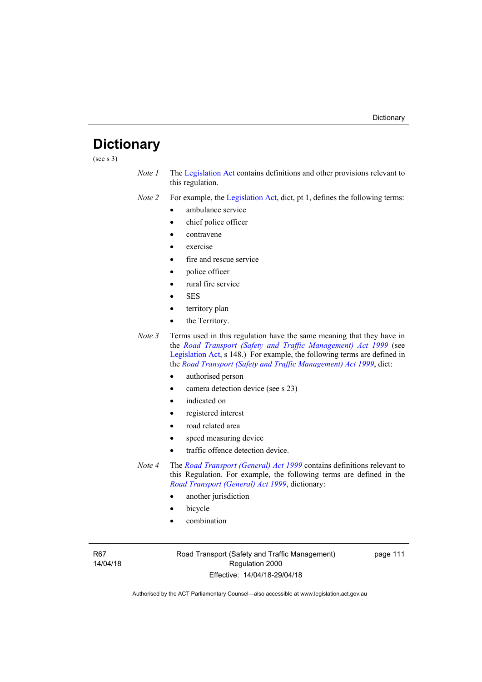# **Dictionary**

(see s 3)

*Note 1* The [Legislation Act](http://www.legislation.act.gov.au/a/2001-14) contains definitions and other provisions relevant to this regulation.

*Note 2* For example, the [Legislation Act,](http://www.legislation.act.gov.au/a/2001-14) dict, pt 1, defines the following terms:

- ambulance service
- chief police officer
- contravene
- exercise
- fire and rescue service
- police officer
- rural fire service
- SES
- territory plan
- the Territory.
- *Note* 3 Terms used in this regulation have the same meaning that they have in the *[Road Transport \(Safety and Traffic Management\) Act 1999](http://www.legislation.act.gov.au/a/1999-80)* (see [Legislation Act,](http://www.legislation.act.gov.au/a/2001-14) s 148.) For example, the following terms are defined in the *[Road Transport \(Safety and Traffic Management\) Act 1999](http://www.legislation.act.gov.au/a/1999-80)*, dict:
	- authorised person
	- camera detection device (see s 23)
	- indicated on
	- registered interest
	- road related area
	- speed measuring device
	- traffic offence detection device.
- *Note 4* The *[Road Transport \(General\) Act 1999](http://www.legislation.act.gov.au/a/1999-77)* contains definitions relevant to this Regulation. For example, the following terms are defined in the *[Road Transport \(General\) Act 1999](http://www.legislation.act.gov.au/a/1999-77)*, dictionary:
	- another jurisdiction
	- bicycle
	- combination

R67 14/04/18 Road Transport (Safety and Traffic Management) Regulation 2000 Effective: 14/04/18-29/04/18

page 111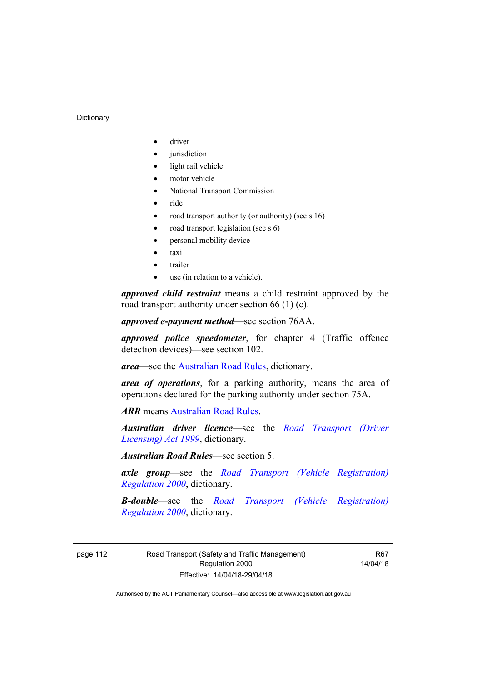#### **Dictionary**

- driver
- jurisdiction
- light rail vehicle
- motor vehicle
- National Transport Commission
- $\bullet$  ride
- road transport authority (or authority) (see s 16)
- road transport legislation (see s 6)
- personal mobility device
- taxi
- trailer
- use (in relation to a vehicle).

*approved child restraint* means a child restraint approved by the road transport authority under section 66 (1) (c).

*approved e-payment method*—see section 76AA.

*approved police speedometer*, for chapter 4 (Traffic offence detection devices)—see section 102.

*area*—see the [Australian Road Rules,](http://www.legislation.act.gov.au//ni/db_37271/default.asp) dictionary.

*area of operations*, for a parking authority, means the area of operations declared for the parking authority under section 75A.

*ARR* means [Australian Road Rules](http://www.legislation.act.gov.au//ni/db_37271/default.asp).

*Australian driver licence*—see the *[Road Transport \(Driver](http://www.legislation.act.gov.au/a/1999-78)  [Licensing\) Act 1999](http://www.legislation.act.gov.au/a/1999-78)*, dictionary.

*Australian Road Rules*—see section 5.

*axle group*—see the *[Road Transport \(Vehicle Registration\)](http://www.legislation.act.gov.au/sl/2000-12)  [Regulation 2000](http://www.legislation.act.gov.au/sl/2000-12)*, dictionary.

*B-double*—see the *[Road Transport \(Vehicle Registration\)](http://www.legislation.act.gov.au/sl/2000-12)  [Regulation 2000](http://www.legislation.act.gov.au/sl/2000-12)*, dictionary.

page 112 Road Transport (Safety and Traffic Management) Regulation 2000 Effective: 14/04/18-29/04/18

R67 14/04/18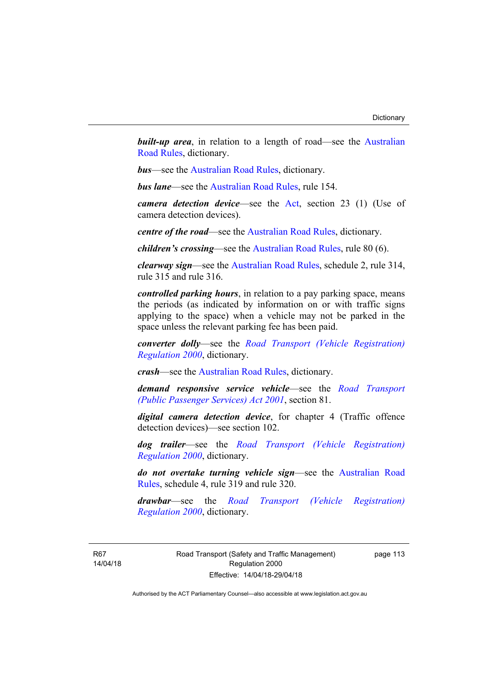**built-up area**, in relation to a length of road—see the Australian [Road Rules,](http://www.legislation.act.gov.au//ni/db_37271/default.asp) dictionary.

*bus*—see the [Australian Road Rules](http://www.legislation.act.gov.au//ni/db_37271/default.asp), dictionary.

*bus lane*—see the [Australian Road Rules](http://www.legislation.act.gov.au//ni/db_37271/default.asp), rule 154.

*camera detection device*—see the [Act,](http://www.legislation.act.gov.au/a/1999-80/default.asp) section 23 (1) (Use of camera detection devices).

*centre of the road*—see the [Australian Road Rules](http://www.legislation.act.gov.au//ni/db_37271/default.asp), dictionary.

*children's crossing*—see the [Australian Road Rules](http://www.legislation.act.gov.au//ni/db_37271/default.asp), rule 80 (6).

*clearway sign*—see the [Australian Road Rules,](http://www.legislation.act.gov.au//ni/db_37271/default.asp) schedule 2, rule 314, rule 315 and rule 316.

*controlled parking hours*, in relation to a pay parking space, means the periods (as indicated by information on or with traffic signs applying to the space) when a vehicle may not be parked in the space unless the relevant parking fee has been paid.

*converter dolly*—see the *[Road Transport \(Vehicle Registration\)](http://www.legislation.act.gov.au/sl/2000-12)  [Regulation 2000](http://www.legislation.act.gov.au/sl/2000-12)*, dictionary.

*crash*—see the [Australian Road Rules](http://www.legislation.act.gov.au//ni/db_37271/default.asp), dictionary.

*demand responsive service vehicle*—see the *[Road Transport](http://www.legislation.act.gov.au/a/2001-62)  [\(Public Passenger Services\) Act 2001](http://www.legislation.act.gov.au/a/2001-62)*, section 81.

*digital camera detection device*, for chapter 4 (Traffic offence detection devices)—see section 102.

*dog trailer*—see the *[Road Transport \(Vehicle Registration\)](http://www.legislation.act.gov.au/sl/2000-12)  [Regulation 2000](http://www.legislation.act.gov.au/sl/2000-12)*, dictionary.

*do not overtake turning vehicle sign*—see the [Australian Road](http://www.legislation.act.gov.au//ni/db_37271/default.asp)  [Rules](http://www.legislation.act.gov.au//ni/db_37271/default.asp), schedule 4, rule 319 and rule 320.

*drawbar*—see the *[Road Transport \(Vehicle Registration\)](http://www.legislation.act.gov.au/sl/2000-12)  [Regulation 2000](http://www.legislation.act.gov.au/sl/2000-12)*, dictionary.

R67 14/04/18 Road Transport (Safety and Traffic Management) Regulation 2000 Effective: 14/04/18-29/04/18

page 113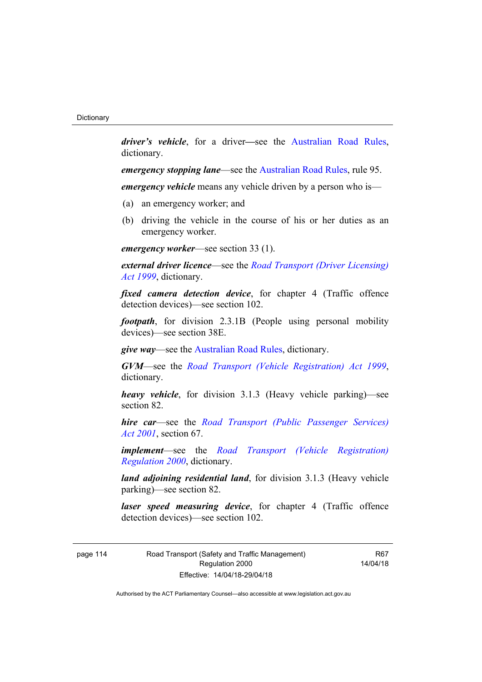*driver's vehicle*, for a driver*—*see the [Australian Road Rules](http://www.legislation.act.gov.au//ni/db_37271/default.asp), dictionary.

*emergency stopping lane—see the [Australian Road Rules](http://www.legislation.act.gov.au//ni/db_37271/default.asp), rule 95.* 

*emergency vehicle* means any vehicle driven by a person who is—

- (a) an emergency worker; and
- (b) driving the vehicle in the course of his or her duties as an emergency worker.

*emergency worker*—see section 33 (1).

*external driver licence*—see the *[Road Transport \(Driver Licensing\)](http://www.legislation.act.gov.au/a/1999-78)  [Act 1999](http://www.legislation.act.gov.au/a/1999-78)*, dictionary.

*fixed camera detection device*, for chapter 4 (Traffic offence detection devices)—see section 102.

*footpath*, for division 2.3.1B (People using personal mobility devices)—see section 38E.

*give way*—see the [Australian Road Rules,](http://www.legislation.act.gov.au//ni/db_37271/default.asp) dictionary.

*GVM*—see the *[Road Transport \(Vehicle Registration\) Act 1999](http://www.legislation.act.gov.au/a/1999-81)*, dictionary.

*heavy vehicle*, for division 3.1.3 (Heavy vehicle parking)—see section 82.

*hire car*—see the *[Road Transport \(Public Passenger Services\)](http://www.legislation.act.gov.au/a/2001-62)  [Act 2001](http://www.legislation.act.gov.au/a/2001-62)*, section 67.

*implement*—see the *[Road Transport \(Vehicle Registration\)](http://www.legislation.act.gov.au/sl/2000-12)  [Regulation 2000](http://www.legislation.act.gov.au/sl/2000-12)*, dictionary.

*land adjoining residential land*, for division 3.1.3 (Heavy vehicle parking)—see section 82.

*laser speed measuring device*, for chapter 4 (Traffic offence detection devices)—see section 102.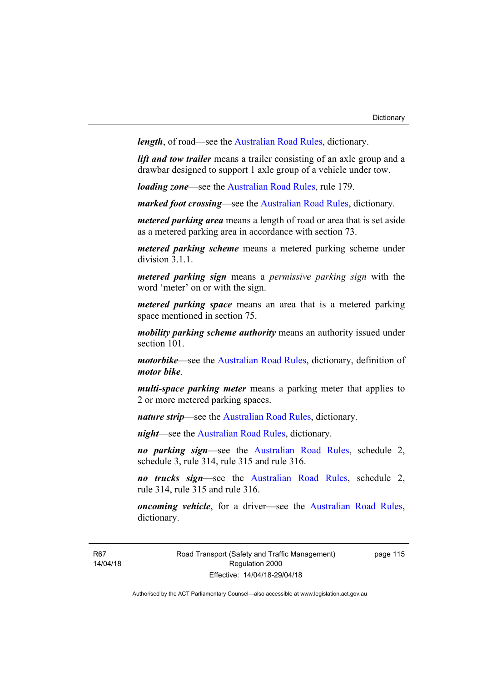*length*, of road—see the [Australian Road Rules](http://www.legislation.act.gov.au//ni/db_37271/default.asp), dictionary.

*lift and tow trailer* means a trailer consisting of an axle group and a drawbar designed to support 1 axle group of a vehicle under tow.

*loading zone*—see the [Australian Road Rules,](http://www.legislation.act.gov.au//ni/db_37271/default.asp) rule 179.

*marked foot crossing*—see the [Australian Road Rules,](http://www.legislation.act.gov.au//ni/db_37271/default.asp) dictionary.

*metered parking area* means a length of road or area that is set aside as a metered parking area in accordance with section 73.

*metered parking scheme* means a metered parking scheme under division 3.1.1.

*metered parking sign* means a *permissive parking sign* with the word 'meter' on or with the sign.

*metered parking space* means an area that is a metered parking space mentioned in section 75.

*mobility parking scheme authority* means an authority issued under section 101.

*motorbike*—see the [Australian Road Rules,](http://www.legislation.act.gov.au//ni/db_37271/default.asp) dictionary, definition of *motor bike*.

*multi-space parking meter* means a parking meter that applies to 2 or more metered parking spaces.

*nature strip*—see the [Australian Road Rules](http://www.legislation.act.gov.au//ni/db_37271/default.asp), dictionary.

*night*—see the [Australian Road Rules,](http://www.legislation.act.gov.au//ni/db_37271/default.asp) dictionary.

*no parking sign*—see the [Australian Road Rules](http://www.legislation.act.gov.au//ni/db_37271/default.asp), schedule 2, schedule 3, rule 314, rule 315 and rule 316.

*no trucks sign*—see the [Australian Road Rules,](http://www.legislation.act.gov.au//ni/db_37271/default.asp) schedule 2, rule 314, rule 315 and rule 316.

*oncoming vehicle*, for a driver—see the [Australian Road Rules](http://www.legislation.act.gov.au//ni/db_37271/default.asp), dictionary.

R67 14/04/18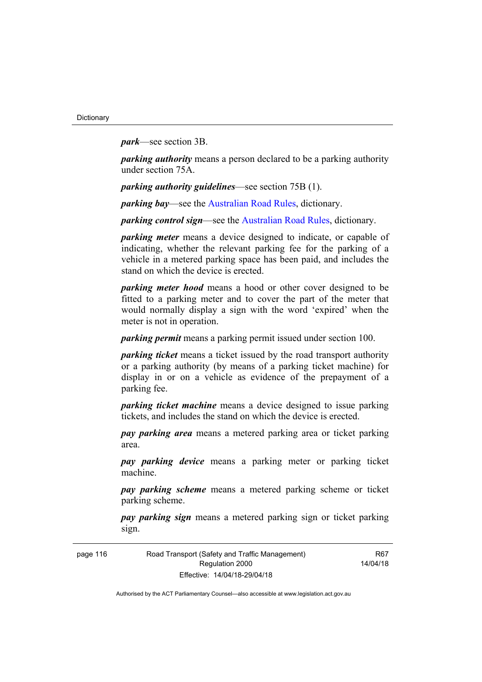*park*—see section 3B.

*parking authority* means a person declared to be a parking authority under section 75A.

*parking authority guidelines*—see section 75B (1).

*parking bay*—see the [Australian Road Rules,](http://www.legislation.act.gov.au//ni/db_37271/default.asp) dictionary.

*parking control sign*—see the [Australian Road Rules](http://www.legislation.act.gov.au//ni/db_37271/default.asp), dictionary.

*parking meter* means a device designed to indicate, or capable of indicating, whether the relevant parking fee for the parking of a vehicle in a metered parking space has been paid, and includes the stand on which the device is erected.

*parking meter hood* means a hood or other cover designed to be fitted to a parking meter and to cover the part of the meter that would normally display a sign with the word 'expired' when the meter is not in operation.

*parking permit* means a parking permit issued under section 100.

*parking ticket* means a ticket issued by the road transport authority or a parking authority (by means of a parking ticket machine) for display in or on a vehicle as evidence of the prepayment of a parking fee.

*parking ticket machine* means a device designed to issue parking tickets, and includes the stand on which the device is erected.

*pay parking area* means a metered parking area or ticket parking area.

*pay parking device* means a parking meter or parking ticket machine.

*pay parking scheme* means a metered parking scheme or ticket parking scheme.

*pay parking sign* means a metered parking sign or ticket parking sign.

| page 116 | Road Transport (Safety and Traffic Management) |  |  |  |  |
|----------|------------------------------------------------|--|--|--|--|
|          | Regulation 2000                                |  |  |  |  |
|          | Effective: 14/04/18-29/04/18                   |  |  |  |  |

R67 14/04/18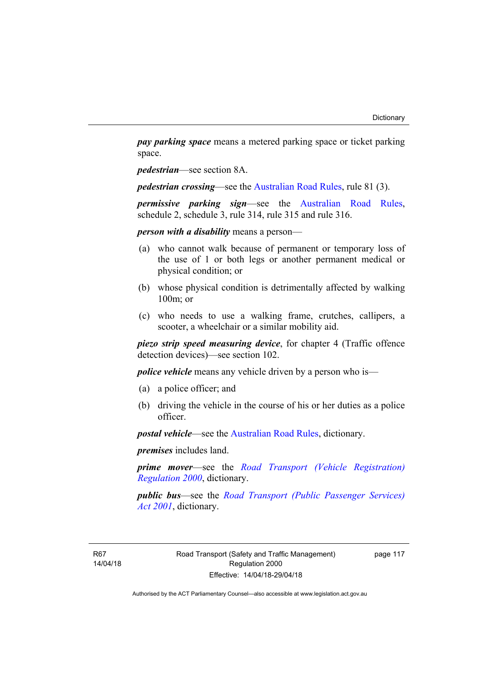*pay parking space* means a metered parking space or ticket parking space.

*pedestrian*—see section 8A.

*pedestrian crossing*—see the [Australian Road Rules](http://www.legislation.act.gov.au//ni/db_37271/default.asp), rule 81 (3).

*permissive parking sign*—see the [Australian Road Rules](http://www.legislation.act.gov.au//ni/db_37271/default.asp), schedule 2, schedule 3, rule 314, rule 315 and rule 316.

*person with a disability* means a person—

- (a) who cannot walk because of permanent or temporary loss of the use of 1 or both legs or another permanent medical or physical condition; or
- (b) whose physical condition is detrimentally affected by walking 100m; or
- (c) who needs to use a walking frame, crutches, callipers, a scooter, a wheelchair or a similar mobility aid.

*piezo strip speed measuring device*, for chapter 4 (Traffic offence detection devices)—see section 102.

*police vehicle* means any vehicle driven by a person who is—

- (a) a police officer; and
- (b) driving the vehicle in the course of his or her duties as a police officer.

*postal vehicle*—see the [Australian Road Rules,](http://www.legislation.act.gov.au//ni/db_37271/default.asp) dictionary.

*premises* includes land.

*prime mover*—see the *[Road Transport \(Vehicle Registration\)](http://www.legislation.act.gov.au/sl/2000-12)  [Regulation 2000](http://www.legislation.act.gov.au/sl/2000-12)*, dictionary.

*public bus*—see the *[Road Transport \(Public Passenger Services\)](http://www.legislation.act.gov.au/a/2001-62)  [Act 2001](http://www.legislation.act.gov.au/a/2001-62)*, dictionary.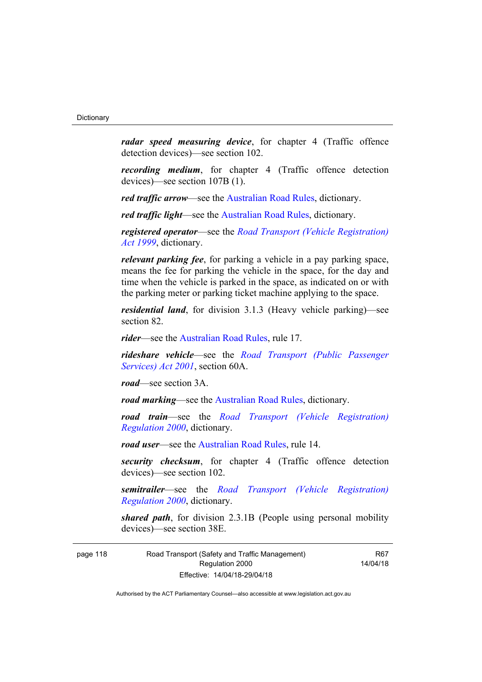*radar speed measuring device*, for chapter 4 (Traffic offence detection devices)—see section 102.

*recording medium*, for chapter 4 (Traffic offence detection devices)—see section 107B (1).

*red traffic arrow*—see the [Australian Road Rules,](http://www.legislation.act.gov.au//ni/db_37271/default.asp) dictionary.

*red traffic light*—see the [Australian Road Rules,](http://www.legislation.act.gov.au//ni/db_37271/default.asp) dictionary.

*registered operator*—see the *[Road Transport \(Vehicle Registration\)](http://www.legislation.act.gov.au/a/1999-81)  [Act 1999](http://www.legislation.act.gov.au/a/1999-81)*, dictionary.

*relevant parking fee*, for parking a vehicle in a pay parking space, means the fee for parking the vehicle in the space, for the day and time when the vehicle is parked in the space, as indicated on or with the parking meter or parking ticket machine applying to the space.

*residential land*, for division 3.1.3 (Heavy vehicle parking)—see section 82.

*rider*—see the [Australian Road Rules,](http://www.legislation.act.gov.au//ni/db_37271/default.asp) rule 17.

*rideshare vehicle*—see the *[Road Transport \(Public Passenger](http://www.legislation.act.gov.au/a/2001-62)  [Services\) Act 2001](http://www.legislation.act.gov.au/a/2001-62)*, section 60A.

*road*—see section 3A.

*road marking*—see the [Australian Road Rules](http://www.legislation.act.gov.au//ni/db_37271/default.asp), dictionary.

*road train*—see the *[Road Transport \(Vehicle Registration\)](http://www.legislation.act.gov.au/sl/2000-12)  [Regulation 2000](http://www.legislation.act.gov.au/sl/2000-12)*, dictionary.

*road user*—see the [Australian Road Rules,](http://www.legislation.act.gov.au//ni/db_37271/default.asp) rule 14.

*security checksum*, for chapter 4 (Traffic offence detection devices)—see section 102.

*semitrailer*—see the *[Road Transport \(Vehicle Registration\)](http://www.legislation.act.gov.au/sl/2000-12)  [Regulation 2000](http://www.legislation.act.gov.au/sl/2000-12)*, dictionary.

*shared path*, for division 2.3.1B (People using personal mobility devices)—see section 38E.

page 118 Road Transport (Safety and Traffic Management) Regulation 2000 Effective: 14/04/18-29/04/18

R67 14/04/18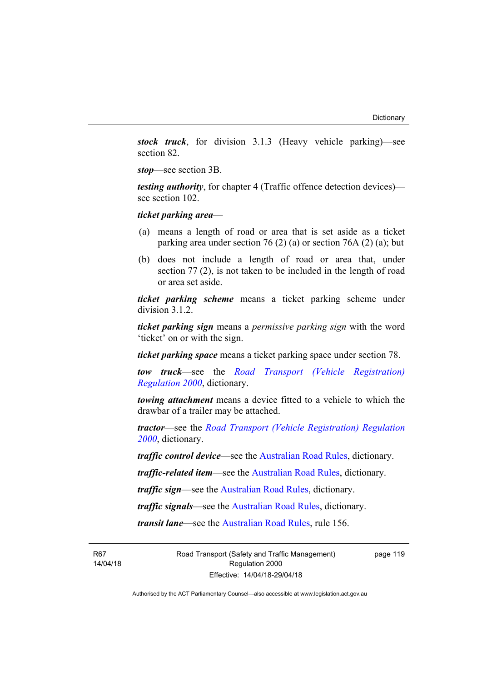*stock truck*, for division 3.1.3 (Heavy vehicle parking)—see section 82.

*stop*—see section 3B.

*testing authority*, for chapter 4 (Traffic offence detection devices) see section 102.

*ticket parking area*—

- (a) means a length of road or area that is set aside as a ticket parking area under section 76 (2) (a) or section 76A (2) (a); but
- (b) does not include a length of road or area that, under section 77 (2), is not taken to be included in the length of road or area set aside.

*ticket parking scheme* means a ticket parking scheme under division 3.1.2.

*ticket parking sign* means a *permissive parking sign* with the word 'ticket' on or with the sign.

*ticket parking space* means a ticket parking space under section 78.

*tow truck*—see the *[Road Transport \(Vehicle Registration\)](http://www.legislation.act.gov.au/sl/2000-12)  [Regulation 2000](http://www.legislation.act.gov.au/sl/2000-12)*, dictionary.

*towing attachment* means a device fitted to a vehicle to which the drawbar of a trailer may be attached.

*tractor*—see the *[Road Transport \(Vehicle Registration\) Regulation](http://www.legislation.act.gov.au/sl/2000-12)  [2000](http://www.legislation.act.gov.au/sl/2000-12)*, dictionary.

*traffic control device*—see the [Australian Road Rules](http://www.legislation.act.gov.au//ni/db_37271/default.asp), dictionary.

*traffic-related item*—see the [Australian Road Rules,](http://www.legislation.act.gov.au//ni/db_37271/default.asp) dictionary.

*traffic sign*—see the [Australian Road Rules](http://www.legislation.act.gov.au//ni/db_37271/default.asp), dictionary.

*traffic signals*—see the [Australian Road Rules](http://www.legislation.act.gov.au//ni/db_37271/default.asp), dictionary.

*transit lane*—see the [Australian Road Rules](http://www.legislation.act.gov.au//ni/db_37271/default.asp), rule 156.

R67 14/04/18 Road Transport (Safety and Traffic Management) Regulation 2000 Effective: 14/04/18-29/04/18

page 119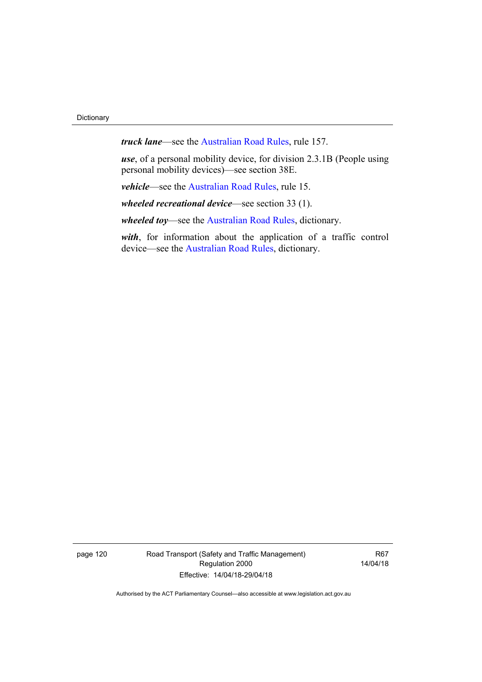*truck lane*—see the [Australian Road Rules,](http://www.legislation.act.gov.au//ni/db_37271/default.asp) rule 157.

*use*, of a personal mobility device, for division 2.3.1B (People using personal mobility devices)—see section 38E.

*vehicle*—see the [Australian Road Rules](http://www.legislation.act.gov.au//ni/db_37271/default.asp), rule 15.

*wheeled recreational device*—see section 33 (1).

*wheeled toy*—see the [Australian Road Rules](http://www.legislation.act.gov.au//ni/db_37271/default.asp), dictionary.

*with*, for information about the application of a traffic control device—see the [Australian Road Rules,](http://www.legislation.act.gov.au//ni/db_37271/default.asp) dictionary.

page 120 Road Transport (Safety and Traffic Management) Regulation 2000 Effective: 14/04/18-29/04/18

R67 14/04/18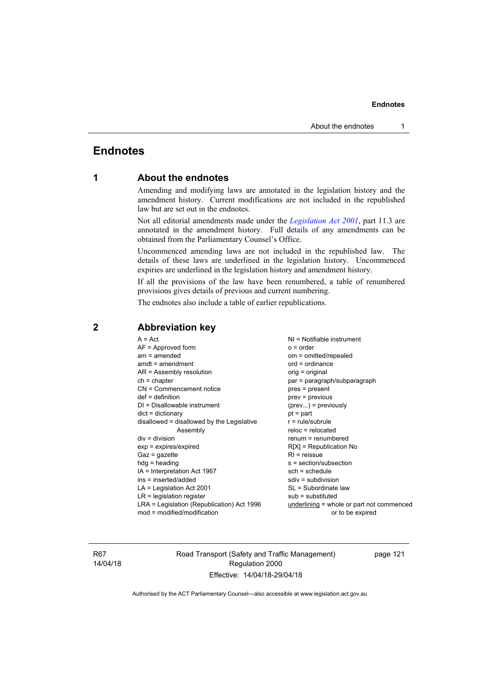## **Endnotes**

## **1 About the endnotes**

Amending and modifying laws are annotated in the legislation history and the amendment history. Current modifications are not included in the republished law but are set out in the endnotes.

Not all editorial amendments made under the *[Legislation Act 2001](http://www.legislation.act.gov.au/a/2001-14)*, part 11.3 are annotated in the amendment history. Full details of any amendments can be obtained from the Parliamentary Counsel's Office.

Uncommenced amending laws are not included in the republished law. The details of these laws are underlined in the legislation history. Uncommenced expiries are underlined in the legislation history and amendment history.

If all the provisions of the law have been renumbered, a table of renumbered provisions gives details of previous and current numbering.

The endnotes also include a table of earlier republications.

## **2 Abbreviation key**

R67 14/04/18 Road Transport (Safety and Traffic Management) Regulation 2000 Effective: 14/04/18-29/04/18

page 121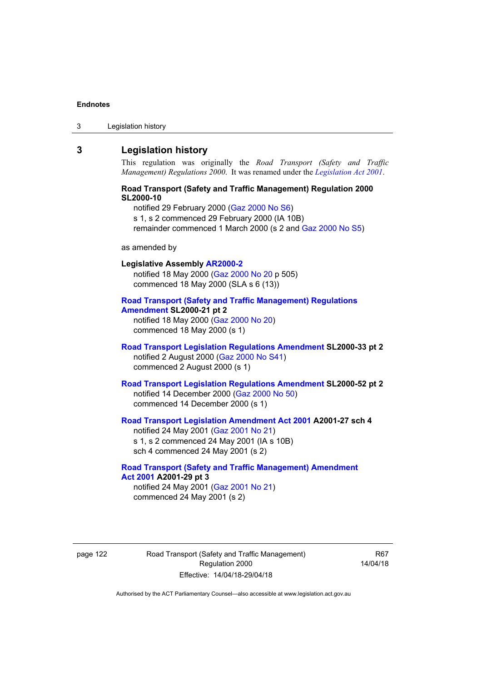3 Legislation history

## **3 Legislation history**

This regulation was originally the *Road Transport (Safety and Traffic Management) Regulations 2000*. It was renamed under the *[Legislation Act 2001](http://www.legislation.act.gov.au/a/2001-14)*.

## **Road Transport (Safety and Traffic Management) Regulation 2000 SL2000-10**

notified 29 February 2000 [\(Gaz 2000 No S6\)](http://www.legislation.act.gov.au/gaz/2000-S6/default.asp) s 1, s 2 commenced 29 February 2000 (IA 10B) remainder commenced 1 March 2000 (s 2 and [Gaz 2000 No S5\)](http://www.legislation.act.gov.au/gaz/2000-S5/default.asp)

### as amended by

## **Legislative Assembly [AR2000-2](http://www.legislation.act.gov.au/ar/2000-2/default.asp)** notified 18 May 2000 ([Gaz 2000 No 20 p](http://www.legislation.act.gov.au/gaz/2000-20/default.asp) 505) commenced 18 May 2000 (SLA s 6 (13)) **[Road Transport \(Safety and Traffic Management\) Regulations](http://www.legislation.act.gov.au/sl/2000-21/default.asp)  [Amendment](http://www.legislation.act.gov.au/sl/2000-21/default.asp) SL2000-21 pt 2**  notified 18 May 2000 ([Gaz 2000 No 20\)](http://www.legislation.act.gov.au/gaz/2000-20/default.asp) commenced 18 May 2000 (s 1)

## **[Road Transport Legislation Regulations Amendment](http://www.legislation.act.gov.au/sl/2000-33/default.asp) SL2000-33 pt 2**  notified 2 August 2000 ([Gaz 2000 No S41](http://www.legislation.act.gov.au/gaz/2000-S41/default.asp)) commenced 2 August 2000 (s 1)

**[Road Transport Legislation Regulations Amendment](http://www.legislation.act.gov.au/sl/2000-52/default.asp) SL2000-52 pt 2**  notified 14 December 2000 [\(Gaz 2000 No 50](http://www.legislation.act.gov.au/gaz/2000-50/default.asp)) commenced 14 December 2000 (s 1)

### **[Road Transport Legislation Amendment Act 2001](http://www.legislation.act.gov.au/a/2001-27) A2001-27 sch 4**  notified 24 May 2001 ([Gaz 2001 No 21\)](http://www.legislation.act.gov.au/gaz/2001-21/default.asp) s 1, s 2 commenced 24 May 2001 (IA s 10B)

sch 4 commenced 24 May 2001 (s 2)

## **[Road Transport \(Safety and Traffic Management\) Amendment](http://www.legislation.act.gov.au/a/2001-29)  [Act 2001](http://www.legislation.act.gov.au/a/2001-29) A2001-29 pt 3**

notified 24 May 2001 ([Gaz 2001 No 21\)](http://www.legislation.act.gov.au/gaz/2001-21/default.asp) commenced 24 May 2001 (s 2)

page 122 Road Transport (Safety and Traffic Management) Regulation 2000 Effective: 14/04/18-29/04/18

R67 14/04/18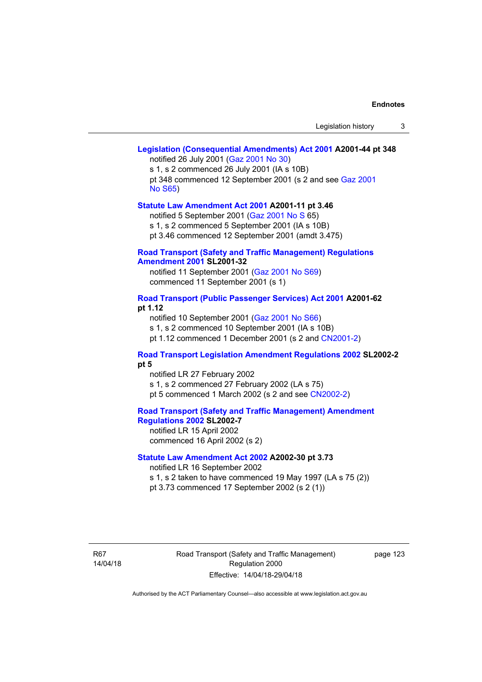### **[Legislation \(Consequential Amendments\) Act 2001](http://www.legislation.act.gov.au/a/2001-44) A2001-44 pt 348**  notified 26 July 2001 ([Gaz 2001 No 30\)](http://www.legislation.act.gov.au/gaz/2001-30/default.asp)

s 1, s 2 commenced 26 July 2001 (IA s 10B) pt 348 commenced 12 September 2001 (s 2 and see [Gaz 2001](http://www.legislation.act.gov.au/gaz/2001-S65/default.asp)  [No S65](http://www.legislation.act.gov.au/gaz/2001-S65/default.asp))

### **[Statute Law Amendment Act 2001](http://www.legislation.act.gov.au/a/2001-11) A2001-11 pt 3.46**

notified 5 September 2001 [\(Gaz 2001 No S 6](http://www.legislation.act.gov.au/gaz/2001-S/default.asp)5)

s 1, s 2 commenced 5 September 2001 (IA s 10B)

pt 3.46 commenced 12 September 2001 (amdt 3.475)

### **[Road Transport \(Safety and Traffic Management\) Regulations](http://www.legislation.act.gov.au/sl/2001-32)  [Amendment 2001](http://www.legislation.act.gov.au/sl/2001-32) SL2001-32**

notified 11 September 2001 [\(Gaz 2001 No S69\)](http://www.legislation.act.gov.au/gaz/2001-S69/default.asp) commenced 11 September 2001 (s 1)

### **[Road Transport \(Public Passenger Services\) Act 2001](http://www.legislation.act.gov.au/a/2001-62) A2001-62 pt 1.12**

notified 10 September 2001 [\(Gaz 2001 No S66\)](http://www.legislation.act.gov.au/gaz/2001-S66/default.asp)

s 1, s 2 commenced 10 September 2001 (IA s 10B)

pt 1.12 commenced 1 December 2001 (s 2 and [CN2001-2](http://www.legislation.act.gov.au/cn/2001-2/default.asp))

### **[Road Transport Legislation Amendment Regulations 2002](http://www.legislation.act.gov.au/sl/2002-2) SL2002-2 pt 5**

notified LR 27 February 2002 s 1, s 2 commenced 27 February 2002 (LA s 75) pt 5 commenced 1 March 2002 (s 2 and see [CN2002-2](http://www.legislation.act.gov.au/cn/2002-2/default.asp))

**[Road Transport \(Safety and Traffic Management\) Amendment](http://www.legislation.act.gov.au/sl/2002-7)  [Regulations 2002](http://www.legislation.act.gov.au/sl/2002-7) SL2002-7**  notified LR 15 April 2002

commenced 16 April 2002 (s 2)

## **[Statute Law Amendment Act 2002](http://www.legislation.act.gov.au/a/2002-30) A2002-30 pt 3.73**

notified LR 16 September 2002

s 1, s 2 taken to have commenced 19 May 1997 (LA s 75 (2))

pt 3.73 commenced 17 September 2002 (s 2 (1))

R67 14/04/18 Road Transport (Safety and Traffic Management) Regulation 2000 Effective: 14/04/18-29/04/18

page 123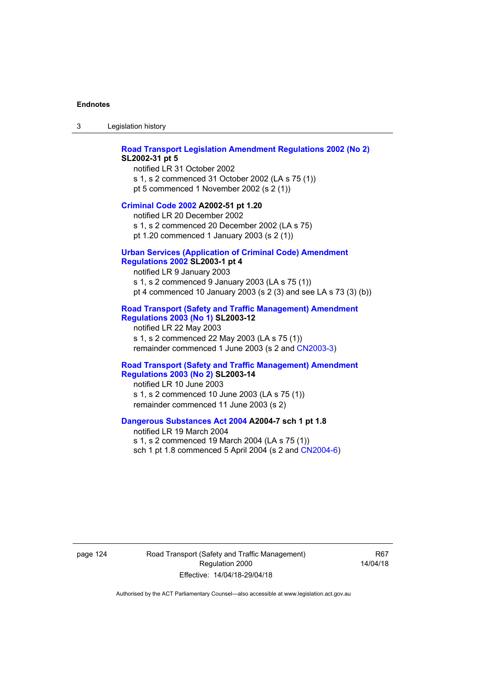3 Legislation history

#### **[Road Transport Legislation Amendment Regulations 2002 \(No 2\)](http://www.legislation.act.gov.au/sl/2002-31) SL2002-31 pt 5**

notified LR 31 October 2002 s 1, s 2 commenced 31 October 2002 (LA s 75 (1)) pt 5 commenced 1 November 2002 (s 2 (1))

#### **[Criminal Code 2002](http://www.legislation.act.gov.au/a/2002-51) A2002-51 pt 1.20**

notified LR 20 December 2002 s 1, s 2 commenced 20 December 2002 (LA s 75) pt 1.20 commenced 1 January 2003 (s 2 (1))

### **[Urban Services \(Application of Criminal Code\) Amendment](http://www.legislation.act.gov.au/sl/2003-1)**

### **[Regulations 2002](http://www.legislation.act.gov.au/sl/2003-1) SL2003-1 pt 4**

notified LR 9 January 2003 s 1, s 2 commenced 9 January 2003 (LA s 75 (1)) pt 4 commenced 10 January 2003 (s 2 (3) and see LA s 73 (3) (b))

### **[Road Transport \(Safety and Traffic Management\) Amendment](http://www.legislation.act.gov.au/sl/2003-12)  [Regulations 2003 \(No 1\)](http://www.legislation.act.gov.au/sl/2003-12) SL2003-12**

notified LR 22 May 2003 s 1, s 2 commenced 22 May 2003 (LA s 75 (1)) remainder commenced 1 June 2003 (s 2 and [CN2003-3](http://www.legislation.act.gov.au/cn/2003-3/default.asp))

#### **[Road Transport \(Safety and Traffic Management\) Amendment](http://www.legislation.act.gov.au/sl/2003-14)  [Regulations 2003 \(No 2\)](http://www.legislation.act.gov.au/sl/2003-14) SL2003-14**

notified LR 10 June 2003 s 1, s 2 commenced 10 June 2003 (LA s 75 (1)) remainder commenced 11 June 2003 (s 2)

### **[Dangerous Substances Act 2004](http://www.legislation.act.gov.au/a/2004-7) A2004-7 sch 1 pt 1.8**

notified LR 19 March 2004 s 1, s 2 commenced 19 March 2004 (LA s 75 (1)) sch 1 pt 1.8 commenced 5 April 2004 (s 2 and [CN2004-6](http://www.legislation.act.gov.au/cn/2004-6/default.asp))

page 124 Road Transport (Safety and Traffic Management) Regulation 2000 Effective: 14/04/18-29/04/18

R67 14/04/18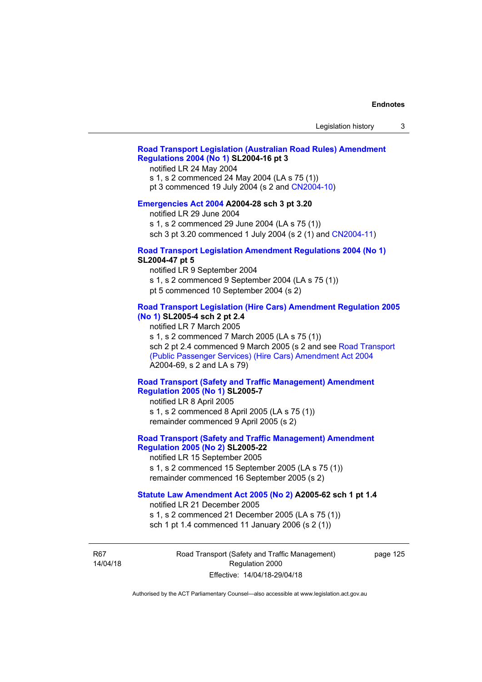## **[Road Transport Legislation \(Australian Road Rules\) Amendment](http://www.legislation.act.gov.au/sl/2004-16)  [Regulations 2004 \(No 1\)](http://www.legislation.act.gov.au/sl/2004-16) SL2004-16 pt 3**

notified LR 24 May 2004

s 1, s 2 commenced 24 May 2004 (LA s 75 (1))

pt 3 commenced 19 July 2004 (s 2 and [CN2004-10](http://www.legislation.act.gov.au/cn/2004-10/default.asp))

### **[Emergencies Act 2004](http://www.legislation.act.gov.au/a/2004-28) A2004-28 sch 3 pt 3.20**

notified LR 29 June 2004

s 1, s 2 commenced 29 June 2004 (LA s 75 (1))

sch 3 pt 3.20 commenced 1 July 2004 (s 2 (1) and [CN2004-11](http://www.legislation.act.gov.au/cn/2004-11/default.asp))

### **[Road Transport Legislation Amendment Regulations 2004 \(No 1\)](http://www.legislation.act.gov.au/sl/2004-47) SL2004-47 pt 5**

notified LR 9 September 2004

s 1, s 2 commenced 9 September 2004 (LA s 75 (1))

pt 5 commenced 10 September 2004 (s 2)

### **[Road Transport Legislation \(Hire Cars\) Amendment Regulation 2005](http://www.legislation.act.gov.au/sl/2005-4)  [\(No 1\)](http://www.legislation.act.gov.au/sl/2005-4) SL2005-4 sch 2 pt 2.4**

notified LR 7 March 2005

s 1, s 2 commenced 7 March 2005 (LA s 75 (1))

sch 2 pt 2.4 commenced 9 March 2005 (s 2 and see Road Transport [\(Public Passenger Services\) \(Hire Cars\) Amendment Act 2004](http://www.legislation.act.gov.au/a/2004-69) A2004-69, s 2 and LA s 79)

### **[Road Transport \(Safety and Traffic Management\) Amendment](http://www.legislation.act.gov.au/sl/2005-7)  [Regulation 2005 \(No 1\)](http://www.legislation.act.gov.au/sl/2005-7) SL2005-7**

notified LR 8 April 2005 s 1, s 2 commenced 8 April 2005 (LA s 75 (1)) remainder commenced 9 April 2005 (s 2)

## **[Road Transport \(Safety and Traffic Management\) Amendment](http://www.legislation.act.gov.au/sl/2005-22)  [Regulation 2005 \(No 2\)](http://www.legislation.act.gov.au/sl/2005-22) SL2005-22**

notified LR 15 September 2005 s 1, s 2 commenced 15 September 2005 (LA s 75 (1)) remainder commenced 16 September 2005 (s 2)

### **[Statute Law Amendment Act 2005 \(No 2\)](http://www.legislation.act.gov.au/a/2005-62) A2005-62 sch 1 pt 1.4**

notified LR 21 December 2005 s 1, s 2 commenced 21 December 2005 (LA s 75 (1)) sch 1 pt 1.4 commenced 11 January 2006 (s 2 (1))

R67 14/04/18 Road Transport (Safety and Traffic Management) Regulation 2000 Effective: 14/04/18-29/04/18

page 125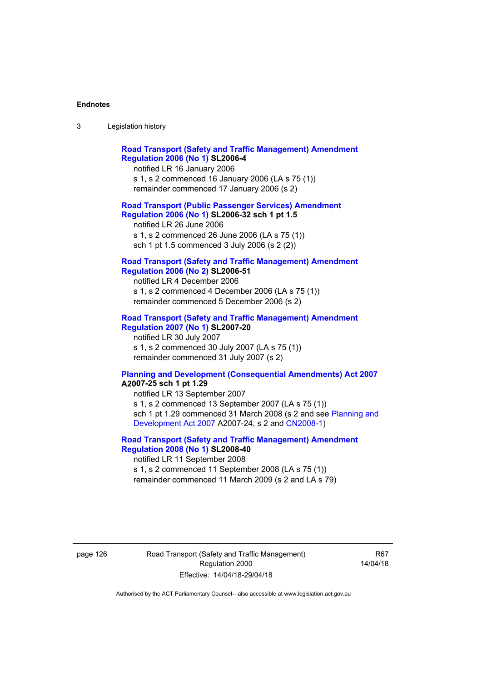| ు | Legislation history |  |
|---|---------------------|--|
|   |                     |  |

| <b>Road Transport (Safety and Traffic Management) Amendment</b><br><b>Regulation 2006 (No 1) SL2006-4</b><br>notified LR 16 January 2006<br>s 1, s 2 commenced 16 January 2006 (LA s 75 (1))<br>remainder commenced 17 January 2006 (s 2)  |
|--------------------------------------------------------------------------------------------------------------------------------------------------------------------------------------------------------------------------------------------|
| <b>Road Transport (Public Passenger Services) Amendment</b><br>Regulation 2006 (No 1) SL2006-32 sch 1 pt 1.5<br>notified LR 26 June 2006<br>s 1, s 2 commenced 26 June 2006 (LA s 75 (1))<br>sch 1 pt 1.5 commenced 3 July 2006 (s 2 (2))  |
| <b>Road Transport (Safety and Traffic Management) Amendment</b><br><b>Regulation 2006 (No 2) SL2006-51</b><br>notified LR 4 December 2006<br>s 1, s 2 commenced 4 December 2006 (LA s 75 (1))<br>remainder commenced 5 December 2006 (s 2) |
| <b>Road Transport (Safety and Traffic Management) Amendment</b><br><b>Regulation 2007 (No 1) SL2007-20</b><br>notified LR 30 July 2007<br>s 1, s 2 commenced 30 July 2007 (LA s 75 (1))<br>remainder commenced 31 July 2007 (s 2)          |
| <b>Planning and Development (Consequential Amendments) Act 2007</b><br>A2007-25 sch 1 pt 1.29<br>notified LR 13 September 2007<br>$\leq 1 \leq 2$ commenced 13 Sentember 2007 (LA $\leq 75$ (1))                                           |

s 1, s 2 commenced 13 September 2007 (LA s 75 (1)) sch 1 pt 1.29 commenced 31 March 2008 (s 2 and see [Planning and](http://www.legislation.act.gov.au/a/2007-24)  [Development Act 2007](http://www.legislation.act.gov.au/a/2007-24) A2007-24, s 2 and [CN2008-1](http://www.legislation.act.gov.au/cn/2008-1/default.asp))

### **[Road Transport \(Safety and Traffic Management\) Amendment](http://www.legislation.act.gov.au/sl/2008-40)  [Regulation 2008 \(No 1\)](http://www.legislation.act.gov.au/sl/2008-40) SL2008-40**  notified LR 11 September 2008

s 1, s 2 commenced 11 September 2008 (LA s 75 (1)) remainder commenced 11 March 2009 (s 2 and LA s 79)

page 126 Road Transport (Safety and Traffic Management) Regulation 2000 Effective: 14/04/18-29/04/18

R67 14/04/18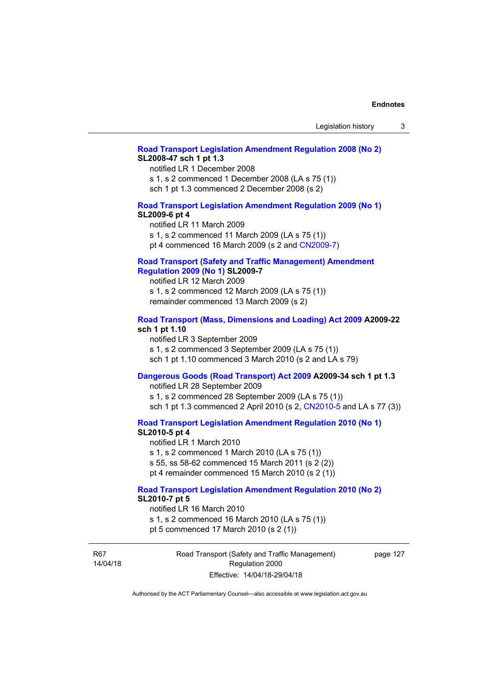### **[Road Transport Legislation Amendment Regulation 2008 \(No 2\)](http://www.legislation.act.gov.au/sl/2008-47) SL2008-47 sch 1 pt 1.3**

notified LR 1 December 2008 s 1, s 2 commenced 1 December 2008 (LA s 75 (1)) sch 1 pt 1.3 commenced 2 December 2008 (s 2)

## **[Road Transport Legislation Amendment Regulation 2009 \(No 1\)](http://www.legislation.act.gov.au/sl/2009-6) SL2009-6 pt 4**

notified LR 11 March 2009 s 1, s 2 commenced 11 March 2009 (LA s 75 (1)) pt 4 commenced 16 March 2009 (s 2 and [CN2009-7\)](http://www.legislation.act.gov.au/cn/2009-7/default.asp)

### **[Road Transport \(Safety and Traffic Management\) Amendment](http://www.legislation.act.gov.au/sl/2009-7)  [Regulation 2009 \(No 1\)](http://www.legislation.act.gov.au/sl/2009-7) SL2009-7**

notified LR 12 March 2009 s 1, s 2 commenced 12 March 2009 (LA s 75 (1)) remainder commenced 13 March 2009 (s 2)

## **[Road Transport \(Mass, Dimensions and Loading\) Act 2009](http://www.legislation.act.gov.au/a/2009-22/default.asp) A2009-22 sch 1 pt 1.10**

notified LR 3 September 2009 s 1, s 2 commenced 3 September 2009 (LA s 75 (1)) sch 1 pt 1.10 commenced 3 March 2010 (s 2 and LA s 79)

# **[Dangerous Goods \(Road Transport\) Act 2009](http://www.legislation.act.gov.au/a/2009-34) A2009-34 sch 1 pt 1.3**

notified LR 28 September 2009 s 1, s 2 commenced 28 September 2009 (LA s 75 (1)) sch 1 pt 1.3 commenced 2 April 2010 (s 2, [CN2010-5 a](http://www.legislation.act.gov.au/cn/2010-5/default.asp)nd LA s 77 (3))

**[Road Transport Legislation Amendment Regulation 2010 \(No 1\)](http://www.legislation.act.gov.au/sl/2010-5)**

## **SL2010-5 pt 4**

notified LR 1 March 2010 s 1, s 2 commenced 1 March 2010 (LA s 75 (1)) s 55, ss 58-62 commenced 15 March 2011 (s 2 (2)) pt 4 remainder commenced 15 March 2010 (s 2 (1))

# **[Road Transport Legislation Amendment Regulation 2010 \(No 2\)](http://www.legislation.act.gov.au/sl/2010-7) SL2010-7 pt 5**

notified LR 16 March 2010 s 1, s 2 commenced 16 March 2010 (LA s 75 (1)) pt 5 commenced 17 March 2010 (s 2 (1))

R67 14/04/18 Road Transport (Safety and Traffic Management) Regulation 2000 Effective: 14/04/18-29/04/18

page 127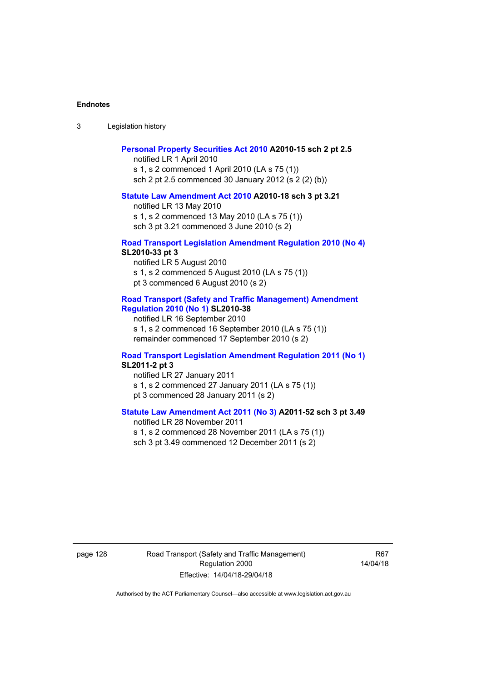3 Legislation history

#### **[Personal Property Securities Act 2010](http://www.legislation.act.gov.au/a/2010-15) A2010-15 sch 2 pt 2.5**

notified LR 1 April 2010 s 1, s 2 commenced 1 April 2010 (LA s 75 (1)) sch 2 pt 2.5 commenced 30 January 2012 (s 2 (2) (b))

### **[Statute Law Amendment Act 2010](http://www.legislation.act.gov.au/a/2010-18) A2010-18 sch 3 pt 3.21**

notified LR 13 May 2010 s 1, s 2 commenced 13 May 2010 (LA s 75 (1)) sch 3 pt 3.21 commenced 3 June 2010 (s 2)

### **[Road Transport Legislation Amendment Regulation 2010 \(No 4\)](http://www.legislation.act.gov.au/sl/2010-33) SL2010-33 pt 3**

notified LR 5 August 2010 s 1, s 2 commenced 5 August 2010 (LA s 75 (1)) pt 3 commenced 6 August 2010 (s 2)

## **[Road Transport \(Safety and Traffic Management\) Amendment](http://www.legislation.act.gov.au/sl/2010-38)  [Regulation 2010 \(No 1\)](http://www.legislation.act.gov.au/sl/2010-38) SL2010-38**

notified LR 16 September 2010 s 1, s 2 commenced 16 September 2010 (LA s 75 (1)) remainder commenced 17 September 2010 (s 2)

## **[Road Transport Legislation Amendment Regulation 2011 \(No 1\)](http://www.legislation.act.gov.au/sl/2011-2) SL2011-2 pt 3**

notified LR 27 January 2011 s 1, s 2 commenced 27 January 2011 (LA s 75 (1)) pt 3 commenced 28 January 2011 (s 2)

# **[Statute Law Amendment Act 2011 \(No 3\)](http://www.legislation.act.gov.au/a/2011-52) A2011-52 sch 3 pt 3.49**

notified LR 28 November 2011 s 1, s 2 commenced 28 November 2011 (LA s 75 (1)) sch 3 pt 3.49 commenced 12 December 2011 (s 2)

page 128 Road Transport (Safety and Traffic Management) Regulation 2000 Effective: 14/04/18-29/04/18

R67 14/04/18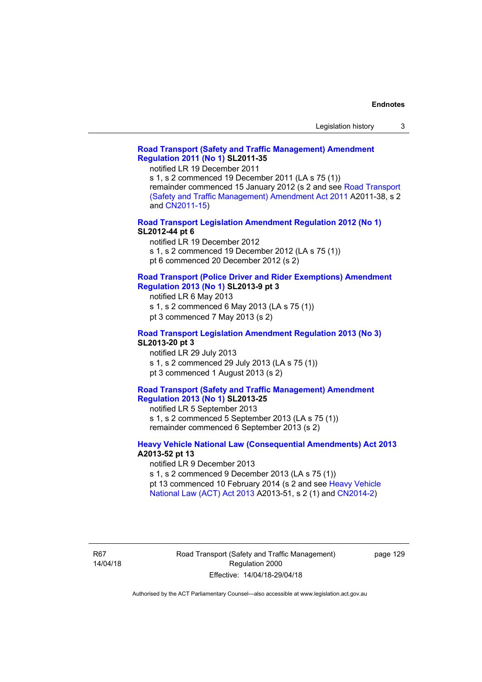## **[Road Transport \(Safety and Traffic Management\) Amendment](http://www.legislation.act.gov.au/sl/2011-35)  [Regulation 2011 \(No 1\)](http://www.legislation.act.gov.au/sl/2011-35) SL2011-35**

notified LR 19 December 2011

s 1, s 2 commenced 19 December 2011 (LA s 75 (1)) remainder commenced 15 January 2012 (s 2 and see [Road Transport](http://www.legislation.act.gov.au/a/2011-38)  [\(Safety and Traffic Management\) Amendment Act 2011](http://www.legislation.act.gov.au/a/2011-38) A2011-38, s 2 and [CN2011-15\)](http://www.legislation.act.gov.au/cn/2011-15/default.asp)

**[Road Transport Legislation Amendment Regulation 2012 \(No 1\)](http://www.legislation.act.gov.au/sl/2012-44/default.asp) SL2012-44 pt 6** 

notified LR 19 December 2012

s 1, s 2 commenced 19 December 2012 (LA s 75 (1))

pt 6 commenced 20 December 2012 (s 2)

## **[Road Transport \(Police Driver and Rider Exemptions\) Amendment](http://www.legislation.act.gov.au/sl/2013-9/default.asp)  [Regulation 2013 \(No 1\)](http://www.legislation.act.gov.au/sl/2013-9/default.asp) SL2013-9 pt 3**

notified LR 6 May 2013

s 1, s 2 commenced 6 May 2013 (LA s 75 (1))

pt 3 commenced 7 May 2013 (s 2)

## **[Road Transport Legislation Amendment Regulation 2013 \(No 3\)](http://www.legislation.act.gov.au/sl/2013-20) SL2013-20 pt 3**

notified LR 29 July 2013 s 1, s 2 commenced 29 July 2013 (LA s 75 (1)) pt 3 commenced 1 August 2013 (s 2)

## **[Road Transport \(Safety and Traffic Management\) Amendment](http://www.legislation.act.gov.au/sl/2013-25)  [Regulation 2013 \(No 1\)](http://www.legislation.act.gov.au/sl/2013-25) SL2013-25**

notified LR 5 September 2013 s 1, s 2 commenced 5 September 2013 (LA s 75 (1)) remainder commenced 6 September 2013 (s 2)

## **[Heavy Vehicle National Law \(Consequential Amendments\) Act 2013](http://www.legislation.act.gov.au/a/2013-52) A2013-52 pt 13**

notified LR 9 December 2013

s 1, s 2 commenced 9 December 2013 (LA s 75 (1))

pt 13 commenced 10 February 2014 (s 2 and see [Heavy Vehicle](http://www.legislation.act.gov.au/a/2013-51/default.asp)  [National Law \(ACT\) Act 2013](http://www.legislation.act.gov.au/a/2013-51/default.asp) A2013-51, s 2 (1) and [CN2014-2](http://www.legislation.act.gov.au/cn/2014-2/default.asp))

R67 14/04/18 page 129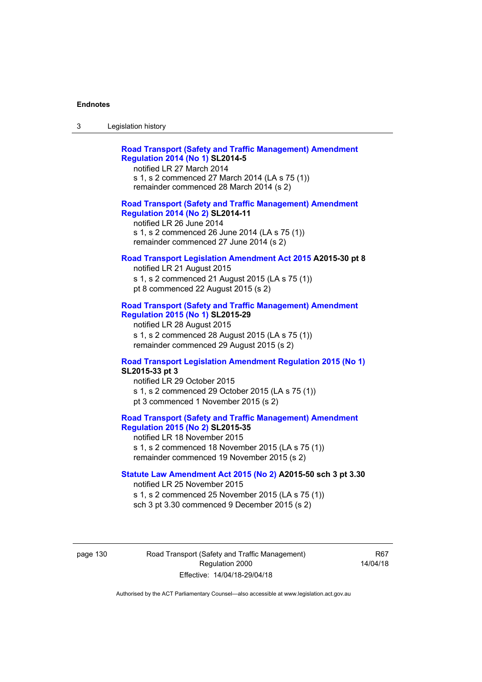| -3 | Legislation history |  |
|----|---------------------|--|
|    |                     |  |

| <b>Road Transport (Safety and Traffic Management) Amendment</b> |  |
|-----------------------------------------------------------------|--|
| <b>Regulation 2014 (No 1) SL2014-5</b>                          |  |
| notified LR 27 March 2014                                       |  |

s 1, s 2 commenced 27 March 2014 (LA s 75 (1)) remainder commenced 28 March 2014 (s 2)

### **[Road Transport \(Safety and Traffic Management\) Amendment](http://www.legislation.act.gov.au/sl/2014-11)  [Regulation 2014 \(No 2\)](http://www.legislation.act.gov.au/sl/2014-11) SL2014-11**

notified LR 26 June 2014 s 1, s 2 commenced 26 June 2014 (LA s 75 (1)) remainder commenced 27 June 2014 (s 2)

## **[Road Transport Legislation Amendment Act 2015](http://www.legislation.act.gov.au/a/2015-30/default.asp) A2015-30 pt 8**

notified LR 21 August 2015 s 1, s 2 commenced 21 August 2015 (LA s 75 (1)) pt 8 commenced 22 August 2015 (s 2)

## **[Road Transport \(Safety and Traffic Management\) Amendment](http://www.legislation.act.gov.au/sl/2015-29)  [Regulation 2015 \(No 1\)](http://www.legislation.act.gov.au/sl/2015-29) SL2015-29**

notified LR 28 August 2015 s 1, s 2 commenced 28 August 2015 (LA s 75 (1)) remainder commenced 29 August 2015 (s 2)

# **[Road Transport Legislation Amendment Regulation 2015 \(No 1\)](http://www.legislation.act.gov.au/sl/2015-33) SL2015-33 pt 3**

notified LR 29 October 2015 s 1, s 2 commenced 29 October 2015 (LA s 75 (1)) pt 3 commenced 1 November 2015 (s 2)

# **[Road Transport \(Safety and Traffic Management\) Amendment](http://www.legislation.act.gov.au/sl/2015-35)  [Regulation 2015 \(No 2\)](http://www.legislation.act.gov.au/sl/2015-35) SL2015-35**

notified LR 18 November 2015 s 1, s 2 commenced 18 November 2015 (LA s 75 (1)) remainder commenced 19 November 2015 (s 2)

## **[Statute Law Amendment Act 2015 \(No 2\)](http://www.legislation.act.gov.au/a/2015-50) A2015-50 sch 3 pt 3.30**

notified LR 25 November 2015 s 1, s 2 commenced 25 November 2015 (LA s 75 (1)) sch 3 pt 3.30 commenced 9 December 2015 (s 2)

page 130 Road Transport (Safety and Traffic Management) Regulation 2000 Effective: 14/04/18-29/04/18

R67 14/04/18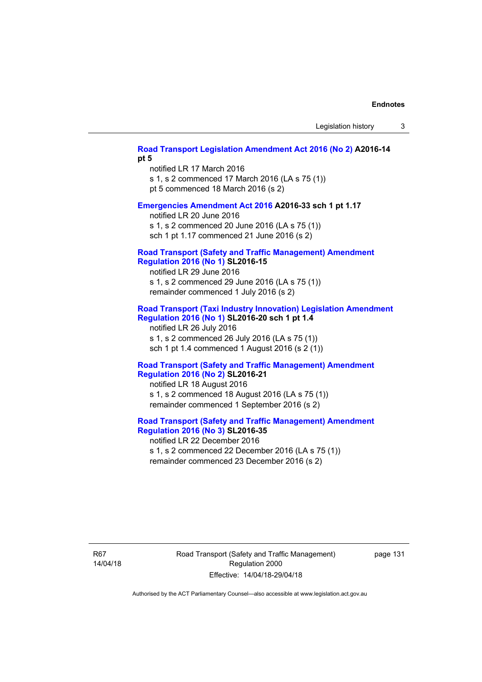## **[Road Transport Legislation Amendment Act 2016 \(No 2\)](http://www.legislation.act.gov.au/a/2016-14) A2016-14 pt 5**

notified LR 17 March 2016 s 1, s 2 commenced 17 March 2016 (LA s 75 (1)) pt 5 commenced 18 March 2016 (s 2)

### **[Emergencies Amendment Act 2016](http://www.legislation.act.gov.au/a/2016-33) A2016-33 sch 1 pt 1.17**

notified LR 20 June 2016 s 1, s 2 commenced 20 June 2016 (LA s 75 (1)) sch 1 pt 1.17 commenced 21 June 2016 (s 2)

### **[Road Transport \(Safety and Traffic Management\) Amendment](http://www.legislation.act.gov.au/sl/2016-15)  [Regulation 2016 \(No 1\)](http://www.legislation.act.gov.au/sl/2016-15) SL2016-15**

notified LR 29 June 2016 s 1, s 2 commenced 29 June 2016 (LA s 75 (1)) remainder commenced 1 July 2016 (s 2)

## **[Road Transport \(Taxi Industry Innovation\) Legislation Amendment](http://www.legislation.act.gov.au/sl/2016-20/default.asp)  [Regulation 2016 \(No 1\)](http://www.legislation.act.gov.au/sl/2016-20/default.asp) SL2016-20 sch 1 pt 1.4**

notified LR 26 July 2016 s 1, s 2 commenced 26 July 2016 (LA s 75 (1)) sch 1 pt 1.4 commenced 1 August 2016 (s 2 (1))

## **[Road Transport \(Safety and Traffic Management\) Amendment](http://www.legislation.act.gov.au/sl/2016-21/default.asp)  [Regulation 2016 \(No 2\)](http://www.legislation.act.gov.au/sl/2016-21/default.asp) SL2016-21**

notified LR 18 August 2016 s 1, s 2 commenced 18 August 2016 (LA s 75 (1)) remainder commenced 1 September 2016 (s 2)

# **[Road Transport \(Safety and Traffic Management\) Amendment](http://www.legislation.act.gov.au/sl/2016-35/default.asp)  [Regulation 2016 \(No 3\)](http://www.legislation.act.gov.au/sl/2016-35/default.asp) SL2016-35**

notified LR 22 December 2016 s 1, s 2 commenced 22 December 2016 (LA s 75 (1)) remainder commenced 23 December 2016 (s 2)

R67 14/04/18 Road Transport (Safety and Traffic Management) Regulation 2000 Effective: 14/04/18-29/04/18

page 131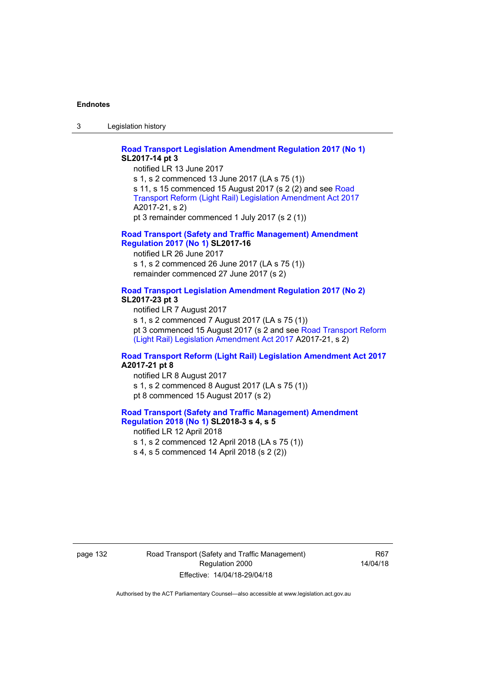3 Legislation history

## **[Road Transport Legislation Amendment Regulation 2017 \(No 1\)](http://www.legislation.act.gov.au/sl/2017-14/default.asp) SL2017-14 pt 3**

notified LR 13 June 2017 s 1, s 2 commenced 13 June 2017 (LA s 75 (1)) s 11, s 15 commenced 15 August 2017 (s 2 (2) and see [Road](http://www.legislation.act.gov.au/a/2017-21/default.asp)  [Transport Reform \(Light Rail\) Legislation Amendment Act 2017](http://www.legislation.act.gov.au/a/2017-21/default.asp) A2017-21, s 2) pt 3 remainder commenced 1 July 2017 (s 2 (1))

## **[Road Transport \(Safety and Traffic Management\) Amendment](http://www.legislation.act.gov.au/sl/2017-16/default.asp)  [Regulation 2017 \(No 1\)](http://www.legislation.act.gov.au/sl/2017-16/default.asp) SL2017-16**

notified LR 26 June 2017 s 1, s 2 commenced 26 June 2017 (LA s 75 (1)) remainder commenced 27 June 2017 (s 2)

# **[Road Transport Legislation Amendment Regulation 2017 \(No 2\)](http://www.legislation.act.gov.au/sl/2017-23/default.asp) SL2017-23 pt 3**

notified LR 7 August 2017 s 1, s 2 commenced 7 August 2017 (LA s 75 (1)) pt 3 commenced 15 August 2017 (s 2 and see [Road Transport Reform](http://www.legislation.act.gov.au/a/2017-21/default.asp)  [\(Light Rail\) Legislation Amendment Act 2017](http://www.legislation.act.gov.au/a/2017-21/default.asp) A2017-21, s 2)

## **[Road Transport Reform \(Light Rail\) Legislation Amendment Act 2017](http://www.legislation.act.gov.au/a/2017-21/default.asp) A2017-21 pt 8**

notified LR 8 August 2017 s 1, s 2 commenced 8 August 2017 (LA s 75 (1)) pt 8 commenced 15 August 2017 (s 2)

### **[Road Transport \(Safety and Traffic Management\) Amendment](http://www.legislation.act.gov.au/sl/2018-3/default.asp)  [Regulation 2018 \(No 1\)](http://www.legislation.act.gov.au/sl/2018-3/default.asp) SL2018-3 s 4, s 5**

notified LR 12 April 2018 s 1, s 2 commenced 12 April 2018 (LA s 75 (1)) s 4, s 5 commenced 14 April 2018 (s 2 (2))

page 132 Road Transport (Safety and Traffic Management) Regulation 2000 Effective: 14/04/18-29/04/18

R67 14/04/18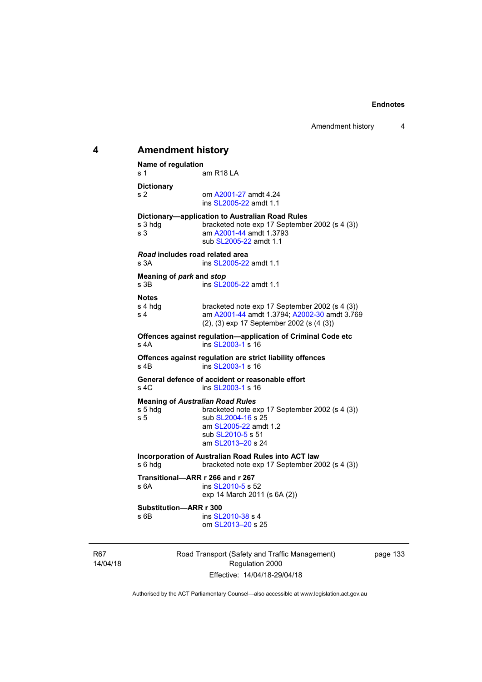# **4 Amendment history Name of regulation**  s 1 am R18 LA **Dictionary**  s 2 om [A2001-27](http://www.legislation.act.gov.au/a/2001-27) amdt 4.24 ins [SL2005-22](http://www.legislation.act.gov.au/sl/2005-22) amdt 1.1 **Dictionary—application to Australian Road Rules**  s 3 hdg bracketed note exp 17 September 2002 (s 4 (3)) s 3 am [A2001-44](http://www.legislation.act.gov.au/a/2001-44) amdt 1.3793 sub [SL2005-22](http://www.legislation.act.gov.au/sl/2005-22) amdt 1.1 *Road* **includes road related area**  s 3A **ins SL2005-22** amdt 1.1 **Meaning of** *park* **and** *stop* s 3B ins [SL2005-22](http://www.legislation.act.gov.au/sl/2005-22) amdt 1.1 **Notes**  s 4 hdg bracketed note exp 17 September 2002 (s 4 (3))<br>s 4 am A2001-44 amdt 1.3794: A2002-30 amdt 3.76 am [A2001-44](http://www.legislation.act.gov.au/a/2001-44) amdt 1.3794; [A2002-30](http://www.legislation.act.gov.au/a/2002-30) amdt 3.769 (2), (3) exp 17 September 2002 (s (4 (3)) **Offences against regulation—application of Criminal Code etc**  s 4A ins [SL2003-1](http://www.legislation.act.gov.au/sl/2003-1) s 16 **Offences against regulation are strict liability offences**  s 4B ins [SL2003-1](http://www.legislation.act.gov.au/sl/2003-1) s 16 **General defence of accident or reasonable effort**  s 4C ins [SL2003-1](http://www.legislation.act.gov.au/sl/2003-1) s 16 **Meaning of** *Australian Road Rules* s 5 hdg bracketed note exp 17 September 2002 (s 4 (3)) s 5 sub [SL2004-16](http://www.legislation.act.gov.au/sl/2004-16) s 25 am [SL2005-22](http://www.legislation.act.gov.au/sl/2005-22) amdt 1.2 sub [SL2010-5](http://www.legislation.act.gov.au/sl/2010-5) s 51 am [SL2013–20](http://www.legislation.act.gov.au/sl/2013-20) s 24 **Incorporation of Australian Road Rules into ACT law**  s 6 hdg bracketed note exp 17 September 2002 (s 4 (3)) **Transitional—ARR r 266 and r 267**  s 6A ins [SL2010-5](http://www.legislation.act.gov.au/sl/2010-5) s 52 exp 14 March 2011 (s 6A (2)) **Substitution—ARR r 300**  s 6B ins [SL2010-38](http://www.legislation.act.gov.au/sl/2010-38) s 4 om [SL2013–20](http://www.legislation.act.gov.au/sl/2013-20) s 25

R67 14/04/18 Road Transport (Safety and Traffic Management) Regulation 2000 Effective: 14/04/18-29/04/18

page 133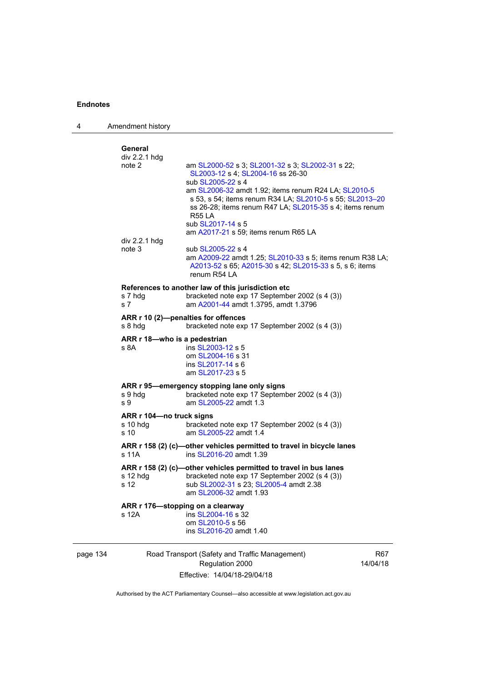page 134

4 Amendment history

| General                                   |                                                                                                                      |          |
|-------------------------------------------|----------------------------------------------------------------------------------------------------------------------|----------|
| div 2.2.1 hdg<br>note 2                   | am SL2000-52 s 3; SL2001-32 s 3; SL2002-31 s 22;                                                                     |          |
|                                           | SL2003-12 s 4; SL2004-16 ss 26-30                                                                                    |          |
|                                           | sub SL2005-22 s 4                                                                                                    |          |
|                                           | am SL2006-32 amdt 1.92; items renum R24 LA; SL2010-5                                                                 |          |
|                                           | s 53, s 54; items renum R34 LA; SL2010-5 s 55; SL2013-20                                                             |          |
|                                           | ss 26-28; items renum R47 LA; SL2015-35 s 4; items renum                                                             |          |
|                                           | <b>R55 LA</b>                                                                                                        |          |
|                                           | sub SL2017-14 s 5                                                                                                    |          |
|                                           | am A2017-21 s 59; items renum R65 LA                                                                                 |          |
| div 2.2.1 hdg                             |                                                                                                                      |          |
| note 3                                    | sub SL2005-22 s 4                                                                                                    |          |
|                                           | am A2009-22 amdt 1.25; SL2010-33 s 5; items renum R38 LA;<br>A2013-52 s 65; A2015-30 s 42; SL2015-33 s 5, s 6; items |          |
|                                           | renum R54 LA                                                                                                         |          |
|                                           |                                                                                                                      |          |
|                                           | References to another law of this jurisdiction etc                                                                   |          |
| s 7 hdg                                   | bracketed note exp 17 September 2002 (s 4 (3))                                                                       |          |
| s <sub>7</sub>                            | am A2001-44 amdt 1.3795, amdt 1.3796                                                                                 |          |
|                                           | ARR r 10 (2)-penalties for offences                                                                                  |          |
| s 8 hdg                                   | bracketed note exp 17 September 2002 (s 4 (3))                                                                       |          |
| ARR r 18-who is a pedestrian              |                                                                                                                      |          |
| s 8A                                      | ins SL2003-12 s 5                                                                                                    |          |
|                                           | om SL2004-16 s 31                                                                                                    |          |
|                                           | ins SL2017-14 s 6                                                                                                    |          |
|                                           | am SL2017-23 s 5                                                                                                     |          |
|                                           | ARR r 95-emergency stopping lane only signs                                                                          |          |
| s 9 hdg                                   | bracketed note exp 17 September 2002 (s 4 (3))                                                                       |          |
| s 9                                       | am SL2005-22 amdt 1.3                                                                                                |          |
| ARR r 104-no truck signs                  |                                                                                                                      |          |
| $s$ 10 hdg                                | bracketed note exp 17 September 2002 (s 4 (3))                                                                       |          |
| s 10                                      | am SL2005-22 amdt 1.4                                                                                                |          |
|                                           | ARR r 158 (2) (c)-other vehicles permitted to travel in bicycle lanes                                                |          |
| s 11A                                     | ins SL2016-20 amdt 1.39                                                                                              |          |
|                                           |                                                                                                                      |          |
| s 12 hdg                                  | ARR r 158 (2) (c)-other vehicles permitted to travel in bus lanes<br>bracketed note exp 17 September 2002 (s 4 (3))  |          |
| s 12                                      | sub SL2002-31 s 23; SL2005-4 amdt 2.38                                                                               |          |
|                                           | am SL2006-32 amdt 1.93                                                                                               |          |
|                                           |                                                                                                                      |          |
| ARR r 176-stopping on a clearway<br>s 12A | ins SL2004-16 s 32                                                                                                   |          |
|                                           | om SL2010-5 s 56                                                                                                     |          |
|                                           | ins SL2016-20 amdt 1.40                                                                                              |          |
|                                           |                                                                                                                      |          |
|                                           | Road Transport (Safety and Traffic Management)                                                                       | R67      |
|                                           | Regulation 2000                                                                                                      | 14/04/18 |
|                                           |                                                                                                                      |          |

Authorised by the ACT Parliamentary Counsel—also accessible at www.legislation.act.gov.au

Effective: 14/04/18-29/04/18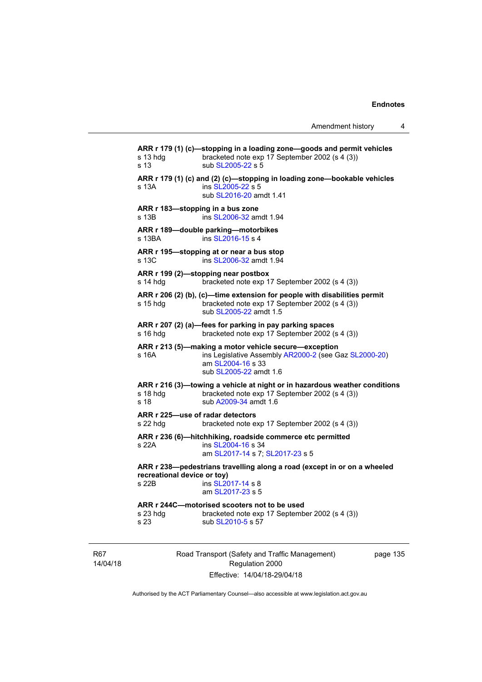**ARR r 179 (1) (c)—stopping in a loading zone—goods and permit vehicles**  s 13 hdg bracketed note exp 17 September 2002 (s 4 (3)) s 13 sub [SL2005-22](http://www.legislation.act.gov.au/sl/2005-22) s 5 **ARR r 179 (1) (c) and (2) (c)—stopping in loading zone—bookable vehicles**  s 13A ins [SL2005-22](http://www.legislation.act.gov.au/sl/2005-22) s 5 sub [SL2016-20](http://www.legislation.act.gov.au/sl/2016-20) amdt 1.41 **ARR r 183—stopping in a bus zone**  s 13B ins [SL2006-32](http://www.legislation.act.gov.au/sl/2006-32) amdt 1.94 **ARR r 189—double parking—motorbikes**  s 13BA ins [SL2016-15](http://www.legislation.act.gov.au/sl/2016-15) s 4 **ARR r 195—stopping at or near a bus stop**  s 13C ins [SL2006-32](http://www.legislation.act.gov.au/sl/2006-32) amdt 1.94 **ARR r 199 (2)—stopping near postbox**  s 14 hdg bracketed note exp 17 September 2002 (s 4 (3)) **ARR r 206 (2) (b), (c)—time extension for people with disabilities permit**  s 15 hdg bracketed note exp 17 September 2002 (s 4 (3)) sub [SL2005-22](http://www.legislation.act.gov.au/sl/2005-22) amdt 1.5 **ARR r 207 (2) (a)—fees for parking in pay parking spaces**  s 16 hdg bracketed note exp 17 September 2002 (s 4 (3)) **ARR r 213 (5)—making a motor vehicle secure—exception**  s 16A ins Legislative Assembly [AR2000-2](http://www.legislation.act.gov.au/ar/2000-2/default.asp) (see Gaz [SL2000-20\)](http://www.legislation.act.gov.au/sl/2000-20) am [SL2004-16](http://www.legislation.act.gov.au/sl/2004-16) s 33 sub [SL2005-22](http://www.legislation.act.gov.au/sl/2005-22) amdt 1.6 **ARR r 216 (3)—towing a vehicle at night or in hazardous weather conditions**  s 18 hdg bracketed note exp 17 September 2002 (s 4 (3)) s 18 **sub A2009-34** amdt 1.6 **ARR r 225—use of radar detectors**  s 22 hdg bracketed note exp 17 September 2002 (s 4 (3)) **ARR r 236 (6)—hitchhiking, roadside commerce etc permitted**  s 22A **ins [SL2004-16](http://www.legislation.act.gov.au/sl/2004-16) s** 34 am [SL2017-14](http://www.legislation.act.gov.au/sl/2017-14/default.asp) s 7; [SL2017-23](http://www.legislation.act.gov.au/sl/2017-23/default.asp) s 5 **ARR r 238—pedestrians travelling along a road (except in or on a wheeled recreational device or toy)**<br> **s** 22B **ins SI** 20 ins [SL2017-14](http://www.legislation.act.gov.au/sl/2017-14/default.asp) s 8 am [SL2017-23](http://www.legislation.act.gov.au/sl/2017-23/default.asp) s 5 **ARR r 244C—motorised scooters not to be used**  bracketed note exp 17 September 2002 (s 4 (3)) s 23 sub [SL2010-5](http://www.legislation.act.gov.au/sl/2010-5) s 57

R67 14/04/18 Road Transport (Safety and Traffic Management) Regulation 2000 Effective: 14/04/18-29/04/18

page 135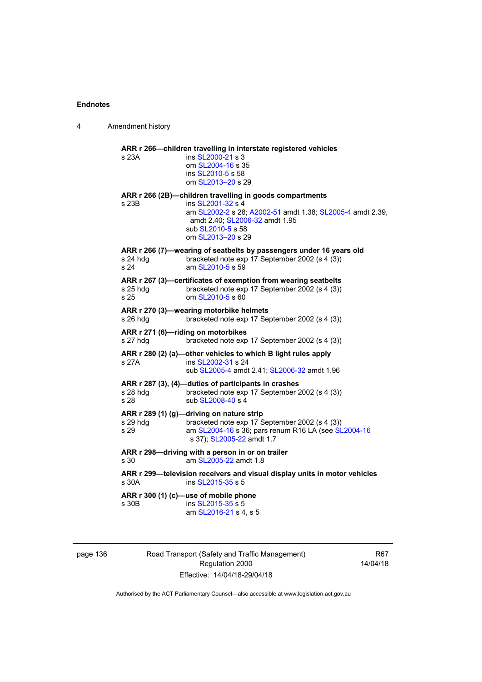4 Amendment history

| s 23A            | ins SL2000-21 s 3<br>om SL2004-16 s 35<br>ins SL2010-5 s 58<br>om SL2013-20 s 29                                                                                                                                       |
|------------------|------------------------------------------------------------------------------------------------------------------------------------------------------------------------------------------------------------------------|
| s 23B            | ARR r 266 (2B)-children travelling in goods compartments<br>ins SL2001-32 s 4<br>am SL2002-2 s 28; A2002-51 amdt 1.38; SL2005-4 amdt 2.39,<br>amdt 2.40; SL2006-32 amdt 1.95<br>sub SL2010-5 s 58<br>om SL2013-20 s 29 |
| s 24 hdg<br>s 24 | ARR r 266 (7)-wearing of seatbelts by passengers under 16 years old<br>bracketed note exp 17 September 2002 (s 4 (3))<br>am SL2010-5 s 59                                                                              |
| s 25 hdg<br>s 25 | ARR r 267 (3)-certificates of exemption from wearing seatbelts<br>bracketed note exp 17 September 2002 (s 4 (3))<br>om SL2010-5 s 60                                                                                   |
| s 26 hdg         | ARR r 270 (3)-wearing motorbike helmets<br>bracketed note exp 17 September 2002 (s 4 (3))                                                                                                                              |
| s 27 hdg         | ARR r 271 (6)-riding on motorbikes<br>bracketed note exp 17 September 2002 (s 4 (3))                                                                                                                                   |
| s 27A            | ARR r 280 (2) (a)-other vehicles to which B light rules apply<br>ins SL2002-31 s 24<br>sub SL2005-4 amdt 2.41; SL2006-32 amdt 1.96                                                                                     |
| s 28 hdg<br>s 28 | ARR r 287 (3), (4)-duties of participants in crashes<br>bracketed note exp 17 September 2002 (s 4 (3))<br>sub SL2008-40 s 4                                                                                            |
| s 29 hdg<br>s 29 | ARR r 289 (1) (g)-driving on nature strip<br>bracketed note exp 17 September 2002 (s 4 (3))<br>am SL2004-16 s 36; pars renum R16 LA (see SL2004-16<br>s 37); SL2005-22 amdt 1.7                                        |
| s 30             | ARR r 298-driving with a person in or on trailer<br>am SL2005-22 amdt 1.8                                                                                                                                              |
| s 30A            | ARR r 299-television receivers and visual display units in motor vehicles<br>ins SL2015-35 s 5                                                                                                                         |
| s 30B            | ARR r 300 (1) (c)-use of mobile phone<br>ins SL2015-35 s 5<br>am SL2016-21 s 4, s 5                                                                                                                                    |

page 136 Road Transport (Safety and Traffic Management) Regulation 2000 Effective: 14/04/18-29/04/18

R67 14/04/18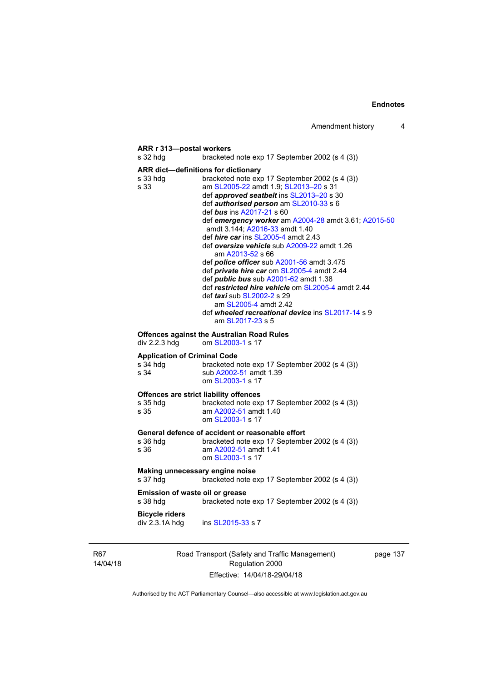# **ARR r 313—postal workers**  s 32 hdg bracketed note exp 17 September 2002 (s 4 (3)) **ARR dict—definitions for dictionary**  s 33 hdg bracketed note exp 17 September 2002 (s 4 (3))<br>s 33 **bracketed note exp 17 September 2002 (s 4 (3))** am [SL2005-22](http://www.legislation.act.gov.au/sl/2005-22) amdt 1.9; SL2013-20 s 31 def *approved seatbelt* ins [SL2013–20](http://www.legislation.act.gov.au/sl/2013-20) s 30 def *authorised person* am [SL2010-33](http://www.legislation.act.gov.au/sl/2010-33) s 6 def *bus* ins [A2017-21](http://www.legislation.act.gov.au/a/2017-21/default.asp) s 60 def *emergency worker* am [A2004-28](http://www.legislation.act.gov.au/a/2004-28) amdt 3.61; [A2015-50](http://www.legislation.act.gov.au/a/2015-50) amdt 3.144; [A2016-33](http://www.legislation.act.gov.au/a/2016-33/default.asp) amdt 1.40 def *hire car* ins [SL2005-4](http://www.legislation.act.gov.au/sl/2005-4) amdt 2.43 def *oversize vehicle* sub [A2009-22](http://www.legislation.act.gov.au/a/2009-22) amdt 1.26 am [A2013-52](http://www.legislation.act.gov.au/a/2013-52) s 66 def *police officer* sub [A2001-56](http://www.legislation.act.gov.au/a/2001-56) amdt 3.475 def *private hire car* om [SL2005-4](http://www.legislation.act.gov.au/sl/2005-4) amdt 2.44 def *public bus* sub [A2001-62](http://www.legislation.act.gov.au/a/2001-62) amdt 1.38 def *restricted hire vehicle* om [SL2005-4](http://www.legislation.act.gov.au/sl/2005-4) amdt 2.44 def *taxi* sub [SL2002-2](http://www.legislation.act.gov.au/sl/2002-2) s 29 am [SL2005-4](http://www.legislation.act.gov.au/sl/2005-4) amdt 2.42 def *wheeled recreational device* ins [SL2017-14](http://www.legislation.act.gov.au/sl/2017-14/default.asp) s 9 am [SL2017-23](http://www.legislation.act.gov.au/sl/2017-23/default.asp) s 5 **Offences against the Australian Road Rules**  div 2.2.3 hdg om [SL2003-1](http://www.legislation.act.gov.au/sl/2003-1) s 17 **Application of Criminal Code**  s 34 hdg bracketed note exp 17 September 2002 (s 4 (3)) s 34 sub [A2002-51](http://www.legislation.act.gov.au/a/2002-51) amdt 1.39 om [SL2003-1](http://www.legislation.act.gov.au/sl/2003-1) s 17 **Offences are strict liability offences**  s 35 hdg bracketed note exp 17 September 2002 (s 4 (3)) s 35 am [A2002-51](http://www.legislation.act.gov.au/a/2002-51) amdt 1.40 om [SL2003-1](http://www.legislation.act.gov.au/sl/2003-1) s 17 **General defence of accident or reasonable effort**  bracketed note exp 17 September 2002 (s 4 (3)) s 36 am [A2002-51](http://www.legislation.act.gov.au/a/2002-51) amdt 1.41 om [SL2003-1](http://www.legislation.act.gov.au/sl/2003-1) s 17 **Making unnecessary engine noise**  s 37 hdg bracketed note exp 17 September 2002 (s 4 (3)) **Emission of waste oil or grease**  s 38 hdg bracketed note exp 17 September 2002 (s 4 (3)) **Bicycle riders**  div 2.3.1A hdg ins [SL2015-33](http://www.legislation.act.gov.au/sl/2015-33) s 7

R67 14/04/18 Road Transport (Safety and Traffic Management) Regulation 2000 Effective: 14/04/18-29/04/18

page 137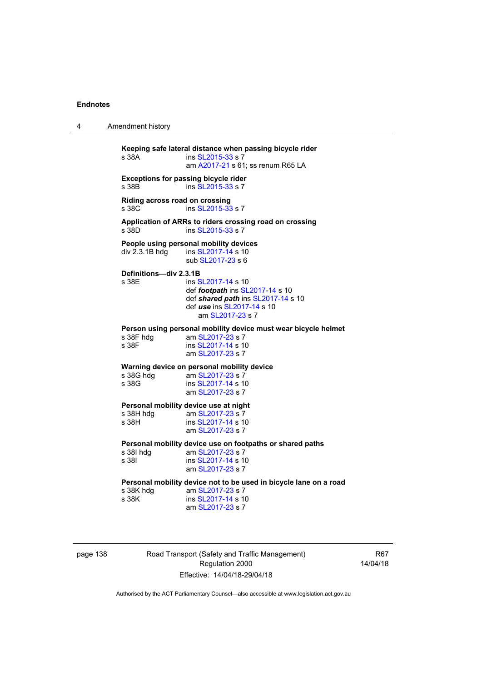4 Amendment history

**Keeping safe lateral distance when passing bicycle rider**  ins [SL2015-33](http://www.legislation.act.gov.au/sl/2015-33) s 7 am [A2017-21](http://www.legislation.act.gov.au/a/2017-21/default.asp) s 61; ss renum R65 LA **Exceptions for passing bicycle rider**  s 38B ins [SL2015-33](http://www.legislation.act.gov.au/sl/2015-33) s 7 **Riding across road on crossing**  s 38C ins [SL2015-33](http://www.legislation.act.gov.au/sl/2015-33) s 7 **Application of ARRs to riders crossing road on crossing**  s 38D ins [SL2015-33](http://www.legislation.act.gov.au/sl/2015-33) s 7 **People using personal mobility devices**  div 2.3.1B hdg ins [SL2017-14](http://www.legislation.act.gov.au/sl/2017-14/default.asp) s 10 sub [SL2017-23](http://www.legislation.act.gov.au/sl/2017-23/default.asp) s 6 **Definitions—div 2.3.1B**  s 38E ins [SL2017-14](http://www.legislation.act.gov.au/sl/2017-14/default.asp) s 10 def *footpath* ins [SL2017-14](http://www.legislation.act.gov.au/sl/2017-14/default.asp) s 10 def *shared path* ins [SL2017-14](http://www.legislation.act.gov.au/sl/2017-14/default.asp) s 10 def *use* ins [SL2017-14](http://www.legislation.act.gov.au/sl/2017-14/default.asp) s 10 am [SL2017-23](http://www.legislation.act.gov.au/sl/2017-23/default.asp) s 7 **Person using personal mobility device must wear bicycle helmet**  am [SL2017-23](http://www.legislation.act.gov.au/sl/2017-23/default.asp) s 7 s 38F ins [SL2017-14](http://www.legislation.act.gov.au/sl/2017-14/default.asp) s 10 am [SL2017-23](http://www.legislation.act.gov.au/sl/2017-23/default.asp) s 7 **Warning device on personal mobility device**<br>s 38G hdg am SL2017-23 s 7 am [SL2017-23](http://www.legislation.act.gov.au/sl/2017-23/default.asp) s 7 s 38G ins [SL2017-14](http://www.legislation.act.gov.au/sl/2017-14/default.asp) s 10 am [SL2017-23](http://www.legislation.act.gov.au/sl/2017-23/default.asp) s 7 **Personal mobility device use at night**<br>
s 38H hdq am SL2017-23 s 7 s 38H hdg am [SL2017-23](http://www.legislation.act.gov.au/sl/2017-23/default.asp) s 7<br>s 38H ins SI 2017-14 s 10 ins [SL2017-14](http://www.legislation.act.gov.au/sl/2017-14/default.asp) s 10 am [SL2017-23](http://www.legislation.act.gov.au/sl/2017-23/default.asp) s 7 **Personal mobility device use on footpaths or shared paths**  s 38I hdg am [SL2017-23](http://www.legislation.act.gov.au/sl/2017-23/default.asp) s 7 s 38I ins [SL2017-14](http://www.legislation.act.gov.au/sl/2017-14/default.asp) s 10 am [SL2017-23](http://www.legislation.act.gov.au/sl/2017-23/default.asp) s 7 **Personal mobility device not to be used in bicycle lane on a road**  s 38K hdg am [SL2017-23](http://www.legislation.act.gov.au/sl/2017-23/default.asp) s 7<br>s 38K ins SL2017-14 s 1 ins [SL2017-14](http://www.legislation.act.gov.au/sl/2017-14/default.asp) s 10 am [SL2017-23](http://www.legislation.act.gov.au/sl/2017-23/default.asp) s 7

page 138 Road Transport (Safety and Traffic Management) Regulation 2000 Effective: 14/04/18-29/04/18

R67 14/04/18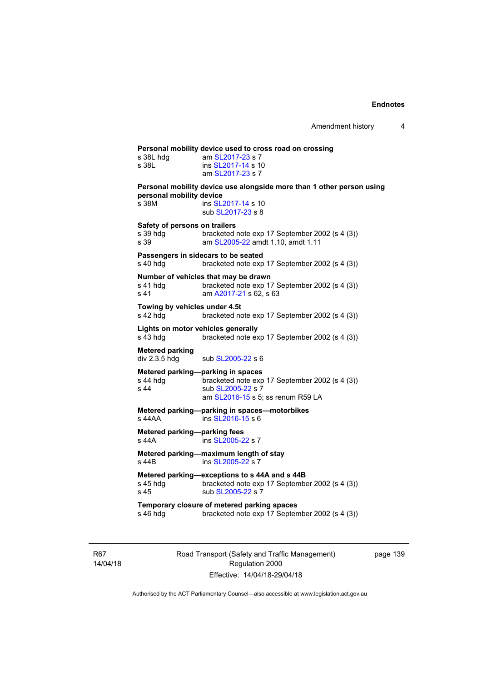| s 38L hda<br>s 38L                                | am SL2017-23 s 7<br>ins SL2017-14 s 10<br>am SL2017-23 s 7                                                                                    |
|---------------------------------------------------|-----------------------------------------------------------------------------------------------------------------------------------------------|
| personal mobility device<br>s 38M                 | Personal mobility device use alongside more than 1 other person using<br>ins SL2017-14 s 10<br>sub SL2017-23 s 8                              |
| Safety of persons on trailers<br>s 39 hdq<br>s 39 | bracketed note exp 17 September 2002 (s 4 (3))<br>am SL2005-22 amdt 1.10, amdt 1.11                                                           |
| s 40 hdg                                          | Passengers in sidecars to be seated<br>bracketed note exp 17 September 2002 (s 4 (3))                                                         |
| s 41 hdg<br>s 41                                  | Number of vehicles that may be drawn<br>bracketed note exp 17 September 2002 (s 4 (3))<br>am A2017-21 s 62, s 63                              |
| Towing by vehicles under 4.5t<br>s 42 hdg         | bracketed note exp 17 September 2002 (s 4 (3))                                                                                                |
| s 43 hdg                                          | Lights on motor vehicles generally<br>bracketed note exp 17 September 2002 (s 4 (3))                                                          |
| Metered parking<br>div 2.3.5 hdg                  | sub SL2005-22 s 6                                                                                                                             |
| s 44 hdg<br>s 44                                  | Metered parking-parking in spaces<br>bracketed note exp 17 September 2002 (s 4 (3))<br>sub SL2005-22 s 7<br>am SL2016-15 s 5; ss renum R59 LA |
| s 44AA                                            | Metered parking-parking in spaces-motorbikes<br>ins SL2016-15 s 6                                                                             |
| Metered parking-parking fees<br>s 44A             | ins SL2005-22 s 7                                                                                                                             |
| s 44B                                             | Metered parking-maximum length of stay<br>ins SL2005-22 s 7                                                                                   |
| s 45 hdq<br>s 45                                  | Metered parking—exceptions to s 44A and s 44B<br>bracketed note exp 17 September 2002 (s 4 (3))<br>sub SL2005-22 s 7                          |
| s 46 hdg                                          | Temporary closure of metered parking spaces<br>bracketed note exp 17 September 2002 (s 4 (3))                                                 |

R67 14/04/18 Road Transport (Safety and Traffic Management) Regulation 2000 Effective: 14/04/18-29/04/18

page 139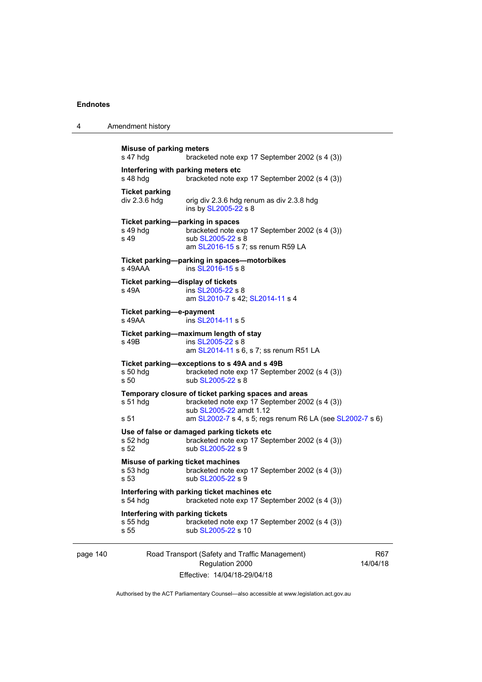page 140

| -4 | Amendment history |
|----|-------------------|
|    |                   |

| <b>Misuse of parking meters</b><br>s 47 hdg            | bracketed note exp 17 September 2002 (s 4 (3))                                                                                                                                                 |               |
|--------------------------------------------------------|------------------------------------------------------------------------------------------------------------------------------------------------------------------------------------------------|---------------|
| Interfering with parking meters etc<br>s 48 hdq        | bracketed note exp 17 September 2002 (s 4 (3))                                                                                                                                                 |               |
| <b>Ticket parking</b><br>div 2.3.6 hdg                 | orig div 2.3.6 hdg renum as div 2.3.8 hdg<br>ins by SL2005-22 s 8                                                                                                                              |               |
| Ticket parking-parking in spaces<br>s 49 hdg<br>s 49   | bracketed note exp 17 September 2002 (s 4 (3))<br>sub SL2005-22 s 8<br>am SL2016-15 s 7; ss renum R59 LA                                                                                       |               |
| s 49AAA                                                | Ticket parking-parking in spaces-motorbikes<br>ins SL2016-15 s 8                                                                                                                               |               |
| Ticket parking-display of tickets<br>s 49A             | ins SL2005-22 s 8<br>am SL2010-7 s 42; SL2014-11 s 4                                                                                                                                           |               |
| Ticket parking-e-payment<br>s 49AA                     | ins SL2014-11 s 5                                                                                                                                                                              |               |
| s 49B                                                  | Ticket parking-maximum length of stay<br>ins SL2005-22 s 8<br>am SL2014-11 s 6, s 7; ss renum R51 LA                                                                                           |               |
| s 50 hdg<br>s 50                                       | Ticket parking-exceptions to s 49A and s 49B<br>bracketed note exp 17 September 2002 (s 4 (3))<br>sub SL2005-22 s 8                                                                            |               |
| $s51$ hdg<br>s 51                                      | Temporary closure of ticket parking spaces and areas<br>bracketed note exp 17 September 2002 (s 4 (3))<br>sub SL2005-22 amdt 1.12<br>am SL2002-7 s 4, s 5; regs renum R6 LA (see SL2002-7 s 6) |               |
| s 52 hdg<br>s 52                                       | Use of false or damaged parking tickets etc<br>bracketed note exp 17 September 2002 (s 4 (3))<br>sub SL2005-22 s 9                                                                             |               |
| Misuse of parking ticket machines<br>$s53$ hdg<br>s 53 | bracketed note exp 17 September 2002 (s 4 (3))<br>sub SL2005-22 s 9                                                                                                                            |               |
| s 54 hda                                               | Interfering with parking ticket machines etc<br>bracketed note exp 17 September 2002 (s 4 (3))                                                                                                 |               |
| Interfering with parking tickets<br>s 55 hdg<br>s 55   | bracketed note exp 17 September 2002 (s 4 (3))<br>sub SL2005-22 s 10                                                                                                                           |               |
|                                                        | Road Transport (Safety and Traffic Management)<br>Regulation 2000                                                                                                                              | R6<br>14/04/1 |

Effective: 14/04/18-29/04/18

 $37<sup>5</sup>$ 14/04/18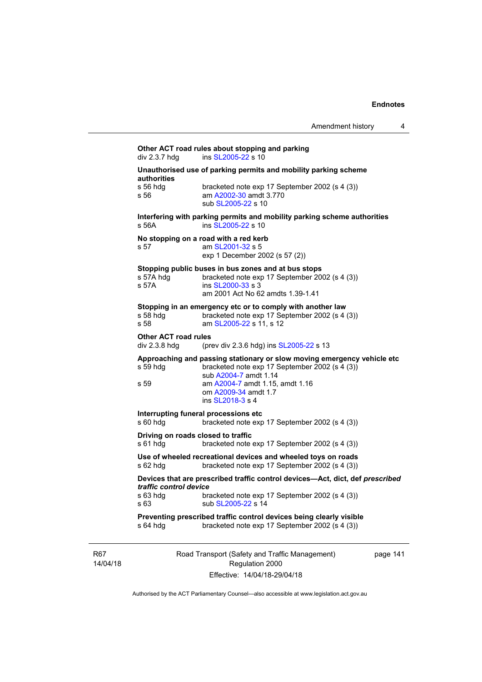# Road Transport (Safety and Traffic Management) page 141 **Other ACT road rules about stopping and parking div 2.3.7 hdg and state ins SL2005-22 s 10** ins  $SL2005-22$  s 10 **Unauthorised use of parking permits and mobility parking scheme authorities**  s 56 hdg bracketed note exp 17 September 2002 (s 4 (3)) s 56 am [A2002-30](http://www.legislation.act.gov.au/a/2002-30) amdt 3.770 sub [SL2005-22](http://www.legislation.act.gov.au/sl/2005-22) s 10 **Interfering with parking permits and mobility parking scheme authorities**  s 56A **ins [SL2005-22](http://www.legislation.act.gov.au/sl/2005-22) s** 10 **No stopping on a road with a red kerb**  s 57 am [SL2001-32](http://www.legislation.act.gov.au/sl/2001-32) s 5 exp 1 December 2002 (s 57 (2)) **Stopping public buses in bus zones and at bus stops**  s 57A hdg bracketed note exp 17 September 2002 (s 4 (3)) s 57A ins [SL2000-33](http://www.legislation.act.gov.au/sl/2000-33) s 3 am 2001 Act No 62 amdts 1.39-1.41 **Stopping in an emergency etc or to comply with another law**  s 58 hdg bracketed note exp 17 September 2002 (s 4 (3))<br>s 58 **bracketed note 51 2005-22 s** 11 s 12 am [SL2005-22](http://www.legislation.act.gov.au/sl/2005-22) s 11, s 12 **Other ACT road rules**  div 2.3.8 hdg (prev div 2.3.6 hdg) ins [SL2005-22](http://www.legislation.act.gov.au/sl/2005-22) s 13 **Approaching and passing stationary or slow moving emergency vehicle etc**  s 59 hdg bracketed note exp 17 September 2002 (s 4 (3)) sub [A2004-7](http://www.legislation.act.gov.au/a/2004-7) amdt 1.14 s 59 am [A2004-7](http://www.legislation.act.gov.au/a/2004-7) amdt 1.15, amdt 1.16 om [A2009-34](http://www.legislation.act.gov.au/a/2009-34) amdt 1.7 ins [SL2018-3](http://www.legislation.act.gov.au/sl/2018-3/default.asp) s 4 **Interrupting funeral processions etc**  s 60 hdg bracketed note exp 17 September 2002 (s 4 (3)) **Driving on roads closed to traffic**  s 61 hdg bracketed note exp 17 September 2002 (s 4 (3)) **Use of wheeled recreational devices and wheeled toys on roads**  s 62 hdg bracketed note exp 17 September 2002 (s 4 (3)) **Devices that are prescribed traffic control devices—Act, dict, def** *prescribed traffic control device* s 63 hdg bracketed note exp 17 September 2002 (s 4 (3)) s 63 sub [SL2005-22](http://www.legislation.act.gov.au/sl/2005-22) s 14 **Preventing prescribed traffic control devices being clearly visible**  s 64 hdg bracketed note exp 17 September 2002 (s 4 (3))

R67 14/04/18

Regulation 2000 Effective: 14/04/18-29/04/18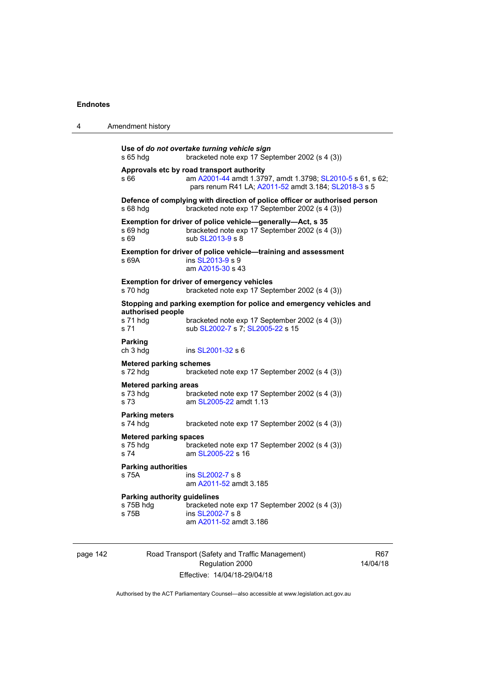| 4 | Amendment history                                  |                                                                                                                                                                 |
|---|----------------------------------------------------|-----------------------------------------------------------------------------------------------------------------------------------------------------------------|
|   | s 65 hdg                                           | Use of do not overtake turning vehicle sign<br>bracketed note exp 17 September 2002 (s 4 (3))                                                                   |
|   | s 66                                               | Approvals etc by road transport authority<br>am A2001-44 amdt 1.3797, amdt 1.3798; SL2010-5 s 61, s 62;<br>pars renum R41 LA; A2011-52 amdt 3.184; SL2018-3 s 5 |
|   | $s68h$ dg                                          | Defence of complying with direction of police officer or authorised person<br>bracketed note exp 17 September 2002 (s 4 (3))                                    |
|   | s 69 hdg<br>s 69                                   | Exemption for driver of police vehicle-generally-Act, s 35<br>bracketed note exp 17 September 2002 (s 4 (3))<br>sub SL2013-9 s 8                                |
|   | s 69A                                              | Exemption for driver of police vehicle-training and assessment<br>ins SL2013-9 s 9<br>am A2015-30 s 43                                                          |
|   | s 70 hdg                                           | <b>Exemption for driver of emergency vehicles</b><br>bracketed note exp 17 September 2002 (s 4 (3))                                                             |
|   | authorised people<br>s 71 hdg<br>s 71              | Stopping and parking exemption for police and emergency vehicles and<br>bracketed note exp 17 September 2002 (s 4 (3))<br>sub SL2002-7 s 7; SL2005-22 s 15      |
|   | <b>Parking</b><br>ch 3 hdg                         | ins SL2001-32 s 6                                                                                                                                               |
|   | <b>Metered parking schemes</b><br>s 72 hdg         | bracketed note exp 17 September 2002 (s 4 (3))                                                                                                                  |
|   | <b>Metered parking areas</b><br>s 73 hdg<br>s 73   | bracketed note exp 17 September 2002 (s 4 (3))<br>am SL2005-22 amdt 1.13                                                                                        |
|   | <b>Parking meters</b><br>s 74 hdg                  | bracketed note exp 17 September 2002 (s 4 (3))                                                                                                                  |
|   | <b>Metered parking spaces</b><br>s 75 hda<br>s 74  | bracketed note exp 17 September 2002 (s 4 (3))<br>am SL2005-22 s 16                                                                                             |
|   | <b>Parking authorities</b><br>s 75A                | ins SL2002-7 s 8<br>am A2011-52 amdt 3.185                                                                                                                      |
|   | Parking authority guidelines<br>s 75B hdg<br>s 75B | bracketed note exp 17 September 2002 (s 4 (3))<br>ins SL2002-7 s 8<br>am A2011-52 amdt 3.186                                                                    |

page 142 Road Transport (Safety and Traffic Management) Regulation 2000 Effective: 14/04/18-29/04/18

R67 14/04/18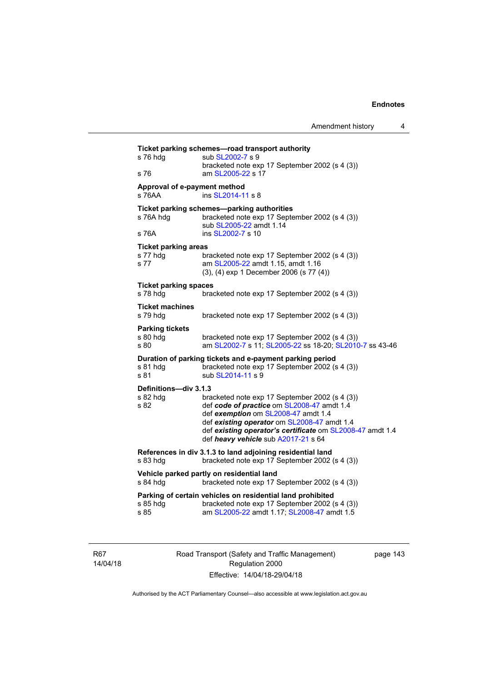| s 76 hdg                                        | sub SL2002-7 s 9                                                                                                                                                                                                                     |
|-------------------------------------------------|--------------------------------------------------------------------------------------------------------------------------------------------------------------------------------------------------------------------------------------|
| s 76                                            | bracketed note exp 17 September 2002 (s 4 (3))<br>am SL2005-22 s 17                                                                                                                                                                  |
| Approval of e-payment method<br>s 76AA          | ins SL2014-11 s 8                                                                                                                                                                                                                    |
| s 76A hdg                                       | Ticket parking schemes-parking authorities<br>bracketed note exp 17 September 2002 (s 4 (3))<br>sub SL2005-22 amdt 1.14                                                                                                              |
| s 76A                                           | ins SL2002-7 s 10                                                                                                                                                                                                                    |
| <b>Ticket parking areas</b><br>s 77 hdg<br>s 77 | bracketed note exp 17 September 2002 (s 4 (3))<br>am SL2005-22 amdt 1.15, amdt 1.16<br>(3), (4) exp 1 December 2006 (s 77 (4))                                                                                                       |
| <b>Ticket parking spaces</b><br>s 78 hdg        | bracketed note exp 17 September 2002 (s 4 (3))                                                                                                                                                                                       |
| <b>Ticket machines</b><br>s 79 hdg              | bracketed note exp 17 September 2002 (s 4 (3))                                                                                                                                                                                       |
| <b>Parking tickets</b><br>s 80 hdg<br>s 80      | bracketed note exp 17 September 2002 (s 4 (3))<br>am SL2002-7 s 11; SL2005-22 ss 18-20; SL2010-7 ss 43-46                                                                                                                            |
| s 81 hdg<br>s 81                                | Duration of parking tickets and e-payment parking period<br>bracketed note exp 17 September 2002 (s 4 (3))<br>sub SL2014-11 s 9                                                                                                      |
| Definitions-div 3.1.3<br>s 82 hdg               | bracketed note exp 17 September 2002 (s 4 (3))                                                                                                                                                                                       |
| s 82                                            | def code of practice om SL2008-47 amdt 1.4<br>def exemption om SL2008-47 amdt 1.4<br>def existing operator om SL2008-47 amdt 1.4<br>def existing operator's certificate om SL2008-47 amdt 1.4<br>def heavy vehicle sub A2017-21 s 64 |
| s 83 hdg                                        | References in div 3.1.3 to land adjoining residential land<br>bracketed note exp 17 September 2002 (s 4 (3))                                                                                                                         |
| s 84 hdg                                        | Vehicle parked partly on residential land<br>bracketed note exp 17 September 2002 (s 4 (3))                                                                                                                                          |
| s 85 hdg                                        | Parking of certain vehicles on residential land prohibited<br>bracketed note exp 17 September 2002 (s 4 (3))                                                                                                                         |

R67 14/04/18 Road Transport (Safety and Traffic Management) Regulation 2000 Effective: 14/04/18-29/04/18

page 143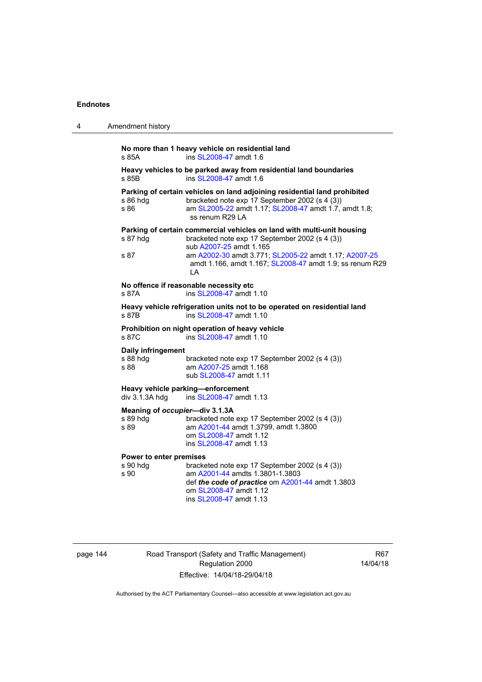| 4 | Amendment history                                                                                                                                                                                                                                                                                  |  |  |
|---|----------------------------------------------------------------------------------------------------------------------------------------------------------------------------------------------------------------------------------------------------------------------------------------------------|--|--|
|   | No more than 1 heavy vehicle on residential land<br>ins SL2008-47 amdt 1.6<br>s 85A                                                                                                                                                                                                                |  |  |
|   | Heavy vehicles to be parked away from residential land boundaries<br>ins SL2008-47 amdt 1.6<br>s 85B                                                                                                                                                                                               |  |  |
|   | Parking of certain vehicles on land adjoining residential land prohibited<br>bracketed note exp 17 September 2002 (s 4 (3))<br>s 86 hdg<br>s 86<br>am SL2005-22 amdt 1.17; SL2008-47 amdt 1.7, amdt 1.8;<br>ss renum R29 LA                                                                        |  |  |
|   | Parking of certain commercial vehicles on land with multi-unit housing<br>s 87 hdg<br>bracketed note exp 17 September 2002 (s 4 (3))<br>sub A2007-25 amdt 1.165<br>am A2002-30 amdt 3.771; SL2005-22 amdt 1.17; A2007-25<br>s 87<br>amdt 1.166, amdt 1.167; SL2008-47 amdt 1.9; ss renum R29<br>ΙA |  |  |
|   | No offence if reasonable necessity etc<br>ins SL2008-47 amdt 1.10<br>s 87A                                                                                                                                                                                                                         |  |  |
|   | Heavy vehicle refrigeration units not to be operated on residential land<br>ins SL2008-47 amdt 1.10<br>s 87B                                                                                                                                                                                       |  |  |
|   | Prohibition on night operation of heavy vehicle<br>ins SL2008-47 amdt 1.10<br>s 87C                                                                                                                                                                                                                |  |  |
|   | Daily infringement<br>s 88 hdg<br>bracketed note exp 17 September 2002 (s 4 (3))<br>s 88<br>am A2007-25 amdt 1.168<br>sub SL2008-47 amdt 1.11                                                                                                                                                      |  |  |
|   | Heavy vehicle parking-enforcement<br>div 3.1.3A hdg<br>ins SL2008-47 amdt 1.13                                                                                                                                                                                                                     |  |  |
|   | Meaning of occupier-div 3.1.3A<br>s 89 hda<br>bracketed note exp 17 September 2002 (s 4 (3))<br>s 89<br>am A2001-44 amdt 1.3799, amdt 1.3800<br>om SL2008-47 amdt 1.12<br>ins SL2008-47 amdt 1.13                                                                                                  |  |  |
|   | Power to enter premises<br>s 90 hdg<br>bracketed note exp 17 September 2002 (s 4 (3))<br>s 90<br>am A2001-44 amdts 1.3801-1.3803<br>def the code of practice om A2001-44 amdt 1.3803<br>om SL2008-47 amdt 1.12<br>ins SL2008-47 amdt 1.13                                                          |  |  |

| page 144 |  |
|----------|--|
|----------|--|

144 Road Transport (Safety and Traffic Management) Regulation 2000 Effective: 14/04/18-29/04/18

R67 14/04/18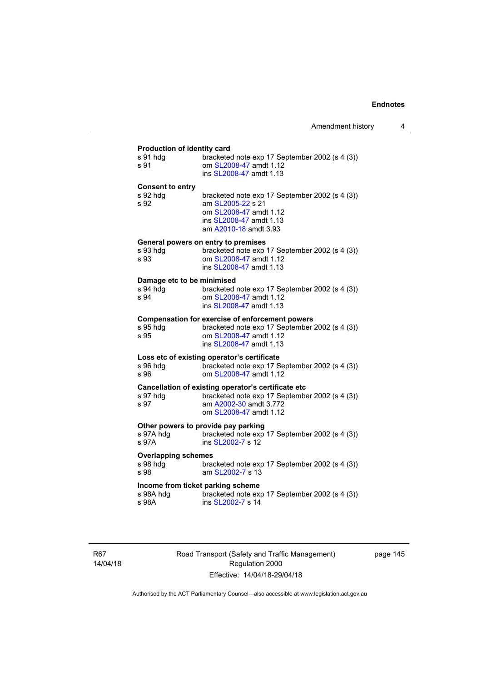# **Production of identity card**

| Production of identity card                             |                                                                                                                                                           |
|---------------------------------------------------------|-----------------------------------------------------------------------------------------------------------------------------------------------------------|
| s 91 hdg<br>s 91                                        | bracketed note exp 17 September 2002 (s 4 (3))<br>om SL2008-47 amdt 1.12<br>ins SL2008-47 amdt 1.13                                                       |
| <b>Consent to entry</b><br>s 92 hdg<br>s 92             | bracketed note exp 17 September 2002 (s 4 (3))<br>am SL2005-22 s 21<br>om SL2008-47 amdt 1.12<br>ins SL2008-47 amdt 1.13<br>am A2010-18 amdt 3.93         |
| s 93 hdg<br>s 93                                        | General powers on entry to premises<br>bracketed note exp 17 September 2002 (s 4 (3))<br>om SL2008-47 amdt 1.12<br>ins SL2008-47 amdt 1.13                |
| Damage etc to be minimised<br>s 94 hdg<br>s 94          | bracketed note exp 17 September 2002 (s 4 (3))<br>om SL2008-47 amdt 1.12<br>ins SL2008-47 amdt 1.13                                                       |
| s 95 hda<br>s 95                                        | Compensation for exercise of enforcement powers<br>bracketed note exp 17 September 2002 (s 4 (3))<br>om SL2008-47 amdt 1.12<br>ins SL2008-47 amdt 1.13    |
| s 96 hdg<br>s 96                                        | Loss etc of existing operator's certificate<br>bracketed note exp 17 September 2002 (s 4 (3))<br>om SL2008-47 amdt 1.12                                   |
| s 97 hdg<br>s 97                                        | Cancellation of existing operator's certificate etc<br>bracketed note exp 17 September 2002 (s 4 (3))<br>am A2002-30 amdt 3.772<br>om SL2008-47 amdt 1.12 |
| s 97A hdg<br>s 97A                                      | Other powers to provide pay parking<br>bracketed note exp 17 September 2002 (s 4 (3))<br>ins SL2002-7 s 12                                                |
| <b>Overlapping schemes</b><br>s 98 hdg<br>s 98          | bracketed note exp 17 September 2002 (s 4 (3))<br>am SL2002-7 s 13                                                                                        |
| Income from ticket parking scheme<br>s 98A hdq<br>s 98A | bracketed note exp 17 September 2002 (s 4 (3))<br>ins SL2002-7 s 14                                                                                       |
|                                                         |                                                                                                                                                           |

R67 14/04/18 Road Transport (Safety and Traffic Management) Regulation 2000 Effective: 14/04/18-29/04/18

page 145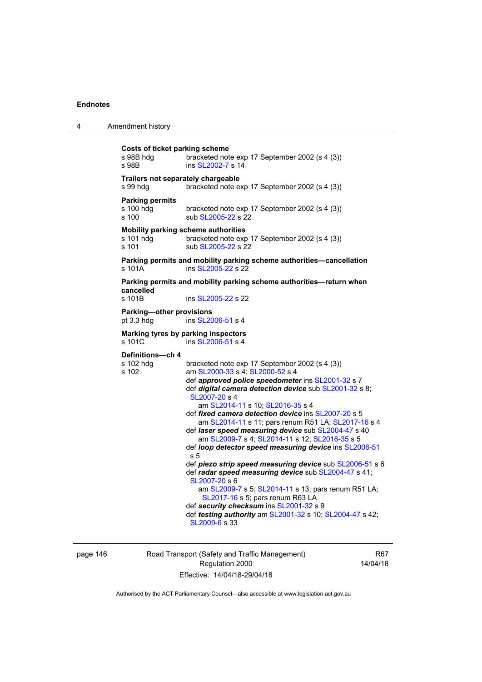| 4 | Amendment history                                           |                                                                                                                                                                                                                                                                                                                                                                                                                                                                                                                                                                                                                                                                                                                                                                                                                                                                                                       |
|---|-------------------------------------------------------------|-------------------------------------------------------------------------------------------------------------------------------------------------------------------------------------------------------------------------------------------------------------------------------------------------------------------------------------------------------------------------------------------------------------------------------------------------------------------------------------------------------------------------------------------------------------------------------------------------------------------------------------------------------------------------------------------------------------------------------------------------------------------------------------------------------------------------------------------------------------------------------------------------------|
|   | <b>Costs of ticket parking scheme</b><br>s 98B hdg<br>s 98B | bracketed note exp 17 September 2002 (s 4 (3))<br>ins SL2002-7 s 14                                                                                                                                                                                                                                                                                                                                                                                                                                                                                                                                                                                                                                                                                                                                                                                                                                   |
|   | Trailers not separately chargeable<br>s 99 hdg              | bracketed note exp 17 September 2002 (s 4 (3))                                                                                                                                                                                                                                                                                                                                                                                                                                                                                                                                                                                                                                                                                                                                                                                                                                                        |
|   | <b>Parking permits</b><br>s 100 hdg<br>s 100                | bracketed note exp 17 September 2002 (s 4 (3))<br>sub SL2005-22 s 22                                                                                                                                                                                                                                                                                                                                                                                                                                                                                                                                                                                                                                                                                                                                                                                                                                  |
|   | s 101 hdg<br>s 101                                          | Mobility parking scheme authorities<br>bracketed note exp 17 September 2002 (s 4 (3))<br>sub SL2005-22 s 22                                                                                                                                                                                                                                                                                                                                                                                                                                                                                                                                                                                                                                                                                                                                                                                           |
|   | s 101A                                                      | Parking permits and mobility parking scheme authorities-cancellation<br>ins SL2005-22 s 22                                                                                                                                                                                                                                                                                                                                                                                                                                                                                                                                                                                                                                                                                                                                                                                                            |
|   | cancelled<br>s 101B                                         | Parking permits and mobility parking scheme authorities—return when<br>ins SL2005-22 s 22                                                                                                                                                                                                                                                                                                                                                                                                                                                                                                                                                                                                                                                                                                                                                                                                             |
|   | Parking-other provisions<br>pt 3.3 hdg                      | ins SL2006-51 s 4                                                                                                                                                                                                                                                                                                                                                                                                                                                                                                                                                                                                                                                                                                                                                                                                                                                                                     |
|   | s 101C                                                      | Marking tyres by parking inspectors<br>ins SL2006-51 s 4                                                                                                                                                                                                                                                                                                                                                                                                                                                                                                                                                                                                                                                                                                                                                                                                                                              |
|   | Definitions-ch 4<br>s 102 hdg<br>s 102                      | bracketed note exp 17 September 2002 (s 4 (3))<br>am SL2000-33 s 4; SL2000-52 s 4<br>def approved police speedometer ins SL2001-32 s 7<br>def digital camera detection device sub SL2001-32 s 8;<br>SL2007-20 s 4<br>am SL2014-11 s 10; SL2016-35 s 4<br>def fixed camera detection device ins SL2007-20 s 5<br>am SL2014-11 s 11; pars renum R51 LA; SL2017-16 s 4<br>def laser speed measuring device sub SL2004-47 s 40<br>am SL2009-7 s 4; SL2014-11 s 12; SL2016-35 s 5<br>def loop detector speed measuring device ins SL2006-51<br>s 5<br>def piezo strip speed measuring device sub SL2006-51 s 6<br>def radar speed measuring device sub SL2004-47 s 41;<br>SL2007-20 s 6<br>am SL2009-7 s 5; SL2014-11 s 13; pars renum R51 LA;<br>SL2017-16 s 5; pars renum R63 LA<br>def security checksum ins SL2001-32 s 9<br>def testing authority am SL2001-32 s 10; SL2004-47 s 42;<br>SL2009-6 s 33 |

page 146 Road Transport (Safety and Traffic Management) Regulation 2000 Effective: 14/04/18-29/04/18

R67 14/04/18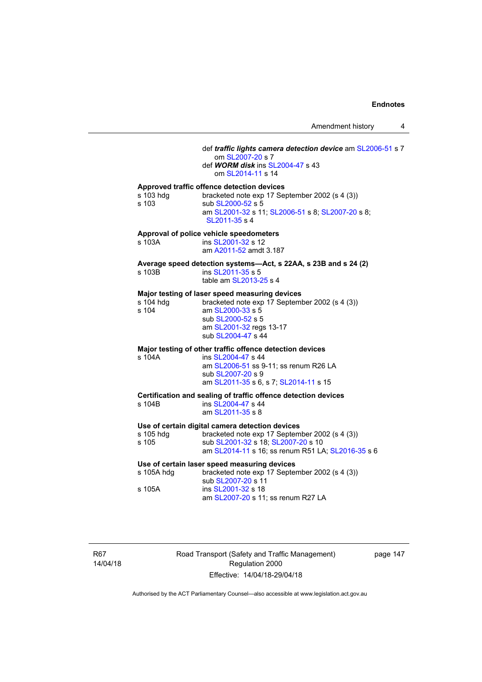## def *traffic lights camera detection device* am [SL2006-51](http://www.legislation.act.gov.au/sl/2006-51) s 7 om [SL2007-20](http://www.legislation.act.gov.au/sl/2007-20) s 7 def *WORM disk* ins [SL2004-47](http://www.legislation.act.gov.au/sl/2004-47) s 43 om [SL2014-11](http://www.legislation.act.gov.au/sl/2014-11) s 14 **Approved traffic offence detection devices**  s 103 hdg bracketed note exp 17 September 2002 (s 4 (3)) s 103 sub [SL2000-52](http://www.legislation.act.gov.au/sl/2000-52) s 5 am [SL2001-32](http://www.legislation.act.gov.au/sl/2001-32) s 11; [SL2006-51](http://www.legislation.act.gov.au/sl/2006-51) s 8; [SL2007-20](http://www.legislation.act.gov.au/sl/2007-20) s 8; [SL2011-35](http://www.legislation.act.gov.au/sl/2011-35) s 4 **Approval of police vehicle speedometers**  s 103A **ins [SL2001-32](http://www.legislation.act.gov.au/sl/2001-32) s 12**  am [A2011-52](http://www.legislation.act.gov.au/a/2011-52) amdt 3.187 **Average speed detection systems—Act, s 22AA, s 23B and s 24 (2)**  s 103B ins [SL2011-35](http://www.legislation.act.gov.au/sl/2011-35) s 5 table am [SL2013-25](http://www.legislation.act.gov.au/sl/2013-25) s 4 **Major testing of laser speed measuring devices**  s 104 hdg bracketed note exp 17 September 2002 (s 4 (3)) s 104 am [SL2000-33](http://www.legislation.act.gov.au/sl/2000-33) s 5 sub [SL2000-52](http://www.legislation.act.gov.au/sl/2000-52) s 5 am [SL2001-32](http://www.legislation.act.gov.au/sl/2001-32) regs 13-17 sub [SL2004-47](http://www.legislation.act.gov.au/sl/2004-47) s 44 **Major testing of other traffic offence detection devices**  s 104A ins [SL2004-47](http://www.legislation.act.gov.au/sl/2004-47) s 44 am [SL2006-51](http://www.legislation.act.gov.au/sl/2006-51) ss 9-11; ss renum R26 LA sub [SL2007-20](http://www.legislation.act.gov.au/sl/2007-20) s 9 am [SL2011-35](http://www.legislation.act.gov.au/sl/2011-35) s 6, s 7; [SL2014-11](http://www.legislation.act.gov.au/sl/2014-11) s 15 **Certification and sealing of traffic offence detection devices**  s 104B ins [SL2004-47](http://www.legislation.act.gov.au/sl/2004-47) s 44 am [SL2011-35](http://www.legislation.act.gov.au/sl/2011-35) s 8 **Use of certain digital camera detection devices**  s 105 hdg bracketed note exp 17 September 2002 (s 4 (3))<br>s 105 sub SL2001-32 s 18; SL2007-20 s 10 sub [SL2001-32](http://www.legislation.act.gov.au/sl/2001-32) s 18; [SL2007-20](http://www.legislation.act.gov.au/sl/2007-20) s 10 am [SL2014-11](http://www.legislation.act.gov.au/sl/2014-11) s 16; ss renum R51 LA; [SL2016-35](http://www.legislation.act.gov.au/sl/2016-35/default.asp) s 6 **Use of certain laser speed measuring devices**  s 105A hdg bracketed note exp 17 September 2002 (s 4 (3)) sub [SL2007-20](http://www.legislation.act.gov.au/sl/2007-20) s 11 s 105A ins [SL2001-32](http://www.legislation.act.gov.au/sl/2001-32) s 18 am [SL2007-20](http://www.legislation.act.gov.au/sl/2007-20) s 11; ss renum R27 LA

R67 14/04/18 Road Transport (Safety and Traffic Management) Regulation 2000 Effective: 14/04/18-29/04/18

page 147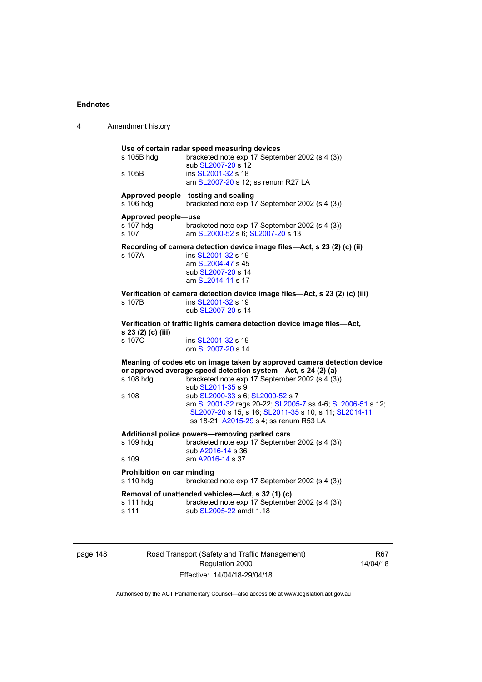| Use of certain radar speed measuring devices<br>s 105B hdg<br>bracketed note exp 17 September 2002 (s 4 (3))<br>sub SL2007-20 s 12<br>ins SL2001-32 s 18<br>s 105B<br>am SL2007-20 s 12; ss renum R27 LA<br>Approved people-testing and sealing<br>s 106 hdg<br>bracketed note exp 17 September 2002 (s 4 (3))<br>Approved people-use<br>s 107 hdg<br>bracketed note exp 17 September 2002 (s 4 (3))<br>s 107<br>am SL2000-52 s 6; SL2007-20 s 13<br>Recording of camera detection device image files-Act, s 23 (2) (c) (ii)<br>s 107A<br>ins SL2001-32 s 19<br>am SL2004-47 s 45<br>sub SL2007-20 s 14<br>am SL2014-11 s 17<br>Verification of camera detection device image files-Act, s 23 (2) (c) (iii)<br>ins SL2001-32 s 19<br>s 107B<br>sub SL2007-20 s 14<br>Verification of traffic lights camera detection device image files-Act,<br>s 23 (2) (c) (iii)<br>s 107C<br>ins SL2001-32 s 19<br>om SL2007-20 s 14<br>Meaning of codes etc on image taken by approved camera detection device<br>or approved average speed detection system-Act, s 24 (2) (a)<br>s 108 hdg<br>bracketed note exp 17 September 2002 (s 4 (3))<br>sub SL2011-35 s 9<br>s 108<br>sub SL2000-33 s 6; SL2000-52 s 7<br>am SL2001-32 regs 20-22; SL2005-7 ss 4-6; SL2006-51 s 12;<br>SL2007-20 s 15, s 16; SL2011-35 s 10, s 11; SL2014-11<br>ss 18-21; A2015-29 s 4; ss renum R53 LA<br>Additional police powers-removing parked cars<br>s 109 hdg<br>bracketed note exp 17 September 2002 (s 4 (3))<br>sub A2016-14 s 36<br>am A2016-14 s 37<br>s 109<br>Prohibition on car minding<br>bracketed note exp 17 September 2002 (s 4 (3))<br>s 110 hdg<br>Removal of unattended vehicles-Act, s 32 (1) (c)<br>bracketed note exp 17 September 2002 (s 4 (3))<br>s 111 hdg<br>s 111<br>sub SL2005-22 amdt 1.18 | 4 | Amendment history |  |
|--------------------------------------------------------------------------------------------------------------------------------------------------------------------------------------------------------------------------------------------------------------------------------------------------------------------------------------------------------------------------------------------------------------------------------------------------------------------------------------------------------------------------------------------------------------------------------------------------------------------------------------------------------------------------------------------------------------------------------------------------------------------------------------------------------------------------------------------------------------------------------------------------------------------------------------------------------------------------------------------------------------------------------------------------------------------------------------------------------------------------------------------------------------------------------------------------------------------------------------------------------------------------------------------------------------------------------------------------------------------------------------------------------------------------------------------------------------------------------------------------------------------------------------------------------------------------------------------------------------------------------------------------------------------------------------------------------------------------------------------------------------------------------------------|---|-------------------|--|
|                                                                                                                                                                                                                                                                                                                                                                                                                                                                                                                                                                                                                                                                                                                                                                                                                                                                                                                                                                                                                                                                                                                                                                                                                                                                                                                                                                                                                                                                                                                                                                                                                                                                                                                                                                                            |   |                   |  |
|                                                                                                                                                                                                                                                                                                                                                                                                                                                                                                                                                                                                                                                                                                                                                                                                                                                                                                                                                                                                                                                                                                                                                                                                                                                                                                                                                                                                                                                                                                                                                                                                                                                                                                                                                                                            |   |                   |  |
|                                                                                                                                                                                                                                                                                                                                                                                                                                                                                                                                                                                                                                                                                                                                                                                                                                                                                                                                                                                                                                                                                                                                                                                                                                                                                                                                                                                                                                                                                                                                                                                                                                                                                                                                                                                            |   |                   |  |
|                                                                                                                                                                                                                                                                                                                                                                                                                                                                                                                                                                                                                                                                                                                                                                                                                                                                                                                                                                                                                                                                                                                                                                                                                                                                                                                                                                                                                                                                                                                                                                                                                                                                                                                                                                                            |   |                   |  |
|                                                                                                                                                                                                                                                                                                                                                                                                                                                                                                                                                                                                                                                                                                                                                                                                                                                                                                                                                                                                                                                                                                                                                                                                                                                                                                                                                                                                                                                                                                                                                                                                                                                                                                                                                                                            |   |                   |  |
|                                                                                                                                                                                                                                                                                                                                                                                                                                                                                                                                                                                                                                                                                                                                                                                                                                                                                                                                                                                                                                                                                                                                                                                                                                                                                                                                                                                                                                                                                                                                                                                                                                                                                                                                                                                            |   |                   |  |
|                                                                                                                                                                                                                                                                                                                                                                                                                                                                                                                                                                                                                                                                                                                                                                                                                                                                                                                                                                                                                                                                                                                                                                                                                                                                                                                                                                                                                                                                                                                                                                                                                                                                                                                                                                                            |   |                   |  |
|                                                                                                                                                                                                                                                                                                                                                                                                                                                                                                                                                                                                                                                                                                                                                                                                                                                                                                                                                                                                                                                                                                                                                                                                                                                                                                                                                                                                                                                                                                                                                                                                                                                                                                                                                                                            |   |                   |  |
|                                                                                                                                                                                                                                                                                                                                                                                                                                                                                                                                                                                                                                                                                                                                                                                                                                                                                                                                                                                                                                                                                                                                                                                                                                                                                                                                                                                                                                                                                                                                                                                                                                                                                                                                                                                            |   |                   |  |
|                                                                                                                                                                                                                                                                                                                                                                                                                                                                                                                                                                                                                                                                                                                                                                                                                                                                                                                                                                                                                                                                                                                                                                                                                                                                                                                                                                                                                                                                                                                                                                                                                                                                                                                                                                                            |   |                   |  |

page 148 Road Transport (Safety and Traffic Management) Regulation 2000 Effective: 14/04/18-29/04/18

R67 14/04/18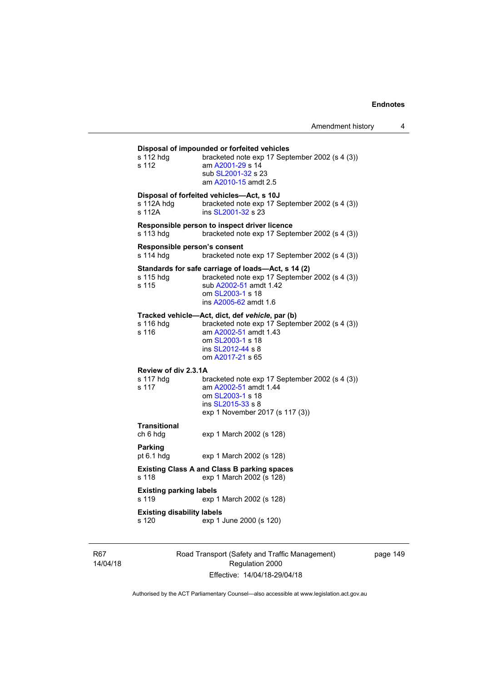| s 112 hdg<br>s 112                         | Disposal of impounded or forfeited vehicles<br>bracketed note exp 17 September 2002 (s 4 (3))<br>am A2001-29 s 14<br>sub SL2001-32 s 23<br>am A2010-15 amdt 2.5                         |
|--------------------------------------------|-----------------------------------------------------------------------------------------------------------------------------------------------------------------------------------------|
| s 112A hdg<br>s 112A                       | Disposal of forfeited vehicles-Act, s 10J<br>bracketed note exp 17 September 2002 (s 4 (3))<br>ins SL2001-32 s 23                                                                       |
| s 113 hdq                                  | Responsible person to inspect driver licence<br>bracketed note exp 17 September 2002 (s 4 (3))                                                                                          |
| Responsible person's consent<br>s 114 hdq  | bracketed note exp 17 September 2002 (s 4 (3))                                                                                                                                          |
| s 115 hdg<br>s 115                         | Standards for safe carriage of loads-Act, s 14 (2)<br>bracketed note exp 17 September 2002 (s 4 (3))<br>sub A2002-51 amdt 1.42<br>om SL2003-1 s 18<br>ins A2005-62 amdt 1.6             |
| s 116 hdg<br>s 116                         | Tracked vehicle-Act, dict, def vehicle, par (b)<br>bracketed note exp 17 September 2002 (s 4 (3))<br>am A2002-51 amdt 1.43<br>om SL2003-1 s 18<br>ins SL2012-44 s 8<br>om A2017-21 s 65 |
| Review of div 2.3.1A<br>s 117 hdg<br>s 117 | bracketed note exp 17 September 2002 (s 4 (3))<br>am A2002-51 amdt 1.44<br>om SL2003-1 s 18<br>ins SL2015-33 s 8<br>exp 1 November 2017 (s 117 (3))                                     |
| <b>Transitional</b><br>ch 6 hdg            | exp 1 March 2002 (s 128)                                                                                                                                                                |
| <b>Parking</b><br>pt 6.1 hdg               | exp 1 March 2002 (s 128)                                                                                                                                                                |
| s 118                                      | <b>Existing Class A and Class B parking spaces</b><br>exp 1 March 2002 (s 128)                                                                                                          |
| <b>Existing parking labels</b><br>s 119    | exp 1 March 2002 (s 128)                                                                                                                                                                |
| <b>Existing disability labels</b><br>s 120 | exp 1 June 2000 (s 120)                                                                                                                                                                 |
|                                            |                                                                                                                                                                                         |

R67 14/04/18 Road Transport (Safety and Traffic Management) Regulation 2000 Effective: 14/04/18-29/04/18

page 149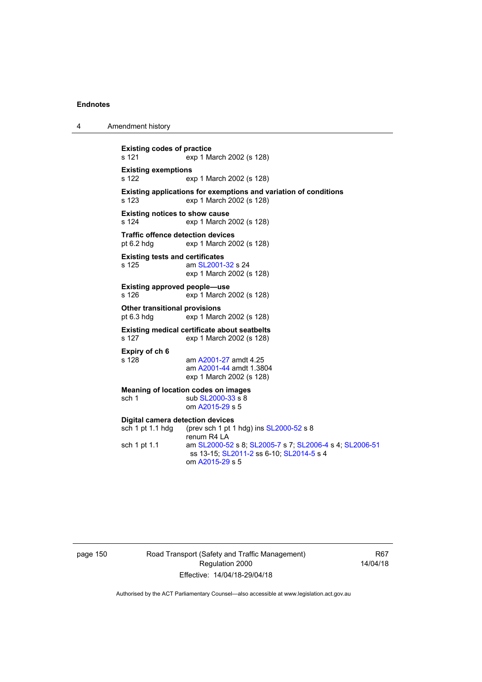4 Amendment history

**Existing codes of practice**  s 121 exp 1 March 2002 (s 128) **Existing exemptions**  s 122 exp 1 March 2002 (s 128) **Existing applications for exemptions and variation of conditions**  s 123 exp 1 March 2002 (s 128) **Existing notices to show cause**  s 124 exp 1 March 2002 (s 128) **Traffic offence detection devices**<br>pt 6.2 hdg exp 1 March 20 exp 1 March 2002 (s 128) **Existing tests and certificates**  s 125 am [SL2001-32](http://www.legislation.act.gov.au/sl/2001-32) s 24 exp 1 March 2002 (s 128) **Existing approved people—use**  s 126 exp 1 March 2002 (s 128) **Other transitional provisions**<br>pt 6.3 hdg exp 1 Marc  $exp 1$  March 2002 (s 128) **Existing medical certificate about seatbelts**  s 127 exp 1 March 2002 (s 128) **Expiry of ch 6**  am [A2001-27](http://www.legislation.act.gov.au/a/2001-27) amdt 4.25 am [A2001-44](http://www.legislation.act.gov.au/a/2001-44) amdt 1.3804 exp 1 March 2002 (s 128) **Meaning of location codes on images**  sch 1 sub [SL2000-33](http://www.legislation.act.gov.au/sl/2000-33) s 8 om [A2015-29](http://www.legislation.act.gov.au/a/2015-29) s 5 **Digital camera detection devices**  sch 1 pt 1.1 hdg (prev sch 1 pt 1 hdg) ins [SL2000-52](http://www.legislation.act.gov.au/sl/2000-52) s 8 renum R4 LA sch 1 pt 1.1 am [SL2000-52](http://www.legislation.act.gov.au/sl/2000-52) s 8; [SL2005-7](http://www.legislation.act.gov.au/sl/2005-7) s 7; [SL2006-4](http://www.legislation.act.gov.au/sl/2006-4) s 4; [SL2006-51](http://www.legislation.act.gov.au/sl/2006-51) ss 13-15; [SL2011-2](http://www.legislation.act.gov.au/sl/2011-2) ss 6-10; [SL2014-5](http://www.legislation.act.gov.au/sl/2014-5) s 4 om [A2015-29](http://www.legislation.act.gov.au/a/2015-29) s 5

page 150 Road Transport (Safety and Traffic Management) Regulation 2000 Effective: 14/04/18-29/04/18

R67 14/04/18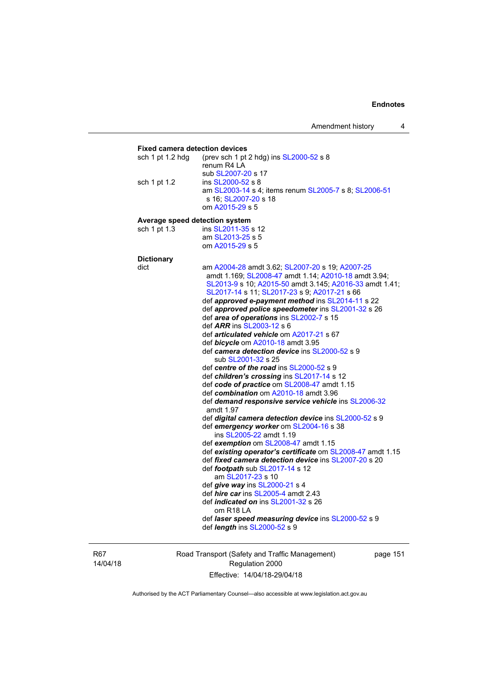Amendment history 4

## **Fixed camera detection devices**  sch 1 pt 1.2 hdg (prev sch 1 pt 2 hdg) ins [SL2000-52](http://www.legislation.act.gov.au/sl/2000-52) s 8 renum R4 LA sub [SL2007-20](http://www.legislation.act.gov.au/sl/2007-20) s 17<br>sch 1 pt 1.2 ins SL2000-52 s 8 ins [SL2000-52](http://www.legislation.act.gov.au/sl/2000-52) s 8 am [SL2003-14](http://www.legislation.act.gov.au/sl/2003-14) s 4; items renum [SL2005-7](http://www.legislation.act.gov.au/sl/2005-7) s 8; [SL2006-51](http://www.legislation.act.gov.au/sl/2006-51) s 16; [SL2007-20](http://www.legislation.act.gov.au/sl/2007-20) s 18 om [A2015-29](http://www.legislation.act.gov.au/a/2015-29) s 5 **Average speed detection system**  sch 1 pt 1.3 ins [SL2011-35](http://www.legislation.act.gov.au/sl/2011-35) s 12 am [SL2013-25](http://www.legislation.act.gov.au/sl/2013-25) s 5 om [A2015-29](http://www.legislation.act.gov.au/a/2015-29) s 5 **Dictionary**  dict am [A2004-28](http://www.legislation.act.gov.au/a/2004-28) amdt 3.62; [SL2007-20](http://www.legislation.act.gov.au/sl/2007-20) s 19; [A2007-25](http://www.legislation.act.gov.au/a/2007-25) amdt 1.169; [SL2008-47](http://www.legislation.act.gov.au/sl/2008-47) amdt 1.14; [A2010-18](http://www.legislation.act.gov.au/a/2010-18) amdt 3.94; [SL2013-9](http://www.legislation.act.gov.au/sl/2013-9/default.asp) s 10; [A2015-50](http://www.legislation.act.gov.au/a/2015-50) amdt 3.145; [A2016-33](http://www.legislation.act.gov.au/a/2016-33/default.asp) amdt 1.41; [SL2017-14](http://www.legislation.act.gov.au/sl/2017-14/default.asp) s 11; [SL2017-23](http://www.legislation.act.gov.au/sl/2017-23/default.asp) s 9; [A2017-21](http://www.legislation.act.gov.au/a/2017-21/default.asp) s 66 def *approved e-payment method* ins [SL2014-11](http://www.legislation.act.gov.au/sl/2014-11) s 22 def *approved police speedometer* ins [SL2001-32](http://www.legislation.act.gov.au/sl/2001-32) s 26 def *area of operations* ins [SL2002-7](http://www.legislation.act.gov.au/sl/2002-7) s 15 def *ARR* ins [SL2003-12](http://www.legislation.act.gov.au/sl/2003-12) s 6 def *articulated vehicle* om [A2017-21](http://www.legislation.act.gov.au/a/2017-21/default.asp) s 67 def *bicycle* om [A2010-18](http://www.legislation.act.gov.au/a/2010-18) amdt 3.95 def *camera detection device* ins [SL2000-52](http://www.legislation.act.gov.au/sl/2000-52) s 9 sub [SL2001-32](http://www.legislation.act.gov.au/sl/2001-32) s 25 def *centre of the road* ins [SL2000-52](http://www.legislation.act.gov.au/sl/2000-52) s 9 def *children's crossing* ins [SL2017-14](http://www.legislation.act.gov.au/sl/2017-14/default.asp) s 12 def *code of practice* om [SL2008-47](http://www.legislation.act.gov.au/sl/2008-47) amdt 1.15 def *combination* om [A2010-18](http://www.legislation.act.gov.au/a/2010-18) amdt 3.96 def *demand responsive service vehicle* ins [SL2006-32](http://www.legislation.act.gov.au/sl/2006-32) amdt 1.97 def *digital camera detection device* ins [SL2000-52](http://www.legislation.act.gov.au/sl/2000-52) s 9 def *emergency worker* om [SL2004-16](http://www.legislation.act.gov.au/sl/2004-16) s 38 ins [SL2005-22](http://www.legislation.act.gov.au/sl/2005-22) amdt 1.19 def *exemption* om [SL2008-47](http://www.legislation.act.gov.au/sl/2008-47) amdt 1.15 def *existing operator's certificate* om [SL2008-47](http://www.legislation.act.gov.au/sl/2008-47) amdt 1.15 def *fixed camera detection device* ins [SL2007-20](http://www.legislation.act.gov.au/sl/2007-20) s 20 def *footpath* sub [SL2017-14](http://www.legislation.act.gov.au/sl/2017-14/default.asp) s 12 am [SL2017-23](http://www.legislation.act.gov.au/sl/2017-23/default.asp) s 10 def *give way* ins [SL2000-21](http://www.legislation.act.gov.au/sl/2000-21) s 4 def *hire car* ins [SL2005-4](http://www.legislation.act.gov.au/sl/2005-4) amdt 2.43 def *indicated on* ins [SL2001-32](http://www.legislation.act.gov.au/sl/2001-32) s 26 om R18 LA def *laser speed measuring device* ins [SL2000-52](http://www.legislation.act.gov.au/sl/2000-52) s 9 def *length* ins [SL2000-52](http://www.legislation.act.gov.au/sl/2000-52) s 9

R67 14/04/18 Road Transport (Safety and Traffic Management) Regulation 2000 Effective: 14/04/18-29/04/18

page 151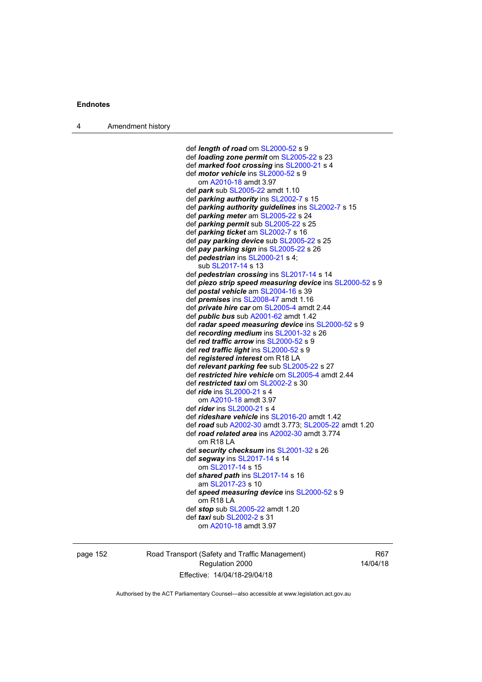def *length of road* om [SL2000-52](http://www.legislation.act.gov.au/sl/2000-52) s 9 def *loading zone permit* om [SL2005-22](http://www.legislation.act.gov.au/sl/2005-22) s 23 def *marked foot crossing* ins [SL2000-21](http://www.legislation.act.gov.au/sl/2000-21) s 4 def *motor vehicle* ins [SL2000-52](http://www.legislation.act.gov.au/sl/2000-52) s 9 om [A2010-18](http://www.legislation.act.gov.au/a/2010-18) amdt 3.97 def *park* sub [SL2005-22](http://www.legislation.act.gov.au/sl/2005-22) amdt 1.10 def *parking authority* ins [SL2002-7](http://www.legislation.act.gov.au/sl/2002-7) s 15 def *parking authority guidelines* ins [SL2002-7](http://www.legislation.act.gov.au/sl/2002-7) s 15 def *parking meter* am [SL2005-22](http://www.legislation.act.gov.au/sl/2005-22) s 24 def *parking permit* sub [SL2005-22](http://www.legislation.act.gov.au/sl/2005-22) s 25 def *parking ticket* am [SL2002-7](http://www.legislation.act.gov.au/sl/2002-7) s 16 def *pay parking device* sub [SL2005-22](http://www.legislation.act.gov.au/sl/2005-22) s 25 def *pay parking sign* ins [SL2005-22](http://www.legislation.act.gov.au/sl/2005-22) s 26 def *pedestrian* ins [SL2000-21](http://www.legislation.act.gov.au/sl/2000-21) s 4; sub [SL2017-14](http://www.legislation.act.gov.au/sl/2017-14/default.asp) s 13 def *pedestrian crossing* ins [SL2017-14](http://www.legislation.act.gov.au/sl/2017-14/default.asp) s 14 def *piezo strip speed measuring device* ins [SL2000-52](http://www.legislation.act.gov.au/sl/2000-52) s 9 def *postal vehicle* am [SL2004-16](http://www.legislation.act.gov.au/sl/2004-16) s 39 def *premises* ins [SL2008-47](http://www.legislation.act.gov.au/sl/2008-47) amdt 1.16 def *private hire car* om [SL2005-4](http://www.legislation.act.gov.au/sl/2005-4) amdt 2.44 def *public bus* sub [A2001-62](http://www.legislation.act.gov.au/a/2001-62) amdt 1.42 def *radar speed measuring device* ins [SL2000-52](http://www.legislation.act.gov.au/sl/2000-52) s 9 def *recording medium* ins [SL2001-32](http://www.legislation.act.gov.au/sl/2001-32) s 26 def *red traffic arrow* ins [SL2000-52](http://www.legislation.act.gov.au/sl/2000-52) s 9 def *red traffic light* ins [SL2000-52](http://www.legislation.act.gov.au/sl/2000-52) s 9 def *registered interest* om R18 LA def *relevant parking fee* sub [SL2005-22](http://www.legislation.act.gov.au/sl/2005-22) s 27 def *restricted hire vehicle* om [SL2005-4](http://www.legislation.act.gov.au/sl/2005-4) amdt 2.44 def *restricted taxi* om [SL2002-2](http://www.legislation.act.gov.au/sl/2002-2) s 30 def *ride* ins [SL2000-21](http://www.legislation.act.gov.au/sl/2000-21) s 4 om [A2010-18](http://www.legislation.act.gov.au/a/2010-18) amdt 3.97 def *rider* ins [SL2000-21](http://www.legislation.act.gov.au/sl/2000-21) s 4 def *rideshare vehicle* ins [SL2016-20](http://www.legislation.act.gov.au/sl/2016-20) amdt 1.42 def *road* sub [A2002-30](http://www.legislation.act.gov.au/a/2002-30) amdt 3.773; [SL2005-22](http://www.legislation.act.gov.au/sl/2005-22) amdt 1.20 def *road related area* ins [A2002-30](http://www.legislation.act.gov.au/a/2002-30) amdt 3.774 om R18 LA def *security checksum* ins [SL2001-32](http://www.legislation.act.gov.au/sl/2001-32) s 26 def *segway* ins [SL2017-14](http://www.legislation.act.gov.au/sl/2017-14/default.asp) s 14 om [SL2017-14](http://www.legislation.act.gov.au/sl/2017-14/default.asp) s 15 def *shared path* ins [SL2017-14](http://www.legislation.act.gov.au/sl/2017-14/default.asp) s 16 am [SL2017-23](http://www.legislation.act.gov.au/sl/2017-23/default.asp) s 10 def *speed measuring device* ins [SL2000-52](http://www.legislation.act.gov.au/sl/2000-52) s 9 om R18 LA def *stop* sub [SL2005-22](http://www.legislation.act.gov.au/sl/2005-22) amdt 1.20 def *taxi* sub [SL2002-2](http://www.legislation.act.gov.au/sl/2002-2) s 31 om [A2010-18](http://www.legislation.act.gov.au/a/2010-18) amdt 3.97

page 152 Road Transport (Safety and Traffic Management) Regulation 2000 Effective: 14/04/18-29/04/18

R67 14/04/18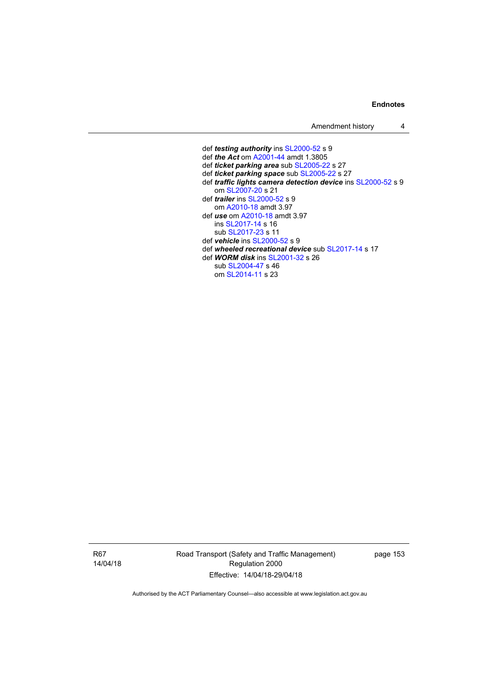Amendment history 4

 def *testing authority* ins [SL2000-52](http://www.legislation.act.gov.au/sl/2000-52) s 9 def *the Act* om [A2001-44](http://www.legislation.act.gov.au/a/2001-44) amdt 1.3805 def *ticket parking area* sub [SL2005-22](http://www.legislation.act.gov.au/sl/2005-22) s 27 def *ticket parking space* sub [SL2005-22](http://www.legislation.act.gov.au/sl/2005-22) s 27 def *traffic lights camera detection device* ins [SL2000-52](http://www.legislation.act.gov.au/sl/2000-52) s 9 om [SL2007-20](http://www.legislation.act.gov.au/sl/2007-20) s 21 def *trailer* ins [SL2000-52](http://www.legislation.act.gov.au/sl/2000-52) s 9 om [A2010-18](http://www.legislation.act.gov.au/a/2010-18) amdt 3.97 def *use* om [A2010-18](http://www.legislation.act.gov.au/a/2010-18) amdt 3.97 ins [SL2017-14](http://www.legislation.act.gov.au/sl/2017-14/default.asp) s 16 sub [SL2017-23](http://www.legislation.act.gov.au/sl/2017-23/default.asp) s 11 def *vehicle* ins [SL2000-52](http://www.legislation.act.gov.au/sl/2000-52) s 9 def *wheeled recreational device* sub [SL2017-14](http://www.legislation.act.gov.au/sl/2017-14/default.asp) s 17 def *WORM disk* ins [SL2001-32](http://www.legislation.act.gov.au/sl/2001-32) s 26 sub [SL2004-47](http://www.legislation.act.gov.au/sl/2004-47) s 46 om [SL2014-11](http://www.legislation.act.gov.au/sl/2014-11) s 23

R67 14/04/18 Road Transport (Safety and Traffic Management) Regulation 2000 Effective: 14/04/18-29/04/18

page 153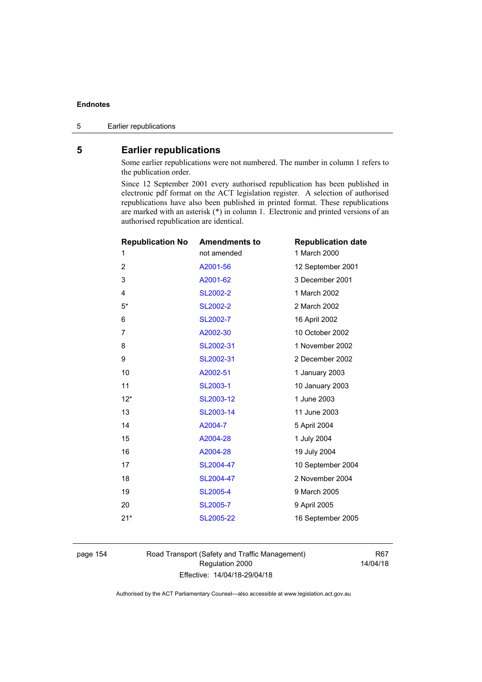# **5 Earlier republications**

Some earlier republications were not numbered. The number in column 1 refers to the publication order.

Since 12 September 2001 every authorised republication has been published in electronic pdf format on the ACT legislation register. A selection of authorised republications have also been published in printed format. These republications are marked with an asterisk (\*) in column 1. Electronic and printed versions of an authorised republication are identical.

| <b>Republication No</b> | <b>Amendments to</b> | <b>Republication date</b> |
|-------------------------|----------------------|---------------------------|
| 1                       | not amended          | 1 March 2000              |
| $\overline{2}$          | A2001-56             | 12 September 2001         |
| 3                       | A2001-62             | 3 December 2001           |
| 4                       | <b>SL2002-2</b>      | 1 March 2002              |
| $5*$                    | <b>SL2002-2</b>      | 2 March 2002              |
| 6                       | SL2002-7             | 16 April 2002             |
| 7                       | A2002-30             | 10 October 2002           |
| 8                       | SL2002-31            | 1 November 2002           |
| 9                       | SL2002-31            | 2 December 2002           |
| 10                      | A2002-51             | 1 January 2003            |
| 11                      | SL2003-1             | 10 January 2003           |
| $12*$                   | SL2003-12            | 1 June 2003               |
| 13                      | SL2003-14            | 11 June 2003              |
| 14                      | A2004-7              | 5 April 2004              |
| 15                      | A2004-28             | 1 July 2004               |
| 16                      | A2004-28             | 19 July 2004              |
| 17                      | SL2004-47            | 10 September 2004         |
| 18                      | SL2004-47            | 2 November 2004           |
| 19                      | <b>SL2005-4</b>      | 9 March 2005              |
| 20                      | SL2005-7             | 9 April 2005              |
| $21*$                   | SL2005-22            | 16 September 2005         |
|                         |                      |                           |

page 154 Road Transport (Safety and Traffic Management) Regulation 2000 Effective: 14/04/18-29/04/18

R67 14/04/18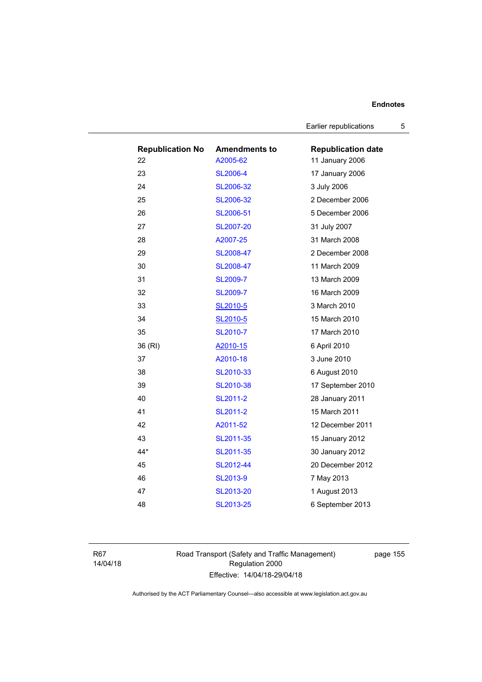Earlier republications 5

| <b>Republication No</b> | <b>Amendments to</b> | <b>Republication date</b> |
|-------------------------|----------------------|---------------------------|
| 22                      | A2005-62             | 11 January 2006           |
| 23                      | <b>SL2006-4</b>      | 17 January 2006           |
| 24                      | SL2006-32            | 3 July 2006               |
| 25                      | SL2006-32            | 2 December 2006           |
| 26                      | SL2006-51            | 5 December 2006           |
| 27                      | SL2007-20            | 31 July 2007              |
| 28                      | A2007-25             | 31 March 2008             |
| 29                      | SL2008-47            | 2 December 2008           |
| 30                      | SL2008-47            | 11 March 2009             |
| 31                      | <b>SL2009-7</b>      | 13 March 2009             |
| 32                      | <b>SL2009-7</b>      | 16 March 2009             |
| 33                      | SL2010-5             | 3 March 2010              |
| 34                      | SL2010-5             | 15 March 2010             |
| 35                      | SL2010-7             | 17 March 2010             |
| 36 (RI)                 | A2010-15             | 6 April 2010              |
| 37                      | A2010-18             | 3 June 2010               |
| 38                      | SL2010-33            | 6 August 2010             |
| 39                      | SL2010-38            | 17 September 2010         |
| 40                      | SL2011-2             | 28 January 2011           |
| 41                      | SL2011-2             | 15 March 2011             |
| 42                      | A2011-52             | 12 December 2011          |
| 43                      | SL2011-35            | 15 January 2012           |
| 44*                     | SL2011-35            | 30 January 2012           |
| 45                      | SL2012-44            | 20 December 2012          |
| 46                      | SL2013-9             | 7 May 2013                |
| 47                      | SL2013-20            | 1 August 2013             |
| 48                      | SL2013-25            | 6 September 2013          |

R67 14/04/18 Road Transport (Safety and Traffic Management) Regulation 2000 Effective: 14/04/18-29/04/18

page 155